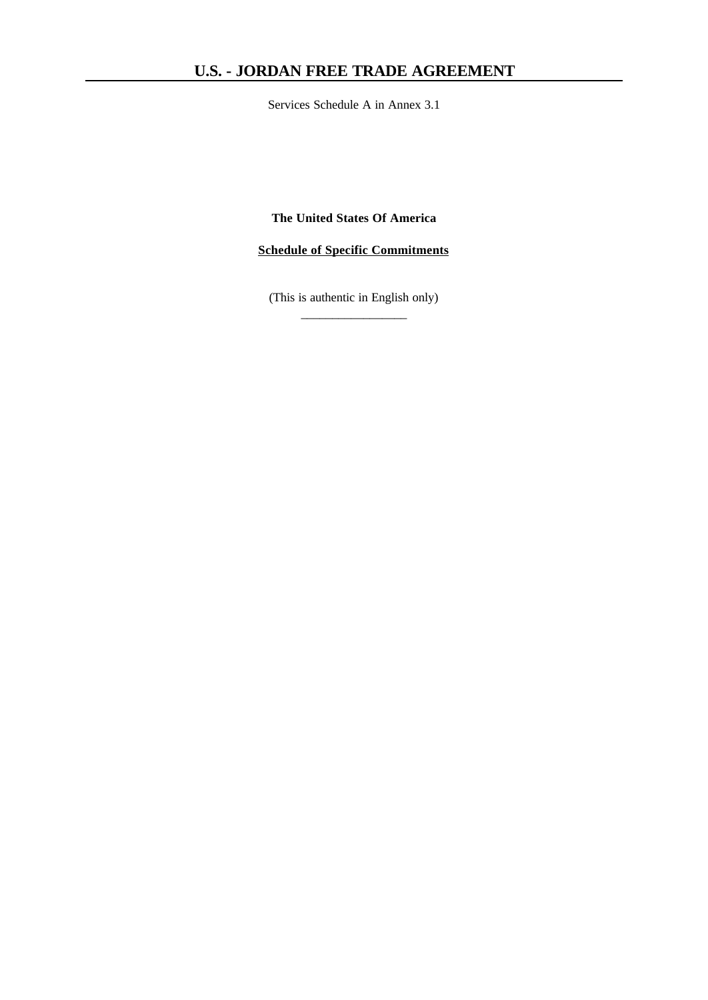Services Schedule A in Annex 3.1

**The United States Of America**

**Schedule of Specific Commitments**

(This is authentic in English only)  $\overline{\phantom{a}}$  , where  $\overline{\phantom{a}}$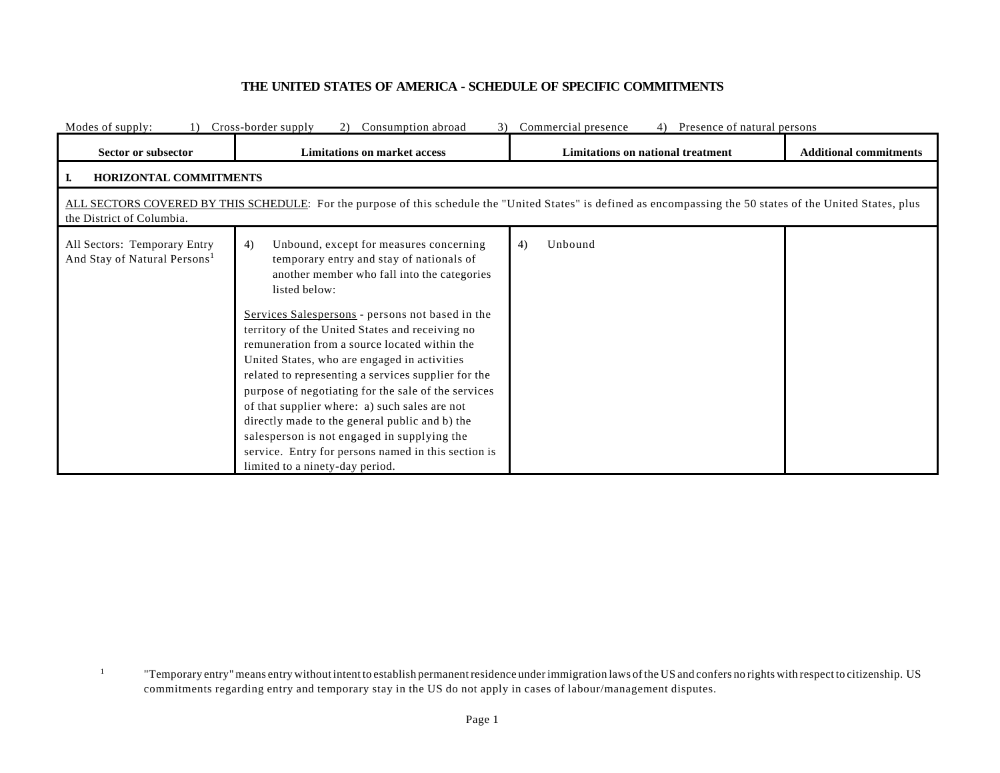## **THE UNITED STATES OF AMERICA - SCHEDULE OF SPECIFIC COMMITMENTS**

| Modes of supply:                                                         | Cross-border supply<br>Commercial presence<br>Presence of natural persons<br>Consumption abroad<br>2)<br>4)                                                                                                                                                                                                                                                                                                                                                                                                                                                                                                                                                                                                                 |                                   |                               |  |  |  |
|--------------------------------------------------------------------------|-----------------------------------------------------------------------------------------------------------------------------------------------------------------------------------------------------------------------------------------------------------------------------------------------------------------------------------------------------------------------------------------------------------------------------------------------------------------------------------------------------------------------------------------------------------------------------------------------------------------------------------------------------------------------------------------------------------------------------|-----------------------------------|-------------------------------|--|--|--|
| Sector or subsector                                                      | <b>Limitations on market access</b>                                                                                                                                                                                                                                                                                                                                                                                                                                                                                                                                                                                                                                                                                         | Limitations on national treatment | <b>Additional commitments</b> |  |  |  |
| <b>HORIZONTAL COMMITMENTS</b>                                            |                                                                                                                                                                                                                                                                                                                                                                                                                                                                                                                                                                                                                                                                                                                             |                                   |                               |  |  |  |
| the District of Columbia.                                                | ALL SECTORS COVERED BY THIS SCHEDULE: For the purpose of this schedule the "United States" is defined as encompassing the 50 states of the United States, plus                                                                                                                                                                                                                                                                                                                                                                                                                                                                                                                                                              |                                   |                               |  |  |  |
| All Sectors: Temporary Entry<br>And Stay of Natural Persons <sup>1</sup> | 4)<br>Unbound, except for measures concerning<br>temporary entry and stay of nationals of<br>another member who fall into the categories<br>listed below:<br>Services Salespersons - persons not based in the<br>territory of the United States and receiving no<br>remuneration from a source located within the<br>United States, who are engaged in activities<br>related to representing a services supplier for the<br>purpose of negotiating for the sale of the services<br>of that supplier where: a) such sales are not<br>directly made to the general public and b) the<br>salesperson is not engaged in supplying the<br>service. Entry for persons named in this section is<br>limited to a ninety-day period. | 4)<br>Unbound                     |                               |  |  |  |

<sup>1</sup> "Temporary entry" means entry without intent to establish permanent residence under immigration laws of the US and confers no rights with respect to citizenship. US commitments regarding entry and temporary stay in the US do not apply in cases of labour/management disputes.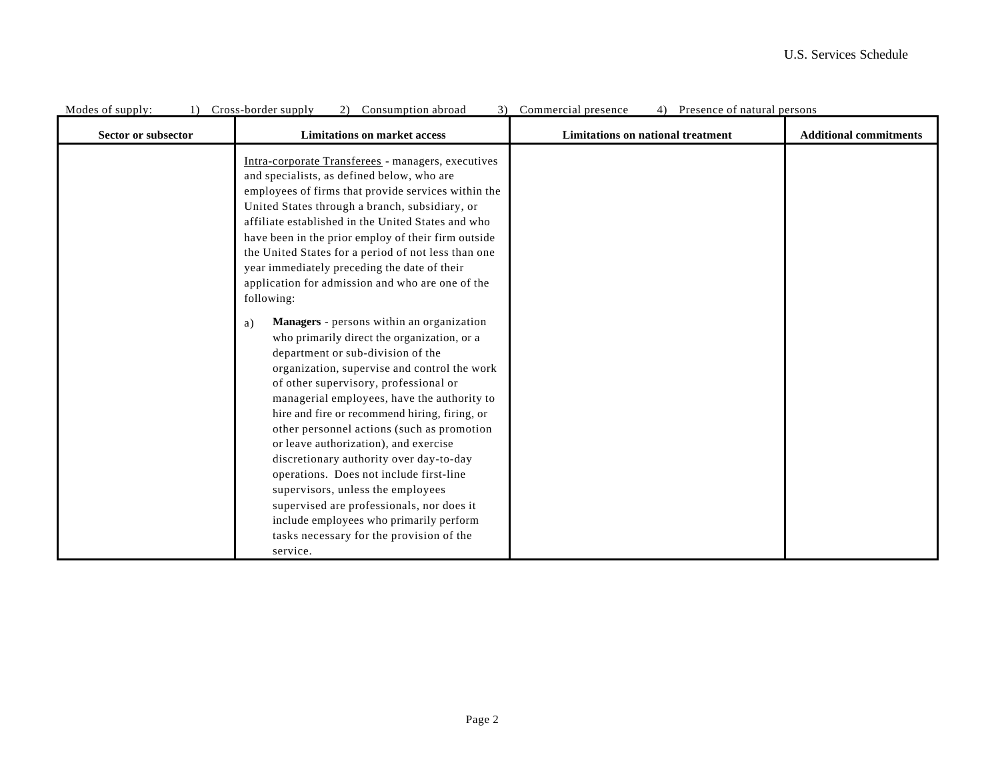| MOUGS OF Supply.<br>Sector or subsector | 1) Cross-border supply<br>$\mathcal{L}$ ) Consumption abroad<br><b>Limitations on market access</b>                                                                                                                                                                                                                                                                                                                                                                                                                                                                                                                                                                                            | Commercial presence<br>4) I resence or hatural persons<br>Limitations on national treatment | <b>Additional commitments</b> |
|-----------------------------------------|------------------------------------------------------------------------------------------------------------------------------------------------------------------------------------------------------------------------------------------------------------------------------------------------------------------------------------------------------------------------------------------------------------------------------------------------------------------------------------------------------------------------------------------------------------------------------------------------------------------------------------------------------------------------------------------------|---------------------------------------------------------------------------------------------|-------------------------------|
|                                         | Intra-corporate Transferees - managers, executives<br>and specialists, as defined below, who are<br>employees of firms that provide services within the<br>United States through a branch, subsidiary, or<br>affiliate established in the United States and who<br>have been in the prior employ of their firm outside<br>the United States for a period of not less than one<br>year immediately preceding the date of their<br>application for admission and who are one of the<br>following:                                                                                                                                                                                                |                                                                                             |                               |
|                                         | Managers - persons within an organization<br>a)<br>who primarily direct the organization, or a<br>department or sub-division of the<br>organization, supervise and control the work<br>of other supervisory, professional or<br>managerial employees, have the authority to<br>hire and fire or recommend hiring, firing, or<br>other personnel actions (such as promotion<br>or leave authorization), and exercise<br>discretionary authority over day-to-day<br>operations. Does not include first-line<br>supervisors, unless the employees<br>supervised are professionals, nor does it<br>include employees who primarily perform<br>tasks necessary for the provision of the<br>service. |                                                                                             |                               |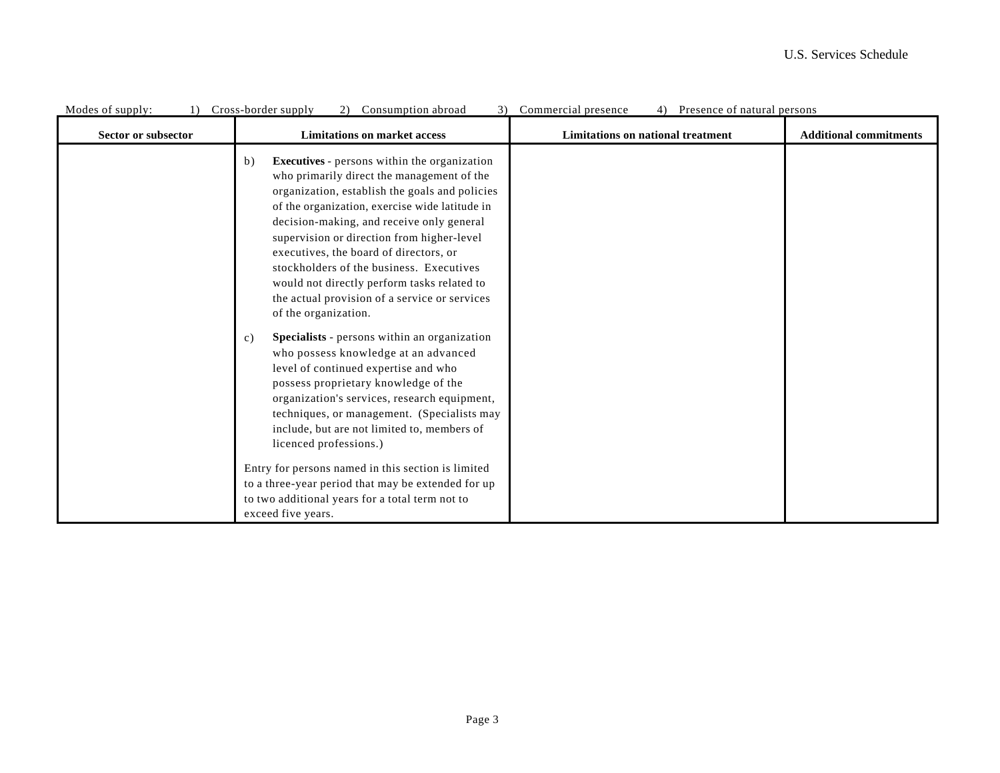| Modes of supply:    | Cross-border supply<br>Consumption abroad                                                                                                                                                                                                                                                                                                                                                                                                                                                                                                                                                                                                                                                                                                                                                                                                                                  | Commercial presence<br>Presence of natural persons |                               |
|---------------------|----------------------------------------------------------------------------------------------------------------------------------------------------------------------------------------------------------------------------------------------------------------------------------------------------------------------------------------------------------------------------------------------------------------------------------------------------------------------------------------------------------------------------------------------------------------------------------------------------------------------------------------------------------------------------------------------------------------------------------------------------------------------------------------------------------------------------------------------------------------------------|----------------------------------------------------|-------------------------------|
| Sector or subsector | <b>Limitations on market access</b>                                                                                                                                                                                                                                                                                                                                                                                                                                                                                                                                                                                                                                                                                                                                                                                                                                        | <b>Limitations on national treatment</b>           | <b>Additional commitments</b> |
|                     | <b>Executives</b> - persons within the organization<br>b)<br>who primarily direct the management of the<br>organization, establish the goals and policies<br>of the organization, exercise wide latitude in<br>decision-making, and receive only general<br>supervision or direction from higher-level<br>executives, the board of directors, or<br>stockholders of the business. Executives<br>would not directly perform tasks related to<br>the actual provision of a service or services<br>of the organization.<br>Specialists - persons within an organization<br>c)<br>who possess knowledge at an advanced<br>level of continued expertise and who<br>possess proprietary knowledge of the<br>organization's services, research equipment,<br>techniques, or management. (Specialists may<br>include, but are not limited to, members of<br>licenced professions.) |                                                    |                               |
|                     | Entry for persons named in this section is limited<br>to a three-year period that may be extended for up<br>to two additional years for a total term not to                                                                                                                                                                                                                                                                                                                                                                                                                                                                                                                                                                                                                                                                                                                |                                                    |                               |
|                     | exceed five years.                                                                                                                                                                                                                                                                                                                                                                                                                                                                                                                                                                                                                                                                                                                                                                                                                                                         |                                                    |                               |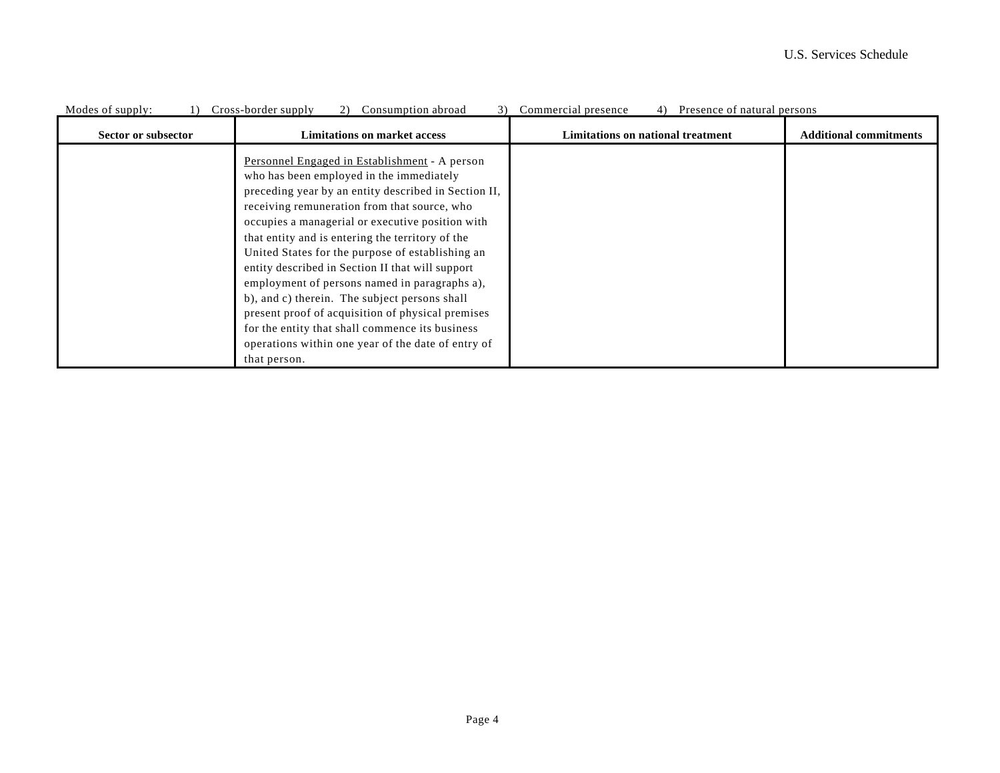| Modes of supply:    | Consumption abroad<br>Cross-border supply<br>3)<br>2)                                                                                                                                                                                                                                                                                                                                                                                                                                                                                                                                                                                                                                             | Commercial presence<br>Presence of natural persons<br>4) |                               |
|---------------------|---------------------------------------------------------------------------------------------------------------------------------------------------------------------------------------------------------------------------------------------------------------------------------------------------------------------------------------------------------------------------------------------------------------------------------------------------------------------------------------------------------------------------------------------------------------------------------------------------------------------------------------------------------------------------------------------------|----------------------------------------------------------|-------------------------------|
| Sector or subsector | <b>Limitations on market access</b>                                                                                                                                                                                                                                                                                                                                                                                                                                                                                                                                                                                                                                                               | Limitations on national treatment                        | <b>Additional commitments</b> |
|                     | Personnel Engaged in Establishment - A person<br>who has been employed in the immediately<br>preceding year by an entity described in Section II,<br>receiving remuneration from that source, who<br>occupies a managerial or executive position with<br>that entity and is entering the territory of the<br>United States for the purpose of establishing an<br>entity described in Section II that will support<br>employment of persons named in paragraphs a),<br>b), and c) therein. The subject persons shall<br>present proof of acquisition of physical premises<br>for the entity that shall commence its business<br>operations within one year of the date of entry of<br>that person. |                                                          |                               |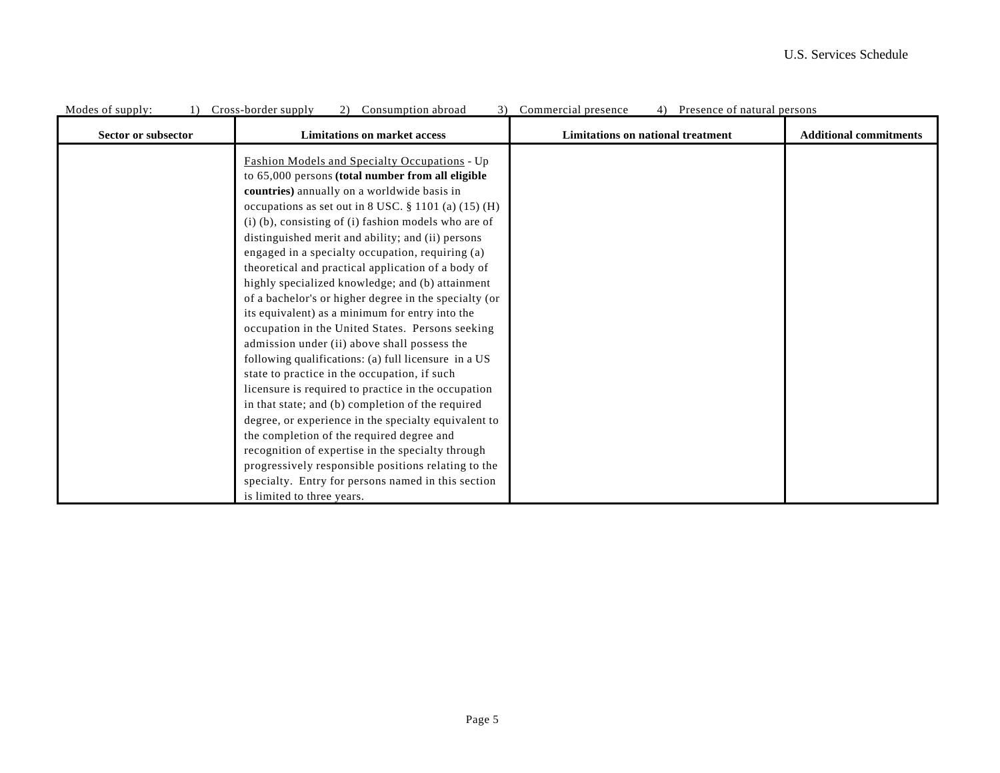| Modes of supply:    | Cross-border supply<br>2) Consumption abroad<br>3)                                                                                                                                                                                                                                                                                                                                                                                                                                                                                                                                                                                                                                                                                                                                                                                                                                                                                                                                                                                                                                                                                                                                                                                          | Commercial presence<br>4) Presence of natural persons |                               |
|---------------------|---------------------------------------------------------------------------------------------------------------------------------------------------------------------------------------------------------------------------------------------------------------------------------------------------------------------------------------------------------------------------------------------------------------------------------------------------------------------------------------------------------------------------------------------------------------------------------------------------------------------------------------------------------------------------------------------------------------------------------------------------------------------------------------------------------------------------------------------------------------------------------------------------------------------------------------------------------------------------------------------------------------------------------------------------------------------------------------------------------------------------------------------------------------------------------------------------------------------------------------------|-------------------------------------------------------|-------------------------------|
| Sector or subsector | <b>Limitations on market access</b>                                                                                                                                                                                                                                                                                                                                                                                                                                                                                                                                                                                                                                                                                                                                                                                                                                                                                                                                                                                                                                                                                                                                                                                                         | Limitations on national treatment                     | <b>Additional commitments</b> |
|                     | <b>Fashion Models and Specialty Occupations - Up</b><br>to 65,000 persons (total number from all eligible<br>countries) annually on a worldwide basis in<br>occupations as set out in 8 USC. $\S$ 1101 (a) (15) (H)<br>$(i)$ (b), consisting of $(i)$ fashion models who are of<br>distinguished merit and ability; and (ii) persons<br>engaged in a specialty occupation, requiring (a)<br>theoretical and practical application of a body of<br>highly specialized knowledge; and (b) attainment<br>of a bachelor's or higher degree in the specialty (or<br>its equivalent) as a minimum for entry into the<br>occupation in the United States. Persons seeking<br>admission under (ii) above shall possess the<br>following qualifications: (a) full licensure in a US<br>state to practice in the occupation, if such<br>licensure is required to practice in the occupation<br>in that state; and (b) completion of the required<br>degree, or experience in the specialty equivalent to<br>the completion of the required degree and<br>recognition of expertise in the specialty through<br>progressively responsible positions relating to the<br>specialty. Entry for persons named in this section<br>is limited to three years. |                                                       |                               |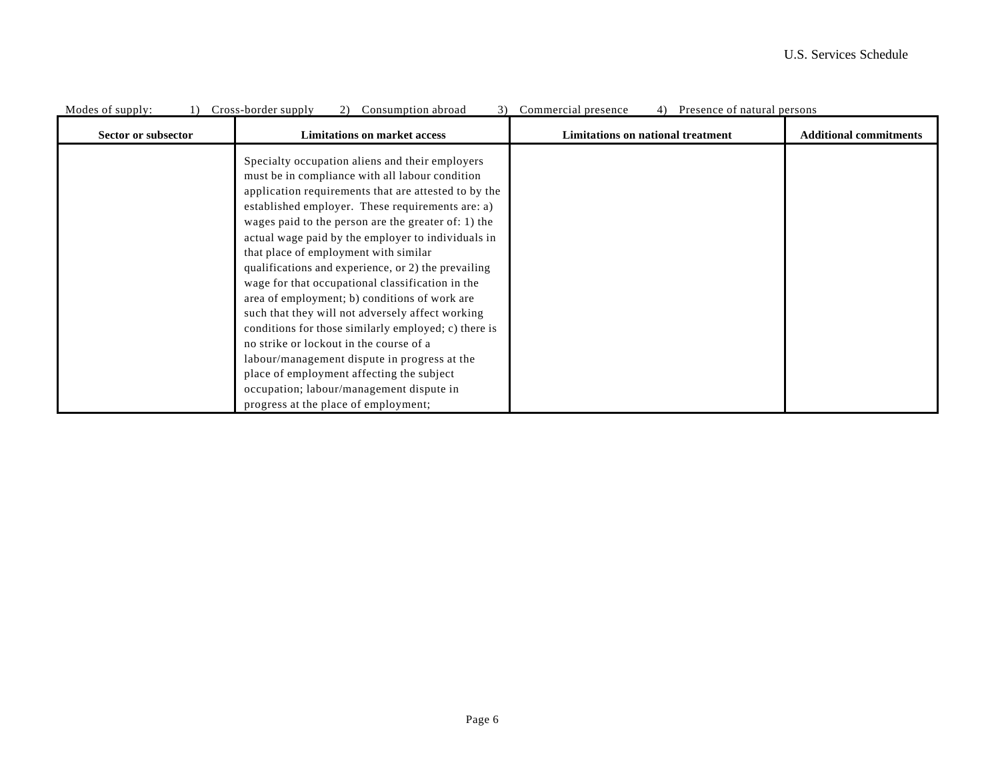| Modes of supply:    | Cross-border supply<br>Consumption abroad<br>2)<br>3 <sup>)</sup>                                                                                                                                                                                                                                                                                                                                                                                                                                                                                                                                                                                                                                                                                                                                                                                                        | Commercial presence<br>Presence of natural persons |                               |
|---------------------|--------------------------------------------------------------------------------------------------------------------------------------------------------------------------------------------------------------------------------------------------------------------------------------------------------------------------------------------------------------------------------------------------------------------------------------------------------------------------------------------------------------------------------------------------------------------------------------------------------------------------------------------------------------------------------------------------------------------------------------------------------------------------------------------------------------------------------------------------------------------------|----------------------------------------------------|-------------------------------|
| Sector or subsector | <b>Limitations on market access</b>                                                                                                                                                                                                                                                                                                                                                                                                                                                                                                                                                                                                                                                                                                                                                                                                                                      | <b>Limitations on national treatment</b>           | <b>Additional commitments</b> |
|                     | Specialty occupation aliens and their employers<br>must be in compliance with all labour condition<br>application requirements that are attested to by the<br>established employer. These requirements are: a)<br>wages paid to the person are the greater of: 1) the<br>actual wage paid by the employer to individuals in<br>that place of employment with similar<br>qualifications and experience, or 2) the prevailing<br>wage for that occupational classification in the<br>area of employment; b) conditions of work are<br>such that they will not adversely affect working<br>conditions for those similarly employed; c) there is<br>no strike or lockout in the course of a<br>labour/management dispute in progress at the<br>place of employment affecting the subject<br>occupation; labour/management dispute in<br>progress at the place of employment; |                                                    |                               |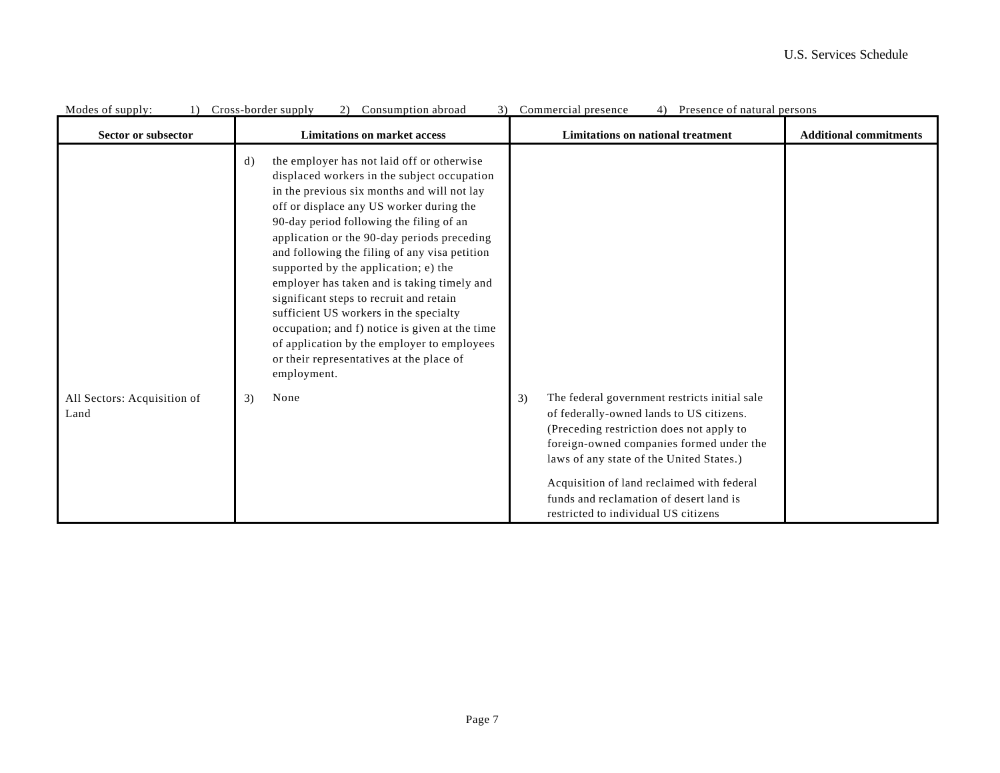| Modes of supply:                    | Cross-border supply<br>Consumption abroad                                                                                                                                                                                                                                                                                                                                                                                                                                                                                                                                                                                                                                                | Commercial presence<br>Presence of natural persons                                                                                                                                                                                                                                                                                                                   |                               |
|-------------------------------------|------------------------------------------------------------------------------------------------------------------------------------------------------------------------------------------------------------------------------------------------------------------------------------------------------------------------------------------------------------------------------------------------------------------------------------------------------------------------------------------------------------------------------------------------------------------------------------------------------------------------------------------------------------------------------------------|----------------------------------------------------------------------------------------------------------------------------------------------------------------------------------------------------------------------------------------------------------------------------------------------------------------------------------------------------------------------|-------------------------------|
| Sector or subsector                 | <b>Limitations on market access</b>                                                                                                                                                                                                                                                                                                                                                                                                                                                                                                                                                                                                                                                      | Limitations on national treatment                                                                                                                                                                                                                                                                                                                                    | <b>Additional commitments</b> |
|                                     | the employer has not laid off or otherwise<br>$\mathbf{d}$<br>displaced workers in the subject occupation<br>in the previous six months and will not lay<br>off or displace any US worker during the<br>90-day period following the filing of an<br>application or the 90-day periods preceding<br>and following the filing of any visa petition<br>supported by the application; e) the<br>employer has taken and is taking timely and<br>significant steps to recruit and retain<br>sufficient US workers in the specialty<br>occupation; and f) notice is given at the time<br>of application by the employer to employees<br>or their representatives at the place of<br>employment. |                                                                                                                                                                                                                                                                                                                                                                      |                               |
| All Sectors: Acquisition of<br>Land | None<br>3)                                                                                                                                                                                                                                                                                                                                                                                                                                                                                                                                                                                                                                                                               | The federal government restricts initial sale<br>3)<br>of federally-owned lands to US citizens.<br>(Preceding restriction does not apply to<br>foreign-owned companies formed under the<br>laws of any state of the United States.)<br>Acquisition of land reclaimed with federal<br>funds and reclamation of desert land is<br>restricted to individual US citizens |                               |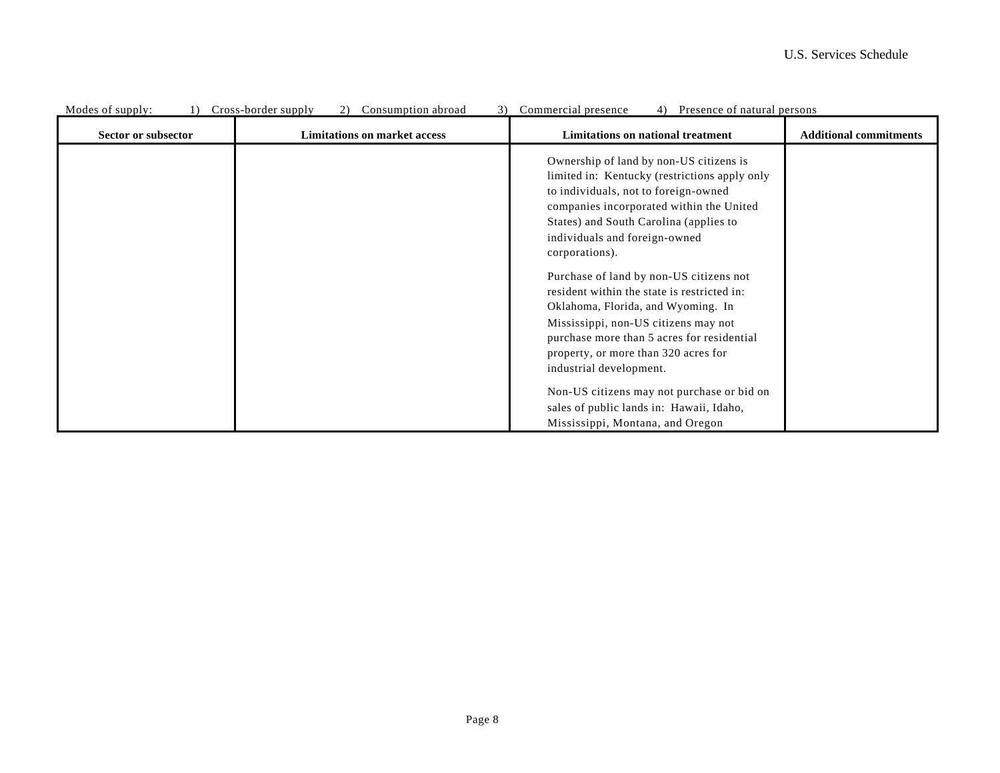| MOUTS OF SUPPLY.    | 1) Cross-border supply<br>2) Consumption abroad | 3) Commercial presence<br>4) FIESENCE OI HALUIAI PEISONS                                                                                                                                                                                                                              |                               |
|---------------------|-------------------------------------------------|---------------------------------------------------------------------------------------------------------------------------------------------------------------------------------------------------------------------------------------------------------------------------------------|-------------------------------|
| Sector or subsector | <b>Limitations on market access</b>             | Limitations on national treatment                                                                                                                                                                                                                                                     | <b>Additional commitments</b> |
|                     |                                                 | Ownership of land by non-US citizens is<br>limited in: Kentucky (restrictions apply only<br>to individuals, not to foreign-owned<br>companies incorporated within the United<br>States) and South Carolina (applies to<br>individuals and foreign-owned<br>corporations).             |                               |
|                     |                                                 | Purchase of land by non-US citizens not<br>resident within the state is restricted in:<br>Oklahoma, Florida, and Wyoming. In<br>Mississippi, non-US citizens may not<br>purchase more than 5 acres for residential<br>property, or more than 320 acres for<br>industrial development. |                               |
|                     |                                                 | Non-US citizens may not purchase or bid on<br>sales of public lands in: Hawaii, Idaho,<br>Mississippi, Montana, and Oregon                                                                                                                                                            |                               |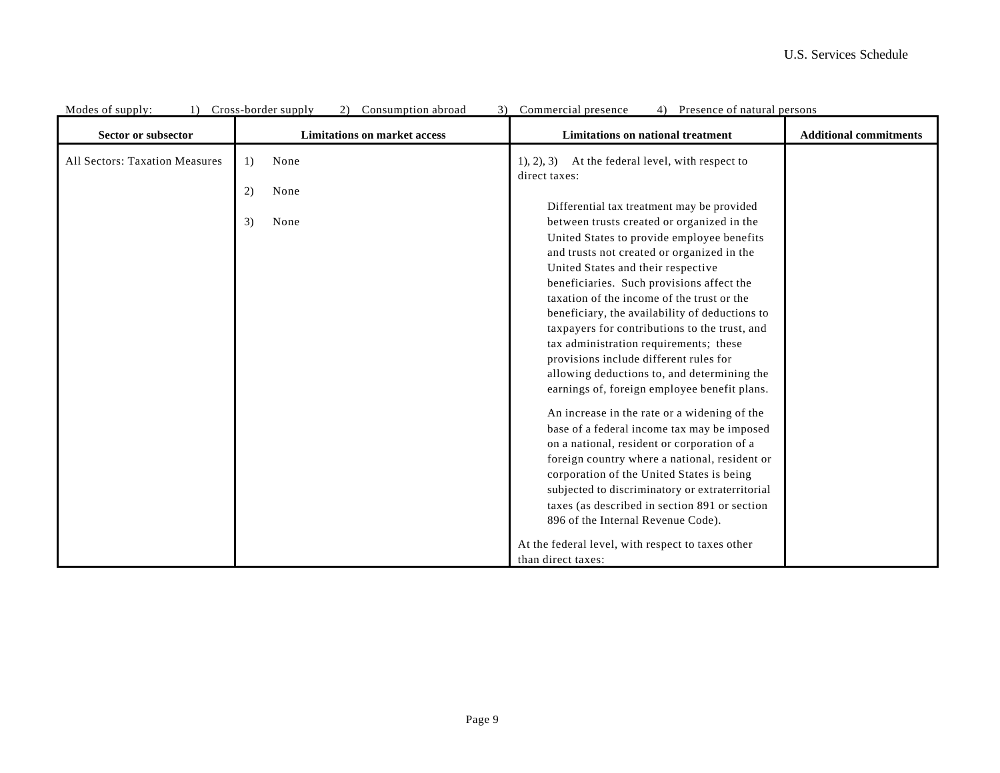| Sector or subsector            | <b>Limitations on market access</b> | $\frac{1}{2}$ resemble of matural persons<br>Limitations on national treatment               | <b>Additional commitments</b> |
|--------------------------------|-------------------------------------|----------------------------------------------------------------------------------------------|-------------------------------|
| All Sectors: Taxation Measures | None<br>1)                          | At the federal level, with respect to<br>(1), (2), (3)<br>direct taxes:                      |                               |
|                                | 2)<br>None                          | Differential tax treatment may be provided                                                   |                               |
|                                | 3)<br>None                          | between trusts created or organized in the                                                   |                               |
|                                |                                     | United States to provide employee benefits                                                   |                               |
|                                |                                     | and trusts not created or organized in the<br>United States and their respective             |                               |
|                                |                                     | beneficiaries. Such provisions affect the                                                    |                               |
|                                |                                     | taxation of the income of the trust or the<br>beneficiary, the availability of deductions to |                               |
|                                |                                     | taxpayers for contributions to the trust, and                                                |                               |
|                                |                                     | tax administration requirements; these<br>provisions include different rules for             |                               |
|                                |                                     | allowing deductions to, and determining the                                                  |                               |
|                                |                                     | earnings of, foreign employee benefit plans.                                                 |                               |
|                                |                                     | An increase in the rate or a widening of the                                                 |                               |
|                                |                                     | base of a federal income tax may be imposed<br>on a national, resident or corporation of a   |                               |
|                                |                                     | foreign country where a national, resident or                                                |                               |
|                                |                                     | corporation of the United States is being<br>subjected to discriminatory or extraterritorial |                               |
|                                |                                     | taxes (as described in section 891 or section                                                |                               |
|                                |                                     | 896 of the Internal Revenue Code).                                                           |                               |
|                                |                                     | At the federal level, with respect to taxes other                                            |                               |
|                                |                                     | than direct taxes:                                                                           |                               |

|  | Modes of supply: (a) Cross-border supply (2) Consumption abroad (3) Commercial presence (4) Presence of natural persons |  |  |  |  |
|--|-------------------------------------------------------------------------------------------------------------------------|--|--|--|--|
|  |                                                                                                                         |  |  |  |  |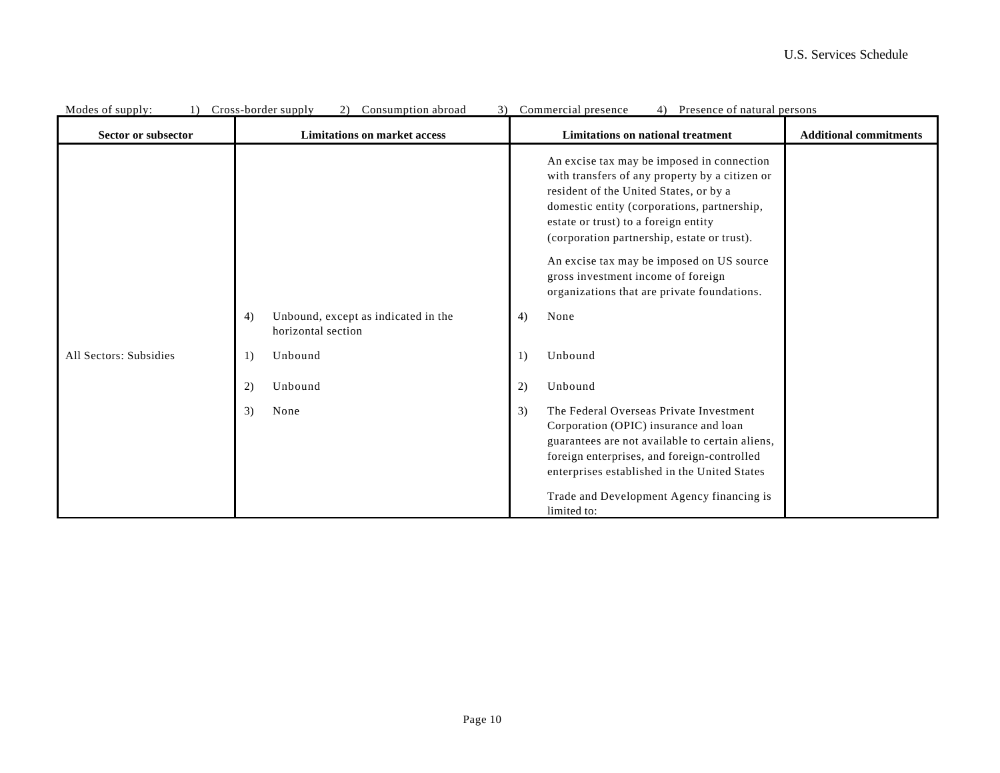| Modes of supply:<br>Sector or subsector | Cross-porder supply<br>$\angle$ )<br>Consumption aproad<br>$\mathcal{I}$<br><b>Limitations on market access</b> | Commercial presence<br>4)<br>Presence of natural persons<br><b>Limitations on national treatment</b>                                                                                                                                                                                                                                                                                                           | <b>Additional commitments</b> |
|-----------------------------------------|-----------------------------------------------------------------------------------------------------------------|----------------------------------------------------------------------------------------------------------------------------------------------------------------------------------------------------------------------------------------------------------------------------------------------------------------------------------------------------------------------------------------------------------------|-------------------------------|
|                                         |                                                                                                                 | An excise tax may be imposed in connection<br>with transfers of any property by a citizen or<br>resident of the United States, or by a<br>domestic entity (corporations, partnership,<br>estate or trust) to a foreign entity<br>(corporation partnership, estate or trust).<br>An excise tax may be imposed on US source<br>gross investment income of foreign<br>organizations that are private foundations. |                               |
|                                         | Unbound, except as indicated in the<br>4)<br>horizontal section                                                 | 4)<br>None                                                                                                                                                                                                                                                                                                                                                                                                     |                               |
| All Sectors: Subsidies                  | Unbound<br>1)                                                                                                   | Unbound<br>1)                                                                                                                                                                                                                                                                                                                                                                                                  |                               |
|                                         | 2)<br>Unbound                                                                                                   | Unbound<br>2)                                                                                                                                                                                                                                                                                                                                                                                                  |                               |
|                                         | 3)<br>None                                                                                                      | The Federal Overseas Private Investment<br>3)<br>Corporation (OPIC) insurance and loan<br>guarantees are not available to certain aliens,<br>foreign enterprises, and foreign-controlled<br>enterprises established in the United States<br>Trade and Development Agency financing is                                                                                                                          |                               |
|                                         |                                                                                                                 | limited to:                                                                                                                                                                                                                                                                                                                                                                                                    |                               |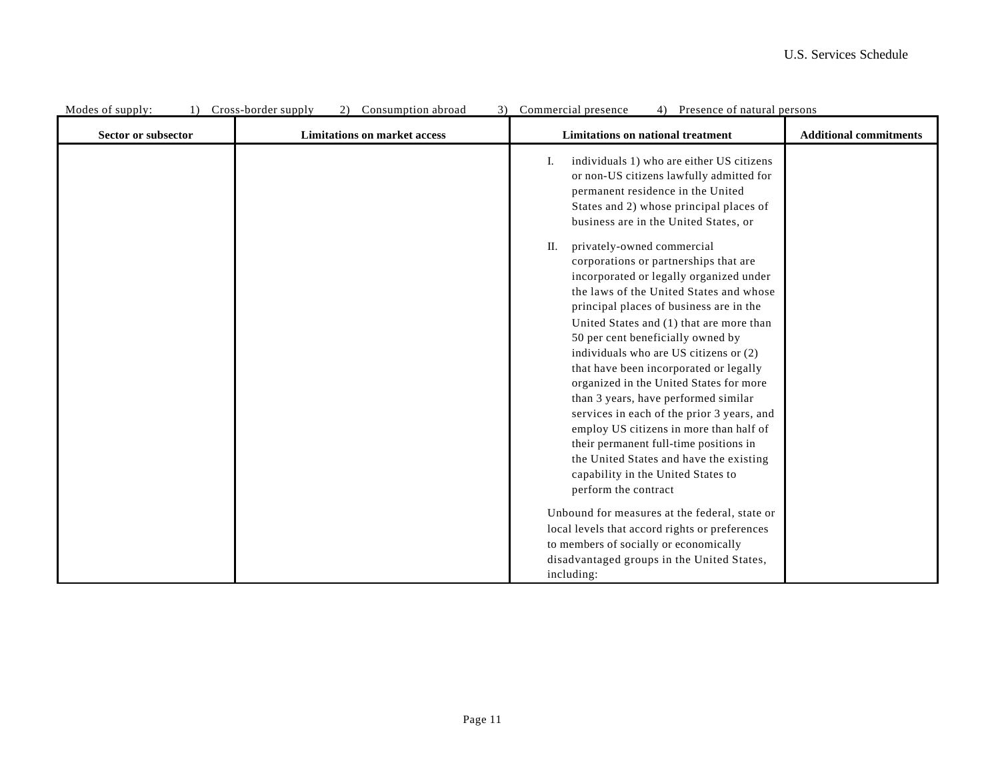| Modes of supply:<br>$\left  \right $ | Consumption abroad<br>Cross-border supply<br>2)<br>3) | Commercial presence<br>Presence of natural persons<br>4)                                                                                                                                                                                                                                                                                                                                                                                                                                                                                                                                                                                                                                                       |                               |
|--------------------------------------|-------------------------------------------------------|----------------------------------------------------------------------------------------------------------------------------------------------------------------------------------------------------------------------------------------------------------------------------------------------------------------------------------------------------------------------------------------------------------------------------------------------------------------------------------------------------------------------------------------------------------------------------------------------------------------------------------------------------------------------------------------------------------------|-------------------------------|
| Sector or subsector                  | <b>Limitations on market access</b>                   | Limitations on national treatment                                                                                                                                                                                                                                                                                                                                                                                                                                                                                                                                                                                                                                                                              | <b>Additional commitments</b> |
|                                      |                                                       | individuals 1) who are either US citizens<br>Ι.<br>or non-US citizens lawfully admitted for<br>permanent residence in the United<br>States and 2) whose principal places of<br>business are in the United States, or                                                                                                                                                                                                                                                                                                                                                                                                                                                                                           |                               |
|                                      |                                                       | privately-owned commercial<br>П.<br>corporations or partnerships that are<br>incorporated or legally organized under<br>the laws of the United States and whose<br>principal places of business are in the<br>United States and (1) that are more than<br>50 per cent beneficially owned by<br>individuals who are US citizens or (2)<br>that have been incorporated or legally<br>organized in the United States for more<br>than 3 years, have performed similar<br>services in each of the prior 3 years, and<br>employ US citizens in more than half of<br>their permanent full-time positions in<br>the United States and have the existing<br>capability in the United States to<br>perform the contract |                               |
|                                      |                                                       | Unbound for measures at the federal, state or<br>local levels that accord rights or preferences<br>to members of socially or economically<br>disadvantaged groups in the United States,<br>including:                                                                                                                                                                                                                                                                                                                                                                                                                                                                                                          |                               |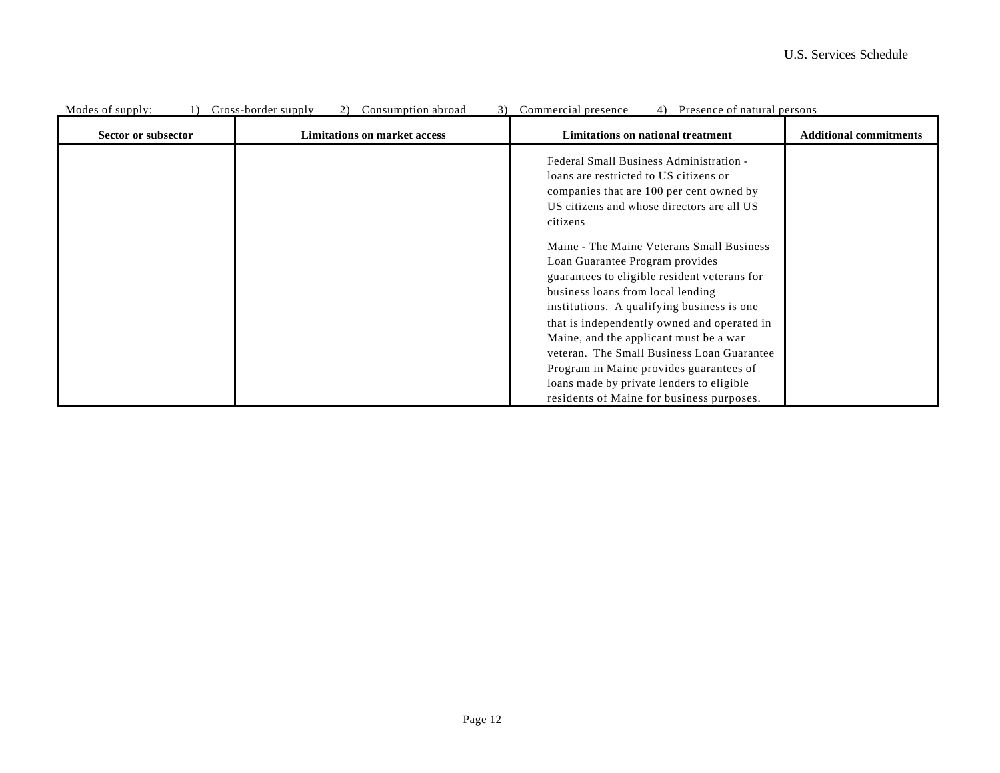| MODES OF SUPPLY.    | Cross-porder supply<br>$\angle$ )<br>CONSUMPTION aproad | Commercial presence<br><sup>4</sup><br>Presence of natural persons                                                                                                                                                           |                               |
|---------------------|---------------------------------------------------------|------------------------------------------------------------------------------------------------------------------------------------------------------------------------------------------------------------------------------|-------------------------------|
| Sector or subsector | <b>Limitations on market access</b>                     | Limitations on national treatment                                                                                                                                                                                            | <b>Additional commitments</b> |
|                     |                                                         | Federal Small Business Administration -<br>loans are restricted to US citizens or<br>companies that are 100 per cent owned by<br>US citizens and whose directors are all US<br>citizens                                      |                               |
|                     |                                                         | Maine - The Maine Veterans Small Business<br>Loan Guarantee Program provides<br>guarantees to eligible resident veterans for<br>business loans from local lending                                                            |                               |
|                     |                                                         | institutions. A qualifying business is one<br>that is independently owned and operated in<br>Maine, and the applicant must be a war<br>veteran. The Small Business Loan Guarantee<br>Program in Maine provides guarantees of |                               |
|                     |                                                         | loans made by private lenders to eligible<br>residents of Maine for business purposes.                                                                                                                                       |                               |

## Modes of supply: 1) Cross-border supply 2) Consumption abroad 3) Commercial presence 4) Presence of natural persons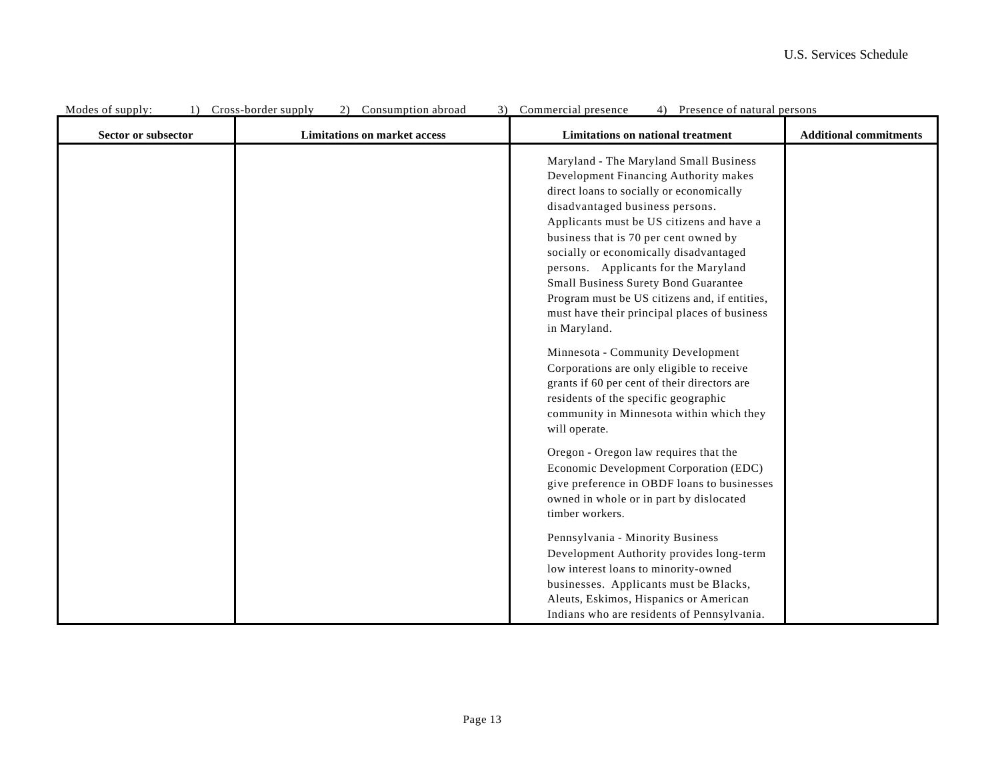| MODES OF Supply.<br>Sector or subsector | 1) Cross-border supply<br>Consumption abroad<br>J<br><b>Limitations on market access</b> | Commercial presence<br>4) FIESENCE OI HAURAI PEISONS<br><b>Limitations on national treatment</b>                                                                                                                                                                                                                                                                                                                                                                                                                                                                                                                                                                                                                                       | <b>Additional commitments</b> |
|-----------------------------------------|------------------------------------------------------------------------------------------|----------------------------------------------------------------------------------------------------------------------------------------------------------------------------------------------------------------------------------------------------------------------------------------------------------------------------------------------------------------------------------------------------------------------------------------------------------------------------------------------------------------------------------------------------------------------------------------------------------------------------------------------------------------------------------------------------------------------------------------|-------------------------------|
|                                         |                                                                                          | Maryland - The Maryland Small Business<br>Development Financing Authority makes<br>direct loans to socially or economically<br>disadvantaged business persons.<br>Applicants must be US citizens and have a<br>business that is 70 per cent owned by<br>socially or economically disadvantaged<br>persons. Applicants for the Maryland<br>Small Business Surety Bond Guarantee<br>Program must be US citizens and, if entities,<br>must have their principal places of business<br>in Maryland.<br>Minnesota - Community Development<br>Corporations are only eligible to receive<br>grants if 60 per cent of their directors are<br>residents of the specific geographic<br>community in Minnesota within which they<br>will operate. |                               |
|                                         |                                                                                          | Oregon - Oregon law requires that the<br>Economic Development Corporation (EDC)<br>give preference in OBDF loans to businesses<br>owned in whole or in part by dislocated<br>timber workers.<br>Pennsylvania - Minority Business<br>Development Authority provides long-term                                                                                                                                                                                                                                                                                                                                                                                                                                                           |                               |
|                                         |                                                                                          | low interest loans to minority-owned<br>businesses. Applicants must be Blacks,<br>Aleuts, Eskimos, Hispanics or American<br>Indians who are residents of Pennsylvania.                                                                                                                                                                                                                                                                                                                                                                                                                                                                                                                                                                 |                               |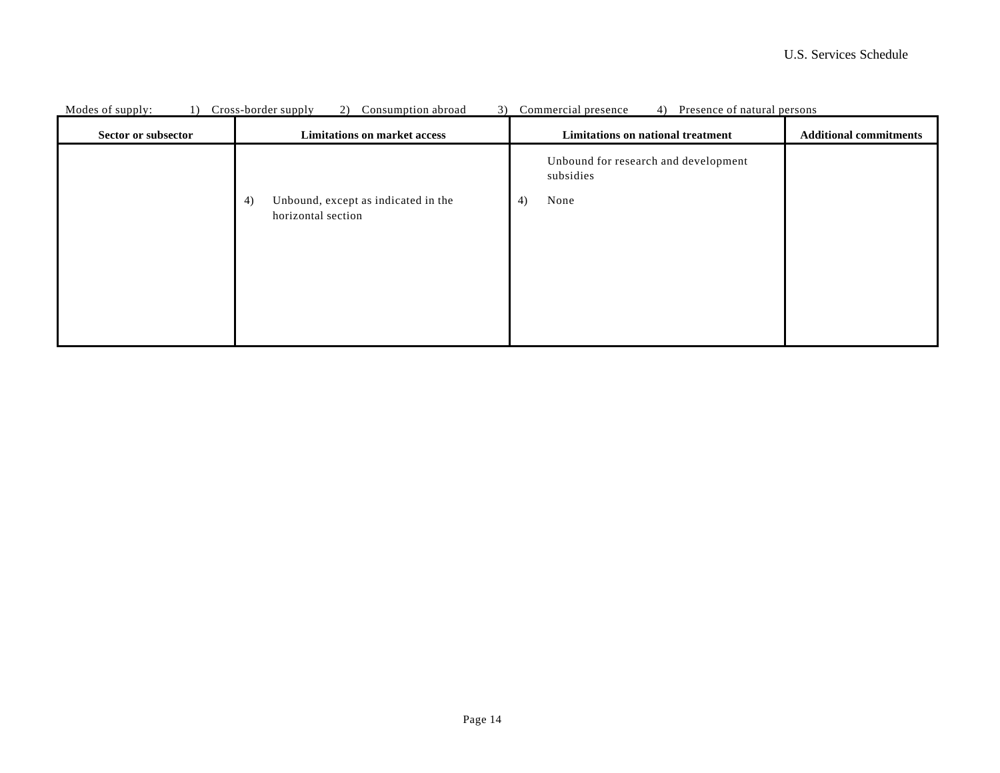| Unbound for research and development<br>subsidies                             |  |
|-------------------------------------------------------------------------------|--|
| Unbound, except as indicated in the<br>4)<br>None<br>4)<br>horizontal section |  |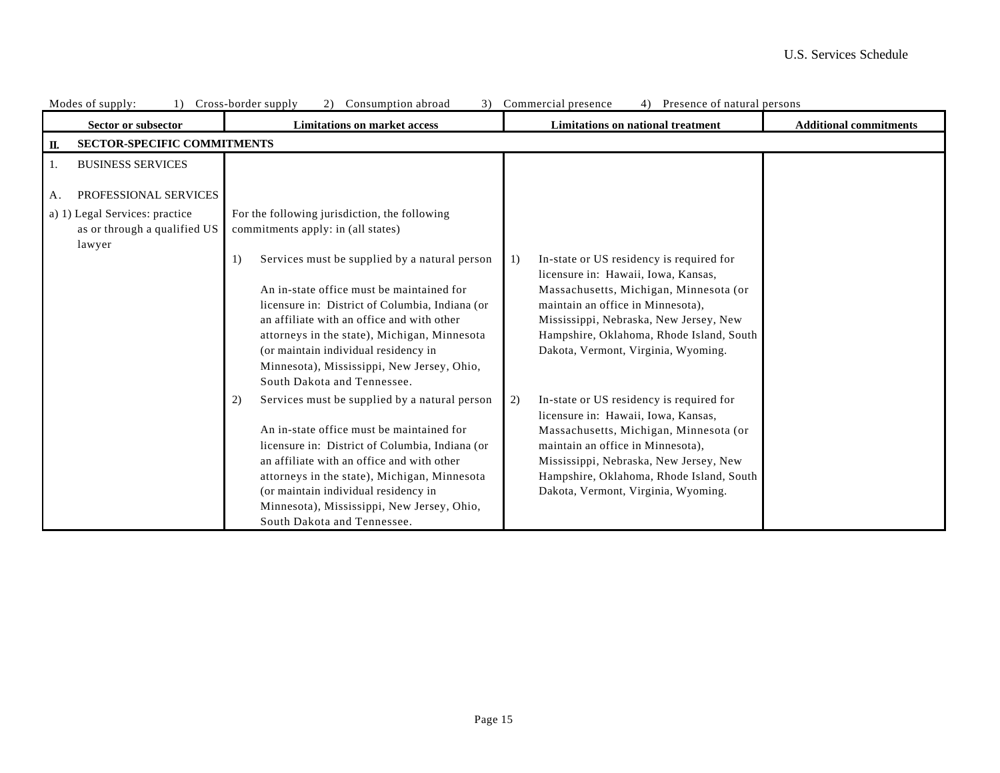| MOUCS OF Supply.<br>Sector or subsector                                  | $1)$ Cross-border supply<br>Consumption abroad<br><b>Limitations on market access</b>                                                                                                                                                                                                                                                                                  | Communication prosence<br>Trescrice of natural persons<br><b>Limitations on national treatment</b>                                                                                                                                                                                                | <b>Additional commitments</b> |
|--------------------------------------------------------------------------|------------------------------------------------------------------------------------------------------------------------------------------------------------------------------------------------------------------------------------------------------------------------------------------------------------------------------------------------------------------------|---------------------------------------------------------------------------------------------------------------------------------------------------------------------------------------------------------------------------------------------------------------------------------------------------|-------------------------------|
| <b>SECTOR-SPECIFIC COMMITMENTS</b><br>П.                                 |                                                                                                                                                                                                                                                                                                                                                                        |                                                                                                                                                                                                                                                                                                   |                               |
| <b>BUSINESS SERVICES</b><br>1.                                           |                                                                                                                                                                                                                                                                                                                                                                        |                                                                                                                                                                                                                                                                                                   |                               |
| PROFESSIONAL SERVICES<br>Α.                                              |                                                                                                                                                                                                                                                                                                                                                                        |                                                                                                                                                                                                                                                                                                   |                               |
| a) 1) Legal Services: practice<br>as or through a qualified US<br>lawyer | For the following jurisdiction, the following<br>commitments apply: in (all states)<br>Services must be supplied by a natural person<br>1)<br>An in-state office must be maintained for                                                                                                                                                                                | In-state or US residency is required for<br>1)<br>licensure in: Hawaii, Iowa, Kansas,<br>Massachusetts, Michigan, Minnesota (or                                                                                                                                                                   |                               |
|                                                                          | licensure in: District of Columbia, Indiana (or<br>an affiliate with an office and with other<br>attorneys in the state), Michigan, Minnesota<br>(or maintain individual residency in<br>Minnesota), Mississippi, New Jersey, Ohio,<br>South Dakota and Tennessee.                                                                                                     | maintain an office in Minnesota),<br>Mississippi, Nebraska, New Jersey, New<br>Hampshire, Oklahoma, Rhode Island, South<br>Dakota, Vermont, Virginia, Wyoming.                                                                                                                                    |                               |
|                                                                          | Services must be supplied by a natural person<br>2)<br>An in-state office must be maintained for<br>licensure in: District of Columbia, Indiana (or<br>an affiliate with an office and with other<br>attorneys in the state), Michigan, Minnesota<br>(or maintain individual residency in<br>Minnesota), Mississippi, New Jersey, Ohio,<br>South Dakota and Tennessee. | In-state or US residency is required for<br>2)<br>licensure in: Hawaii, Iowa, Kansas,<br>Massachusetts, Michigan, Minnesota (or<br>maintain an office in Minnesota),<br>Mississippi, Nebraska, New Jersey, New<br>Hampshire, Oklahoma, Rhode Island, South<br>Dakota, Vermont, Virginia, Wyoming. |                               |

## Modes of supply: 1) Cross-border supply 2) Consumption abroad 3) Commercial presence 4) Presence of natural persons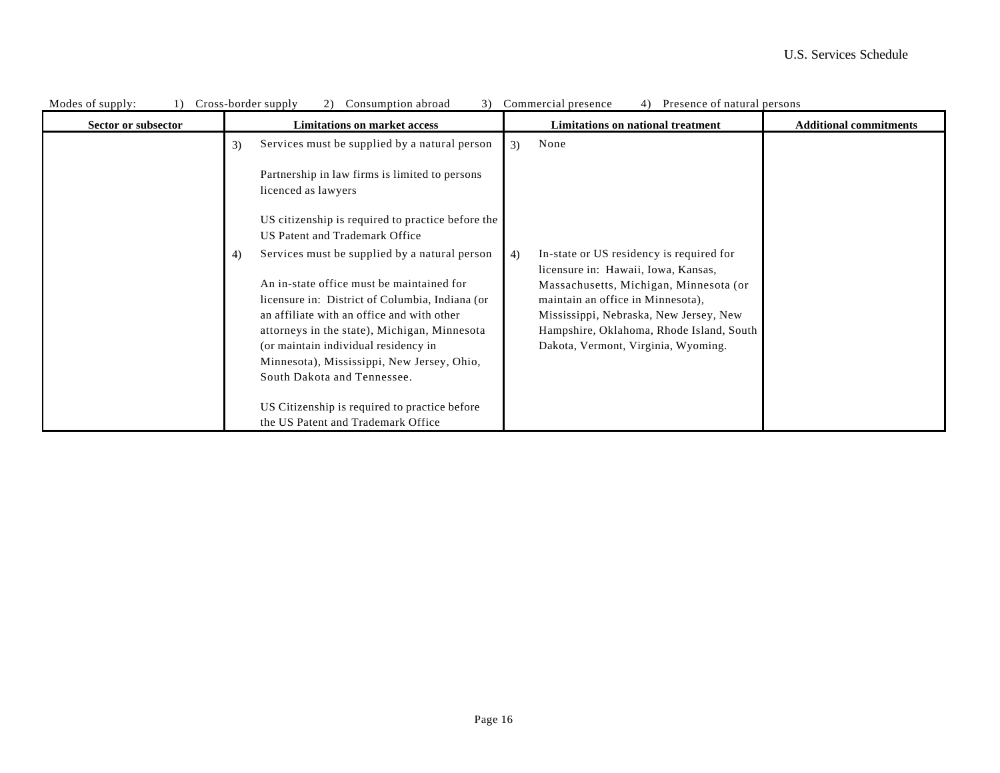| Modes of supply:<br>1) | Cross-border supply<br>Consumption abroad<br>3)<br>2)                                        | Commercial presence<br>4) Presence of natural persons                                 |                               |
|------------------------|----------------------------------------------------------------------------------------------|---------------------------------------------------------------------------------------|-------------------------------|
| Sector or subsector    | <b>Limitations on market access</b>                                                          | Limitations on national treatment                                                     | <b>Additional commitments</b> |
|                        | Services must be supplied by a natural person<br>3)                                          | None<br>3)                                                                            |                               |
|                        | Partnership in law firms is limited to persons<br>licenced as lawyers                        |                                                                                       |                               |
|                        | US citizenship is required to practice before the<br>US Patent and Trademark Office          |                                                                                       |                               |
|                        | Services must be supplied by a natural person<br>4)                                          | In-state or US residency is required for<br>4)<br>licensure in: Hawaii, Iowa, Kansas, |                               |
|                        | An in-state office must be maintained for<br>licensure in: District of Columbia, Indiana (or | Massachusetts, Michigan, Minnesota (or<br>maintain an office in Minnesota),           |                               |
|                        | an affiliate with an office and with other<br>attorneys in the state), Michigan, Minnesota   | Mississippi, Nebraska, New Jersey, New<br>Hampshire, Oklahoma, Rhode Island, South    |                               |
|                        | (or maintain individual residency in                                                         | Dakota, Vermont, Virginia, Wyoming.                                                   |                               |
|                        | Minnesota), Mississippi, New Jersey, Ohio,<br>South Dakota and Tennessee.                    |                                                                                       |                               |
|                        |                                                                                              |                                                                                       |                               |
|                        | US Citizenship is required to practice before                                                |                                                                                       |                               |
|                        | the US Patent and Trademark Office                                                           |                                                                                       |                               |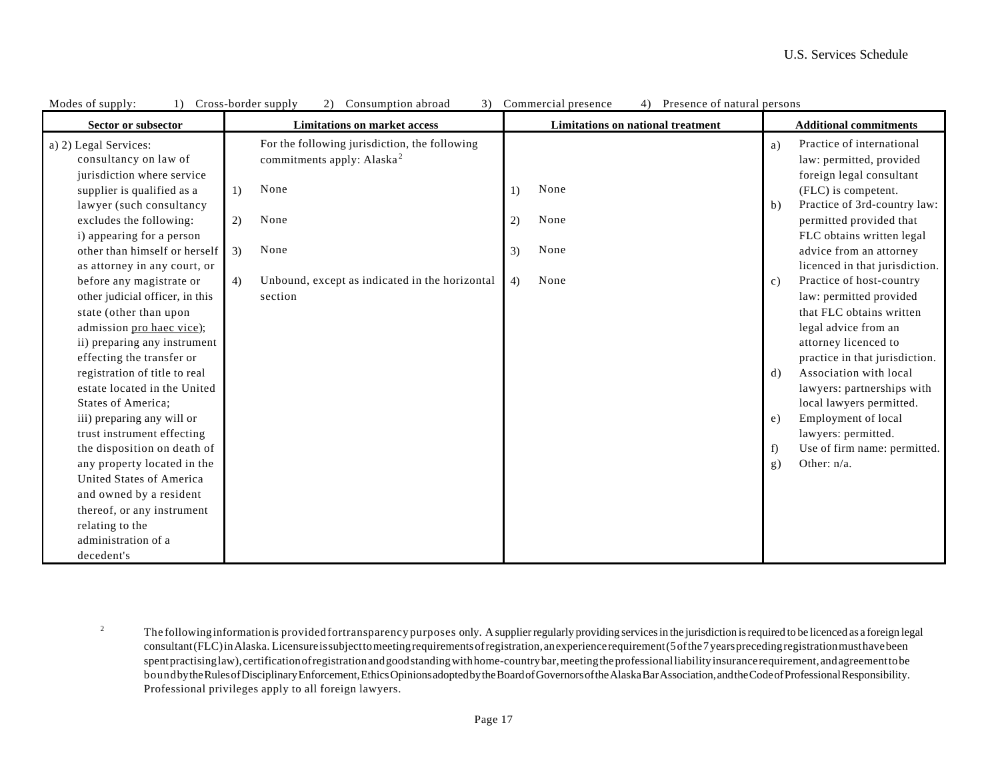| Modes of supply:<br>1)          |    | Cross-border supply<br>$\angle$ )<br>Consumption abroad<br>$\mathcal{I}$ |    | Commercial presence<br>Presence of natural persons |    |                                |
|---------------------------------|----|--------------------------------------------------------------------------|----|----------------------------------------------------|----|--------------------------------|
| Sector or subsector             |    | <b>Limitations on market access</b>                                      |    | Limitations on national treatment                  |    | <b>Additional commitments</b>  |
| a) 2) Legal Services:           |    | For the following jurisdiction, the following                            |    |                                                    | a) | Practice of international      |
| consultancy on law of           |    | commitments apply: Alaska <sup>2</sup>                                   |    |                                                    |    | law: permitted, provided       |
| jurisdiction where service      |    |                                                                          |    |                                                    |    | foreign legal consultant       |
| supplier is qualified as a      | 1) | None                                                                     | 1) | None                                               |    | (FLC) is competent.            |
| lawyer (such consultancy        |    |                                                                          |    |                                                    | b) | Practice of 3rd-country law:   |
| excludes the following:         | 2) | None                                                                     | 2) | None                                               |    | permitted provided that        |
| i) appearing for a person       |    |                                                                          |    |                                                    |    | FLC obtains written legal      |
| other than himself or herself   | 3) | None                                                                     | 3) | None                                               |    | advice from an attorney        |
| as attorney in any court, or    |    |                                                                          |    |                                                    |    | licenced in that jurisdiction. |
| before any magistrate or        | 4) | Unbound, except as indicated in the horizontal                           | 4) | None                                               | c) | Practice of host-country       |
| other judicial officer, in this |    | section                                                                  |    |                                                    |    | law: permitted provided        |
| state (other than upon          |    |                                                                          |    |                                                    |    | that FLC obtains written       |
| admission pro haec vice);       |    |                                                                          |    |                                                    |    | legal advice from an           |
| ii) preparing any instrument    |    |                                                                          |    |                                                    |    | attorney licenced to           |
| effecting the transfer or       |    |                                                                          |    |                                                    |    | practice in that jurisdiction. |
| registration of title to real   |    |                                                                          |    |                                                    | d) | Association with local         |
| estate located in the United    |    |                                                                          |    |                                                    |    | lawyers: partnerships with     |
| States of America;              |    |                                                                          |    |                                                    |    | local lawyers permitted.       |
| iii) preparing any will or      |    |                                                                          |    |                                                    | e) | Employment of local            |
| trust instrument effecting      |    |                                                                          |    |                                                    |    | lawyers: permitted.            |
| the disposition on death of     |    |                                                                          |    |                                                    | f) | Use of firm name: permitted.   |
| any property located in the     |    |                                                                          |    |                                                    | g) | Other: $n/a$ .                 |
| <b>United States of America</b> |    |                                                                          |    |                                                    |    |                                |
| and owned by a resident         |    |                                                                          |    |                                                    |    |                                |
| thereof, or any instrument      |    |                                                                          |    |                                                    |    |                                |
| relating to the                 |    |                                                                          |    |                                                    |    |                                |
| administration of a             |    |                                                                          |    |                                                    |    |                                |
| decedent's                      |    |                                                                          |    |                                                    |    |                                |

Modes of supply: 1) Cross-border supply 2) Consumption abroad 3) Commercial presence 4) Presence of natural persons

<sup>2</sup> The followinginformationis provided fortransparency purposes only. A supplier regularly providing services in the jurisdiction is required to be licenced as a foreign legal consultant (FLC) in Alaska. Licensure is subject to meeting requirements of registration, an experience requirement (5 of the 7 years preceding registration must have been spent practising law), certification of registration and good standing with home-country bar, meeting the professional liability insurance requirement, and agreement to be bound by the Rules of Disciplinary Enforcement, Ethics Opinions adopted by the Board of Governors of the Alaska Bar Association, and the Code of Professional Responsibility. Professional privileges apply to all foreign lawyers.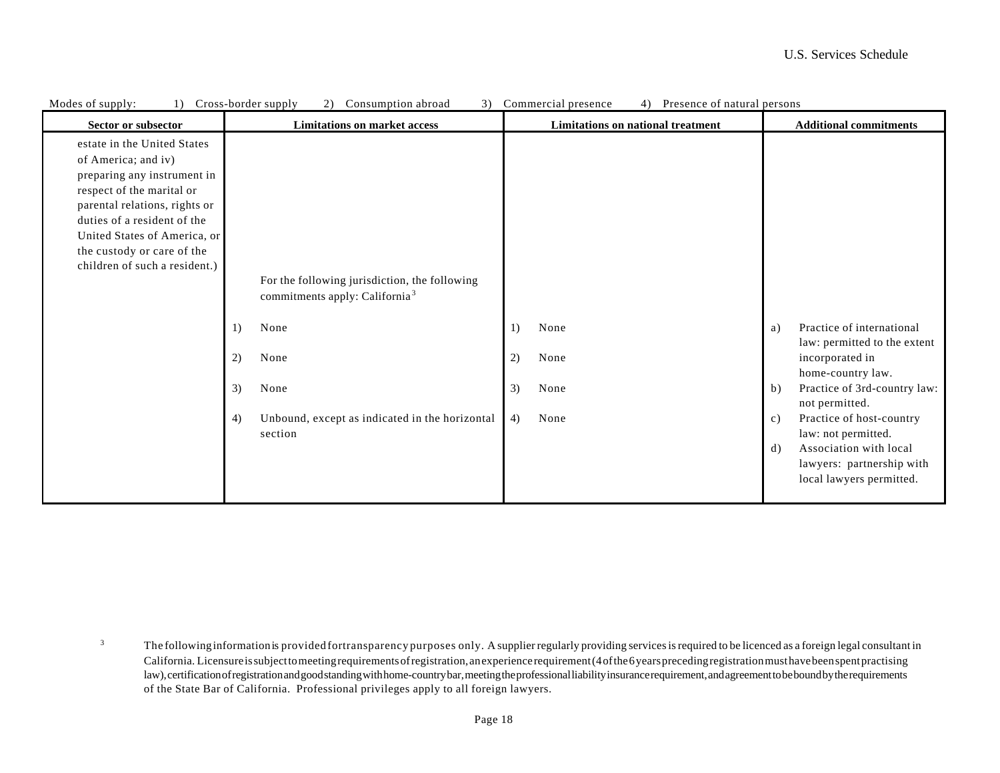| Sector or subsector                                                                                                                                                                                                                                                           | <b>Limitations on market access</b>                                                                                                                                                                      | Commercial presence<br>Limitations on national treatment | <b>Additional commitments</b>                                                                                                                                                                                                                                                                                                 |
|-------------------------------------------------------------------------------------------------------------------------------------------------------------------------------------------------------------------------------------------------------------------------------|----------------------------------------------------------------------------------------------------------------------------------------------------------------------------------------------------------|----------------------------------------------------------|-------------------------------------------------------------------------------------------------------------------------------------------------------------------------------------------------------------------------------------------------------------------------------------------------------------------------------|
| estate in the United States<br>of America; and iv)<br>preparing any instrument in<br>respect of the marital or<br>parental relations, rights or<br>duties of a resident of the<br>United States of America, or<br>the custody or care of the<br>children of such a resident.) | For the following jurisdiction, the following<br>commitments apply: California <sup>3</sup><br>None<br>1)<br>2)<br>None<br>3)<br>None<br>Unbound, except as indicated in the horizontal<br>4)<br>section | None<br>1)<br>2)<br>None<br>3)<br>None<br>4)<br>None     | Practice of international<br>a)<br>law: permitted to the extent<br>incorporated in<br>home-country law.<br>Practice of 3rd-country law:<br>b)<br>not permitted.<br>Practice of host-country<br>c)<br>law: not permitted.<br>Association with local<br>$\mathrm{d}$ )<br>lawyers: partnership with<br>local lawyers permitted. |

Modes of supply: (1) Cross-border supply 2) Consumption abroad 3) Commercial presence 4) Presence of natural persons

<sup>3</sup> The followinginformationis provided fortransparency purposes only. A supplier regularly providing services is required to be licenced as a foreign legal consultant in California. Licensure is subject to meeting requirements of registration, an experience requirement (4 of the 6 years preceding registration must have been spent practising law), certification of registration and good standing with home-country bar, meeting the professional liability insurance requirement, and agreement to be bound by the requirements of the State Bar of California. Professional privileges apply to all foreign lawyers.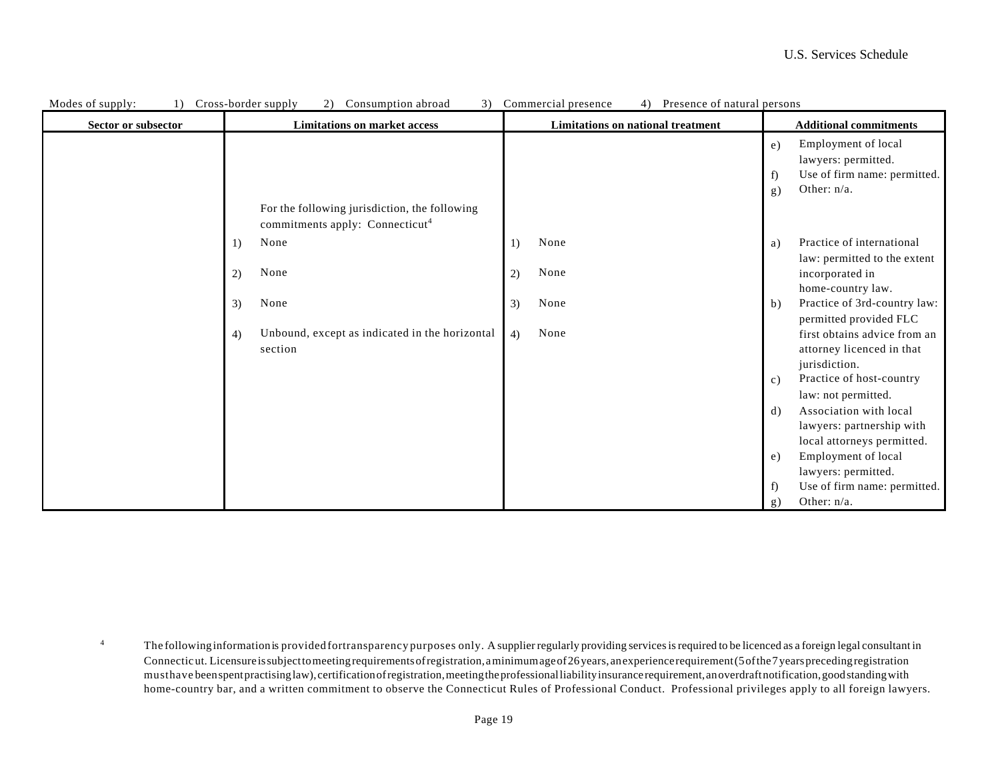| Modes of supply:    | 3)<br>Cross-border supply<br>2)<br>Consumption abroad | Presence of natural persons<br>Commercial presence<br>4) |                                            |
|---------------------|-------------------------------------------------------|----------------------------------------------------------|--------------------------------------------|
| Sector or subsector | <b>Limitations on market access</b>                   | <b>Limitations on national treatment</b>                 | <b>Additional commitments</b>              |
|                     |                                                       |                                                          | Employment of local<br>e)                  |
|                     |                                                       |                                                          | lawyers: permitted.                        |
|                     |                                                       |                                                          | Use of firm name: permitted.<br>f          |
|                     |                                                       |                                                          | Other: $n/a$ .<br>g)                       |
|                     | For the following jurisdiction, the following         |                                                          |                                            |
|                     | commitments apply: Connecticut <sup>4</sup>           |                                                          |                                            |
|                     | None<br>1)                                            | None<br>1)                                               | Practice of international<br>a)            |
|                     |                                                       |                                                          | law: permitted to the extent               |
|                     | None<br>2)                                            | None<br>2)                                               | incorporated in                            |
|                     |                                                       |                                                          | home-country law.                          |
|                     | None<br>3)                                            | None<br>3)                                               | Practice of 3rd-country law:<br>b)         |
|                     |                                                       |                                                          | permitted provided FLC                     |
|                     | Unbound, except as indicated in the horizontal<br>4)  | None<br>4)                                               | first obtains advice from an               |
|                     | section                                               |                                                          | attorney licenced in that                  |
|                     |                                                       |                                                          | jurisdiction.                              |
|                     |                                                       |                                                          | Practice of host-country<br>$\mathbf{c}$ ) |
|                     |                                                       |                                                          | law: not permitted.                        |
|                     |                                                       |                                                          | Association with local<br>$\mathrm{d}$ )   |
|                     |                                                       |                                                          | lawyers: partnership with                  |
|                     |                                                       |                                                          | local attorneys permitted.                 |
|                     |                                                       |                                                          | Employment of local<br>e)                  |
|                     |                                                       |                                                          | lawyers: permitted.                        |
|                     |                                                       |                                                          | Use of firm name: permitted.<br>f)         |
|                     |                                                       |                                                          | Other: n/a.<br>g)                          |

4 The followinginformationis provided fortransparency purposes only. A supplier regularly providing services is required to be licenced as a foreign legal consultant in Connecticut. Licensure is subject to meeting requirements of registration, a minimum age of 26 years, an experience requirement (5 of the 7 years preceding registration musthave been spent practising law), certification of registration, meeting the professional liability insurance requirement, an overdraft notification, good standing with home-country bar, and a written commitment to observe the Connecticut Rules of Professional Conduct. Professional privileges apply to all foreign lawyers.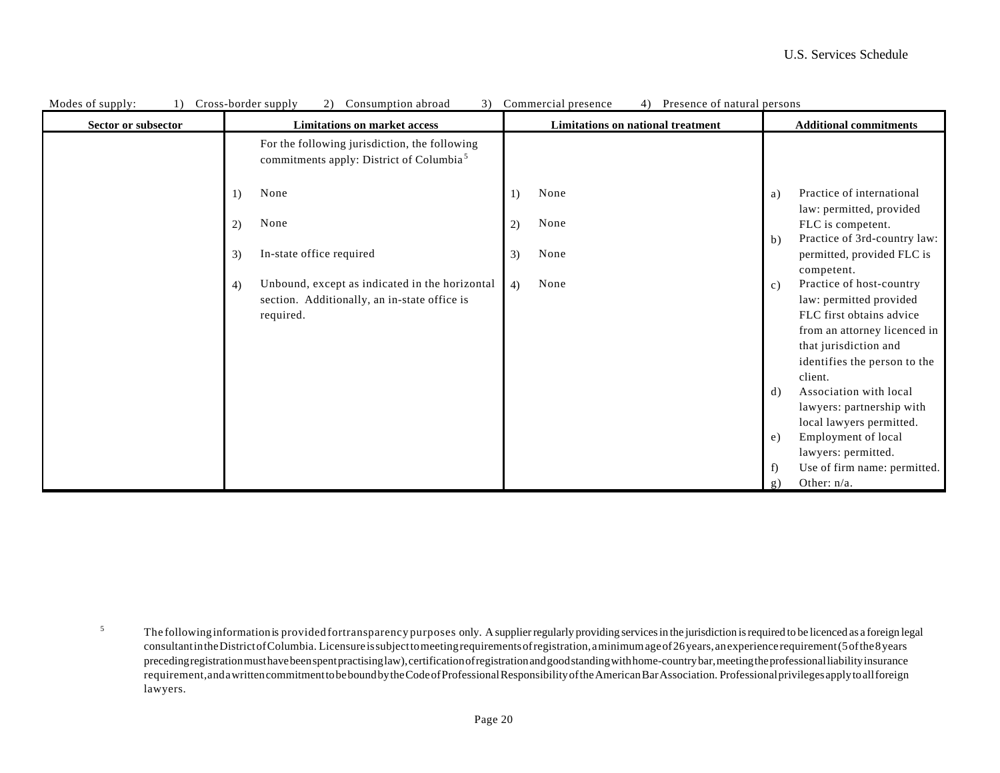| Modes of supply:<br>1) | Cross-border supply<br>Consumption abroad<br>3)<br>2)                                                 | Presence of natural persons<br>Commercial presence |                                                                                          |
|------------------------|-------------------------------------------------------------------------------------------------------|----------------------------------------------------|------------------------------------------------------------------------------------------|
| Sector or subsector    | <b>Limitations on market access</b>                                                                   | <b>Limitations on national treatment</b>           | <b>Additional commitments</b>                                                            |
|                        | For the following jurisdiction, the following<br>commitments apply: District of Columbia <sup>5</sup> |                                                    |                                                                                          |
|                        | None<br>1)                                                                                            | None<br>1)                                         | Practice of international<br>a)                                                          |
|                        | None<br>2)                                                                                            | None<br>2)                                         | law: permitted, provided<br>FLC is competent.                                            |
|                        | In-state office required<br>3)                                                                        | None<br>3)                                         | Practice of 3rd-country law:<br>$\mathbf b)$<br>permitted, provided FLC is<br>competent. |
|                        | Unbound, except as indicated in the horizontal<br>4)<br>section. Additionally, an in-state office is  | None<br>4)                                         | Practice of host-country<br>$\mathbf{c})$<br>law: permitted provided                     |
|                        | required.                                                                                             |                                                    | FLC first obtains advice<br>from an attorney licenced in                                 |
|                        |                                                                                                       |                                                    | that jurisdiction and                                                                    |
|                        |                                                                                                       |                                                    | identifies the person to the<br>client.                                                  |
|                        |                                                                                                       |                                                    | Association with local<br>d)<br>lawyers: partnership with                                |
|                        |                                                                                                       |                                                    | local lawyers permitted.                                                                 |
|                        |                                                                                                       |                                                    | Employment of local<br>e)<br>lawyers: permitted.                                         |
|                        |                                                                                                       |                                                    | Use of firm name: permitted.<br>f)                                                       |
|                        |                                                                                                       |                                                    | Other: $n/a$ .<br>g)                                                                     |

<sup>5</sup> The followinginformationis provided fortransparency purposes only. A supplier regularly providing services in the jurisdiction is required to be licenced as a foreign legal consultant in the District of Columbia. Licensure is subject to meeting requirements of registration, a minimum age of 26 years, an experience requirement (5 of the 8 years preceding registration must have been spent practising law), certification of registration and good standing with home-country bar, meeting the professional liability insurance requirement,and a written commitment to be bound by the Code of Professional Responsibility of the American Bar Association. Professional privileges apply to all foreign lawyers.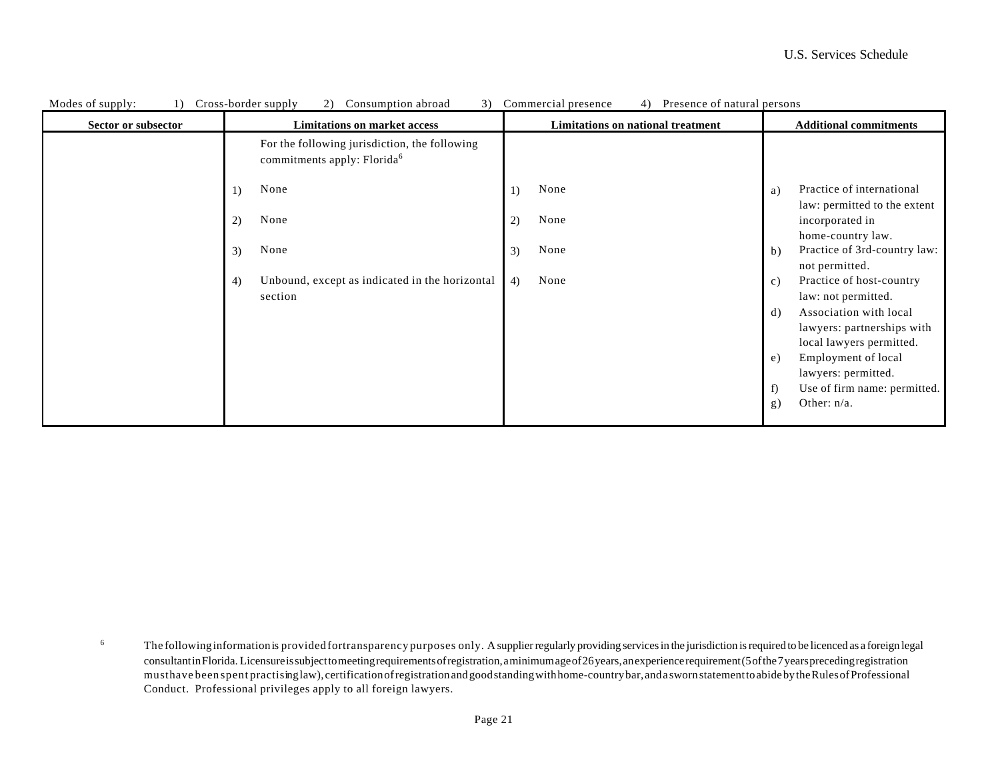| Modes of supply:<br>1) | Cross-border supply<br>3)<br>2)<br>Consumption abroad                                    | Commercial presence<br>Presence of natural persons<br>4) |                                                                                        |
|------------------------|------------------------------------------------------------------------------------------|----------------------------------------------------------|----------------------------------------------------------------------------------------|
| Sector or subsector    | <b>Limitations on market access</b>                                                      | Limitations on national treatment                        | <b>Additional commitments</b>                                                          |
|                        | For the following jurisdiction, the following<br>commitments apply: Florida <sup>6</sup> |                                                          |                                                                                        |
|                        | None<br>1)                                                                               | None<br>1)                                               | Practice of international<br>a)                                                        |
|                        | None<br>2)                                                                               | None<br>2)                                               | law: permitted to the extent<br>incorporated in<br>home-country law.                   |
|                        | None<br>3)                                                                               | None<br>3)                                               | Practice of 3rd-country law:<br>$\mathbf b)$<br>not permitted.                         |
|                        | Unbound, except as indicated in the horizontal<br>4)<br>section                          | None<br>4)                                               | Practice of host-country<br>c)<br>law: not permitted.                                  |
|                        |                                                                                          |                                                          | Association with local<br>d)<br>lawyers: partnerships with<br>local lawyers permitted. |
|                        |                                                                                          |                                                          | Employment of local<br>e)<br>lawyers: permitted.                                       |
|                        |                                                                                          |                                                          | Use of firm name: permitted.<br>f)<br>Other: $n/a$ .<br>g)                             |
|                        |                                                                                          |                                                          |                                                                                        |

6 The followinginformationis provided fortransparency purposes only. A supplier regularly providing services in the jurisdiction is required to be licenced as a foreign legal consultant in Florida. Licensure is subject to meeting requirements of registration, a minimum age of 26 years, an experience requirement (5 of the 7 years preceding registration musthave been spent practising law), certification of registration and good standing with home-country bar, and a sworn statement to abide by the Rules of Professional Conduct. Professional privileges apply to all foreign lawyers.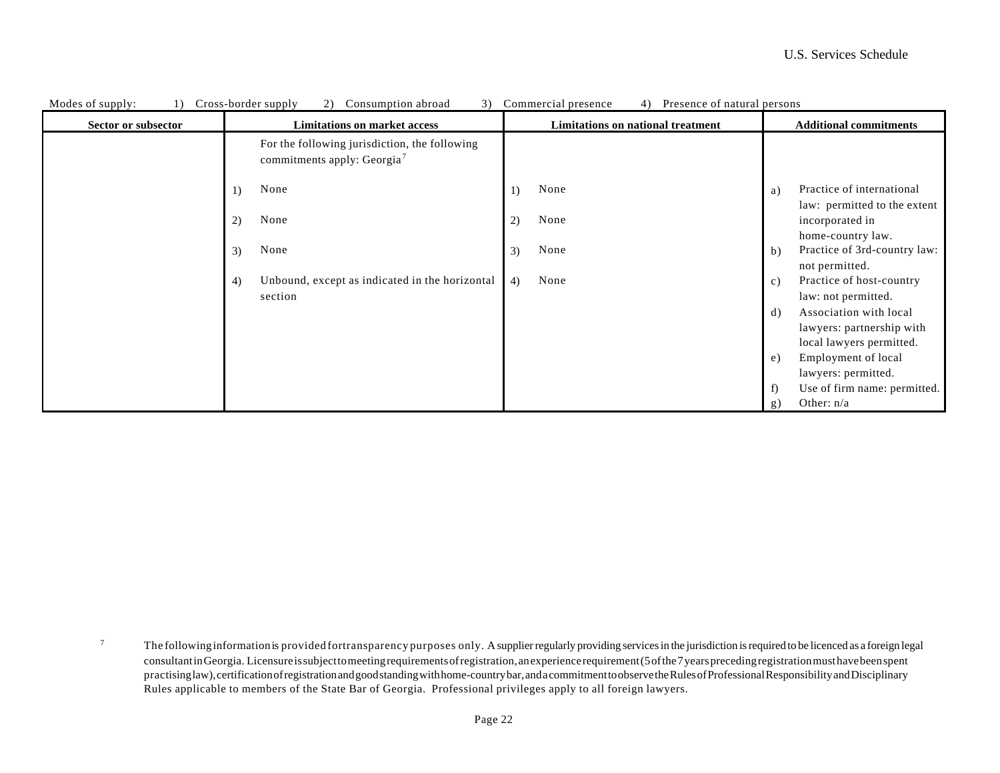| Modes of supply:    | Cross-border supply<br>2)<br>Consumption abroad<br>3)                                    | Commercial presence<br>Presence of natural persons<br>4) |                                                                              |
|---------------------|------------------------------------------------------------------------------------------|----------------------------------------------------------|------------------------------------------------------------------------------|
| Sector or subsector | <b>Limitations on market access</b>                                                      | Limitations on national treatment                        | <b>Additional commitments</b>                                                |
|                     | For the following jurisdiction, the following<br>commitments apply: Georgia <sup>7</sup> |                                                          |                                                                              |
|                     | None<br>1)                                                                               | None                                                     | Practice of international<br>a)<br>law: permitted to the extent              |
|                     | None<br>2)                                                                               | None<br>2)                                               | incorporated in<br>home-country law.                                         |
|                     | None<br>3)                                                                               | None<br>3)                                               | Practice of 3rd-country law:<br>b)<br>not permitted.                         |
|                     | Unbound, except as indicated in the horizontal<br>4)<br>section                          | None<br>4)                                               | Practice of host-country<br>$\mathbf{c}$ )<br>law: not permitted.            |
|                     |                                                                                          |                                                          | Association with local<br>d)<br>lawyers: partnership with                    |
|                     |                                                                                          |                                                          | local lawyers permitted.<br>Employment of local<br>e)<br>lawyers: permitted. |
|                     |                                                                                          |                                                          | Use of firm name: permitted.<br>f)<br>Other: $n/a$<br>g)                     |

7 The followinginformationis provided fortransparency purposes only. A supplier regularly providing services in the jurisdiction is required to be licenced as a foreign legal consultant in Georgia. Licensure is subject to meeting requirements of registration, an experience requirement (5 of the 7 years preceding registration must have been spent practising law), certification of registration and good standing with home-country bar, and a commitment to observe the Rules of Professional Responsibility and Disciplinary Rules applicable to members of the State Bar of Georgia. Professional privileges apply to all foreign lawyers.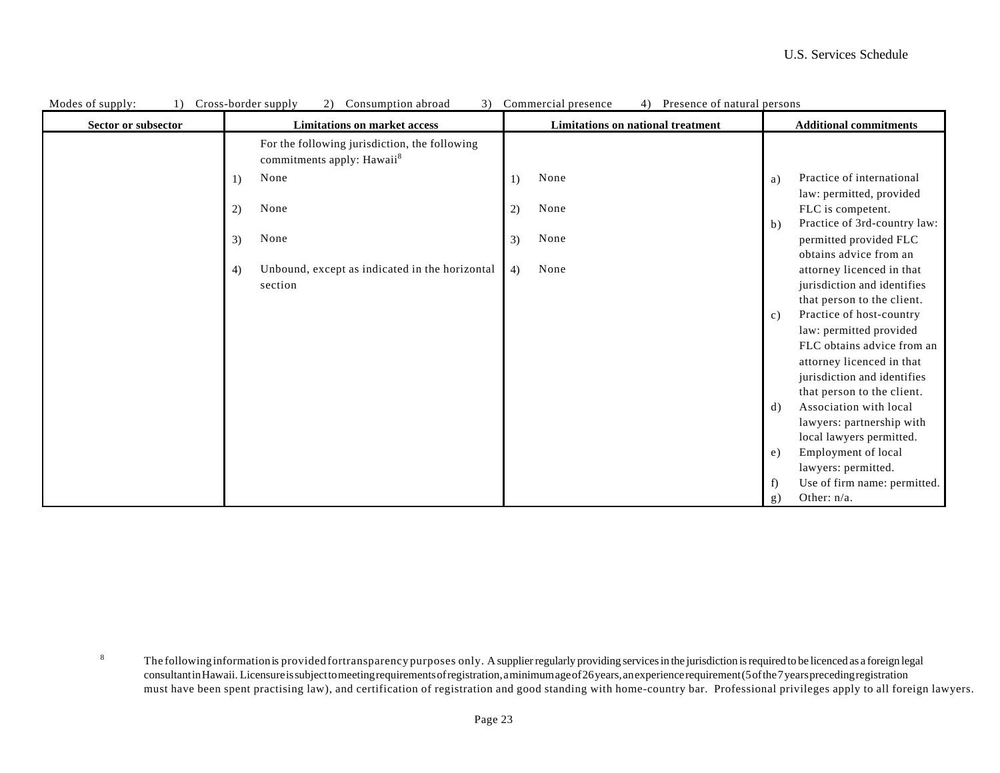| Modes of supply:<br>1) | Cross-border supply<br>Consumption abroad<br>3)<br>$\mathbf{2}$                         | Commercial presence<br>Presence of natural persons<br>4) |                                                |
|------------------------|-----------------------------------------------------------------------------------------|----------------------------------------------------------|------------------------------------------------|
| Sector or subsector    | <b>Limitations on market access</b>                                                     | <b>Limitations on national treatment</b>                 | <b>Additional commitments</b>                  |
|                        | For the following jurisdiction, the following<br>commitments apply: Hawaii <sup>8</sup> |                                                          |                                                |
|                        | None<br>1)                                                                              | None<br>1)                                               | Practice of international<br>a)                |
|                        |                                                                                         |                                                          | law: permitted, provided                       |
|                        | None<br>2)                                                                              | None<br>2)                                               | FLC is competent.                              |
|                        |                                                                                         |                                                          | Practice of 3rd-country law:<br>$\mathbf{b}$ ) |
|                        | None<br>3)                                                                              | None<br>3)                                               | permitted provided FLC                         |
|                        |                                                                                         |                                                          | obtains advice from an                         |
|                        | Unbound, except as indicated in the horizontal<br>4)                                    | None<br>4)                                               | attorney licenced in that                      |
|                        | section                                                                                 |                                                          | jurisdiction and identifies                    |
|                        |                                                                                         |                                                          | that person to the client.                     |
|                        |                                                                                         |                                                          | Practice of host-country<br>c)                 |
|                        |                                                                                         |                                                          | law: permitted provided                        |
|                        |                                                                                         |                                                          | FLC obtains advice from an                     |
|                        |                                                                                         |                                                          | attorney licenced in that                      |
|                        |                                                                                         |                                                          | jurisdiction and identifies                    |
|                        |                                                                                         |                                                          | that person to the client.                     |
|                        |                                                                                         |                                                          | Association with local<br>d)                   |
|                        |                                                                                         |                                                          | lawyers: partnership with                      |
|                        |                                                                                         |                                                          | local lawyers permitted.                       |
|                        |                                                                                         |                                                          | Employment of local<br>e)                      |
|                        |                                                                                         |                                                          | lawyers: permitted.                            |
|                        |                                                                                         |                                                          | Use of firm name: permitted.<br>f)             |
|                        |                                                                                         |                                                          | Other: $n/a$ .<br>g)                           |

8 The followinginformationis provided fortransparency purposes only. A supplier regularly providing services in the jurisdiction is required to be licenced as a foreign legal consultant in Hawaii. Licensure is subject to meeting requirements of registration, a minimum age of 26 years, an experience requirement (5 of the 7 years preceding registration must have been spent practising law), and certification of registration and good standing with home-country bar. Professional privileges apply to all foreign lawyers.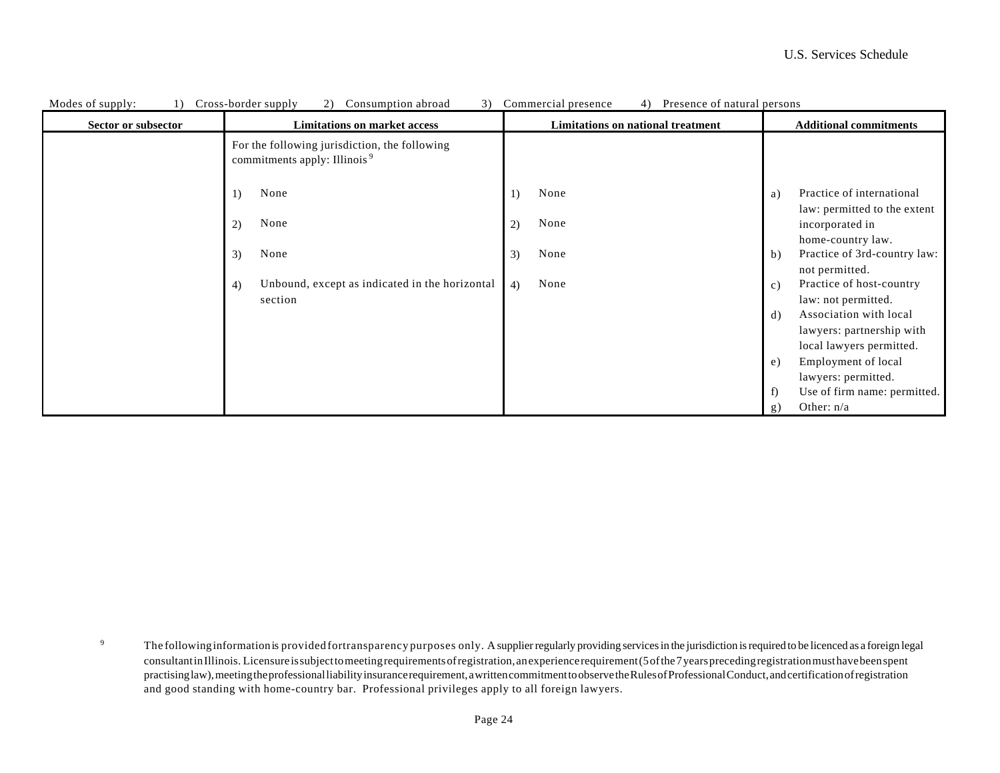| Modes of supply:<br>$\left( \right)$ | Cross-border supply<br>3)<br>(2)<br>Consumption abroad                                    | Commercial presence<br>Presence of natural persons<br>4) |                                                                                  |
|--------------------------------------|-------------------------------------------------------------------------------------------|----------------------------------------------------------|----------------------------------------------------------------------------------|
| Sector or subsector                  | <b>Limitations on market access</b>                                                       | Limitations on national treatment                        | <b>Additional commitments</b>                                                    |
|                                      | For the following jurisdiction, the following<br>commitments apply: Illinois <sup>9</sup> |                                                          |                                                                                  |
|                                      | None<br>1)                                                                                | None<br>1)                                               | Practice of international<br>a)                                                  |
|                                      | None<br>2)                                                                                | None<br>2)                                               | law: permitted to the extent<br>incorporated in<br>home-country law.             |
|                                      | None<br>3)                                                                                | None<br>3)                                               | Practice of 3rd-country law:<br>$\mathbf{b}$ )<br>not permitted.                 |
|                                      | Unbound, except as indicated in the horizontal<br>4)                                      | None<br>4)                                               | Practice of host-country<br>c)                                                   |
|                                      | section                                                                                   |                                                          | law: not permitted.<br>Association with local<br>d)<br>lawyers: partnership with |
|                                      |                                                                                           |                                                          | local lawyers permitted.<br>Employment of local<br>e)                            |
|                                      |                                                                                           |                                                          | lawyers: permitted.                                                              |
|                                      |                                                                                           |                                                          | Use of firm name: permitted.<br>f)                                               |
|                                      |                                                                                           |                                                          | Other: $n/a$<br>g)                                                               |

9 The followinginformationis provided fortransparency purposes only. A supplier regularly providing services in the jurisdiction is required to be licenced as a foreign legal consultant in Illinois. Licensure is subject to meeting requirements of registration, an experience requirement (5 of the 7 years preceding registration must have been spent practising law), meeting the professional liability insurance requirement, a written commitment to observe the Rules of Professional Conduct, and certification of registration and good standing with home-country bar. Professional privileges apply to all foreign lawyers.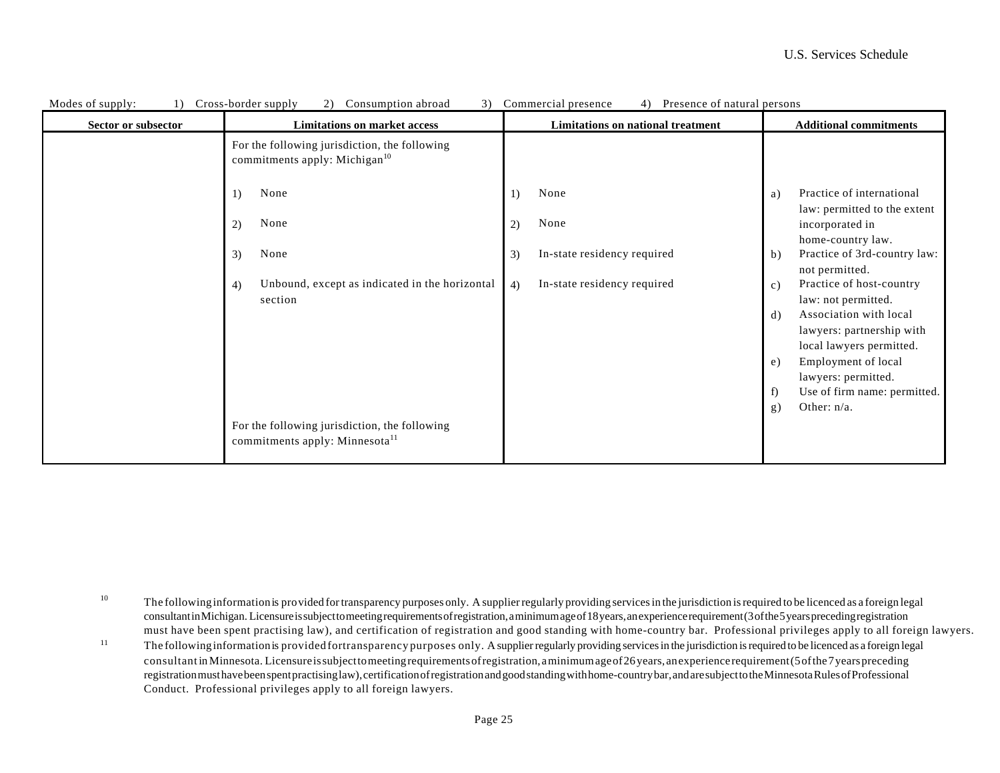| Modes of supply:    | 3)<br>Cross-border supply<br>(2)<br>Consumption abroad                                      | Commercial presence<br>4)<br>Presence of natural persons |                                                                                       |
|---------------------|---------------------------------------------------------------------------------------------|----------------------------------------------------------|---------------------------------------------------------------------------------------|
| Sector or subsector | <b>Limitations on market access</b>                                                         | Limitations on national treatment                        | <b>Additional commitments</b>                                                         |
|                     | For the following jurisdiction, the following<br>commitments apply: Michigan <sup>10</sup>  |                                                          |                                                                                       |
|                     | None<br>1)                                                                                  | None                                                     | Practice of international<br>a)<br>law: permitted to the extent                       |
|                     | None<br>2)                                                                                  | None<br>2)                                               | incorporated in<br>home-country law.                                                  |
|                     | None<br>3)                                                                                  | In-state residency required<br>3)                        | Practice of 3rd-country law:<br>b)<br>not permitted.                                  |
|                     | Unbound, except as indicated in the horizontal<br>4)<br>section                             | In-state residency required<br>4)                        | Practice of host-country<br>c)<br>law: not permitted.                                 |
|                     |                                                                                             |                                                          | Association with local<br>d)<br>lawyers: partnership with<br>local lawyers permitted. |
|                     |                                                                                             |                                                          | Employment of local<br>e)<br>lawyers: permitted.                                      |
|                     |                                                                                             |                                                          | Use of firm name: permitted.<br>f)<br>Other: n/a.                                     |
|                     | For the following jurisdiction, the following<br>commitments apply: Minnesota <sup>11</sup> |                                                          | g)                                                                                    |

10 The followinginformationis provided for transparency purposes only. A supplier regularly providing services in the jurisdiction is required to be licenced as a foreign legal consultant in Michigan. Licensure is subject to meeting requirements of registration, a minimum age of 18 years, an experience requirement (3 of the 5 years preceding registration must have been spent practising law), and certification of registration and good standing with home-country bar. Professional privileges apply to all foreign lawyers.

11 The followinginformationis provided fortransparency purposes only. A supplier regularly providing services in the jurisdiction is required to be licenced as a foreign legal consultant in Minnesota. Licensure is subject to meeting requirements of registration, a minimum age of 26 years, an experience requirement (5 of the 7 years preceding registration must have been spent practising law), certification of registration and good standing with home-country bar, and are subject to the Minnesota Rules of Professional Conduct. Professional privileges apply to all foreign lawyers.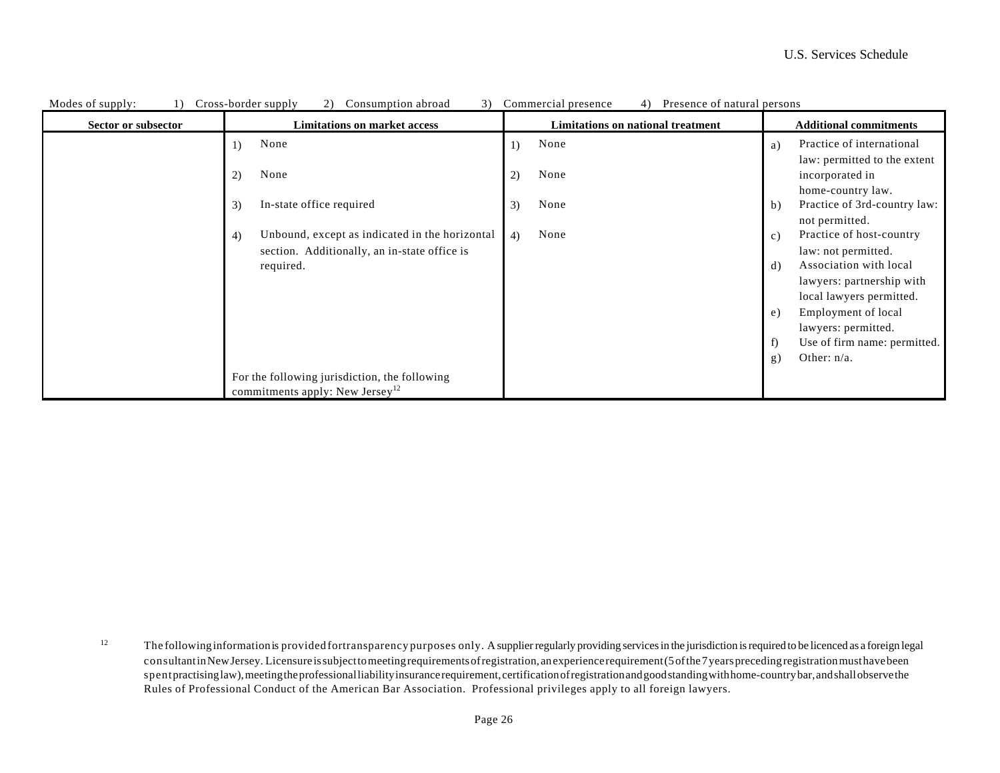| Modes of supply:<br>$\left  \right $ | Cross-border supply<br>Consumption abroad<br>(2)<br>3) | Commercial presence<br>Presence of natural persons<br>4) |                                              |
|--------------------------------------|--------------------------------------------------------|----------------------------------------------------------|----------------------------------------------|
| Sector or subsector                  | <b>Limitations on market access</b>                    | <b>Limitations on national treatment</b>                 | <b>Additional commitments</b>                |
|                                      | None<br>1)                                             | None<br>1)                                               | Practice of international<br>a)              |
|                                      |                                                        |                                                          | law: permitted to the extent                 |
|                                      | None<br>2)                                             | None<br>2)                                               | incorporated in                              |
|                                      |                                                        |                                                          | home-country law.                            |
|                                      | In-state office required<br>3)                         | None<br>3)                                               | Practice of 3rd-country law:<br>$\mathbf b)$ |
|                                      |                                                        |                                                          | not permitted.                               |
|                                      | Unbound, except as indicated in the horizontal<br>4)   | None<br>4)                                               | Practice of host-country<br>c)               |
|                                      | section. Additionally, an in-state office is           |                                                          | law: not permitted.                          |
|                                      | required.                                              |                                                          | Association with local<br>d)                 |
|                                      |                                                        |                                                          | lawyers: partnership with                    |
|                                      |                                                        |                                                          | local lawyers permitted.                     |
|                                      |                                                        |                                                          | Employment of local<br>e)                    |
|                                      |                                                        |                                                          | lawyers: permitted.                          |
|                                      |                                                        |                                                          | Use of firm name: permitted.<br>f)           |
|                                      |                                                        |                                                          | Other: $n/a$ .<br>g)                         |
|                                      |                                                        |                                                          |                                              |
|                                      | For the following jurisdiction, the following          |                                                          |                                              |
|                                      | commitments apply: New Jersey <sup>12</sup>            |                                                          |                                              |

12 The followinginformationis provided fortransparency purposes only. A supplier regularly providing services in the jurisdiction is required to be licenced as a foreign legal consultant in New Jersey. Licensure is subject to meeting requirements of registration, an experience requirement (5 of the 7 years preceding registration must have been spent practising law), meeting the professional liability insurance requirement, certification of registration and good standing with home-country bar, and shall observe the Rules of Professional Conduct of the American Bar Association. Professional privileges apply to all foreign lawyers.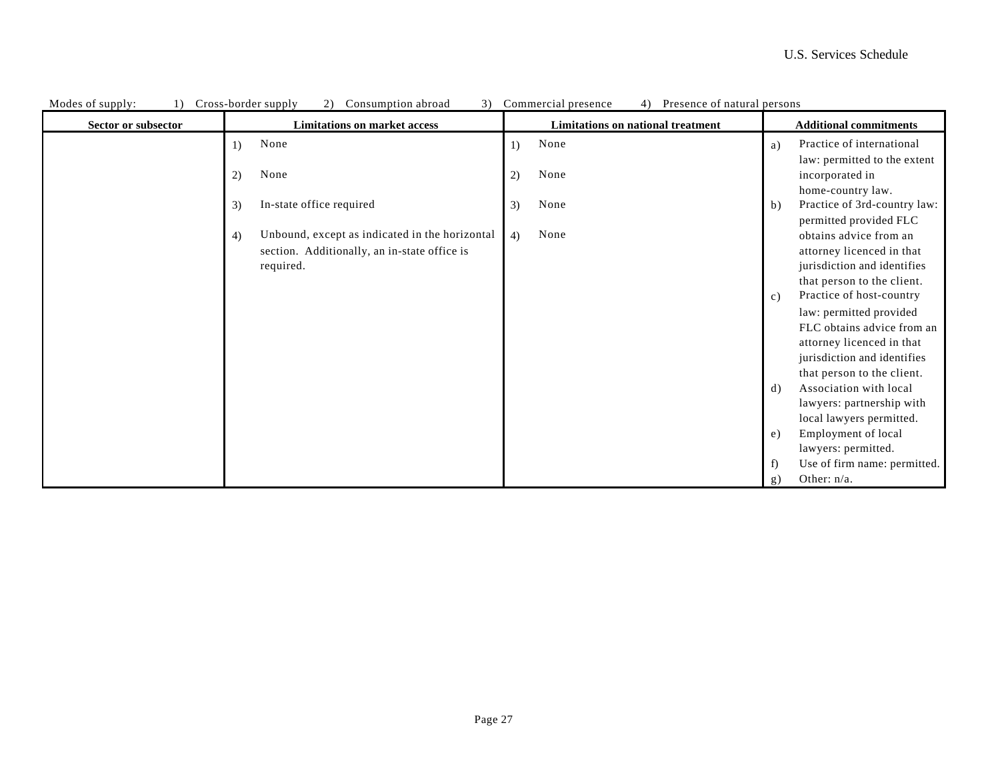| Modes of supply:<br>1) | Cross-border supply<br>Consumption abroad<br>2)<br>3)     | Presence of natural persons<br>Commercial presence<br>4) |                                                          |
|------------------------|-----------------------------------------------------------|----------------------------------------------------------|----------------------------------------------------------|
| Sector or subsector    | <b>Limitations on market access</b>                       | Limitations on national treatment                        | <b>Additional commitments</b>                            |
|                        | None<br>1)                                                | None<br>1)                                               | Practice of international<br>a)                          |
|                        | None<br>2)                                                | None<br>2)                                               | law: permitted to the extent<br>incorporated in          |
|                        |                                                           |                                                          | home-country law.                                        |
|                        | In-state office required<br>3)                            | None<br>3)                                               | Practice of 3rd-country law:<br>$\mathbf b)$             |
|                        |                                                           |                                                          | permitted provided FLC                                   |
|                        | Unbound, except as indicated in the horizontal<br>4)      | None<br>4)                                               | obtains advice from an                                   |
|                        | section. Additionally, an in-state office is<br>required. |                                                          | attorney licenced in that<br>jurisdiction and identifies |
|                        |                                                           |                                                          | that person to the client.                               |
|                        |                                                           |                                                          | Practice of host-country<br>c)                           |
|                        |                                                           |                                                          | law: permitted provided                                  |
|                        |                                                           |                                                          | FLC obtains advice from an                               |
|                        |                                                           |                                                          | attorney licenced in that<br>jurisdiction and identifies |
|                        |                                                           |                                                          | that person to the client.                               |
|                        |                                                           |                                                          | Association with local<br>$\rm d$                        |
|                        |                                                           |                                                          | lawyers: partnership with                                |
|                        |                                                           |                                                          | local lawyers permitted.                                 |
|                        |                                                           |                                                          | Employment of local<br>e)<br>lawyers: permitted.         |
|                        |                                                           |                                                          | Use of firm name: permitted.<br>f)                       |
|                        |                                                           |                                                          | Other: $n/a$ .<br>g)                                     |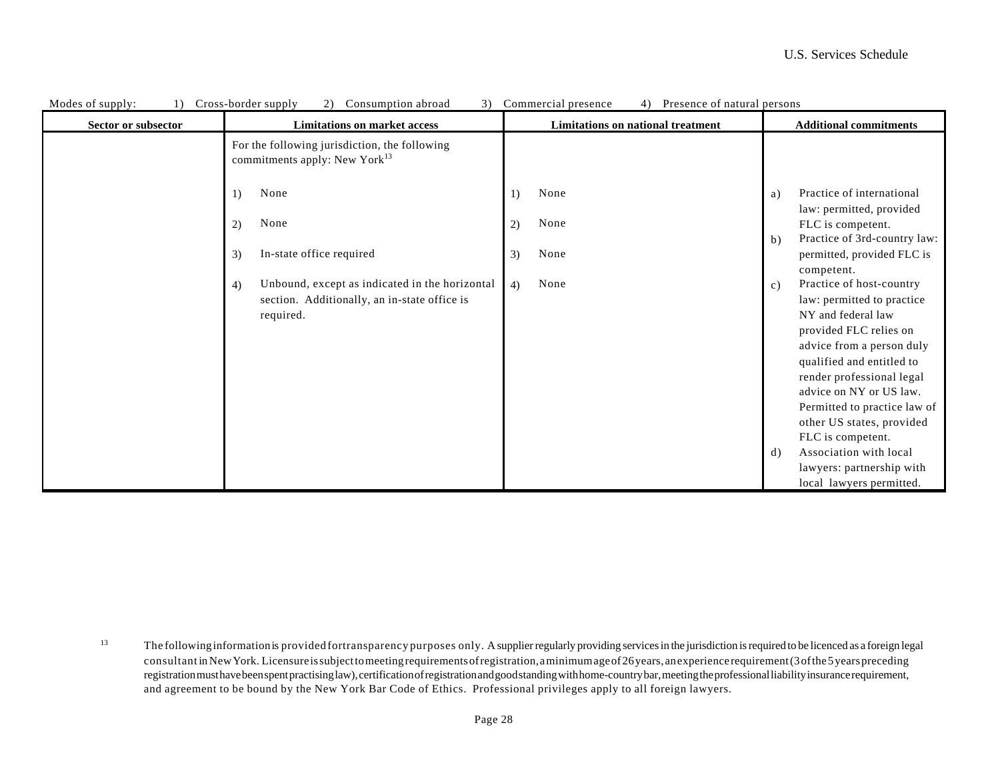| Modes of supply:<br>$\left( \right)$ | Cross-border supply<br>3)<br>(2)<br>Consumption abroad                                                            | Commercial presence<br>Presence of natural persons<br>4) |                                                                                                                                           |
|--------------------------------------|-------------------------------------------------------------------------------------------------------------------|----------------------------------------------------------|-------------------------------------------------------------------------------------------------------------------------------------------|
| Sector or subsector                  | <b>Limitations on market access</b>                                                                               | Limitations on national treatment                        | <b>Additional commitments</b>                                                                                                             |
|                                      | For the following jurisdiction, the following<br>commitments apply: New York <sup>13</sup>                        |                                                          |                                                                                                                                           |
|                                      | None<br>1)                                                                                                        | None<br>1)                                               | Practice of international<br>a)<br>law: permitted, provided                                                                               |
|                                      | None<br>2)                                                                                                        | None<br>2)                                               | FLC is competent.<br>Practice of 3rd-country law:<br>$\mathbf b)$                                                                         |
|                                      | In-state office required<br>3)                                                                                    | None<br>3)                                               | permitted, provided FLC is<br>competent.                                                                                                  |
|                                      | Unbound, except as indicated in the horizontal<br>4)<br>section. Additionally, an in-state office is<br>required. | None<br>4)                                               | Practice of host-country<br>c)<br>law: permitted to practice<br>NY and federal law<br>provided FLC relies on<br>advice from a person duly |
|                                      |                                                                                                                   |                                                          | qualified and entitled to<br>render professional legal<br>advice on NY or US law.<br>Permitted to practice law of                         |
|                                      |                                                                                                                   |                                                          | other US states, provided<br>FLC is competent.<br>Association with local<br>d)                                                            |
|                                      |                                                                                                                   |                                                          | lawyers: partnership with<br>local lawyers permitted.                                                                                     |

13 The followinginformationis provided fortransparency purposes only. A supplier regularly providing services in the jurisdiction is required to be licenced as a foreign legal consultant in NewYork. Licensure is subject to meeting requirements of registration, a minimum age of 26 years, an experience requirement (3 of the 5 years preceding registration must have been spent practising law), certification of registration and good standing with home-country bar, meeting the professional liability insurance requirement, and agreement to be bound by the New York Bar Code of Ethics. Professional privileges apply to all foreign lawyers.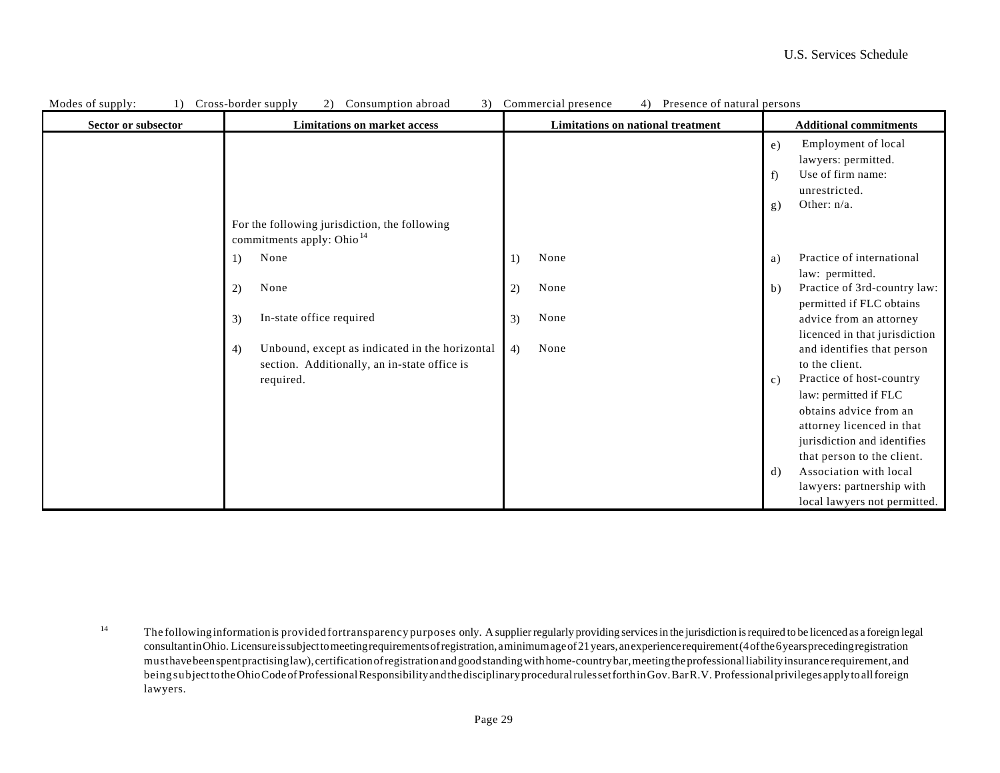| MOURS OF SUPPLY.<br>1) | Cross-border supply<br>$\angle$ )<br>Consumption abroad<br>J                           | Commercial presence<br>4) FIESCRICE OF HAIUTAL DETSOILS |                                                |
|------------------------|----------------------------------------------------------------------------------------|---------------------------------------------------------|------------------------------------------------|
| Sector or subsector    | <b>Limitations on market access</b>                                                    | Limitations on national treatment                       | <b>Additional commitments</b>                  |
|                        |                                                                                        |                                                         | Employment of local<br>e)                      |
|                        |                                                                                        |                                                         | lawyers: permitted.                            |
|                        |                                                                                        |                                                         | Use of firm name:<br>f)                        |
|                        |                                                                                        |                                                         | unrestricted.                                  |
|                        |                                                                                        |                                                         | Other: n/a.<br>g)                              |
|                        | For the following jurisdiction, the following<br>commitments apply: Ohio <sup>14</sup> |                                                         |                                                |
|                        | None<br>1)                                                                             | None<br>1)                                              | Practice of international<br>a)                |
|                        |                                                                                        |                                                         | law: permitted.                                |
|                        | None<br>2)                                                                             | None<br>2)                                              | Practice of 3rd-country law:<br>$\mathbf{b}$ ) |
|                        |                                                                                        |                                                         | permitted if FLC obtains                       |
|                        | In-state office required<br>3)                                                         | None<br>3)                                              | advice from an attorney                        |
|                        |                                                                                        |                                                         | licenced in that jurisdiction                  |
|                        | Unbound, except as indicated in the horizontal<br>4)                                   | None<br>4)                                              | and identifies that person                     |
|                        | section. Additionally, an in-state office is                                           |                                                         | to the client.                                 |
|                        | required.                                                                              |                                                         | Practice of host-country<br>c)                 |
|                        |                                                                                        |                                                         | law: permitted if FLC                          |
|                        |                                                                                        |                                                         | obtains advice from an                         |
|                        |                                                                                        |                                                         | attorney licenced in that                      |
|                        |                                                                                        |                                                         | jurisdiction and identifies                    |
|                        |                                                                                        |                                                         | that person to the client.                     |
|                        |                                                                                        |                                                         | Association with local<br>$\mathbf{d}$         |
|                        |                                                                                        |                                                         | lawyers: partnership with                      |
|                        |                                                                                        |                                                         | local lawyers not permitted.                   |

|  | Modes or<br>onsumption<br>abroad<br>ross-border supply<br>of supply:<br>persons<br>Commercial presence<br>Presence of natural<br><u>. н. </u> |  |
|--|-----------------------------------------------------------------------------------------------------------------------------------------------|--|
|--|-----------------------------------------------------------------------------------------------------------------------------------------------|--|

<sup>14</sup> The followinginformationis provided fortransparency purposes only. A supplier regularly providing services in the jurisdiction is required to be licenced as a foreign legal consultant in Ohio. Licensure is subject to meeting requirements of registration, a minimum age of 21 years, an experience requirement (4 of the 6 years preceding registration must have been spent practising law), certification of registration and good standing with home-country bar, meeting the professional liability insurance requirement, and being subject to the Ohio Code of Professional Responsibility and the disciplinary procedural rules set forth in Gov. Bar R.V. Professional privileges apply to all foreign lawyers.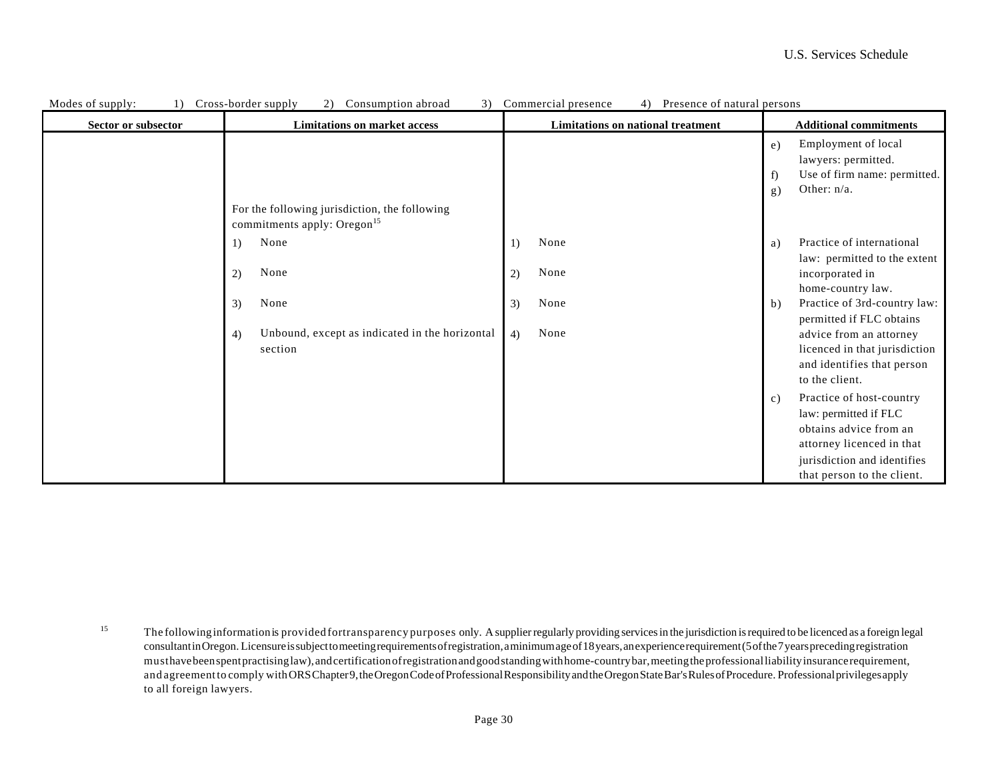| Modes of supply:<br>1) | 3)<br>Cross-border supply<br>Consumption abroad<br>(2)                                   | Commercial presence<br>Presence of natural persons<br>4) |                                    |
|------------------------|------------------------------------------------------------------------------------------|----------------------------------------------------------|------------------------------------|
| Sector or subsector    | <b>Limitations on market access</b>                                                      | <b>Limitations on national treatment</b>                 | <b>Additional commitments</b>      |
|                        |                                                                                          |                                                          | Employment of local<br>e)          |
|                        |                                                                                          |                                                          | lawyers: permitted.                |
|                        |                                                                                          |                                                          | Use of firm name: permitted.<br>f) |
|                        |                                                                                          |                                                          | Other: $n/a$ .<br>g)               |
|                        | For the following jurisdiction, the following<br>commitments apply: Oregon <sup>15</sup> |                                                          |                                    |
|                        | None<br>1)                                                                               | None<br>1)                                               | Practice of international<br>a)    |
|                        |                                                                                          |                                                          | law: permitted to the extent       |
|                        | None<br>2)                                                                               | None<br>2)                                               | incorporated in                    |
|                        |                                                                                          |                                                          | home-country law.                  |
|                        | None<br>3)                                                                               | None<br>3)                                               | Practice of 3rd-country law:<br>b) |
|                        |                                                                                          |                                                          | permitted if FLC obtains           |
|                        | Unbound, except as indicated in the horizontal<br>4)                                     | None<br>4)                                               | advice from an attorney            |
|                        | section                                                                                  |                                                          | licenced in that jurisdiction      |
|                        |                                                                                          |                                                          | and identifies that person         |
|                        |                                                                                          |                                                          | to the client.                     |
|                        |                                                                                          |                                                          | Practice of host-country<br>c)     |
|                        |                                                                                          |                                                          | law: permitted if FLC              |
|                        |                                                                                          |                                                          | obtains advice from an             |
|                        |                                                                                          |                                                          | attorney licenced in that          |
|                        |                                                                                          |                                                          | jurisdiction and identifies        |
|                        |                                                                                          |                                                          | that person to the client.         |

15 The followinginformationis provided fortransparency purposes only. A supplier regularly providing services in the jurisdiction is required to be licenced as a foreign legal consultant in Oregon. Licensure is subject to meeting requirements of registration, a minimum age of 18 years, an experience requirement (5 of the 7 years preceding registration must have been spent practising law), and certification of registration and good standing with home-country bar, meeting the professional liability insurance requirement, and agreementto comply with ORS Chapter 9, the Oregon Code of Professional Responsibility and the Oregon State Bar's Rules of Procedure. Professional privileges apply to all foreign lawyers.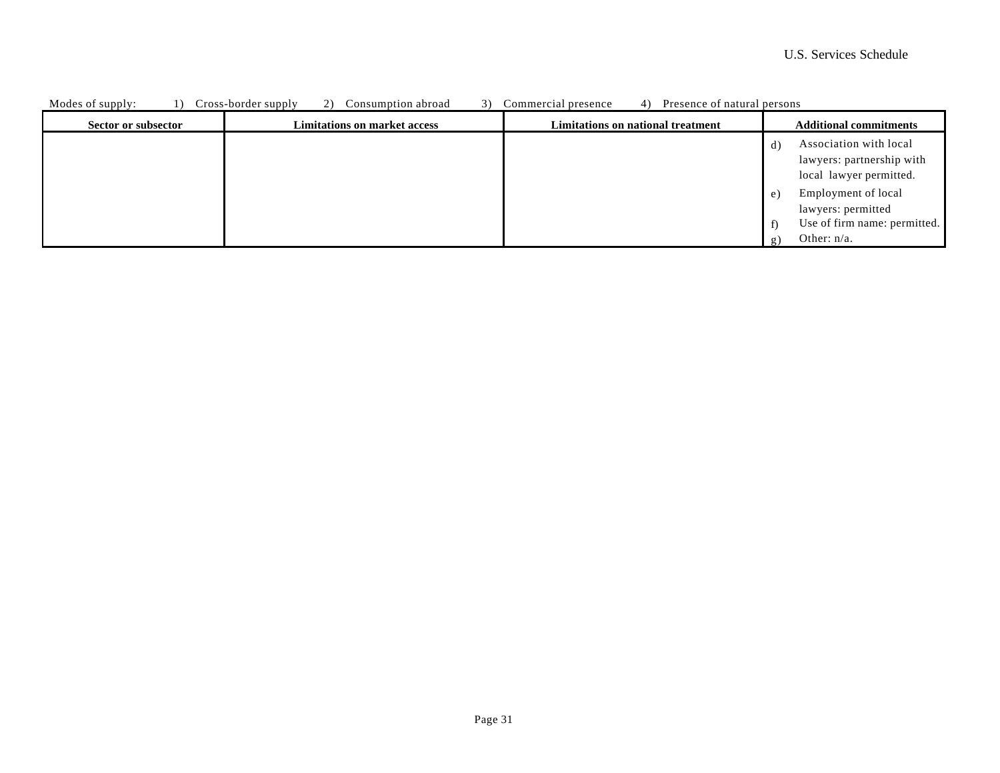| Modes of supply:    | Cross-border supply<br>Consumption abroad<br>21 | Commercial presence<br>Presence of natural persons |                                                                                                         |
|---------------------|-------------------------------------------------|----------------------------------------------------|---------------------------------------------------------------------------------------------------------|
| Sector or subsector | <b>Limitations on market access</b>             | Limitations on national treatment                  | <b>Additional commitments</b>                                                                           |
|                     |                                                 |                                                    | Association with local<br>d)<br>lawyers: partnership with<br>local lawyer permitted.                    |
|                     |                                                 |                                                    | Employment of local<br>e)<br>lawyers: permitted<br>Use of firm name: permitted.<br>Other: $n/a$ .<br>g, |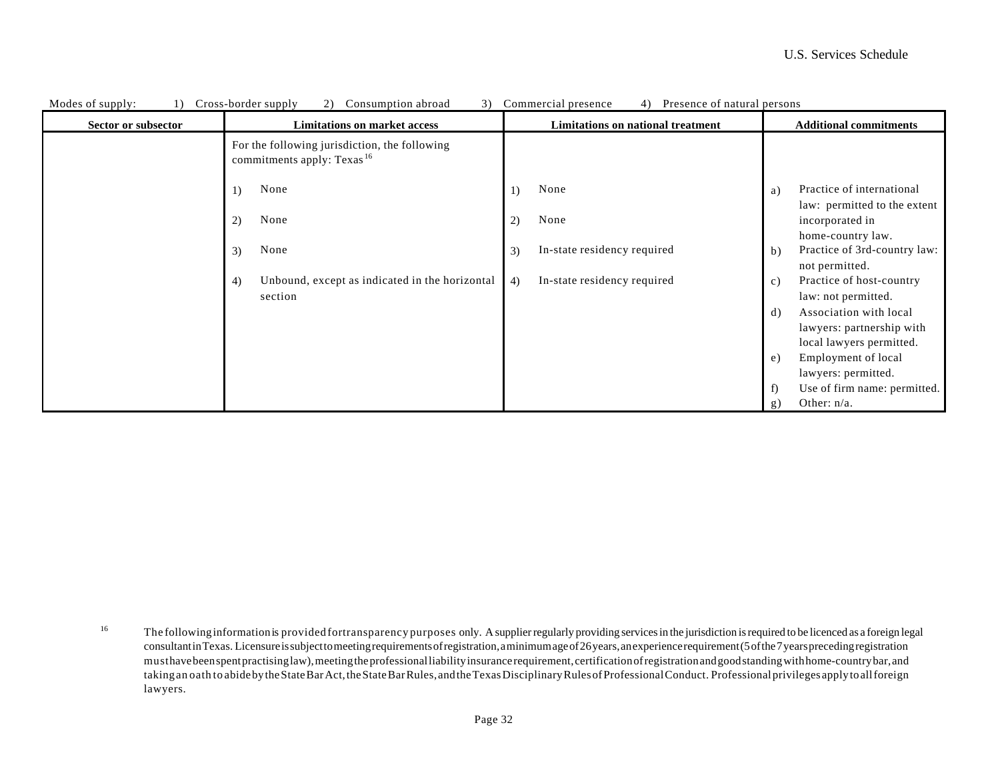| Modes of supply:    | Cross-border supply<br>Consumption abroad<br>3)<br>2)                                   | Commercial presence<br>Presence of natural persons<br>4) |                                                                                |
|---------------------|-----------------------------------------------------------------------------------------|----------------------------------------------------------|--------------------------------------------------------------------------------|
| Sector or subsector | <b>Limitations on market access</b>                                                     | Limitations on national treatment                        | <b>Additional commitments</b>                                                  |
|                     | For the following jurisdiction, the following<br>commitments apply: Texas <sup>16</sup> |                                                          |                                                                                |
|                     | None<br>1)                                                                              | None<br>1)                                               | Practice of international<br>a)<br>law: permitted to the extent                |
|                     | None<br>2)                                                                              | None<br>2)                                               | incorporated in<br>home-country law.                                           |
|                     | None<br>3)                                                                              | In-state residency required<br>3)                        | Practice of 3rd-country law:<br>b)<br>not permitted.                           |
|                     | Unbound, except as indicated in the horizontal<br>4)<br>section                         | In-state residency required<br>4)                        | Practice of host-country<br>c)<br>law: not permitted.                          |
|                     |                                                                                         |                                                          | Association with local<br>d)<br>lawyers: partnership with                      |
|                     |                                                                                         |                                                          | local lawyers permitted.<br>Employment of local<br>e)                          |
|                     |                                                                                         |                                                          | lawyers: permitted.<br>Use of firm name: permitted.<br>f)<br>Other: n/a.<br>g) |

16 The followinginformationis provided fortransparency purposes only. A supplier regularly providing services in the jurisdiction is required to be licenced as a foreign legal consultant in Texas. Licensure is subject to meeting requirements of registration, a minimum age of 26 years, an experience requirement (5 of the 7 years preceding registration must have been spent practising law), meeting the professional liability insurance requirement, certification of registration and good standing with home-country bar, and takingan oath to abide by the State Bar Act, the State Bar Rules, and the Texas Disciplinary Rules of Professional Conduct. Professional privileges apply to all foreign lawyers.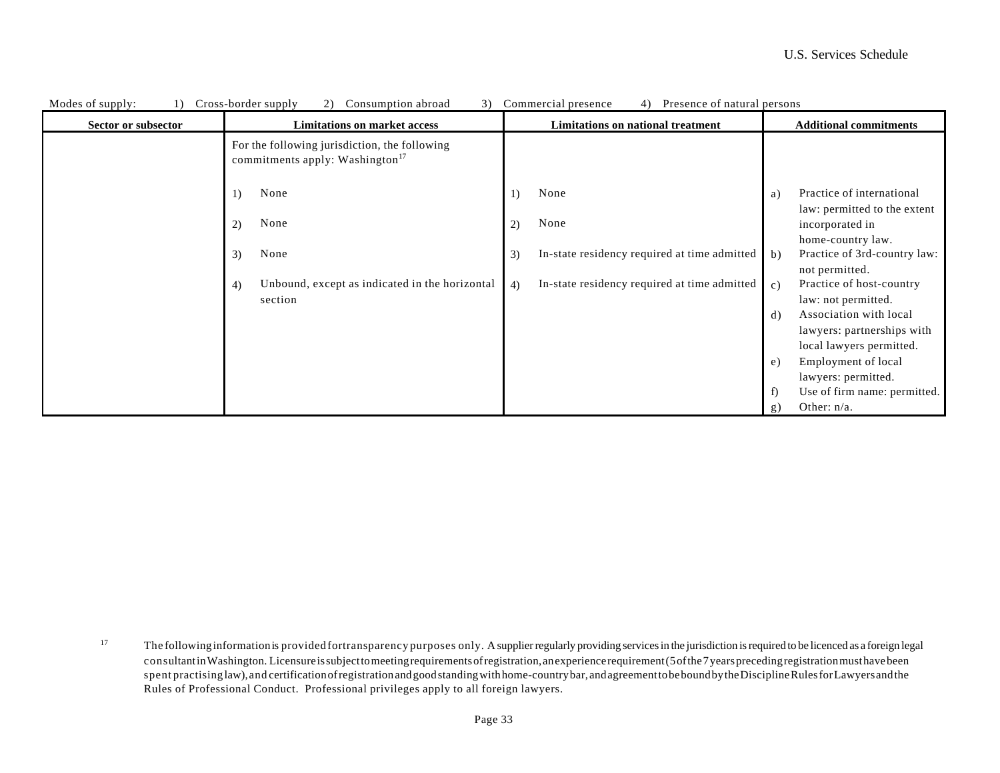| Modes of supply:<br>$\overline{1}$ | Cross-border supply<br>(2)<br>Consumption abroad<br>3)                                       | Commercial presence<br>Presence of natural persons<br>4) |                                                                      |
|------------------------------------|----------------------------------------------------------------------------------------------|----------------------------------------------------------|----------------------------------------------------------------------|
| Sector or subsector                | <b>Limitations on market access</b>                                                          | <b>Limitations on national treatment</b>                 | <b>Additional commitments</b>                                        |
|                                    | For the following jurisdiction, the following<br>commitments apply: Washington <sup>17</sup> |                                                          |                                                                      |
|                                    | None<br>1)                                                                                   | None<br>1)                                               | Practice of international<br>a)                                      |
|                                    | None<br>2)                                                                                   | None<br>2)                                               | law: permitted to the extent<br>incorporated in<br>home-country law. |
|                                    | None<br>3)                                                                                   | In-state residency required at time admitted<br>3)       | Practice of 3rd-country law:<br>$\mathbf{b}$<br>not permitted.       |
|                                    | Unbound, except as indicated in the horizontal<br>4)<br>section                              | In-state residency required at time admitted<br>4)       | Practice of host-country<br>c)<br>law: not permitted.                |
|                                    |                                                                                              |                                                          | Association with local<br>d)                                         |
|                                    |                                                                                              |                                                          | lawyers: partnerships with                                           |
|                                    |                                                                                              |                                                          | local lawyers permitted.                                             |
|                                    |                                                                                              |                                                          | Employment of local<br>e)                                            |
|                                    |                                                                                              |                                                          | lawyers: permitted.                                                  |
|                                    |                                                                                              |                                                          | Use of firm name: permitted.<br>f)                                   |
|                                    |                                                                                              |                                                          | Other: $n/a$ .<br>g)                                                 |

17 The followinginformationis provided fortransparency purposes only. A supplier regularly providing services in the jurisdiction is required to be licenced as a foreign legal consultant in Washington. Licensure is subject to meeting requirements of registration, an experience requirement (5 of the 7 years preceding registration must have been spent practising law),and certification of registration and good standing with home-country bar, and agreement to be bound by the Discipline Rules for Lawyers and the Rules of Professional Conduct. Professional privileges apply to all foreign lawyers.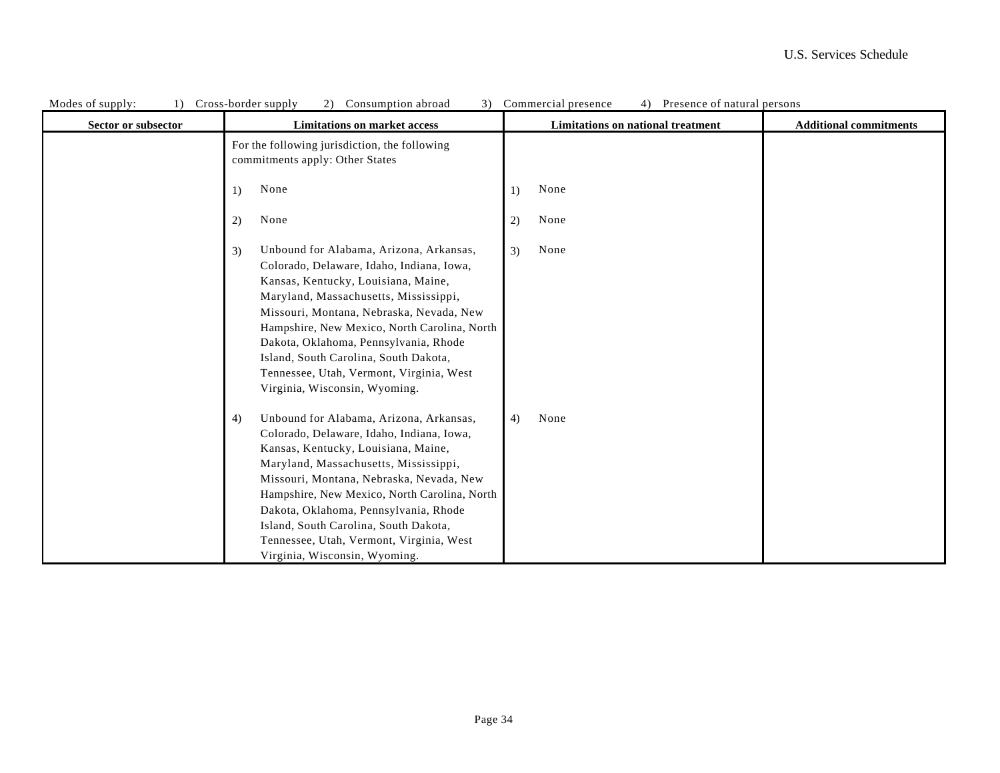| Modes of supply:<br>1) | Cross-border supply<br>(2)<br>Consumption abroad<br>3)                                                                                                                                                                                                                                                                                                                                                                                | Commercial presence<br>Presence of natural persons<br>4) |                               |
|------------------------|---------------------------------------------------------------------------------------------------------------------------------------------------------------------------------------------------------------------------------------------------------------------------------------------------------------------------------------------------------------------------------------------------------------------------------------|----------------------------------------------------------|-------------------------------|
| Sector or subsector    | <b>Limitations on market access</b>                                                                                                                                                                                                                                                                                                                                                                                                   | Limitations on national treatment                        | <b>Additional commitments</b> |
|                        | For the following jurisdiction, the following<br>commitments apply: Other States                                                                                                                                                                                                                                                                                                                                                      |                                                          |                               |
|                        | None<br>1)                                                                                                                                                                                                                                                                                                                                                                                                                            | None<br>1)                                               |                               |
|                        | None<br>2)                                                                                                                                                                                                                                                                                                                                                                                                                            | None<br>2)                                               |                               |
|                        | Unbound for Alabama, Arizona, Arkansas,<br>3)<br>Colorado, Delaware, Idaho, Indiana, Iowa,<br>Kansas, Kentucky, Louisiana, Maine,<br>Maryland, Massachusetts, Mississippi,<br>Missouri, Montana, Nebraska, Nevada, New<br>Hampshire, New Mexico, North Carolina, North<br>Dakota, Oklahoma, Pennsylvania, Rhode<br>Island, South Carolina, South Dakota,<br>Tennessee, Utah, Vermont, Virginia, West<br>Virginia, Wisconsin, Wyoming. | None<br>3)                                               |                               |
|                        | Unbound for Alabama, Arizona, Arkansas,<br>4)<br>Colorado, Delaware, Idaho, Indiana, Iowa,<br>Kansas, Kentucky, Louisiana, Maine,<br>Maryland, Massachusetts, Mississippi,<br>Missouri, Montana, Nebraska, Nevada, New<br>Hampshire, New Mexico, North Carolina, North<br>Dakota, Oklahoma, Pennsylvania, Rhode<br>Island, South Carolina, South Dakota,<br>Tennessee, Utah, Vermont, Virginia, West<br>Virginia, Wisconsin, Wyoming. | None<br>4)                                               |                               |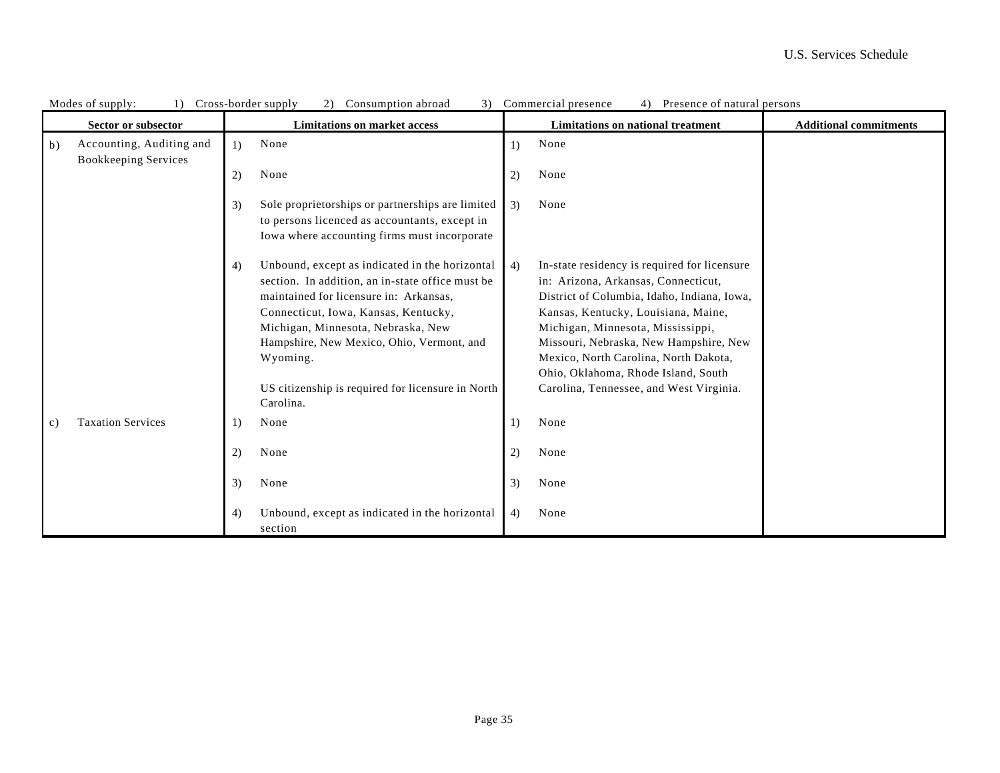|    | Sector or subsector                                     |    | <b>Limitations on market access</b>                                                                                                                                                                                                                                                                                                                   |    | Limitations on national treatment                                                                                                                                                                                                                                                                                                                                                   | <b>Additional commitments</b> |
|----|---------------------------------------------------------|----|-------------------------------------------------------------------------------------------------------------------------------------------------------------------------------------------------------------------------------------------------------------------------------------------------------------------------------------------------------|----|-------------------------------------------------------------------------------------------------------------------------------------------------------------------------------------------------------------------------------------------------------------------------------------------------------------------------------------------------------------------------------------|-------------------------------|
| b) | Accounting, Auditing and<br><b>Bookkeeping Services</b> | 1) | None                                                                                                                                                                                                                                                                                                                                                  | 1) | None                                                                                                                                                                                                                                                                                                                                                                                |                               |
|    |                                                         | 2) | None                                                                                                                                                                                                                                                                                                                                                  | 2) | None                                                                                                                                                                                                                                                                                                                                                                                |                               |
|    |                                                         | 3) | Sole proprietorships or partnerships are limited<br>to persons licenced as accountants, except in<br>Iowa where accounting firms must incorporate                                                                                                                                                                                                     | 3) | None                                                                                                                                                                                                                                                                                                                                                                                |                               |
|    |                                                         | 4) | Unbound, except as indicated in the horizontal<br>section. In addition, an in-state office must be<br>maintained for licensure in: Arkansas,<br>Connecticut, Iowa, Kansas, Kentucky,<br>Michigan, Minnesota, Nebraska, New<br>Hampshire, New Mexico, Ohio, Vermont, and<br>Wyoming.<br>US citizenship is required for licensure in North<br>Carolina. | 4) | In-state residency is required for licensure<br>in: Arizona, Arkansas, Connecticut,<br>District of Columbia, Idaho, Indiana, Iowa,<br>Kansas, Kentucky, Louisiana, Maine,<br>Michigan, Minnesota, Mississippi,<br>Missouri, Nebraska, New Hampshire, New<br>Mexico, North Carolina, North Dakota,<br>Ohio, Oklahoma, Rhode Island, South<br>Carolina, Tennessee, and West Virginia. |                               |
| c) | <b>Taxation Services</b>                                | 1) | None                                                                                                                                                                                                                                                                                                                                                  | 1) | None                                                                                                                                                                                                                                                                                                                                                                                |                               |
|    |                                                         | 2) | None                                                                                                                                                                                                                                                                                                                                                  | 2) | None                                                                                                                                                                                                                                                                                                                                                                                |                               |
|    |                                                         | 3) | None                                                                                                                                                                                                                                                                                                                                                  | 3) | None                                                                                                                                                                                                                                                                                                                                                                                |                               |
|    |                                                         | 4) | Unbound, except as indicated in the horizontal<br>section                                                                                                                                                                                                                                                                                             | 4) | None                                                                                                                                                                                                                                                                                                                                                                                |                               |

| Modes<br>supply: | -border supply<br>$ross-$ | Consumption abroad | ommercial<br>presence | Presence of natural persons |  |
|------------------|---------------------------|--------------------|-----------------------|-----------------------------|--|
|                  |                           |                    |                       |                             |  |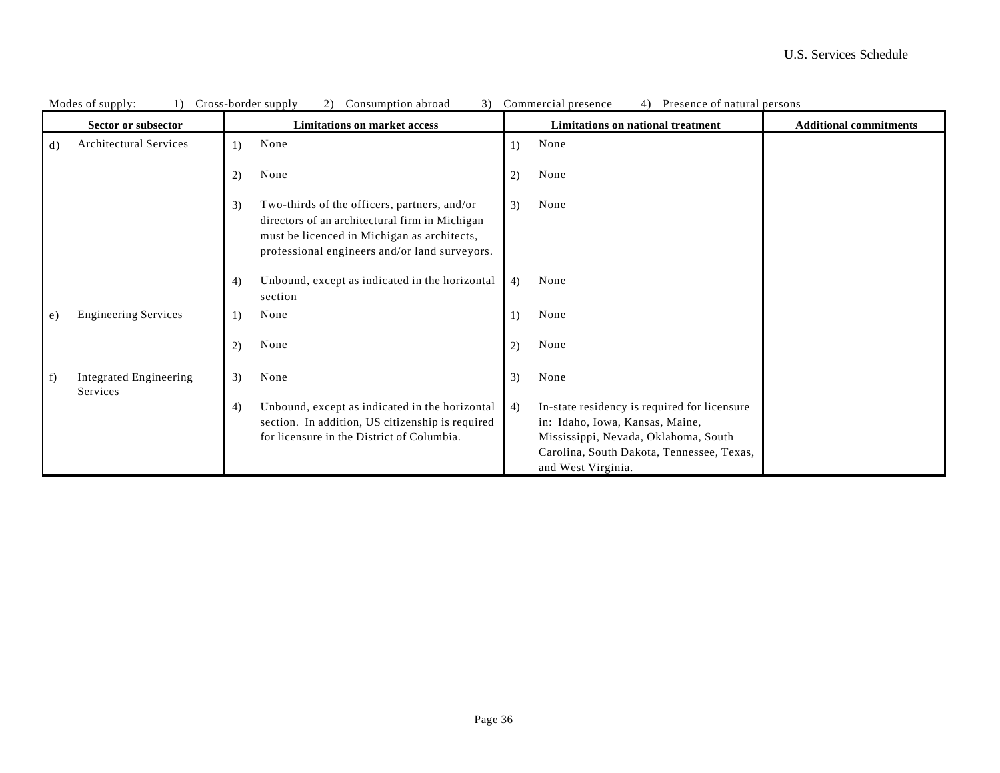|               | MOUES OF SUPPLY.<br>11<br>Sector or subsector |    | Cross-borger suppry<br>$\angle$ )<br>Consumption abroad<br><b>Limitations on market access</b>                                                                                                 |    | 3) Commercial presence<br>4) FIESENCE OI HAIUTAI PEISONS<br><b>Limitations on national treatment</b>                                                                                       | <b>Additional commitments</b> |
|---------------|-----------------------------------------------|----|------------------------------------------------------------------------------------------------------------------------------------------------------------------------------------------------|----|--------------------------------------------------------------------------------------------------------------------------------------------------------------------------------------------|-------------------------------|
| d)            | Architectural Services                        | 1) | None                                                                                                                                                                                           | 1) | None                                                                                                                                                                                       |                               |
|               |                                               |    |                                                                                                                                                                                                |    |                                                                                                                                                                                            |                               |
|               |                                               | 2) | None                                                                                                                                                                                           | 2) | None                                                                                                                                                                                       |                               |
|               |                                               | 3) | Two-thirds of the officers, partners, and/or<br>directors of an architectural firm in Michigan<br>must be licenced in Michigan as architects,<br>professional engineers and/or land surveyors. | 3) | None                                                                                                                                                                                       |                               |
|               |                                               | 4) | Unbound, except as indicated in the horizontal<br>section                                                                                                                                      | 4) | None                                                                                                                                                                                       |                               |
| e)            | <b>Engineering Services</b>                   | 1) | None                                                                                                                                                                                           |    | None                                                                                                                                                                                       |                               |
|               |                                               | 2) | None                                                                                                                                                                                           | 2) | None                                                                                                                                                                                       |                               |
| $\uparrow$ f) | <b>Integrated Engineering</b><br>Services     | 3) | None                                                                                                                                                                                           | 3) | None                                                                                                                                                                                       |                               |
|               |                                               | 4) | Unbound, except as indicated in the horizontal<br>section. In addition, US citizenship is required<br>for licensure in the District of Columbia.                                               | 4) | In-state residency is required for licensure<br>in: Idaho, Iowa, Kansas, Maine,<br>Mississippi, Nevada, Oklahoma, South<br>Carolina, South Dakota, Tennessee, Texas,<br>and West Virginia. |                               |

| Modes o<br>supply: | $r \cap r$ | -border supply. | Consumption abroad | $\sim$ | Commercial presence | 4 | of natural persons<br>Presence |  |
|--------------------|------------|-----------------|--------------------|--------|---------------------|---|--------------------------------|--|
|                    |            |                 |                    |        |                     |   |                                |  |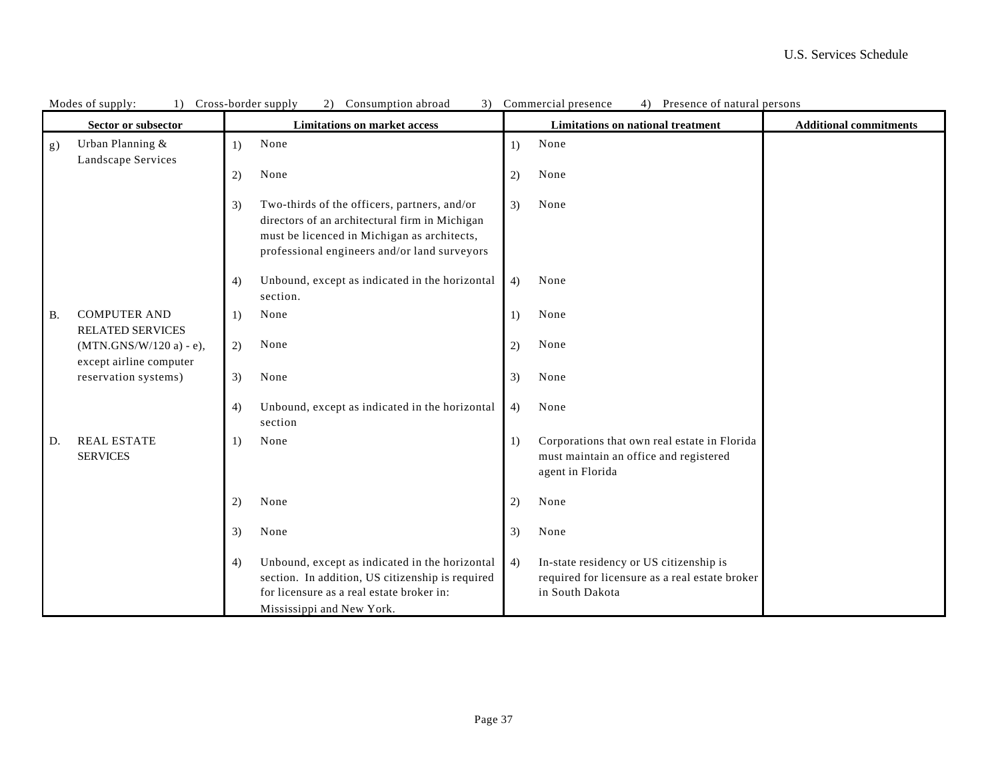|           | ivious of supply.<br>Sector or subsector             |    | Cross-poruer suppry<br>Consumption abroad<br><b>Limitations on market access</b>                                                                                                              |    | Commercial presence<br>THUSUNG OF HAIGHAI PUISONS<br>Limitations on national treatment                       | <b>Additional commitments</b> |
|-----------|------------------------------------------------------|----|-----------------------------------------------------------------------------------------------------------------------------------------------------------------------------------------------|----|--------------------------------------------------------------------------------------------------------------|-------------------------------|
| g)        | Urban Planning &                                     | 1) | None                                                                                                                                                                                          | 1) | None                                                                                                         |                               |
|           | Landscape Services                                   | 2) | None                                                                                                                                                                                          | 2) | None                                                                                                         |                               |
|           |                                                      | 3) | Two-thirds of the officers, partners, and/or<br>directors of an architectural firm in Michigan<br>must be licenced in Michigan as architects,<br>professional engineers and/or land surveyors | 3) | None                                                                                                         |                               |
|           |                                                      | 4) | Unbound, except as indicated in the horizontal<br>section.                                                                                                                                    | 4) | None                                                                                                         |                               |
| <b>B.</b> | <b>COMPUTER AND</b><br><b>RELATED SERVICES</b>       | 1) | None                                                                                                                                                                                          | 1) | None                                                                                                         |                               |
|           | $(MTN.GNS/W/120 a) - e),$<br>except airline computer | 2) | None                                                                                                                                                                                          | 2) | None                                                                                                         |                               |
|           | reservation systems)                                 | 3) | None                                                                                                                                                                                          | 3) | None                                                                                                         |                               |
|           |                                                      | 4) | Unbound, except as indicated in the horizontal<br>section                                                                                                                                     | 4) | None                                                                                                         |                               |
| D.        | <b>REAL ESTATE</b><br><b>SERVICES</b>                | 1) | None                                                                                                                                                                                          | 1) | Corporations that own real estate in Florida<br>must maintain an office and registered<br>agent in Florida   |                               |
|           |                                                      | 2) | None                                                                                                                                                                                          | 2) | None                                                                                                         |                               |
|           |                                                      | 3) | None                                                                                                                                                                                          | 3) | None                                                                                                         |                               |
|           |                                                      | 4) | Unbound, except as indicated in the horizontal<br>section. In addition, US citizenship is required<br>for licensure as a real estate broker in:<br>Mississippi and New York.                  | 4) | In-state residency or US citizenship is<br>required for licensure as a real estate broker<br>in South Dakota |                               |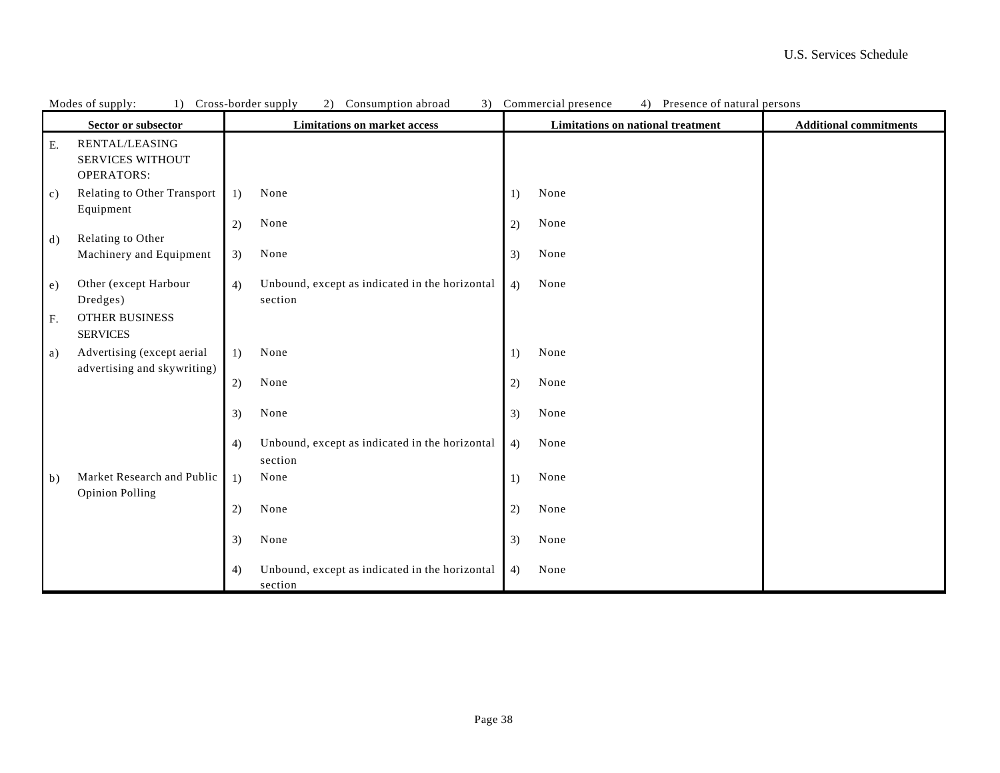|            | Modes of supply:<br>1)                                         |    | Cross-border supply<br>Consumption abroad<br>3)<br>(2)    |    | Commercial presence<br>4) Presence of natural persons |                               |  |
|------------|----------------------------------------------------------------|----|-----------------------------------------------------------|----|-------------------------------------------------------|-------------------------------|--|
|            | Sector or subsector                                            |    | <b>Limitations on market access</b>                       |    | Limitations on national treatment                     | <b>Additional commitments</b> |  |
| ${\bf E}.$ | RENTAL/LEASING<br><b>SERVICES WITHOUT</b><br><b>OPERATORS:</b> |    |                                                           |    |                                                       |                               |  |
| c)         | Relating to Other Transport<br>Equipment                       | 1) | None                                                      | 1) | None                                                  |                               |  |
| d)         | Relating to Other                                              | 2) | None                                                      | 2) | None                                                  |                               |  |
|            | Machinery and Equipment                                        | 3) | None                                                      | 3) | None                                                  |                               |  |
| e)         | Other (except Harbour<br>Dredges)                              | 4) | Unbound, except as indicated in the horizontal<br>section | 4) | None                                                  |                               |  |
| ${\bf F}.$ | OTHER BUSINESS<br><b>SERVICES</b>                              |    |                                                           |    |                                                       |                               |  |
| a)         | Advertising (except aerial<br>advertising and skywriting)      | 1) | None                                                      | 1) | None                                                  |                               |  |
|            |                                                                | 2) | None                                                      | 2) | None                                                  |                               |  |
|            |                                                                | 3) | None                                                      | 3) | None                                                  |                               |  |
|            |                                                                | 4) | Unbound, except as indicated in the horizontal<br>section | 4) | None                                                  |                               |  |
| b)         | Market Research and Public<br><b>Opinion Polling</b>           | 1) | None                                                      | 1) | None                                                  |                               |  |
|            |                                                                | 2) | None                                                      | 2) | None                                                  |                               |  |
|            |                                                                | 3) | None                                                      | 3) | None                                                  |                               |  |
|            |                                                                | 4) | Unbound, except as indicated in the horizontal<br>section | 4) | None                                                  |                               |  |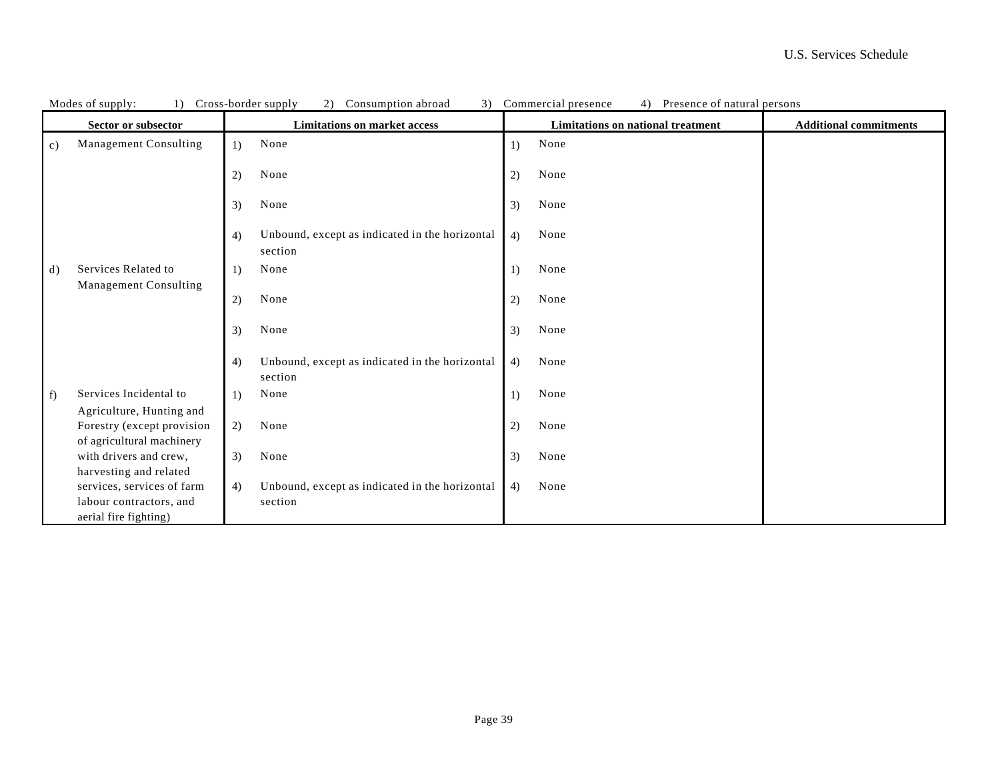|                | Modes of supply:<br>1)                                                                                   | Cross-border supply<br>3)<br>2)<br>Consumption abroad           | Presence of natural persons<br>Commercial presence<br>4)                  |
|----------------|----------------------------------------------------------------------------------------------------------|-----------------------------------------------------------------|---------------------------------------------------------------------------|
|                | Sector or subsector                                                                                      | <b>Limitations on market access</b>                             | <b>Limitations on national treatment</b><br><b>Additional commitments</b> |
| $\mathbf{c}$ ) | Management Consulting                                                                                    | None<br>1)                                                      | None<br>$\left( \right)$                                                  |
|                |                                                                                                          | None<br>2)                                                      | None<br>2)                                                                |
|                |                                                                                                          | None<br>3)                                                      | None<br>3)                                                                |
|                |                                                                                                          | Unbound, except as indicated in the horizontal<br>4)<br>section | None<br>4)                                                                |
| d)             | Services Related to                                                                                      | None<br>1)                                                      | None<br>$\left( \right)$                                                  |
|                | Management Consulting                                                                                    | None<br>2)                                                      | None<br>2)                                                                |
|                |                                                                                                          | None<br>3)                                                      | None<br>3)                                                                |
|                |                                                                                                          | Unbound, except as indicated in the horizontal<br>4)<br>section | 4)<br>None                                                                |
| $\uparrow$ f)  | Services Incidental to                                                                                   | None<br>1)                                                      | None<br>1)                                                                |
|                | Agriculture, Hunting and<br>Forestry (except provision<br>of agricultural machinery                      | 2)<br>None                                                      | 2)<br>None                                                                |
|                | with drivers and crew,                                                                                   | 3)<br>None                                                      | 3)<br>None                                                                |
|                | harvesting and related<br>services, services of farm<br>labour contractors, and<br>aerial fire fighting) | Unbound, except as indicated in the horizontal<br>4)<br>section | 4)<br>None                                                                |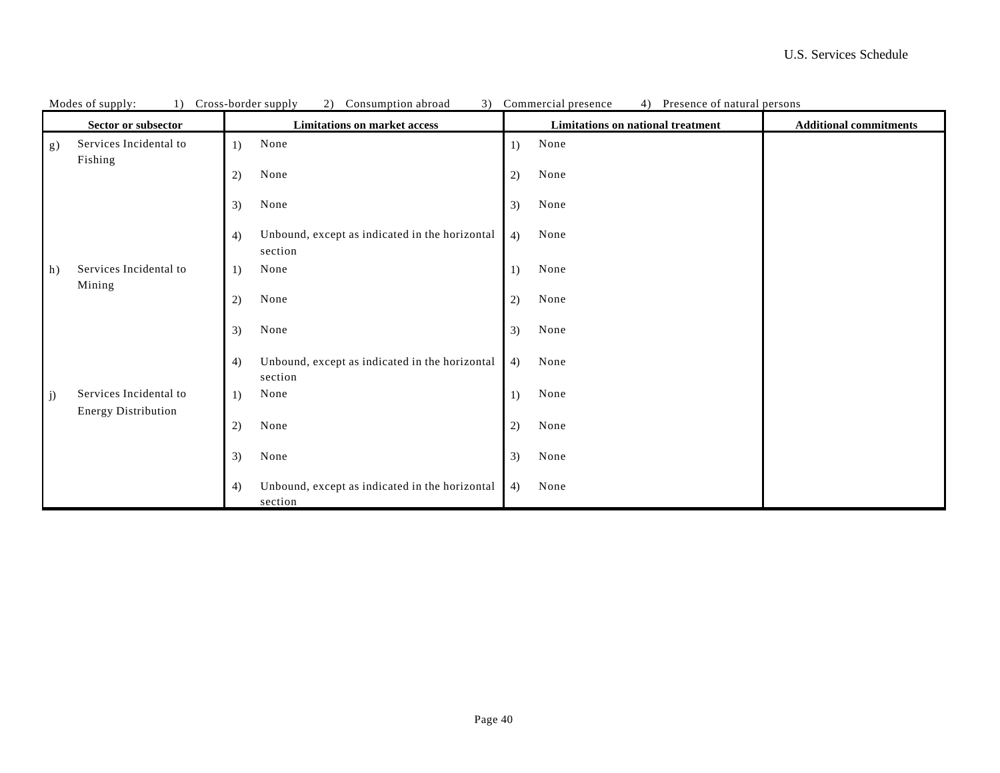|    | Modes of supply:<br>1)                               | 3)<br>Cross-border supply<br>2)<br>Consumption abroad           | Presence of natural persons<br>Commercial presence<br>4) |                               |
|----|------------------------------------------------------|-----------------------------------------------------------------|----------------------------------------------------------|-------------------------------|
|    | Sector or subsector                                  | <b>Limitations on market access</b>                             | Limitations on national treatment                        | <b>Additional commitments</b> |
| g) | Services Incidental to<br>Fishing                    | None<br>1)                                                      | None<br>$\left( \right)$                                 |                               |
|    |                                                      | None<br>2)                                                      | None<br>2)                                               |                               |
|    |                                                      | None<br>3)                                                      | None<br>3)                                               |                               |
|    |                                                      | Unbound, except as indicated in the horizontal<br>4)<br>section | None<br>4)                                               |                               |
| h) | Services Incidental to<br>Mining                     | None<br>1)                                                      | None<br>1)                                               |                               |
|    |                                                      | None<br>2)                                                      | None<br>2)                                               |                               |
|    |                                                      | 3)<br>None                                                      | None<br>3)                                               |                               |
|    |                                                      | Unbound, except as indicated in the horizontal<br>4)<br>section | 4)<br>None                                               |                               |
| j) | Services Incidental to<br><b>Energy Distribution</b> | None<br>1)                                                      | None<br>1)                                               |                               |
|    |                                                      | 2)<br>None                                                      | 2)<br>None                                               |                               |
|    |                                                      | 3)<br>None                                                      | 3)<br>None                                               |                               |
|    |                                                      | Unbound, except as indicated in the horizontal<br>4)<br>section | 4)<br>None                                               |                               |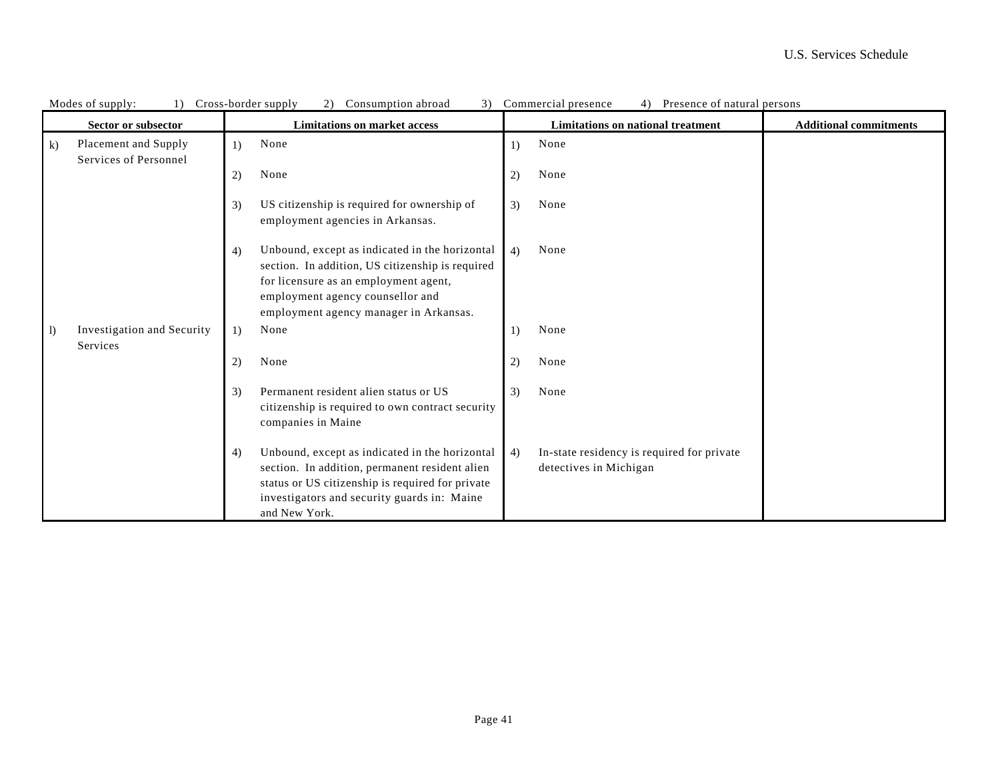|                      | Modes of supply:<br>1)                        | Cross-border supply<br>Consumption abroad<br>3)<br>2)                                                                                                                                                                           |                              | Presence of natural persons<br>Commercial presence<br>4)             |                               |
|----------------------|-----------------------------------------------|---------------------------------------------------------------------------------------------------------------------------------------------------------------------------------------------------------------------------------|------------------------------|----------------------------------------------------------------------|-------------------------------|
|                      | Sector or subsector                           | <b>Limitations on market access</b>                                                                                                                                                                                             |                              | <b>Limitations on national treatment</b>                             | <b>Additional commitments</b> |
| $\bf k$              | Placement and Supply<br>Services of Personnel | None<br>1)                                                                                                                                                                                                                      | $\left( \frac{1}{2} \right)$ | None                                                                 |                               |
|                      |                                               | None<br>2)                                                                                                                                                                                                                      | 2)                           | None                                                                 |                               |
|                      |                                               | US citizenship is required for ownership of<br>3)<br>employment agencies in Arkansas.                                                                                                                                           | 3)                           | None                                                                 |                               |
|                      |                                               | Unbound, except as indicated in the horizontal<br>4)<br>section. In addition, US citizenship is required<br>for licensure as an employment agent,<br>employment agency counsellor and<br>employment agency manager in Arkansas. | 4)                           | None                                                                 |                               |
| $  \; \; \mathrm{l}$ | Investigation and Security<br>Services        | None<br>1)                                                                                                                                                                                                                      | 1)                           | None                                                                 |                               |
|                      |                                               | 2)<br>None                                                                                                                                                                                                                      | 2)                           | None                                                                 |                               |
|                      |                                               | Permanent resident alien status or US<br>3)<br>citizenship is required to own contract security<br>companies in Maine                                                                                                           | 3)                           | None                                                                 |                               |
|                      |                                               | Unbound, except as indicated in the horizontal<br>4)<br>section. In addition, permanent resident alien<br>status or US citizenship is required for private<br>investigators and security guards in: Maine<br>and New York.      | 4)                           | In-state residency is required for private<br>detectives in Michigan |                               |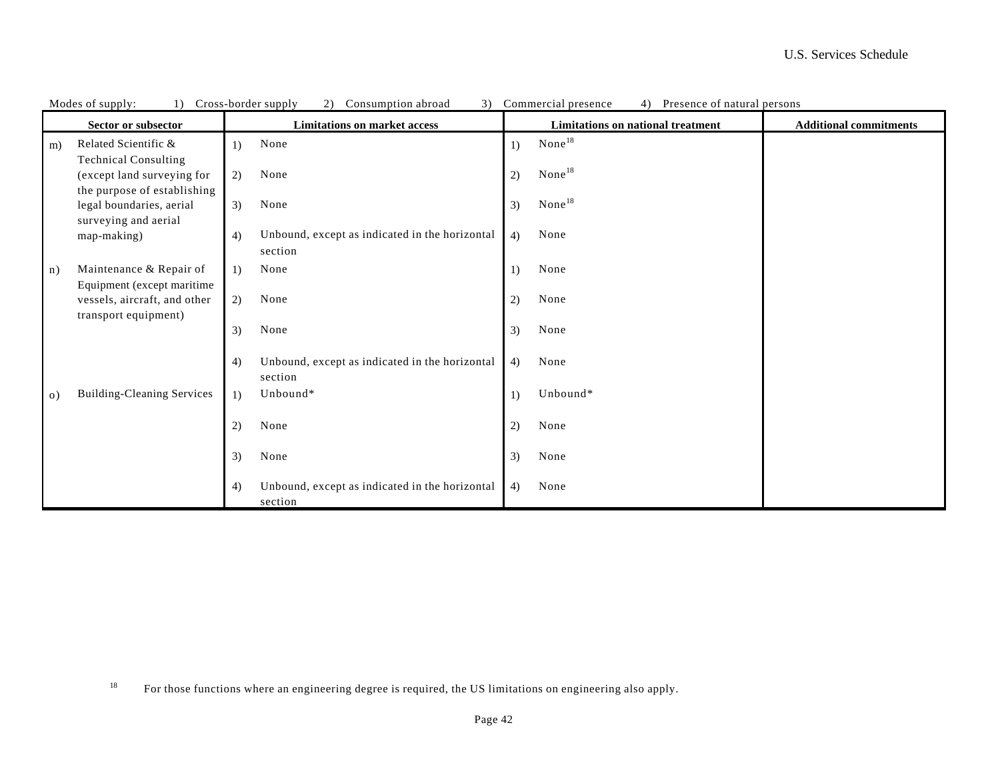|           | MOUTS OF SUPPLY.<br>1)            |    | Cross-porter suppry<br>$\omega$ )<br>Consumption abroad |                  | Commercial presence<br>$+$ ) Tresence of natural persons |                               |
|-----------|-----------------------------------|----|---------------------------------------------------------|------------------|----------------------------------------------------------|-------------------------------|
|           | Sector or subsector               |    | <b>Limitations on market access</b>                     |                  | Limitations on national treatment                        | <b>Additional commitments</b> |
| m)        | Related Scientific &              | 1) | None                                                    | $\left( \right)$ | None <sup>18</sup>                                       |                               |
|           | <b>Technical Consulting</b>       |    |                                                         |                  |                                                          |                               |
|           | (except land surveying for        | 2) | None                                                    | 2)               | None <sup>18</sup>                                       |                               |
|           | the purpose of establishing       |    |                                                         |                  |                                                          |                               |
|           | legal boundaries, aerial          | 3) | None                                                    | 3)               | None <sup>18</sup>                                       |                               |
|           | surveying and aerial              |    |                                                         |                  |                                                          |                               |
|           | map-making)                       | 4) | Unbound, except as indicated in the horizontal          | 4)               | None                                                     |                               |
|           |                                   |    | section                                                 |                  |                                                          |                               |
| n)        | Maintenance & Repair of           | 1) | None                                                    | 1)               | None                                                     |                               |
|           | Equipment (except maritime        |    |                                                         |                  |                                                          |                               |
|           | vessels, aircraft, and other      | 2) | None                                                    | 2)               | None                                                     |                               |
|           | transport equipment)              |    |                                                         |                  |                                                          |                               |
|           |                                   | 3) | None                                                    | 3)               | None                                                     |                               |
|           |                                   |    |                                                         |                  |                                                          |                               |
|           |                                   | 4) | Unbound, except as indicated in the horizontal          | 4)               | None                                                     |                               |
|           |                                   |    | section                                                 |                  |                                                          |                               |
| $\circ$ ) | <b>Building-Cleaning Services</b> | 1) | Unbound*                                                | 1)               | Unbound*                                                 |                               |
|           |                                   |    |                                                         |                  |                                                          |                               |
|           |                                   | 2) | None                                                    | 2)               | None                                                     |                               |
|           |                                   | 3) | None                                                    | 3)               | None                                                     |                               |
|           |                                   |    |                                                         |                  |                                                          |                               |
|           |                                   | 4) | Unbound, except as indicated in the horizontal          | 4)               | None                                                     |                               |
|           |                                   |    | section                                                 |                  |                                                          |                               |

| Modes<br>supply:<br>supply<br>abroad<br>presence<br>persons<br>onsumption-<br>-border-<br>:ommercial<br>Presence<br>natural<br>`r∩cc-<br>.s ot<br>ΩŤ |  |
|------------------------------------------------------------------------------------------------------------------------------------------------------|--|
|------------------------------------------------------------------------------------------------------------------------------------------------------|--|

<sup>18</sup> For those functions where an engineering degree is required, the US limitations on engineering also apply.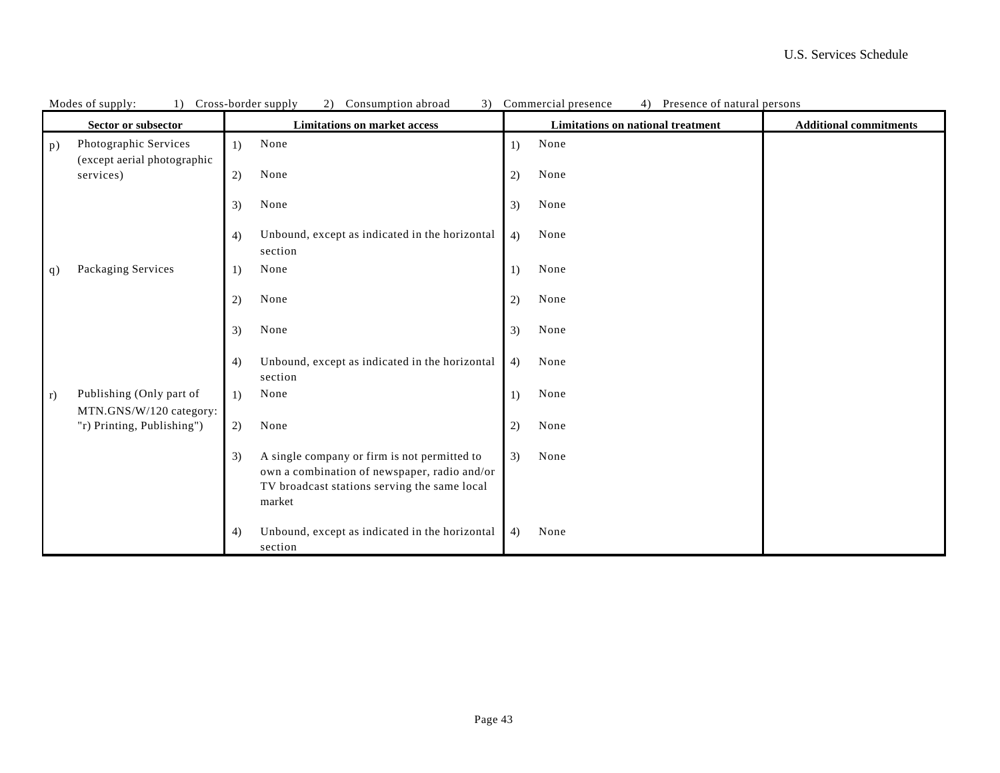|                   | Modes of supply:<br>1) Cross-border supply           |    | $\angle$ )<br>Consumption aproad<br>$\mathcal{I}$                                                                                                      |    | Commercial presence<br>4)<br>Presence of natural persons |                               |
|-------------------|------------------------------------------------------|----|--------------------------------------------------------------------------------------------------------------------------------------------------------|----|----------------------------------------------------------|-------------------------------|
|                   | Sector or subsector                                  |    | <b>Limitations on market access</b>                                                                                                                    |    | <b>Limitations on national treatment</b>                 | <b>Additional commitments</b> |
| p)                | Photographic Services<br>(except aerial photographic | 1) | None                                                                                                                                                   | 1) | None                                                     |                               |
|                   | services)                                            | 2) | None                                                                                                                                                   | 2) | None                                                     |                               |
|                   |                                                      | 3) | None                                                                                                                                                   | 3) | None                                                     |                               |
|                   |                                                      | 4) | Unbound, except as indicated in the horizontal<br>section                                                                                              | 4) | None                                                     |                               |
| q)                | Packaging Services                                   | 1) | None                                                                                                                                                   | 1) | None                                                     |                               |
|                   |                                                      | 2) | None                                                                                                                                                   | 2) | None                                                     |                               |
|                   |                                                      | 3) | None                                                                                                                                                   | 3) | None                                                     |                               |
|                   |                                                      | 4) | Unbound, except as indicated in the horizontal<br>section                                                                                              | 4) | None                                                     |                               |
| $\vert r \rangle$ | Publishing (Only part of<br>MTN.GNS/W/120 category:  | 1) | None                                                                                                                                                   | 1) | None                                                     |                               |
|                   | "r) Printing, Publishing")                           | 2) | None                                                                                                                                                   | 2) | None                                                     |                               |
|                   |                                                      | 3) | A single company or firm is not permitted to<br>own a combination of newspaper, radio and/or<br>TV broadcast stations serving the same local<br>market | 3) | None                                                     |                               |
|                   |                                                      | 4) | Unbound, except as indicated in the horizontal<br>section                                                                                              | 4) | None                                                     |                               |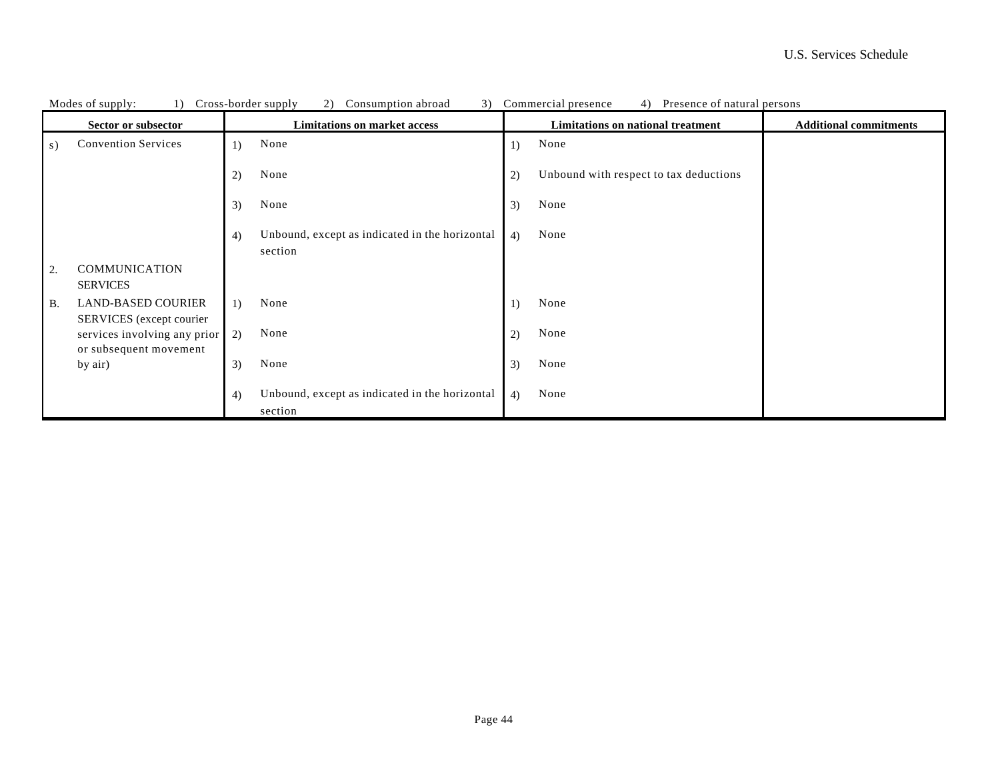|           | Cross-border supply<br>Modes of supply:<br>(2)<br>Consumption abroad<br>1) |    |                                                           |              | 3) Commercial presence<br>4) Presence of natural persons |                               |
|-----------|----------------------------------------------------------------------------|----|-----------------------------------------------------------|--------------|----------------------------------------------------------|-------------------------------|
|           | Sector or subsector                                                        |    | <b>Limitations on market access</b>                       |              | Limitations on national treatment                        | <b>Additional commitments</b> |
| s)        | <b>Convention Services</b>                                                 | 1) | None                                                      | 1)           | None                                                     |                               |
|           |                                                                            | 2) | None                                                      | $\mathbf{2}$ | Unbound with respect to tax deductions                   |                               |
|           |                                                                            | 3) | None                                                      | 3)           | None                                                     |                               |
|           |                                                                            | 4) | Unbound, except as indicated in the horizontal<br>section | 4)           | None                                                     |                               |
| 2.        | <b>COMMUNICATION</b><br><b>SERVICES</b>                                    |    |                                                           |              |                                                          |                               |
| <b>B.</b> | <b>LAND-BASED COURIER</b><br>SERVICES (except courier                      | 1) | None                                                      | 1)           | None                                                     |                               |
|           | services involving any prior<br>or subsequent movement                     | 2) | None                                                      | 2)           | None                                                     |                               |
|           | by air)                                                                    | 3) | None                                                      | 3)           | None                                                     |                               |
|           |                                                                            | 4) | Unbound, except as indicated in the horizontal<br>section | 4)           | None                                                     |                               |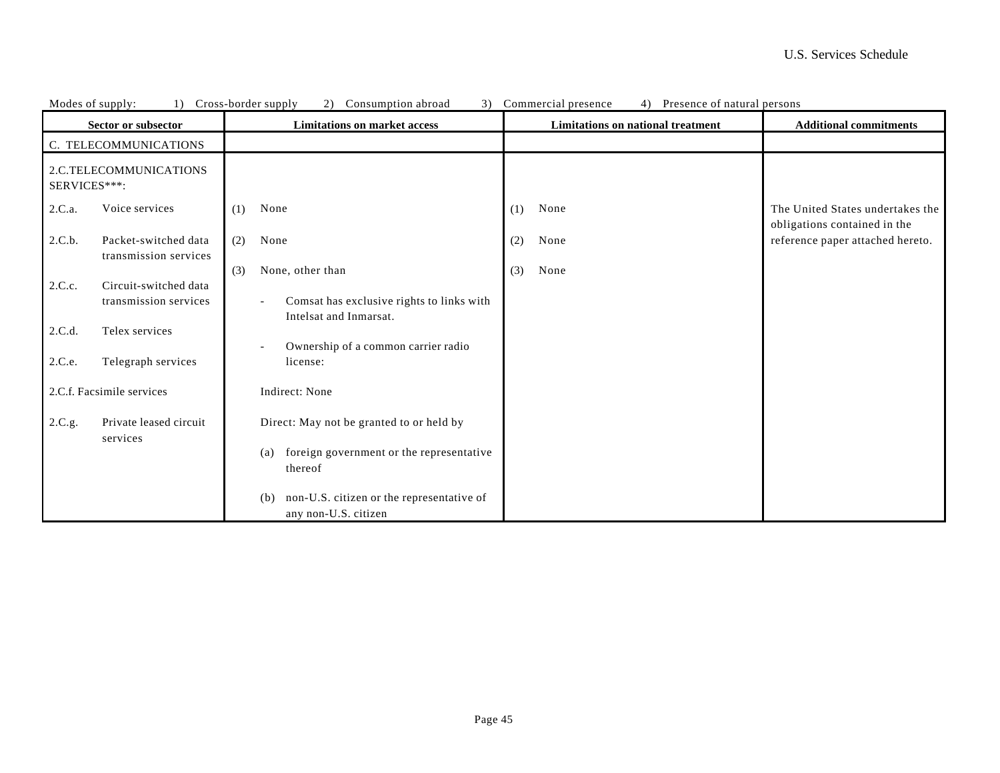|              | Modes of supply:<br>1)                         | Cross-border supply<br>3)<br>(2)<br>Consumption abroad                   |     | Commercial presence<br>Presence of natural persons<br>4) |                                                                  |  |
|--------------|------------------------------------------------|--------------------------------------------------------------------------|-----|----------------------------------------------------------|------------------------------------------------------------------|--|
|              | Sector or subsector                            | <b>Limitations on market access</b>                                      |     | Limitations on national treatment                        | <b>Additional commitments</b>                                    |  |
|              | C. TELECOMMUNICATIONS                          |                                                                          |     |                                                          |                                                                  |  |
| SERVICES***: | 2.C.TELECOMMUNICATIONS                         |                                                                          |     |                                                          |                                                                  |  |
| 2.C.a.       | Voice services                                 | None<br>(1)                                                              | (1) | None                                                     | The United States undertakes the<br>obligations contained in the |  |
| 2.C.b.       | Packet-switched data<br>transmission services  | None<br>(2)                                                              | (2) | None                                                     | reference paper attached hereto.                                 |  |
|              |                                                | None, other than<br>(3)                                                  | (3) | None                                                     |                                                                  |  |
| 2.C.c.       | Circuit-switched data<br>transmission services | Comsat has exclusive rights to links with<br>Intelsat and Inmarsat.      |     |                                                          |                                                                  |  |
| 2.C.d.       | Telex services                                 |                                                                          |     |                                                          |                                                                  |  |
| 2.C.e.       | Telegraph services                             | Ownership of a common carrier radio<br>license:                          |     |                                                          |                                                                  |  |
|              | 2.C.f. Facsimile services                      | Indirect: None                                                           |     |                                                          |                                                                  |  |
| 2.C.g.       | Private leased circuit<br>services             | Direct: May not be granted to or held by                                 |     |                                                          |                                                                  |  |
|              |                                                | foreign government or the representative<br>(a)<br>thereof               |     |                                                          |                                                                  |  |
|              |                                                | non-U.S. citizen or the representative of<br>(b)<br>any non-U.S. citizen |     |                                                          |                                                                  |  |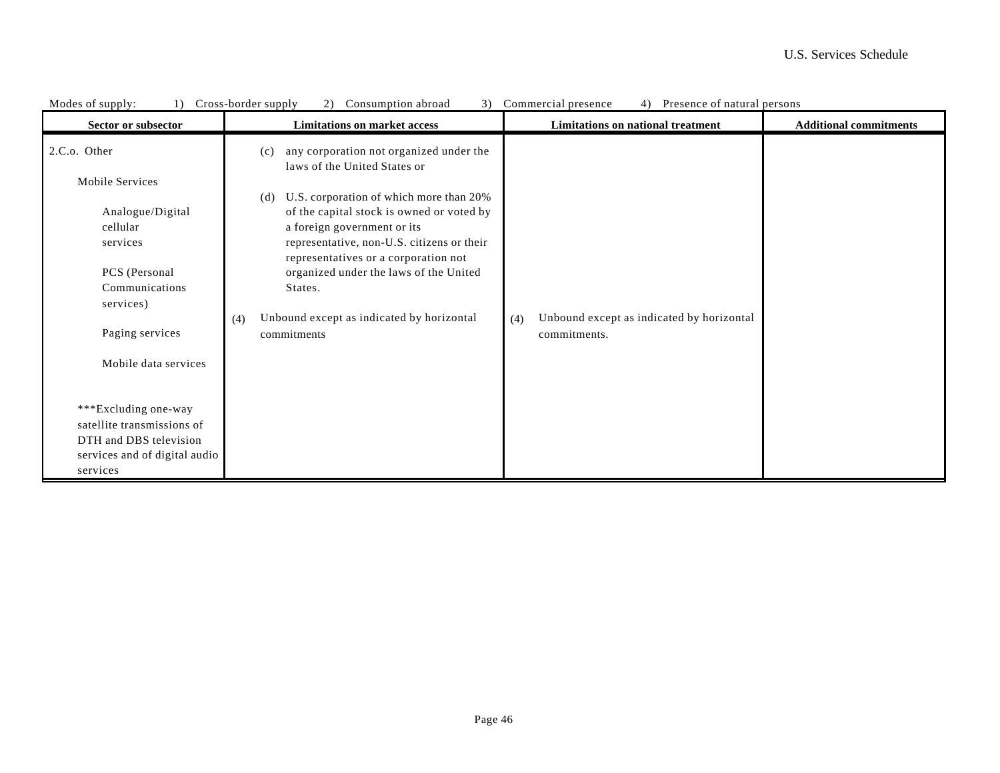| Modes of supply:              | Cross-border supply<br>3)<br>Consumption abroad<br>$\mathbf{2}$                    | Presence of natural persons<br>Commercial presence |                               |
|-------------------------------|------------------------------------------------------------------------------------|----------------------------------------------------|-------------------------------|
| Sector or subsector           | <b>Limitations on market access</b>                                                | Limitations on national treatment                  | <b>Additional commitments</b> |
| 2.C.o. Other                  | any corporation not organized under the<br>(c)<br>laws of the United States or     |                                                    |                               |
| Mobile Services               |                                                                                    |                                                    |                               |
|                               | U.S. corporation of which more than 20%<br>(d)                                     |                                                    |                               |
| Analogue/Digital              | of the capital stock is owned or voted by                                          |                                                    |                               |
| cellular                      | a foreign government or its                                                        |                                                    |                               |
| services                      | representative, non-U.S. citizens or their<br>representatives or a corporation not |                                                    |                               |
| PCS (Personal                 | organized under the laws of the United                                             |                                                    |                               |
| Communications                | States.                                                                            |                                                    |                               |
| services)                     |                                                                                    |                                                    |                               |
|                               | Unbound except as indicated by horizontal<br>(4)                                   | Unbound except as indicated by horizontal<br>(4)   |                               |
| Paging services               | commitments                                                                        | commitments.                                       |                               |
| Mobile data services          |                                                                                    |                                                    |                               |
|                               |                                                                                    |                                                    |                               |
| ***Excluding one-way          |                                                                                    |                                                    |                               |
| satellite transmissions of    |                                                                                    |                                                    |                               |
| DTH and DBS television        |                                                                                    |                                                    |                               |
| services and of digital audio |                                                                                    |                                                    |                               |
| services                      |                                                                                    |                                                    |                               |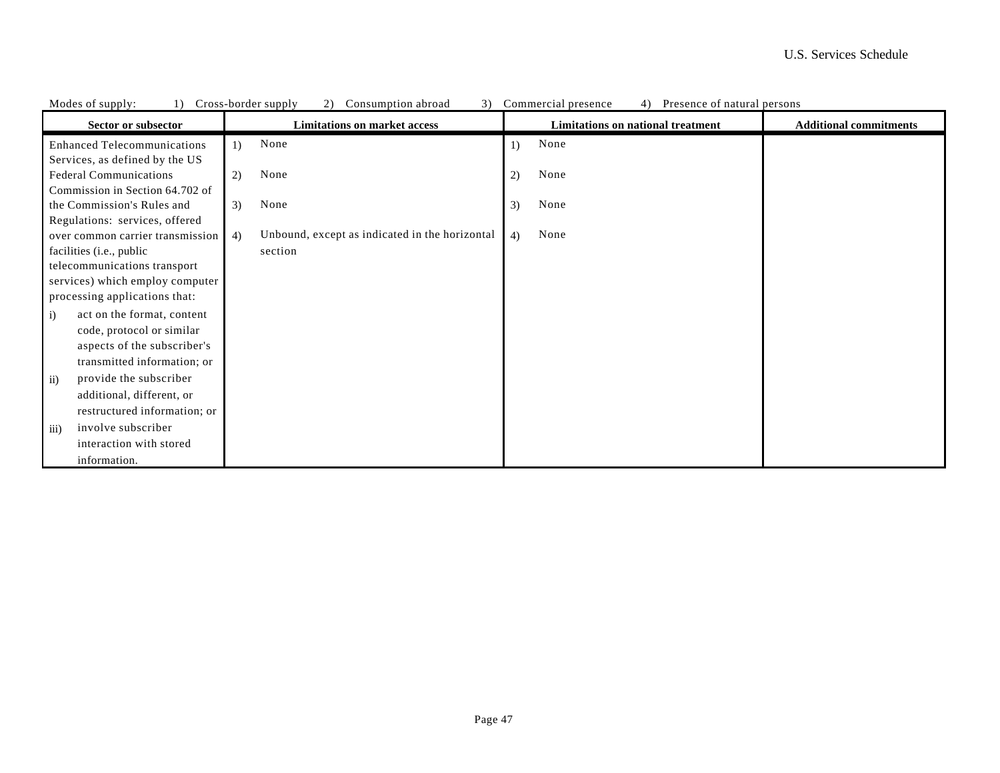| Modes of supply:<br>$\perp$                              | Cross-border supply<br>Consumption abroad<br>3)                 | Commercial presence<br>4)<br>Presence of natural persons |                               |
|----------------------------------------------------------|-----------------------------------------------------------------|----------------------------------------------------------|-------------------------------|
| Sector or subsector                                      | <b>Limitations on market access</b>                             | Limitations on national treatment                        | <b>Additional commitments</b> |
| <b>Enhanced Telecommunications</b>                       | None<br>1)                                                      | None<br>$\left( \frac{1}{2} \right)$                     |                               |
| Services, as defined by the US                           |                                                                 |                                                          |                               |
| <b>Federal Communications</b>                            | None<br>2)                                                      | None<br>2)                                               |                               |
| Commission in Section 64.702 of                          |                                                                 |                                                          |                               |
| the Commission's Rules and                               | None<br>3)                                                      | None<br>3)                                               |                               |
| Regulations: services, offered                           |                                                                 |                                                          |                               |
| over common carrier transmission                         | Unbound, except as indicated in the horizontal<br>4)<br>section | None<br>4)                                               |                               |
| facilities (i.e., public<br>telecommunications transport |                                                                 |                                                          |                               |
| services) which employ computer                          |                                                                 |                                                          |                               |
| processing applications that:                            |                                                                 |                                                          |                               |
| act on the format, content<br>$\ddot{1}$                 |                                                                 |                                                          |                               |
| code, protocol or similar                                |                                                                 |                                                          |                               |
| aspects of the subscriber's                              |                                                                 |                                                          |                               |
| transmitted information; or                              |                                                                 |                                                          |                               |
| provide the subscriber<br>$\rm ii)$                      |                                                                 |                                                          |                               |
| additional, different, or                                |                                                                 |                                                          |                               |
| restructured information; or                             |                                                                 |                                                          |                               |
| involve subscriber<br>$\overline{iii}$                   |                                                                 |                                                          |                               |
| interaction with stored                                  |                                                                 |                                                          |                               |
| information.                                             |                                                                 |                                                          |                               |

Modes of supply: 1) Cross-border supply 2) Consumption abroad 3) Commercial presence 4) Presence of natural persons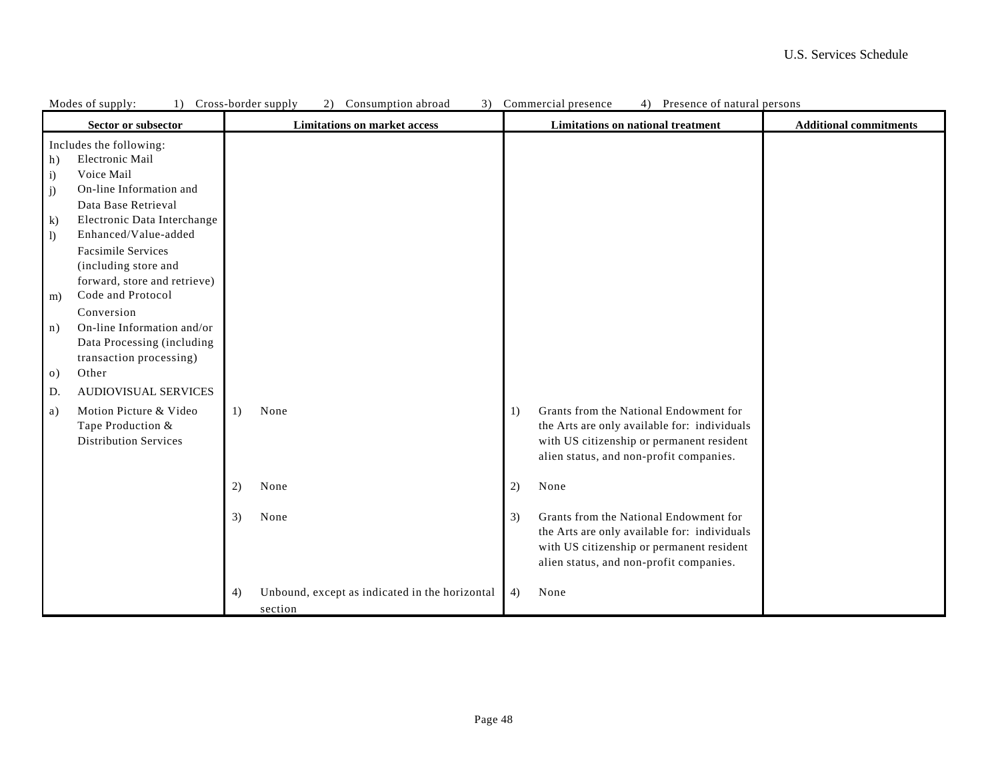|              | Modes of supply:<br>1) Cross-border supply<br>Consumption abroad<br>3) Commercial presence<br>4) Presence of natural persons<br>2) |    |                                                |    |                                              |                               |
|--------------|------------------------------------------------------------------------------------------------------------------------------------|----|------------------------------------------------|----|----------------------------------------------|-------------------------------|
|              | Sector or subsector                                                                                                                |    | <b>Limitations on market access</b>            |    | Limitations on national treatment            | <b>Additional commitments</b> |
| h)           | Includes the following:<br>Electronic Mail                                                                                         |    |                                                |    |                                              |                               |
| $\mathbf{i}$ | Voice Mail                                                                                                                         |    |                                                |    |                                              |                               |
| j)           | On-line Information and                                                                                                            |    |                                                |    |                                              |                               |
|              | Data Base Retrieval                                                                                                                |    |                                                |    |                                              |                               |
| $\bf k$      | Electronic Data Interchange                                                                                                        |    |                                                |    |                                              |                               |
| $\vert$      | Enhanced/Value-added                                                                                                               |    |                                                |    |                                              |                               |
|              | <b>Facsimile Services</b>                                                                                                          |    |                                                |    |                                              |                               |
|              | (including store and                                                                                                               |    |                                                |    |                                              |                               |
|              | forward, store and retrieve)                                                                                                       |    |                                                |    |                                              |                               |
| m)           | Code and Protocol                                                                                                                  |    |                                                |    |                                              |                               |
|              | Conversion                                                                                                                         |    |                                                |    |                                              |                               |
| n)           | On-line Information and/or                                                                                                         |    |                                                |    |                                              |                               |
|              | Data Processing (including                                                                                                         |    |                                                |    |                                              |                               |
|              | transaction processing)                                                                                                            |    |                                                |    |                                              |                               |
| $\circ$ )    | Other                                                                                                                              |    |                                                |    |                                              |                               |
| D.           | <b>AUDIOVISUAL SERVICES</b>                                                                                                        |    |                                                |    |                                              |                               |
| a)           | Motion Picture & Video                                                                                                             | 1) | None                                           | 1) | Grants from the National Endowment for       |                               |
|              | Tape Production &                                                                                                                  |    |                                                |    | the Arts are only available for: individuals |                               |
|              | <b>Distribution Services</b>                                                                                                       |    |                                                |    | with US citizenship or permanent resident    |                               |
|              |                                                                                                                                    |    |                                                |    | alien status, and non-profit companies.      |                               |
|              |                                                                                                                                    |    |                                                |    |                                              |                               |
|              |                                                                                                                                    | 2) | None                                           | 2) | None                                         |                               |
|              |                                                                                                                                    | 3) | None                                           | 3) | Grants from the National Endowment for       |                               |
|              |                                                                                                                                    |    |                                                |    | the Arts are only available for: individuals |                               |
|              |                                                                                                                                    |    |                                                |    | with US citizenship or permanent resident    |                               |
|              |                                                                                                                                    |    |                                                |    | alien status, and non-profit companies.      |                               |
|              |                                                                                                                                    | 4) | Unbound, except as indicated in the horizontal | 4) | None                                         |                               |
|              |                                                                                                                                    |    | section                                        |    |                                              |                               |
|              |                                                                                                                                    |    |                                                |    |                                              |                               |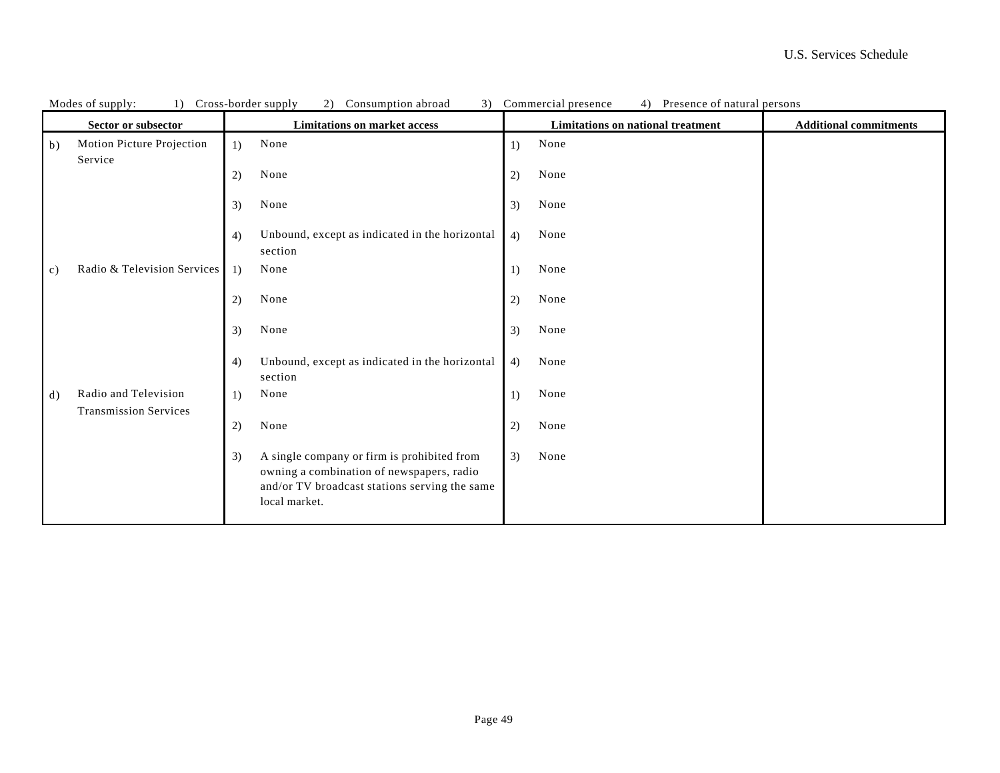| Cross-border supply<br>3)<br>Presence of natural persons<br>Modes of supply:<br>1)<br>2)<br>Consumption abroad<br>Commercial presence<br>4) |                                                      |                                                                                                                                                                  |                                                                    |  |
|---------------------------------------------------------------------------------------------------------------------------------------------|------------------------------------------------------|------------------------------------------------------------------------------------------------------------------------------------------------------------------|--------------------------------------------------------------------|--|
|                                                                                                                                             | Sector or subsector                                  | <b>Limitations on market access</b>                                                                                                                              | Limitations on national treatment<br><b>Additional commitments</b> |  |
| $\vert b \rangle$                                                                                                                           | Motion Picture Projection<br>Service                 | None<br>1)                                                                                                                                                       | None<br>1)                                                         |  |
|                                                                                                                                             |                                                      | None<br>2)                                                                                                                                                       | None<br>2)                                                         |  |
|                                                                                                                                             |                                                      | None<br>3)                                                                                                                                                       | None<br>3)                                                         |  |
|                                                                                                                                             |                                                      | Unbound, except as indicated in the horizontal<br>4)<br>section                                                                                                  | None<br>4)                                                         |  |
| $\mathbf{c}$                                                                                                                                | Radio & Television Services                          | None<br>1)                                                                                                                                                       | None<br>1)                                                         |  |
|                                                                                                                                             |                                                      | None<br>2)                                                                                                                                                       | None<br>2)                                                         |  |
|                                                                                                                                             |                                                      | None<br>3)                                                                                                                                                       | None<br>3)                                                         |  |
|                                                                                                                                             |                                                      | Unbound, except as indicated in the horizontal<br>4)<br>section                                                                                                  | None<br>4)                                                         |  |
| d)                                                                                                                                          | Radio and Television<br><b>Transmission Services</b> | None<br>1)                                                                                                                                                       | None<br>1)                                                         |  |
|                                                                                                                                             |                                                      | 2)<br>None                                                                                                                                                       | None<br>2)                                                         |  |
|                                                                                                                                             |                                                      | A single company or firm is prohibited from<br>3)<br>owning a combination of newspapers, radio<br>and/or TV broadcast stations serving the same<br>local market. | 3)<br>None                                                         |  |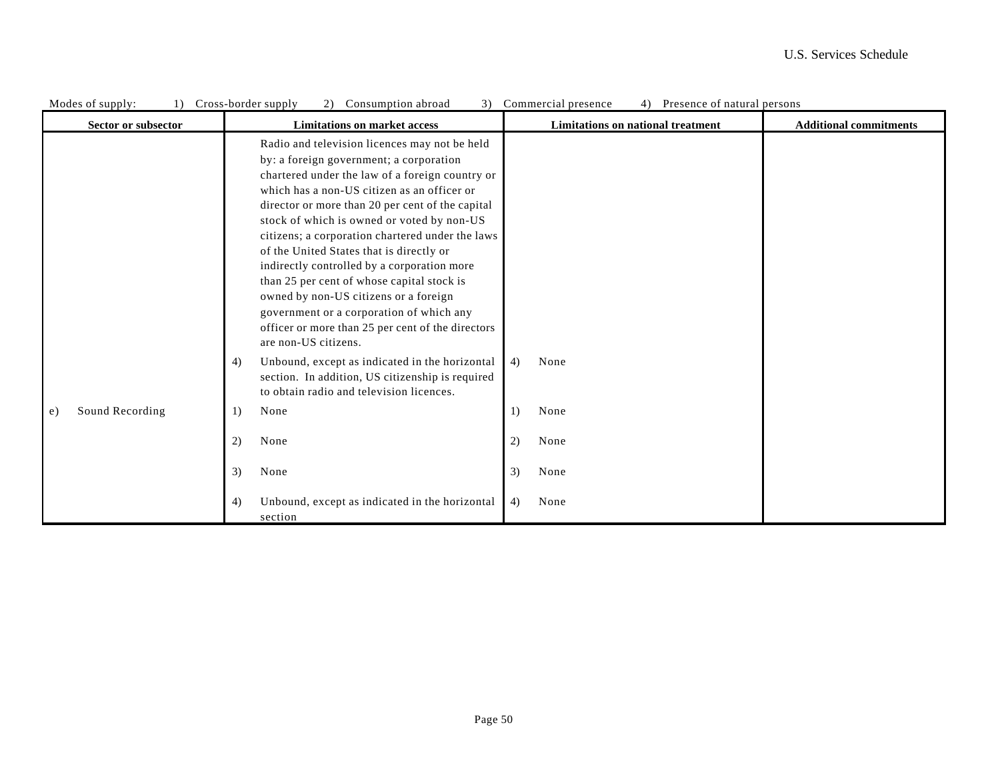| Modes of supply:<br>1) | Cross-border supply<br>3)<br>(2)<br>Consumption abroad                                                                                                                                                                                                                                                                                                                                                                                                                                                                                                                                                                                                      | Commercial presence<br>Presence of natural persons |                               |
|------------------------|-------------------------------------------------------------------------------------------------------------------------------------------------------------------------------------------------------------------------------------------------------------------------------------------------------------------------------------------------------------------------------------------------------------------------------------------------------------------------------------------------------------------------------------------------------------------------------------------------------------------------------------------------------------|----------------------------------------------------|-------------------------------|
| Sector or subsector    | <b>Limitations on market access</b>                                                                                                                                                                                                                                                                                                                                                                                                                                                                                                                                                                                                                         | <b>Limitations on national treatment</b>           | <b>Additional commitments</b> |
|                        | Radio and television licences may not be held<br>by: a foreign government; a corporation<br>chartered under the law of a foreign country or<br>which has a non-US citizen as an officer or<br>director or more than 20 per cent of the capital<br>stock of which is owned or voted by non-US<br>citizens; a corporation chartered under the laws<br>of the United States that is directly or<br>indirectly controlled by a corporation more<br>than 25 per cent of whose capital stock is<br>owned by non-US citizens or a foreign<br>government or a corporation of which any<br>officer or more than 25 per cent of the directors<br>are non-US citizens. |                                                    |                               |
|                        | Unbound, except as indicated in the horizontal<br>4)<br>section. In addition, US citizenship is required<br>to obtain radio and television licences.                                                                                                                                                                                                                                                                                                                                                                                                                                                                                                        | None<br>4)                                         |                               |
| Sound Recording<br>e)  | None<br>1)                                                                                                                                                                                                                                                                                                                                                                                                                                                                                                                                                                                                                                                  | None<br>1)                                         |                               |
|                        | 2)<br>None                                                                                                                                                                                                                                                                                                                                                                                                                                                                                                                                                                                                                                                  | 2)<br>None                                         |                               |
|                        | None<br>3)                                                                                                                                                                                                                                                                                                                                                                                                                                                                                                                                                                                                                                                  | 3)<br>None                                         |                               |
|                        | Unbound, except as indicated in the horizontal<br>4)<br>section                                                                                                                                                                                                                                                                                                                                                                                                                                                                                                                                                                                             | 4)<br>None                                         |                               |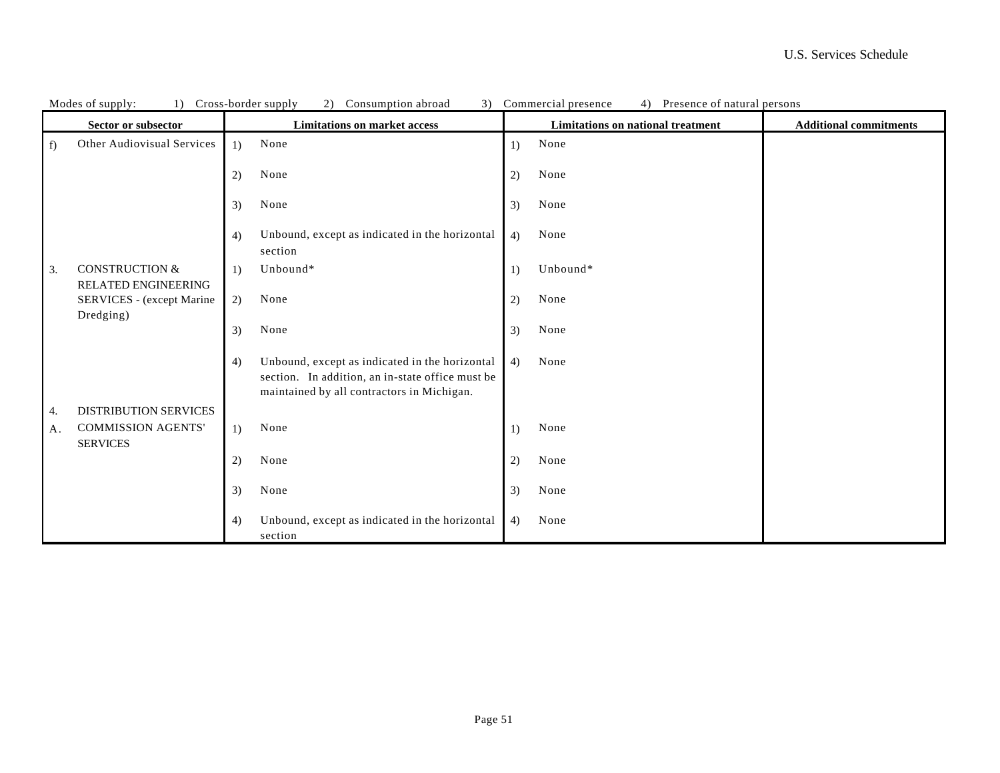|    | 1) Cross-border supply<br>2) Consumption abroad<br>Modes of supply: |    |                                                                                                                                                  |                  | Commercial presence<br>4) Presence of natural persons |                               |
|----|---------------------------------------------------------------------|----|--------------------------------------------------------------------------------------------------------------------------------------------------|------------------|-------------------------------------------------------|-------------------------------|
|    | Sector or subsector                                                 |    | <b>Limitations on market access</b>                                                                                                              |                  | <b>Limitations on national treatment</b>              | <b>Additional commitments</b> |
| f  | Other Audiovisual Services                                          | 1) | None                                                                                                                                             | 1)               | None                                                  |                               |
|    |                                                                     | 2) | None                                                                                                                                             | 2)               | None                                                  |                               |
|    |                                                                     | 3) | None                                                                                                                                             | 3)               | None                                                  |                               |
|    |                                                                     | 4) | Unbound, except as indicated in the horizontal<br>section                                                                                        | 4)               | None                                                  |                               |
| 3. | <b>CONSTRUCTION &amp;</b><br><b>RELATED ENGINEERING</b>             | 1) | Unbound*                                                                                                                                         | 1)               | Unbound*                                              |                               |
|    | SERVICES - (except Marine                                           | 2) | None                                                                                                                                             | 2)               | None                                                  |                               |
|    | Dredging)                                                           | 3) | None                                                                                                                                             | 3)               | None                                                  |                               |
|    |                                                                     | 4) | Unbound, except as indicated in the horizontal<br>section. In addition, an in-state office must be<br>maintained by all contractors in Michigan. | 4)               | None                                                  |                               |
| 4. | <b>DISTRIBUTION SERVICES</b>                                        |    |                                                                                                                                                  |                  |                                                       |                               |
| A. | <b>COMMISSION AGENTS'</b><br><b>SERVICES</b>                        | 1) | None                                                                                                                                             | $\left( \right)$ | None                                                  |                               |
|    |                                                                     | 2) | None                                                                                                                                             | 2)               | None                                                  |                               |
|    |                                                                     | 3) | None                                                                                                                                             | 3)               | None                                                  |                               |
|    |                                                                     | 4) | Unbound, except as indicated in the horizontal<br>section                                                                                        | 4)               | None                                                  |                               |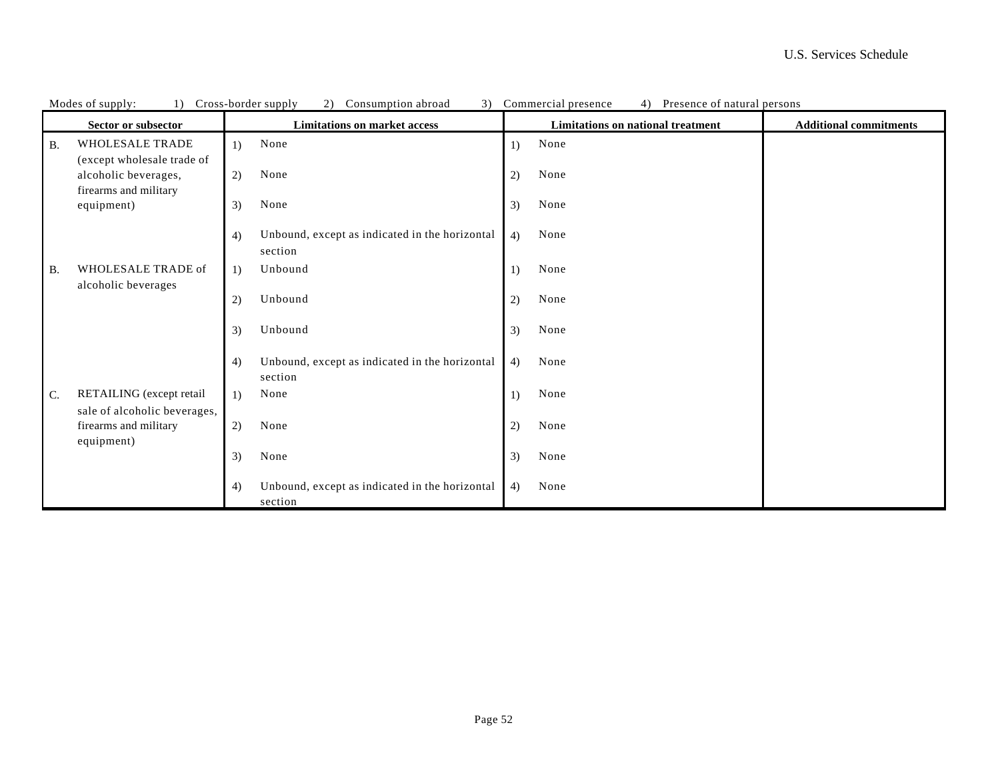| 2)<br>3)<br>Presence of natural persons<br>Modes of supply:<br>1)<br>Cross-border supply<br>Consumption abroad<br>Commercial presence<br>4) |                                                                             |                                                                 |                                                                           |  |  |
|---------------------------------------------------------------------------------------------------------------------------------------------|-----------------------------------------------------------------------------|-----------------------------------------------------------------|---------------------------------------------------------------------------|--|--|
|                                                                                                                                             | Sector or subsector                                                         | <b>Limitations on market access</b>                             | <b>Limitations on national treatment</b><br><b>Additional commitments</b> |  |  |
| <b>B.</b>                                                                                                                                   | WHOLESALE TRADE                                                             | None<br>1)                                                      | None<br>$\overline{1}$                                                    |  |  |
|                                                                                                                                             | (except wholesale trade of<br>alcoholic beverages,<br>firearms and military | 2)<br>None                                                      | None<br>2)                                                                |  |  |
|                                                                                                                                             | equipment)                                                                  | None<br>3)                                                      | None<br>3)                                                                |  |  |
|                                                                                                                                             |                                                                             | Unbound, except as indicated in the horizontal<br>4)<br>section | None<br>4)                                                                |  |  |
| <b>B.</b>                                                                                                                                   | WHOLESALE TRADE of                                                          | Unbound<br>1)                                                   | None<br>$_{1}$                                                            |  |  |
|                                                                                                                                             | alcoholic beverages                                                         | Unbound<br>2)                                                   | None<br>2)                                                                |  |  |
|                                                                                                                                             |                                                                             | Unbound<br>3)                                                   | None<br>3)                                                                |  |  |
|                                                                                                                                             |                                                                             | Unbound, except as indicated in the horizontal<br>4)<br>section | None<br>4)                                                                |  |  |
| C.                                                                                                                                          | RETAILING (except retail                                                    | None<br>1)                                                      | None<br>1)                                                                |  |  |
|                                                                                                                                             | sale of alcoholic beverages,<br>firearms and military<br>equipment)         | 2)<br>None                                                      | None<br>2)                                                                |  |  |
|                                                                                                                                             |                                                                             | 3)<br>None                                                      | 3)<br>None                                                                |  |  |
|                                                                                                                                             |                                                                             | Unbound, except as indicated in the horizontal<br>4)<br>section | None<br>4)                                                                |  |  |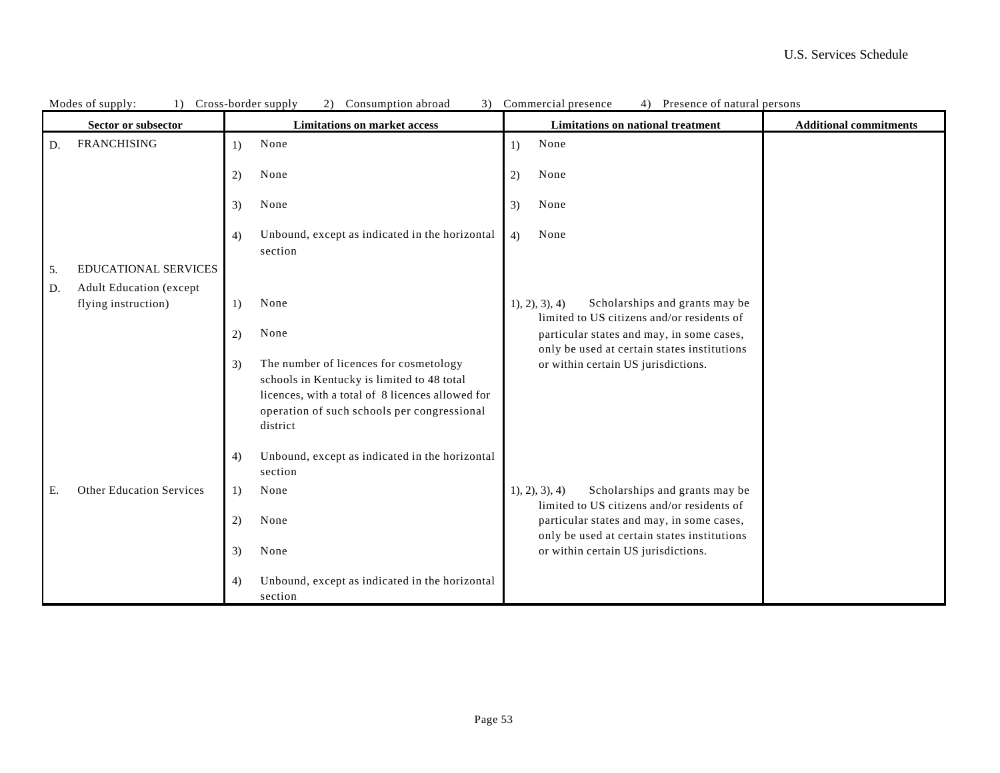|    | Cross-border supply<br>Consumption abroad<br>3) Commercial presence<br>4) Presence of natural persons<br>Modes of supply:<br>2)<br>1) |                                                                                                                                                                                                           |                                                                                            |                               |  |
|----|---------------------------------------------------------------------------------------------------------------------------------------|-----------------------------------------------------------------------------------------------------------------------------------------------------------------------------------------------------------|--------------------------------------------------------------------------------------------|-------------------------------|--|
|    | Sector or subsector                                                                                                                   | <b>Limitations on market access</b>                                                                                                                                                                       | Limitations on national treatment                                                          | <b>Additional commitments</b> |  |
| D. | <b>FRANCHISING</b>                                                                                                                    | None<br>1)                                                                                                                                                                                                | None<br>$\left( \right)$                                                                   |                               |  |
|    |                                                                                                                                       | None<br>2)                                                                                                                                                                                                | None<br>2)                                                                                 |                               |  |
|    |                                                                                                                                       | None<br>3)                                                                                                                                                                                                | None<br>3)                                                                                 |                               |  |
|    |                                                                                                                                       | Unbound, except as indicated in the horizontal<br>4)<br>section                                                                                                                                           | None<br>4)                                                                                 |                               |  |
| 5. | <b>EDUCATIONAL SERVICES</b>                                                                                                           |                                                                                                                                                                                                           |                                                                                            |                               |  |
| D. | <b>Adult Education (except</b>                                                                                                        |                                                                                                                                                                                                           |                                                                                            |                               |  |
|    | flying instruction)                                                                                                                   | None<br>1)                                                                                                                                                                                                | Scholarships and grants may be<br>1, 2, 3, 4<br>limited to US citizens and/or residents of |                               |  |
|    |                                                                                                                                       | None<br>2)                                                                                                                                                                                                | particular states and may, in some cases,<br>only be used at certain states institutions   |                               |  |
|    |                                                                                                                                       | The number of licences for cosmetology<br>3)<br>schools in Kentucky is limited to 48 total<br>licences, with a total of 8 licences allowed for<br>operation of such schools per congressional<br>district | or within certain US jurisdictions.                                                        |                               |  |
|    |                                                                                                                                       | Unbound, except as indicated in the horizontal<br>4)<br>section                                                                                                                                           |                                                                                            |                               |  |
| Ε. | <b>Other Education Services</b>                                                                                                       | None<br>1)                                                                                                                                                                                                | Scholarships and grants may be<br>1, 2, 3, 4<br>limited to US citizens and/or residents of |                               |  |
|    |                                                                                                                                       | 2)<br>None                                                                                                                                                                                                | particular states and may, in some cases,<br>only be used at certain states institutions   |                               |  |
|    |                                                                                                                                       | None<br>3)                                                                                                                                                                                                | or within certain US jurisdictions.                                                        |                               |  |
|    |                                                                                                                                       | Unbound, except as indicated in the horizontal<br>4)                                                                                                                                                      |                                                                                            |                               |  |
|    |                                                                                                                                       | section                                                                                                                                                                                                   |                                                                                            |                               |  |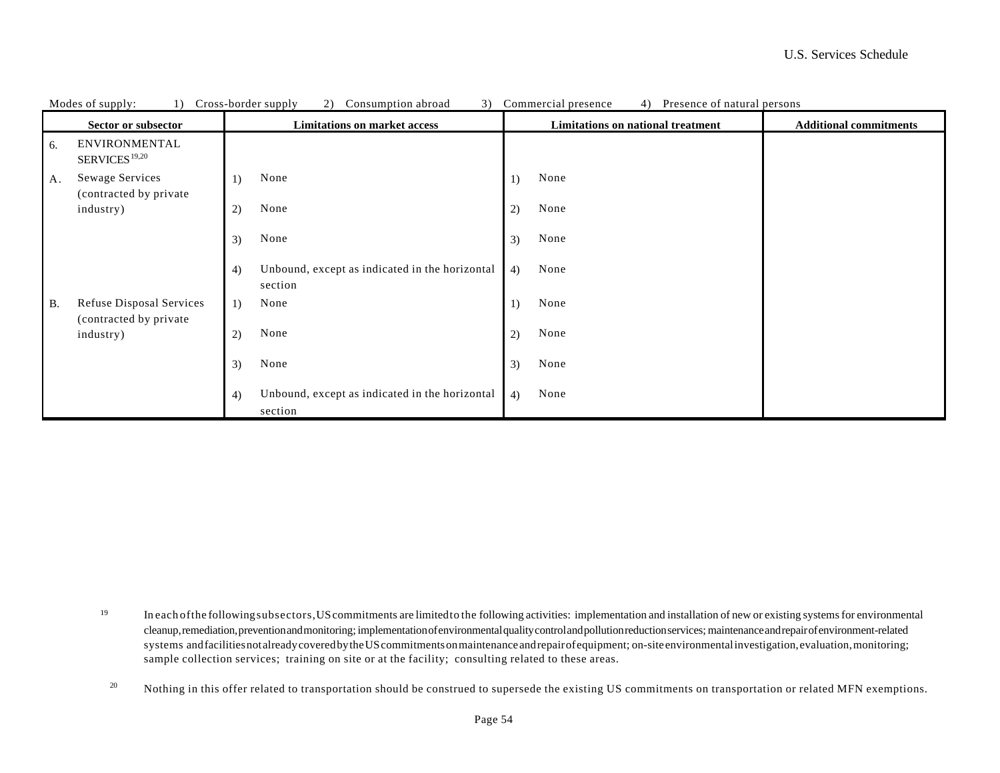|    | Modes of supply:<br>1)                     | 3)<br>Cross-border supply<br>2)<br>Commercial presence<br>Consumption abroad  | 4)<br>Presence of natural persons                                  |
|----|--------------------------------------------|-------------------------------------------------------------------------------|--------------------------------------------------------------------|
|    | Sector or subsector                        | <b>Limitations on market access</b>                                           | Limitations on national treatment<br><b>Additional commitments</b> |
| 6. | ENVIRONMENTAL<br>SERVICES <sup>19,20</sup> |                                                                               |                                                                    |
| A. | Sewage Services<br>(contracted by private  | None<br>None<br>1)                                                            |                                                                    |
|    | industry)                                  | None<br>None<br>2)<br>2)                                                      |                                                                    |
|    |                                            | None<br>None<br>3)<br>3)                                                      |                                                                    |
|    |                                            | Unbound, except as indicated in the horizontal<br>None<br>4)<br>4)<br>section |                                                                    |
| B. | <b>Refuse Disposal Services</b>            | None<br>None<br>1)<br>1)                                                      |                                                                    |
|    | (contracted by private)<br>industry)       | None<br>None<br>2)<br>2)                                                      |                                                                    |
|    |                                            | None<br>None<br>3)<br>3)                                                      |                                                                    |
|    |                                            | Unbound, except as indicated in the horizontal<br>None<br>4)<br>4)            |                                                                    |
|    |                                            | section                                                                       |                                                                    |

19 In each ofthe followingsubsectors,UScommitments are limitedto the following activities: implementation and installation of new or existing systems for environmental cleanup, remediation, prevention and monitoring; implementation of environmental quality control and pollution reduction services; maintenance and repair of environment-related systems and facilities not already covered by the US commitments on maintenance and repair of equipment; on-site environmental investigation, evaluation, monitoring; sample collection services; training on site or at the facility; consulting related to these areas.

20 Nothing in this offer related to transportation should be construed to supersede the existing US commitments on transportation or related MFN exemptions.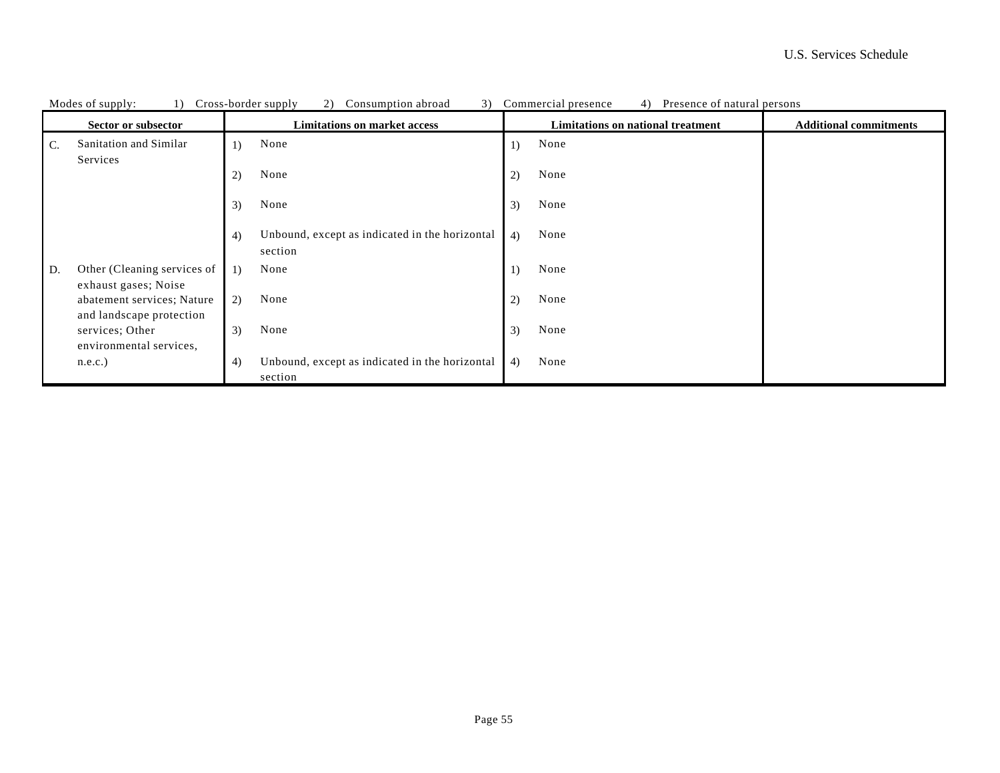|                | Modes of supply:<br>$\pm$                              |                  | Cross-border supply<br>Consumption abroad                 |                                   | 3) Commercial presence<br>4)<br>Presence of natural persons |                               |
|----------------|--------------------------------------------------------|------------------|-----------------------------------------------------------|-----------------------------------|-------------------------------------------------------------|-------------------------------|
|                | Sector or subsector                                    |                  | <b>Limitations on market access</b>                       | Limitations on national treatment |                                                             | <b>Additional commitments</b> |
| $\mathbf{C}$ . | Sanitation and Similar                                 | $\left( \right)$ | None                                                      | 1)                                | None                                                        |                               |
|                | Services                                               |                  |                                                           |                                   |                                                             |                               |
|                |                                                        | 2)               | None                                                      | 2)                                | None                                                        |                               |
|                |                                                        | 3)               | None                                                      | 3)                                | None                                                        |                               |
|                |                                                        | 4)               | Unbound, except as indicated in the horizontal<br>section | 4)                                | None                                                        |                               |
| D.             | Other (Cleaning services of<br>exhaust gases; Noise    | 1)               | None                                                      | 1)                                | None                                                        |                               |
|                | abatement services; Nature<br>and landscape protection | 2)               | None                                                      | 2)                                | None                                                        |                               |
|                | services; Other<br>environmental services,             | 3)               | None                                                      | 3)                                | None                                                        |                               |
|                | n.e.c.                                                 | 4)               | Unbound, except as indicated in the horizontal<br>section | 4)                                | None                                                        |                               |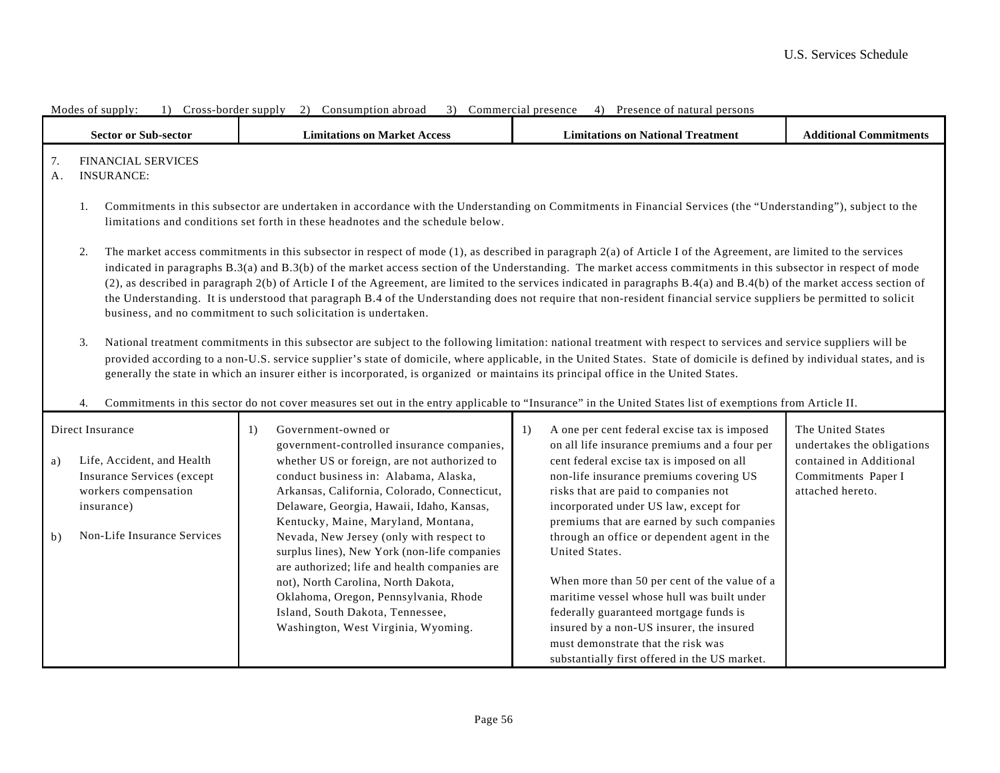|          | <b>Sector or Sub-sector</b>                                                                                                                                                                                                                                                                                                                                                                                                                                                                                                                                                                                                                                     | <b>Limitations on Market Access</b>                                                                                                                                                                                                                                                                                                                                                                                                                                                                                                                                                                                                                                                                                                                            | <b>Limitations on National Treatment</b>                                                                                                                                                                            | <b>Additional Commitments</b>                                      |  |  |
|----------|-----------------------------------------------------------------------------------------------------------------------------------------------------------------------------------------------------------------------------------------------------------------------------------------------------------------------------------------------------------------------------------------------------------------------------------------------------------------------------------------------------------------------------------------------------------------------------------------------------------------------------------------------------------------|----------------------------------------------------------------------------------------------------------------------------------------------------------------------------------------------------------------------------------------------------------------------------------------------------------------------------------------------------------------------------------------------------------------------------------------------------------------------------------------------------------------------------------------------------------------------------------------------------------------------------------------------------------------------------------------------------------------------------------------------------------------|---------------------------------------------------------------------------------------------------------------------------------------------------------------------------------------------------------------------|--------------------------------------------------------------------|--|--|
| 7.<br>A. | <b>FINANCIAL SERVICES</b><br><b>INSURANCE:</b>                                                                                                                                                                                                                                                                                                                                                                                                                                                                                                                                                                                                                  |                                                                                                                                                                                                                                                                                                                                                                                                                                                                                                                                                                                                                                                                                                                                                                |                                                                                                                                                                                                                     |                                                                    |  |  |
|          | 1.                                                                                                                                                                                                                                                                                                                                                                                                                                                                                                                                                                                                                                                              | Commitments in this subsector are undertaken in accordance with the Understanding on Commitments in Financial Services (the "Understanding"), subject to the<br>limitations and conditions set forth in these headnotes and the schedule below.                                                                                                                                                                                                                                                                                                                                                                                                                                                                                                                |                                                                                                                                                                                                                     |                                                                    |  |  |
|          | 2.                                                                                                                                                                                                                                                                                                                                                                                                                                                                                                                                                                                                                                                              | The market access commitments in this subsector in respect of mode $(1)$ , as described in paragraph $2(a)$ of Article I of the Agreement, are limited to the services<br>indicated in paragraphs B.3(a) and B.3(b) of the market access section of the Understanding. The market access commitments in this subsector in respect of mode<br>(2), as described in paragraph 2(b) of Article I of the Agreement, are limited to the services indicated in paragraphs B.4(a) and B.4(b) of the market access section of<br>the Understanding. It is understood that paragraph B.4 of the Understanding does not require that non-resident financial service suppliers be permitted to solicit<br>business, and no commitment to such solicitation is undertaken. |                                                                                                                                                                                                                     |                                                                    |  |  |
|          | National treatment commitments in this subsector are subject to the following limitation: national treatment with respect to services and service suppliers will be<br>3.<br>provided according to a non-U.S. service supplier's state of domicile, where applicable, in the United States. State of domicile is defined by individual states, and is<br>generally the state in which an insurer either is incorporated, is organized or maintains its principal office in the United States.<br>Commitments in this sector do not cover measures set out in the entry applicable to "Insurance" in the United States list of exemptions from Article II.<br>4. |                                                                                                                                                                                                                                                                                                                                                                                                                                                                                                                                                                                                                                                                                                                                                                |                                                                                                                                                                                                                     |                                                                    |  |  |
|          | Direct Insurance<br>Government-owned or<br>1)<br>government-controlled insurance companies,                                                                                                                                                                                                                                                                                                                                                                                                                                                                                                                                                                     |                                                                                                                                                                                                                                                                                                                                                                                                                                                                                                                                                                                                                                                                                                                                                                | A one per cent federal excise tax is imposed<br>1)<br>on all life insurance premiums and a four per                                                                                                                 | The United States<br>undertakes the obligations                    |  |  |
| a)       | Life, Accident, and Health<br>Insurance Services (except<br>workers compensation<br>insurance)                                                                                                                                                                                                                                                                                                                                                                                                                                                                                                                                                                  | whether US or foreign, are not authorized to<br>conduct business in: Alabama, Alaska,<br>Arkansas, California, Colorado, Connecticut,<br>Delaware, Georgia, Hawaii, Idaho, Kansas,<br>Kentucky, Maine, Maryland, Montana,                                                                                                                                                                                                                                                                                                                                                                                                                                                                                                                                      | cent federal excise tax is imposed on all<br>non-life insurance premiums covering US<br>risks that are paid to companies not<br>incorporated under US law, except for<br>premiums that are earned by such companies | contained in Additional<br>Commitments Paper I<br>attached hereto. |  |  |
| b)       | Non-Life Insurance Services                                                                                                                                                                                                                                                                                                                                                                                                                                                                                                                                                                                                                                     | Nevada, New Jersey (only with respect to<br>surplus lines), New York (non-life companies<br>are authorized; life and health companies are<br>not), North Carolina, North Dakota,<br>Oklahoma, Oregon, Pennsylvania, Rhode<br>Island, South Dakota, Tennessee,<br>Washington, West Virginia, Wyoming.                                                                                                                                                                                                                                                                                                                                                                                                                                                           | through an office or dependent agent in the<br>United States.<br>When more than 50 per cent of the value of a<br>maritime vessel whose hull was built under<br>federally guaranteed mortgage funds is               |                                                                    |  |  |
|          |                                                                                                                                                                                                                                                                                                                                                                                                                                                                                                                                                                                                                                                                 |                                                                                                                                                                                                                                                                                                                                                                                                                                                                                                                                                                                                                                                                                                                                                                | insured by a non-US insurer, the insured<br>must demonstrate that the risk was<br>substantially first offered in the US market.                                                                                     |                                                                    |  |  |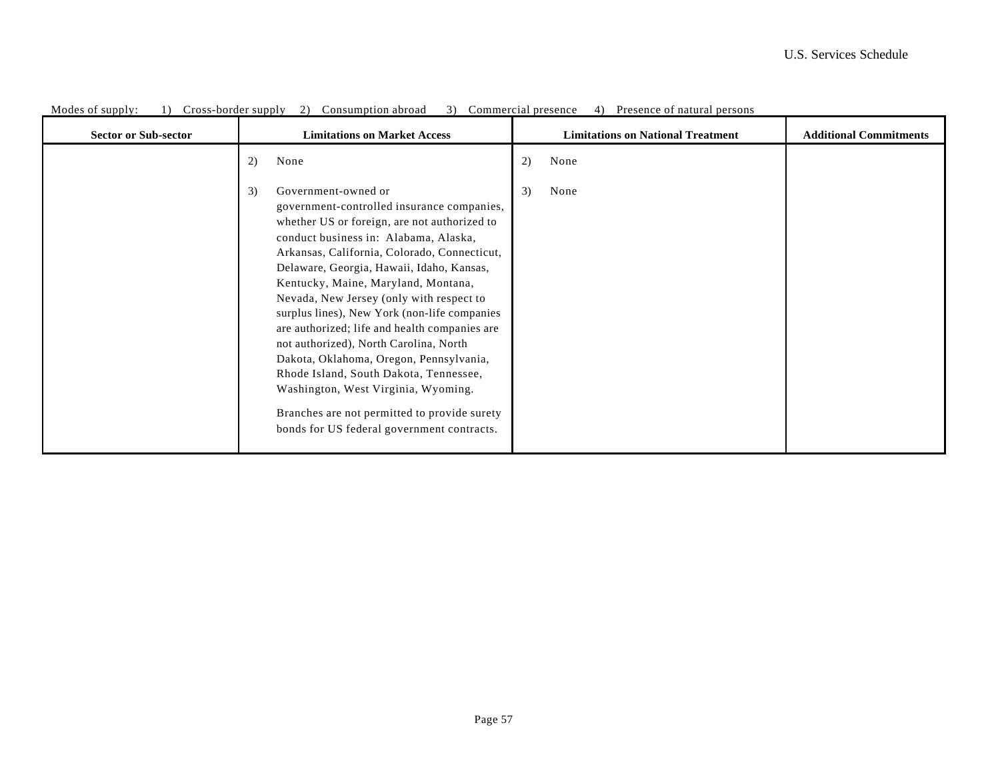| <b>Sector or Sub-sector</b> | <b>Limitations on Market Access</b>                                                                                                                                                                                                                                                                                                                                                                                                                                                                                                                                                                                                                                                                                   | <b>Limitations on National Treatment</b> | <b>Additional Commitments</b> |
|-----------------------------|-----------------------------------------------------------------------------------------------------------------------------------------------------------------------------------------------------------------------------------------------------------------------------------------------------------------------------------------------------------------------------------------------------------------------------------------------------------------------------------------------------------------------------------------------------------------------------------------------------------------------------------------------------------------------------------------------------------------------|------------------------------------------|-------------------------------|
|                             | 2)<br>None                                                                                                                                                                                                                                                                                                                                                                                                                                                                                                                                                                                                                                                                                                            | 2)<br>None                               |                               |
|                             | 3)<br>Government-owned or<br>government-controlled insurance companies,<br>whether US or foreign, are not authorized to<br>conduct business in: Alabama, Alaska,<br>Arkansas, California, Colorado, Connecticut,<br>Delaware, Georgia, Hawaii, Idaho, Kansas,<br>Kentucky, Maine, Maryland, Montana,<br>Nevada, New Jersey (only with respect to<br>surplus lines), New York (non-life companies<br>are authorized; life and health companies are<br>not authorized), North Carolina, North<br>Dakota, Oklahoma, Oregon, Pennsylvania,<br>Rhode Island, South Dakota, Tennessee,<br>Washington, West Virginia, Wyoming.<br>Branches are not permitted to provide surety<br>bonds for US federal government contracts. | 3)<br>None                               |                               |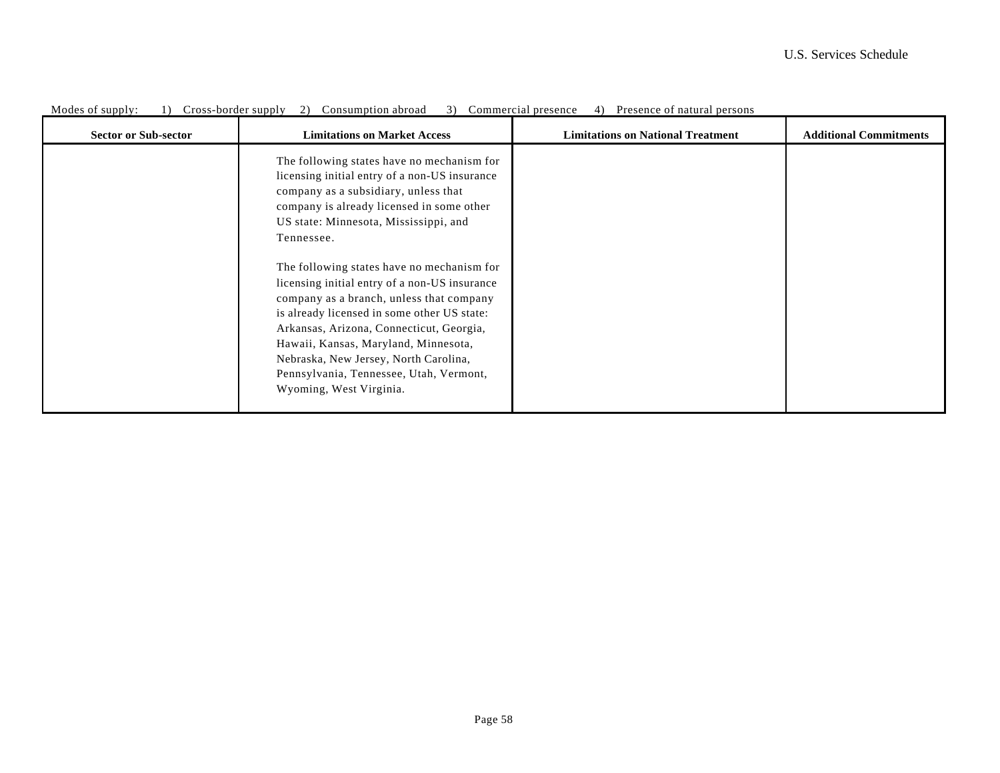| <b>Sector or Sub-sector</b> | <b>Limitations on Market Access</b>                                                                                                                                                                                                                                                                                                                                                       | <b>Limitations on National Treatment</b> | <b>Additional Commitments</b> |
|-----------------------------|-------------------------------------------------------------------------------------------------------------------------------------------------------------------------------------------------------------------------------------------------------------------------------------------------------------------------------------------------------------------------------------------|------------------------------------------|-------------------------------|
|                             | The following states have no mechanism for<br>licensing initial entry of a non-US insurance<br>company as a subsidiary, unless that<br>company is already licensed in some other<br>US state: Minnesota, Mississippi, and<br>Tennessee.                                                                                                                                                   |                                          |                               |
|                             | The following states have no mechanism for<br>licensing initial entry of a non-US insurance<br>company as a branch, unless that company<br>is already licensed in some other US state:<br>Arkansas, Arizona, Connecticut, Georgia,<br>Hawaii, Kansas, Maryland, Minnesota,<br>Nebraska, New Jersey, North Carolina,<br>Pennsylvania, Tennessee, Utah, Vermont,<br>Wyoming, West Virginia. |                                          |                               |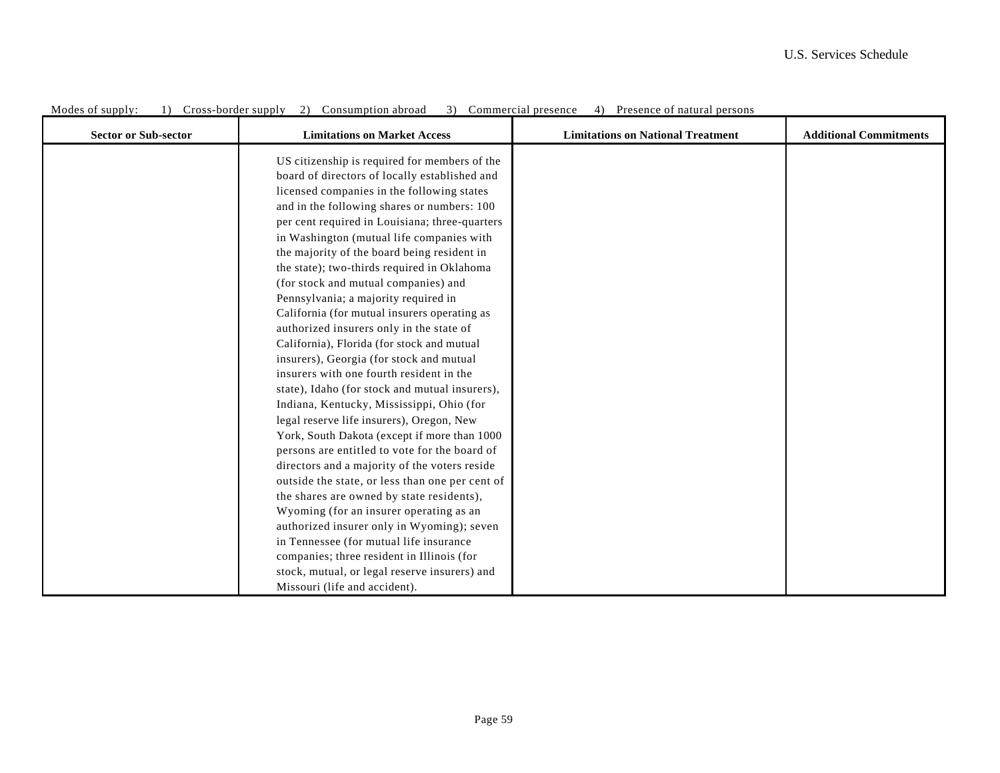| <b>Sector or Sub-sector</b> | <b>Limitations on Market Access</b>             | <b>Limitations on National Treatment</b> | <b>Additional Commitments</b> |
|-----------------------------|-------------------------------------------------|------------------------------------------|-------------------------------|
|                             | US citizenship is required for members of the   |                                          |                               |
|                             | board of directors of locally established and   |                                          |                               |
|                             | licensed companies in the following states      |                                          |                               |
|                             | and in the following shares or numbers: 100     |                                          |                               |
|                             | per cent required in Louisiana; three-quarters  |                                          |                               |
|                             | in Washington (mutual life companies with       |                                          |                               |
|                             | the majority of the board being resident in     |                                          |                               |
|                             | the state); two-thirds required in Oklahoma     |                                          |                               |
|                             | (for stock and mutual companies) and            |                                          |                               |
|                             | Pennsylvania; a majority required in            |                                          |                               |
|                             | California (for mutual insurers operating as    |                                          |                               |
|                             | authorized insurers only in the state of        |                                          |                               |
|                             | California), Florida (for stock and mutual      |                                          |                               |
|                             | insurers), Georgia (for stock and mutual        |                                          |                               |
|                             | insurers with one fourth resident in the        |                                          |                               |
|                             | state), Idaho (for stock and mutual insurers),  |                                          |                               |
|                             | Indiana, Kentucky, Mississippi, Ohio (for       |                                          |                               |
|                             | legal reserve life insurers), Oregon, New       |                                          |                               |
|                             | York, South Dakota (except if more than 1000    |                                          |                               |
|                             | persons are entitled to vote for the board of   |                                          |                               |
|                             | directors and a majority of the voters reside   |                                          |                               |
|                             | outside the state, or less than one per cent of |                                          |                               |
|                             | the shares are owned by state residents),       |                                          |                               |
|                             | Wyoming (for an insurer operating as an         |                                          |                               |
|                             | authorized insurer only in Wyoming); seven      |                                          |                               |
|                             | in Tennessee (for mutual life insurance         |                                          |                               |
|                             | companies; three resident in Illinois (for      |                                          |                               |
|                             | stock, mutual, or legal reserve insurers) and   |                                          |                               |
|                             | Missouri (life and accident).                   |                                          |                               |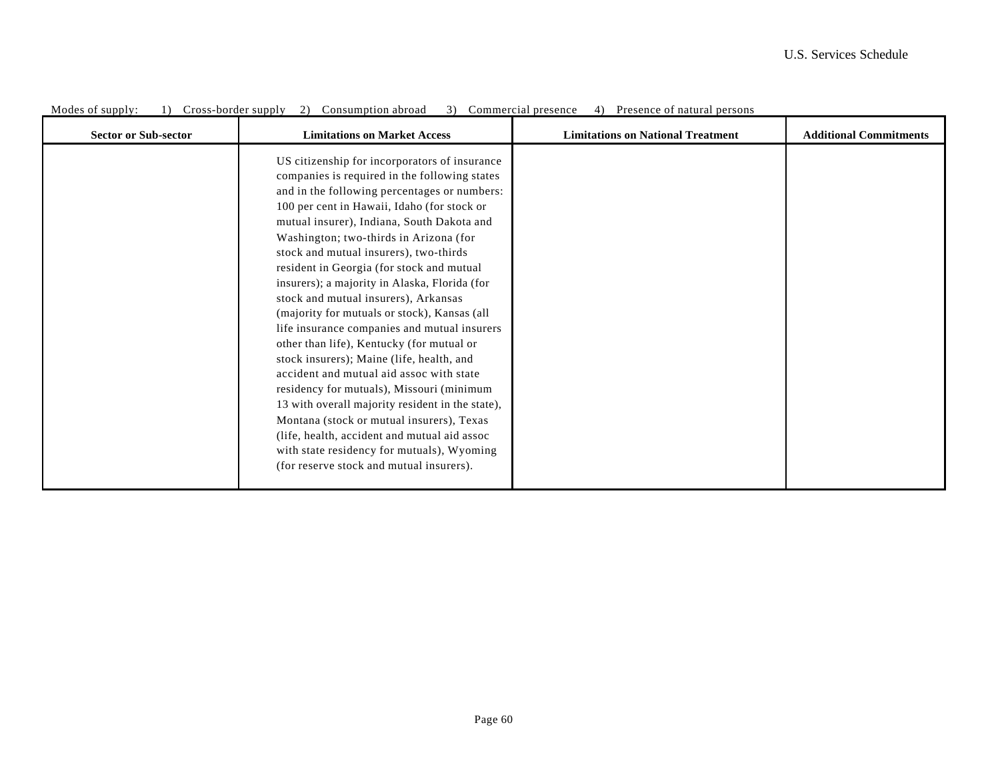| <b>Sector or Sub-sector</b> | <b>Limitations on Market Access</b>                                                                                                                                                                                                                                                                                                                                                                                                                                                                                                                                                                                                                                                                                                                                                                                                                                                                                                                                                                 | <b>Limitations on National Treatment</b> | <b>Additional Commitments</b> |
|-----------------------------|-----------------------------------------------------------------------------------------------------------------------------------------------------------------------------------------------------------------------------------------------------------------------------------------------------------------------------------------------------------------------------------------------------------------------------------------------------------------------------------------------------------------------------------------------------------------------------------------------------------------------------------------------------------------------------------------------------------------------------------------------------------------------------------------------------------------------------------------------------------------------------------------------------------------------------------------------------------------------------------------------------|------------------------------------------|-------------------------------|
|                             | US citizenship for incorporators of insurance<br>companies is required in the following states<br>and in the following percentages or numbers:<br>100 per cent in Hawaii, Idaho (for stock or<br>mutual insurer), Indiana, South Dakota and<br>Washington; two-thirds in Arizona (for<br>stock and mutual insurers), two-thirds<br>resident in Georgia (for stock and mutual<br>insurers); a majority in Alaska, Florida (for<br>stock and mutual insurers), Arkansas<br>(majority for mutuals or stock), Kansas (all<br>life insurance companies and mutual insurers<br>other than life), Kentucky (for mutual or<br>stock insurers); Maine (life, health, and<br>accident and mutual aid assoc with state<br>residency for mutuals), Missouri (minimum<br>13 with overall majority resident in the state),<br>Montana (stock or mutual insurers), Texas<br>(life, health, accident and mutual aid assoc<br>with state residency for mutuals), Wyoming<br>(for reserve stock and mutual insurers). |                                          |                               |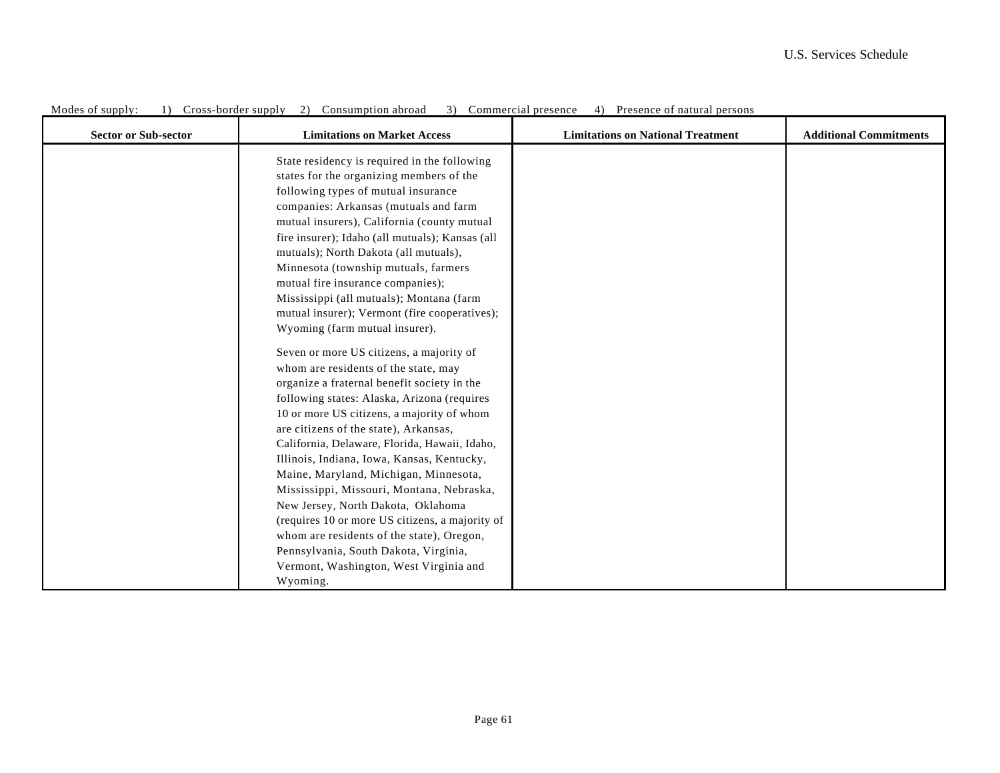| <b>Sector or Sub-sector</b> | <b>Limitations on Market Access</b>                                                                                                                                                                                                                                                                                                                                                                                                                                                                                                                                                                                                                                                             | <b>Limitations on National Treatment</b> | <b>Additional Commitments</b> |
|-----------------------------|-------------------------------------------------------------------------------------------------------------------------------------------------------------------------------------------------------------------------------------------------------------------------------------------------------------------------------------------------------------------------------------------------------------------------------------------------------------------------------------------------------------------------------------------------------------------------------------------------------------------------------------------------------------------------------------------------|------------------------------------------|-------------------------------|
|                             | State residency is required in the following<br>states for the organizing members of the<br>following types of mutual insurance<br>companies: Arkansas (mutuals and farm<br>mutual insurers), California (county mutual<br>fire insurer); Idaho (all mutuals); Kansas (all<br>mutuals); North Dakota (all mutuals),<br>Minnesota (township mutuals, farmers<br>mutual fire insurance companies);<br>Mississippi (all mutuals); Montana (farm<br>mutual insurer); Vermont (fire cooperatives);<br>Wyoming (farm mutual insurer).                                                                                                                                                                 |                                          |                               |
|                             | Seven or more US citizens, a majority of<br>whom are residents of the state, may<br>organize a fraternal benefit society in the<br>following states: Alaska, Arizona (requires<br>10 or more US citizens, a majority of whom<br>are citizens of the state), Arkansas,<br>California, Delaware, Florida, Hawaii, Idaho,<br>Illinois, Indiana, Iowa, Kansas, Kentucky,<br>Maine, Maryland, Michigan, Minnesota,<br>Mississippi, Missouri, Montana, Nebraska,<br>New Jersey, North Dakota, Oklahoma<br>(requires 10 or more US citizens, a majority of<br>whom are residents of the state), Oregon,<br>Pennsylvania, South Dakota, Virginia,<br>Vermont, Washington, West Virginia and<br>Wyoming. |                                          |                               |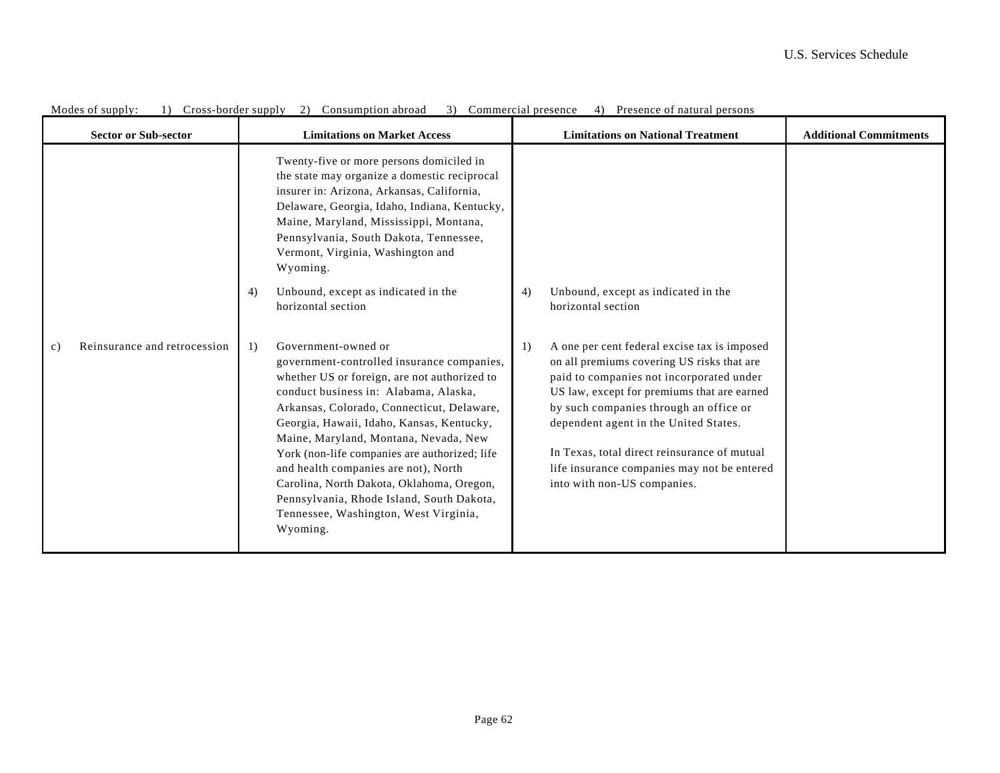| <b>Sector or Sub-sector</b>                     | <b>Limitations on Market Access</b>                                                                                                                                                                                                                                                                                                                                                                                                                                                                                                          | <b>Limitations on National Treatment</b>                                                                                                                                                                                                                                                                                                                                                                     | <b>Additional Commitments</b> |
|-------------------------------------------------|----------------------------------------------------------------------------------------------------------------------------------------------------------------------------------------------------------------------------------------------------------------------------------------------------------------------------------------------------------------------------------------------------------------------------------------------------------------------------------------------------------------------------------------------|--------------------------------------------------------------------------------------------------------------------------------------------------------------------------------------------------------------------------------------------------------------------------------------------------------------------------------------------------------------------------------------------------------------|-------------------------------|
|                                                 | Twenty-five or more persons domiciled in<br>the state may organize a domestic reciprocal<br>insurer in: Arizona, Arkansas, California,<br>Delaware, Georgia, Idaho, Indiana, Kentucky,<br>Maine, Maryland, Mississippi, Montana,<br>Pennsylvania, South Dakota, Tennessee,<br>Vermont, Virginia, Washington and<br>Wyoming.<br>Unbound, except as indicated in the<br>4)<br>horizontal section                                                                                                                                               | Unbound, except as indicated in the<br>4)<br>horizontal section                                                                                                                                                                                                                                                                                                                                              |                               |
| Reinsurance and retrocession<br>$\mathcal{C}$ ) | Government-owned or<br>1)<br>government-controlled insurance companies,<br>whether US or foreign, are not authorized to<br>conduct business in: Alabama, Alaska,<br>Arkansas, Colorado, Connecticut, Delaware,<br>Georgia, Hawaii, Idaho, Kansas, Kentucky,<br>Maine, Maryland, Montana, Nevada, New<br>York (non-life companies are authorized; life<br>and health companies are not), North<br>Carolina, North Dakota, Oklahoma, Oregon,<br>Pennsylvania, Rhode Island, South Dakota,<br>Tennessee, Washington, West Virginia,<br>Wyoming. | A one per cent federal excise tax is imposed<br>1)<br>on all premiums covering US risks that are<br>paid to companies not incorporated under<br>US law, except for premiums that are earned<br>by such companies through an office or<br>dependent agent in the United States.<br>In Texas, total direct reinsurance of mutual<br>life insurance companies may not be entered<br>into with non-US companies. |                               |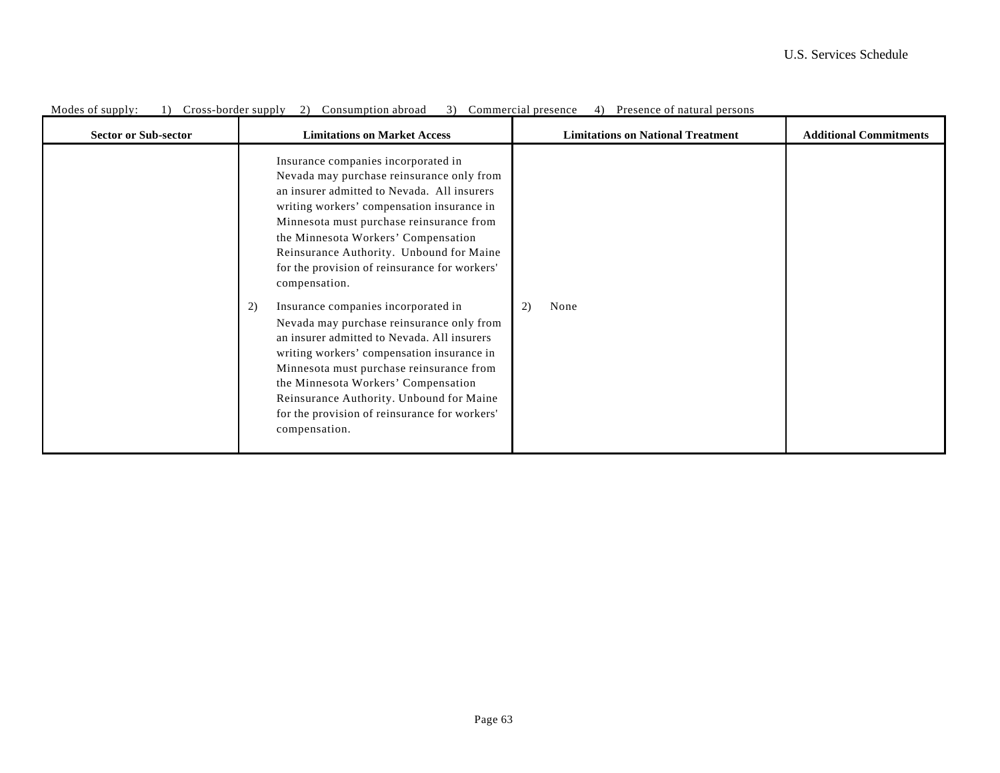| <b>Sector or Sub-sector</b> | <b>Limitations on Market Access</b>                                                                                                                                                                                                                                                                                                                                                                                                                                                                                                                                                                                                                                                                                                                                    | <b>Limitations on National Treatment</b> | <b>Additional Commitments</b> |
|-----------------------------|------------------------------------------------------------------------------------------------------------------------------------------------------------------------------------------------------------------------------------------------------------------------------------------------------------------------------------------------------------------------------------------------------------------------------------------------------------------------------------------------------------------------------------------------------------------------------------------------------------------------------------------------------------------------------------------------------------------------------------------------------------------------|------------------------------------------|-------------------------------|
|                             | Insurance companies incorporated in<br>Nevada may purchase reinsurance only from<br>an insurer admitted to Nevada. All insurers<br>writing workers' compensation insurance in<br>Minnesota must purchase reinsurance from<br>the Minnesota Workers' Compensation<br>Reinsurance Authority. Unbound for Maine<br>for the provision of reinsurance for workers'<br>compensation.<br>Insurance companies incorporated in<br>2)<br>Nevada may purchase reinsurance only from<br>an insurer admitted to Nevada. All insurers<br>writing workers' compensation insurance in<br>Minnesota must purchase reinsurance from<br>the Minnesota Workers' Compensation<br>Reinsurance Authority. Unbound for Maine<br>for the provision of reinsurance for workers'<br>compensation. | 2)<br>None                               |                               |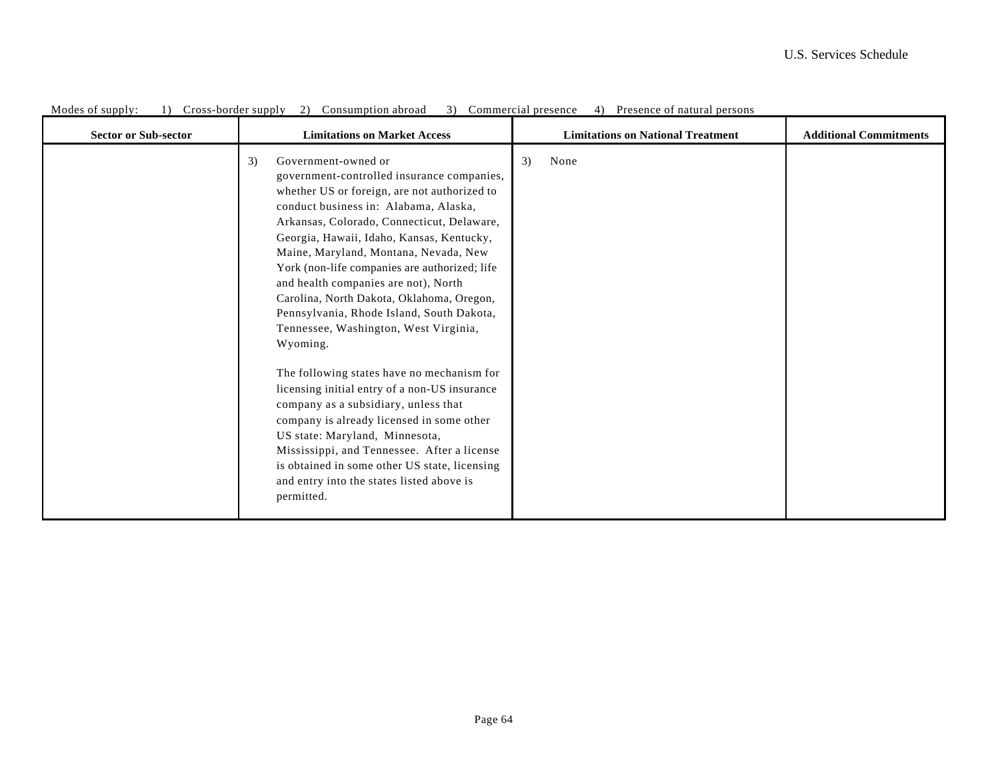| <b>Sector or Sub-sector</b> | <b>Limitations on Market Access</b>                                                                                                                                                                                                                                                                                                                                                                                                                                                                                                                                                                                                                                                                                                                                                                                                                                                                                           | <b>Limitations on National Treatment</b> | <b>Additional Commitments</b> |
|-----------------------------|-------------------------------------------------------------------------------------------------------------------------------------------------------------------------------------------------------------------------------------------------------------------------------------------------------------------------------------------------------------------------------------------------------------------------------------------------------------------------------------------------------------------------------------------------------------------------------------------------------------------------------------------------------------------------------------------------------------------------------------------------------------------------------------------------------------------------------------------------------------------------------------------------------------------------------|------------------------------------------|-------------------------------|
|                             | Government-owned or<br>3)<br>government-controlled insurance companies,<br>whether US or foreign, are not authorized to<br>conduct business in: Alabama, Alaska,<br>Arkansas, Colorado, Connecticut, Delaware,<br>Georgia, Hawaii, Idaho, Kansas, Kentucky,<br>Maine, Maryland, Montana, Nevada, New<br>York (non-life companies are authorized; life<br>and health companies are not), North<br>Carolina, North Dakota, Oklahoma, Oregon,<br>Pennsylvania, Rhode Island, South Dakota,<br>Tennessee, Washington, West Virginia,<br>Wyoming.<br>The following states have no mechanism for<br>licensing initial entry of a non-US insurance<br>company as a subsidiary, unless that<br>company is already licensed in some other<br>US state: Maryland, Minnesota,<br>Mississippi, and Tennessee. After a license<br>is obtained in some other US state, licensing<br>and entry into the states listed above is<br>permitted. | 3)<br>None                               |                               |
|                             |                                                                                                                                                                                                                                                                                                                                                                                                                                                                                                                                                                                                                                                                                                                                                                                                                                                                                                                               |                                          |                               |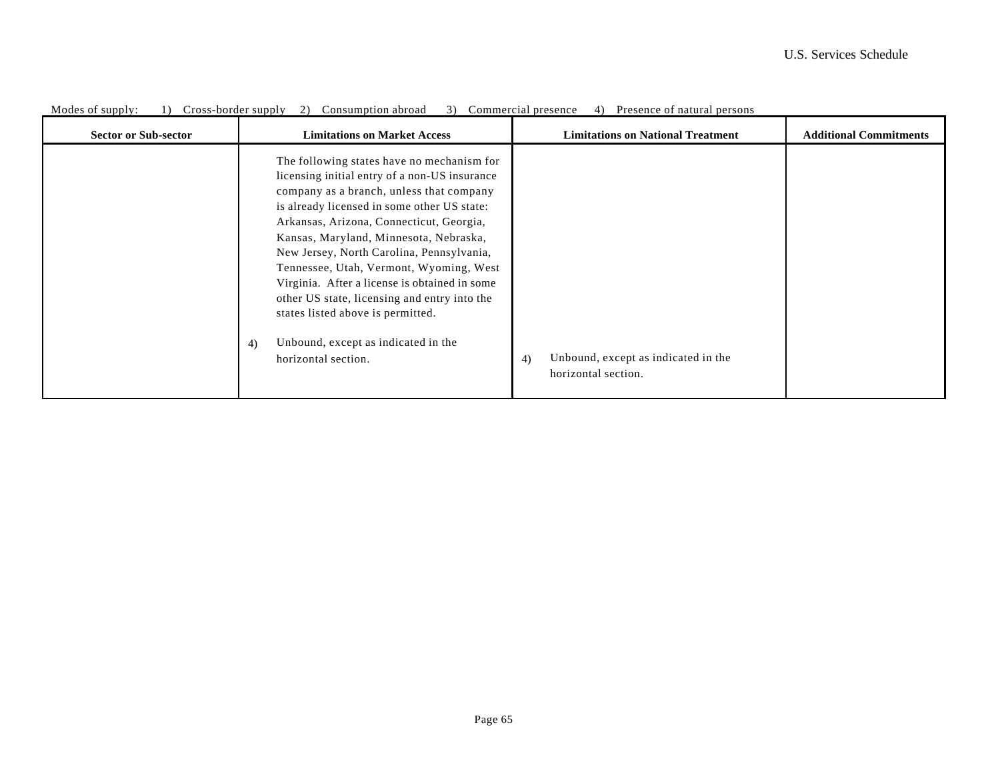| <b>Sector or Sub-sector</b> | <b>Limitations on Market Access</b>                                                                                                                                                                                                                                                                                                                                                                                                                                                                                                                                            | <b>Limitations on National Treatment</b>                         | <b>Additional Commitments</b> |
|-----------------------------|--------------------------------------------------------------------------------------------------------------------------------------------------------------------------------------------------------------------------------------------------------------------------------------------------------------------------------------------------------------------------------------------------------------------------------------------------------------------------------------------------------------------------------------------------------------------------------|------------------------------------------------------------------|-------------------------------|
|                             | The following states have no mechanism for<br>licensing initial entry of a non-US insurance<br>company as a branch, unless that company<br>is already licensed in some other US state:<br>Arkansas, Arizona, Connecticut, Georgia,<br>Kansas, Maryland, Minnesota, Nebraska,<br>New Jersey, North Carolina, Pennsylvania,<br>Tennessee, Utah, Vermont, Wyoming, West<br>Virginia. After a license is obtained in some<br>other US state, licensing and entry into the<br>states listed above is permitted.<br>Unbound, except as indicated in the<br>4)<br>horizontal section. | Unbound, except as indicated in the<br>4)<br>horizontal section. |                               |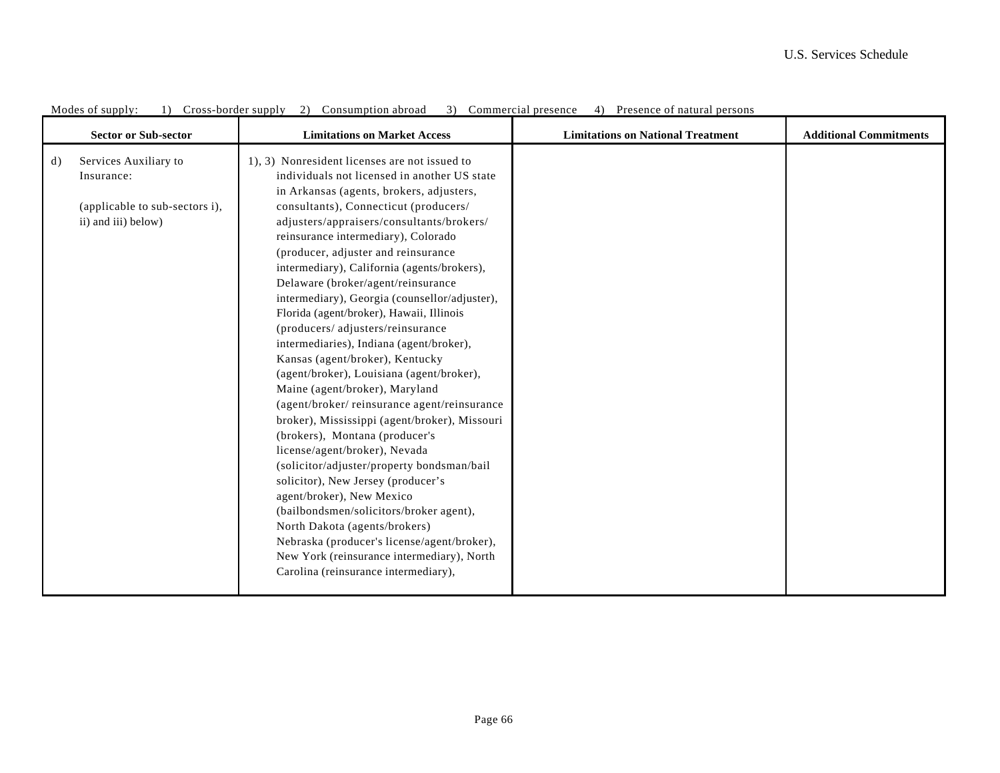|    | <b>Sector or Sub-sector</b>                                                                  | <b>Limitations on Market Access</b>                                                                                                                                                                                                                                                                                                                                                                                                                                                                                                                                                                                                                                                                                                                                                                                                                                                                                                                                                                                                                                                                                                                            | <b>Limitations on National Treatment</b> | <b>Additional Commitments</b> |
|----|----------------------------------------------------------------------------------------------|----------------------------------------------------------------------------------------------------------------------------------------------------------------------------------------------------------------------------------------------------------------------------------------------------------------------------------------------------------------------------------------------------------------------------------------------------------------------------------------------------------------------------------------------------------------------------------------------------------------------------------------------------------------------------------------------------------------------------------------------------------------------------------------------------------------------------------------------------------------------------------------------------------------------------------------------------------------------------------------------------------------------------------------------------------------------------------------------------------------------------------------------------------------|------------------------------------------|-------------------------------|
| d) | Services Auxiliary to<br>Insurance:<br>(applicable to sub-sectors i),<br>ii) and iii) below) | 1), 3) Nonresident licenses are not issued to<br>individuals not licensed in another US state<br>in Arkansas (agents, brokers, adjusters,<br>consultants), Connecticut (producers/<br>adjusters/appraisers/consultants/brokers/<br>reinsurance intermediary), Colorado<br>(producer, adjuster and reinsurance<br>intermediary), California (agents/brokers),<br>Delaware (broker/agent/reinsurance<br>intermediary), Georgia (counsellor/adjuster),<br>Florida (agent/broker), Hawaii, Illinois<br>(producers/adjusters/reinsurance<br>intermediaries), Indiana (agent/broker),<br>Kansas (agent/broker), Kentucky<br>(agent/broker), Louisiana (agent/broker),<br>Maine (agent/broker), Maryland<br>(agent/broker/reinsurance agent/reinsurance<br>broker), Mississippi (agent/broker), Missouri<br>(brokers), Montana (producer's<br>license/agent/broker), Nevada<br>(solicitor/adjuster/property bondsman/bail<br>solicitor), New Jersey (producer's<br>agent/broker), New Mexico<br>(bailbondsmen/solicitors/broker agent),<br>North Dakota (agents/brokers)<br>Nebraska (producer's license/agent/broker),<br>New York (reinsurance intermediary), North |                                          |                               |
|    |                                                                                              | Carolina (reinsurance intermediary),                                                                                                                                                                                                                                                                                                                                                                                                                                                                                                                                                                                                                                                                                                                                                                                                                                                                                                                                                                                                                                                                                                                           |                                          |                               |

Modes of supply: 1) Cross-border supply 2) Consumption abroad 3) Commercial presence 4) Presence of natural persons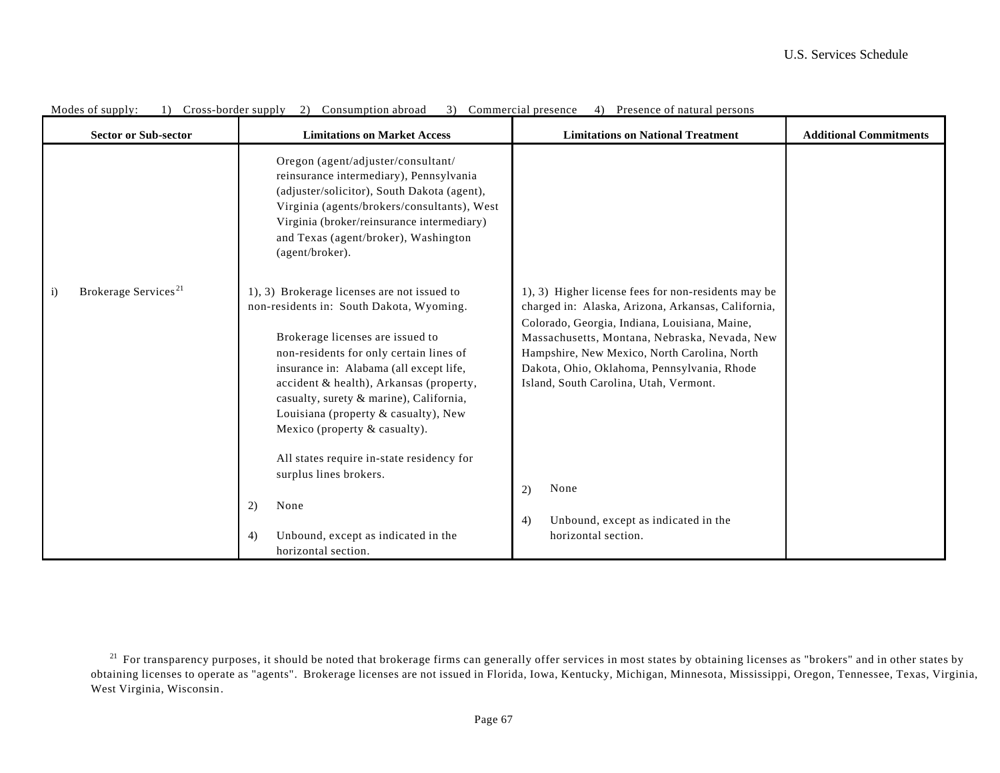| <b>Sector or Sub-sector</b>                      | <b>Limitations on Market Access</b>                                                                                                                                                                                                                                                                                                                                                                                           | <b>Limitations on National Treatment</b>                                                                                                                                                                                                                                                                                                             | <b>Additional Commitments</b> |
|--------------------------------------------------|-------------------------------------------------------------------------------------------------------------------------------------------------------------------------------------------------------------------------------------------------------------------------------------------------------------------------------------------------------------------------------------------------------------------------------|------------------------------------------------------------------------------------------------------------------------------------------------------------------------------------------------------------------------------------------------------------------------------------------------------------------------------------------------------|-------------------------------|
|                                                  | Oregon (agent/adjuster/consultant/<br>reinsurance intermediary), Pennsylvania<br>(adjuster/solicitor), South Dakota (agent),<br>Virginia (agents/brokers/consultants), West<br>Virginia (broker/reinsurance intermediary)<br>and Texas (agent/broker), Washington<br>(agent/broker).                                                                                                                                          |                                                                                                                                                                                                                                                                                                                                                      |                               |
| Brokerage Services <sup>21</sup><br>$\mathbf{i}$ | 1), 3) Brokerage licenses are not issued to<br>non-residents in: South Dakota, Wyoming.<br>Brokerage licenses are issued to<br>non-residents for only certain lines of<br>insurance in: Alabama (all except life,<br>accident & health), Arkansas (property,<br>casualty, surety & marine), California,<br>Louisiana (property & casualty), New<br>Mexico (property & casualty).<br>All states require in-state residency for | 1), 3) Higher license fees for non-residents may be<br>charged in: Alaska, Arizona, Arkansas, California,<br>Colorado, Georgia, Indiana, Louisiana, Maine,<br>Massachusetts, Montana, Nebraska, Nevada, New<br>Hampshire, New Mexico, North Carolina, North<br>Dakota, Ohio, Oklahoma, Pennsylvania, Rhode<br>Island, South Carolina, Utah, Vermont. |                               |
|                                                  | surplus lines brokers.                                                                                                                                                                                                                                                                                                                                                                                                        | None<br>(2)                                                                                                                                                                                                                                                                                                                                          |                               |
|                                                  | None<br>2)                                                                                                                                                                                                                                                                                                                                                                                                                    | Unbound, except as indicated in the<br>4)                                                                                                                                                                                                                                                                                                            |                               |
|                                                  | Unbound, except as indicated in the<br>4)<br>horizontal section.                                                                                                                                                                                                                                                                                                                                                              | horizontal section.                                                                                                                                                                                                                                                                                                                                  |                               |

Modes of supply: 1) Cross-border supply 2) Consumption abroad 3) Commercial presence 4) Presence of natural persons

<sup>&</sup>lt;sup>21</sup> For transparency purposes, it should be noted that brokerage firms can generally offer services in most states by obtaining licenses as "brokers" and in other states by obtaining licenses to operate as "agents". Brokerage licenses are not issued in Florida, Iowa, Kentucky, Michigan, Minnesota, Mississippi, Oregon, Tennessee, Texas, Virginia, West Virginia, Wisconsin .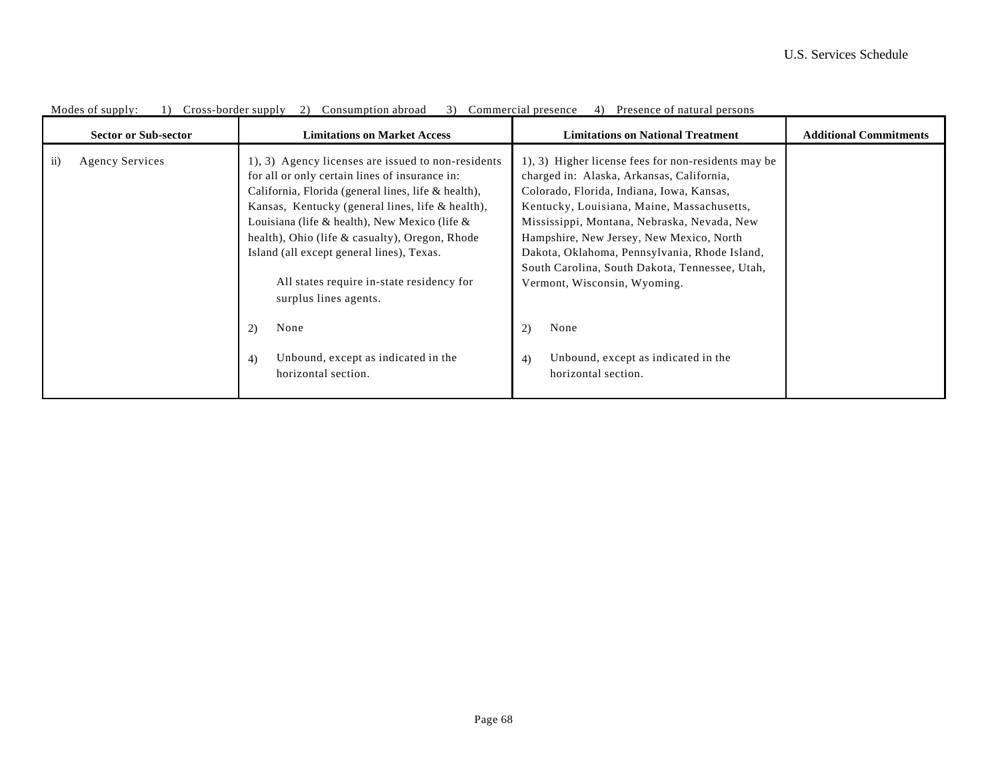| <b>Sector or Sub-sector</b>  | <b>Limitations on Market Access</b>                                                                                                                                                                                                                                                                                                                                                                                                     | <b>Limitations on National Treatment</b>                                                                                                                                                                                                                                                                                                                                                                                 | <b>Additional Commitments</b> |
|------------------------------|-----------------------------------------------------------------------------------------------------------------------------------------------------------------------------------------------------------------------------------------------------------------------------------------------------------------------------------------------------------------------------------------------------------------------------------------|--------------------------------------------------------------------------------------------------------------------------------------------------------------------------------------------------------------------------------------------------------------------------------------------------------------------------------------------------------------------------------------------------------------------------|-------------------------------|
| $\rm ii)$<br>Agency Services | 1, 3) Agency licenses are issued to non-residents<br>for all or only certain lines of insurance in:<br>California, Florida (general lines, life & health),<br>Kansas, Kentucky (general lines, life & health),<br>Louisiana (life & health), New Mexico (life $\&$<br>health), Ohio (life & casualty), Oregon, Rhode<br>Island (all except general lines), Texas.<br>All states require in-state residency for<br>surplus lines agents. | 1, 3) Higher license fees for non-residents may be<br>charged in: Alaska, Arkansas, California,<br>Colorado, Florida, Indiana, Iowa, Kansas,<br>Kentucky, Louisiana, Maine, Massachusetts,<br>Mississippi, Montana, Nebraska, Nevada, New<br>Hampshire, New Jersey, New Mexico, North<br>Dakota, Oklahoma, Pennsylvania, Rhode Island,<br>South Carolina, South Dakota, Tennessee, Utah,<br>Vermont, Wisconsin, Wyoming. |                               |
|                              | None<br>2)<br>Unbound, except as indicated in the<br>4)<br>horizontal section.                                                                                                                                                                                                                                                                                                                                                          | None<br>2)<br>Unbound, except as indicated in the<br>4)<br>horizontal section.                                                                                                                                                                                                                                                                                                                                           |                               |

Modes of supply: 1) Cross-border supply 2) Consumption abroad 3) Commercial presence 4) Presence of natural persons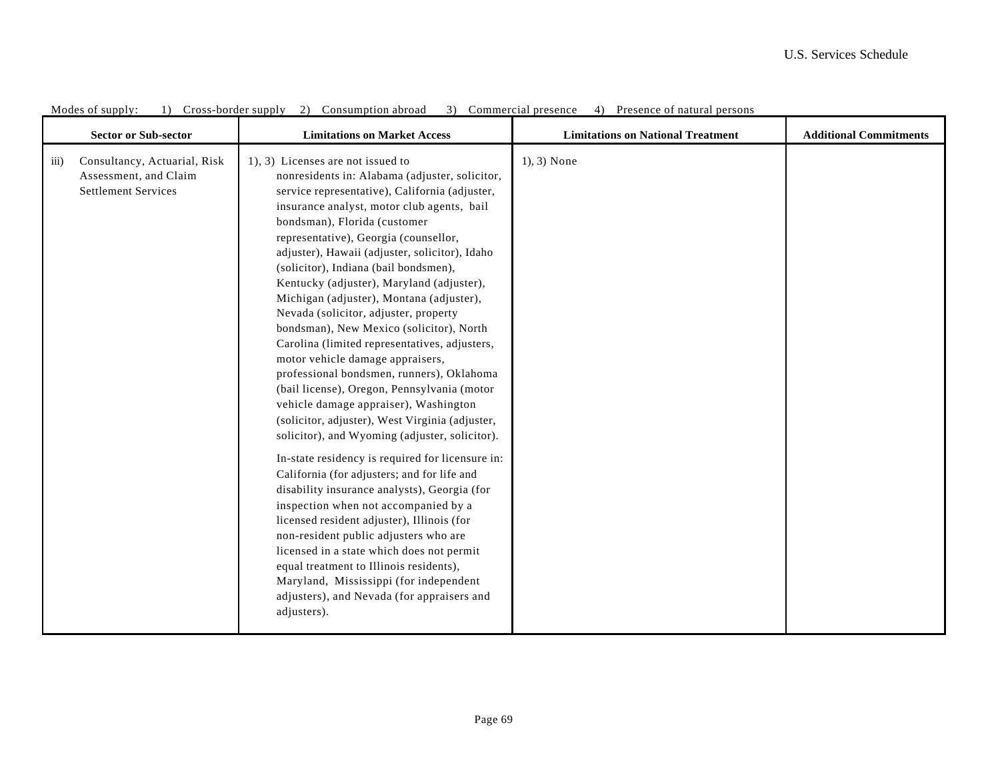| <b>Sector or Sub-sector</b>                                                                               | <b>Limitations on Market Access</b>                                                                                                                                                                                                                                                                                                                                                                                                                                                                                                                                                                                                                                                                                                                                                                                                                                                                                                                                                                                                                                                                                                                                                                                                                                                                                                                   | <b>Limitations on National Treatment</b> | <b>Additional Commitments</b> |
|-----------------------------------------------------------------------------------------------------------|-------------------------------------------------------------------------------------------------------------------------------------------------------------------------------------------------------------------------------------------------------------------------------------------------------------------------------------------------------------------------------------------------------------------------------------------------------------------------------------------------------------------------------------------------------------------------------------------------------------------------------------------------------------------------------------------------------------------------------------------------------------------------------------------------------------------------------------------------------------------------------------------------------------------------------------------------------------------------------------------------------------------------------------------------------------------------------------------------------------------------------------------------------------------------------------------------------------------------------------------------------------------------------------------------------------------------------------------------------|------------------------------------------|-------------------------------|
| Consultancy, Actuarial, Risk<br>$\overline{111}$ )<br>Assessment, and Claim<br><b>Settlement Services</b> | 1), 3) Licenses are not issued to<br>nonresidents in: Alabama (adjuster, solicitor,<br>service representative), California (adjuster,<br>insurance analyst, motor club agents, bail<br>bondsman), Florida (customer<br>representative), Georgia (counsellor,<br>adjuster), Hawaii (adjuster, solicitor), Idaho<br>(solicitor), Indiana (bail bondsmen),<br>Kentucky (adjuster), Maryland (adjuster),<br>Michigan (adjuster), Montana (adjuster),<br>Nevada (solicitor, adjuster, property<br>bondsman), New Mexico (solicitor), North<br>Carolina (limited representatives, adjusters,<br>motor vehicle damage appraisers,<br>professional bondsmen, runners), Oklahoma<br>(bail license), Oregon, Pennsylvania (motor<br>vehicle damage appraiser), Washington<br>(solicitor, adjuster), West Virginia (adjuster,<br>solicitor), and Wyoming (adjuster, solicitor).<br>In-state residency is required for licensure in:<br>California (for adjusters; and for life and<br>disability insurance analysts), Georgia (for<br>inspection when not accompanied by a<br>licensed resident adjuster), Illinois (for<br>non-resident public adjusters who are<br>licensed in a state which does not permit<br>equal treatment to Illinois residents),<br>Maryland, Mississippi (for independent<br>adjusters), and Nevada (for appraisers and<br>adjusters). | $1, 3)$ None                             |                               |

Modes of supply: 1) Cross-border supply 2) Consumption abroad 3) Commercial presence 4) Presence of natural persons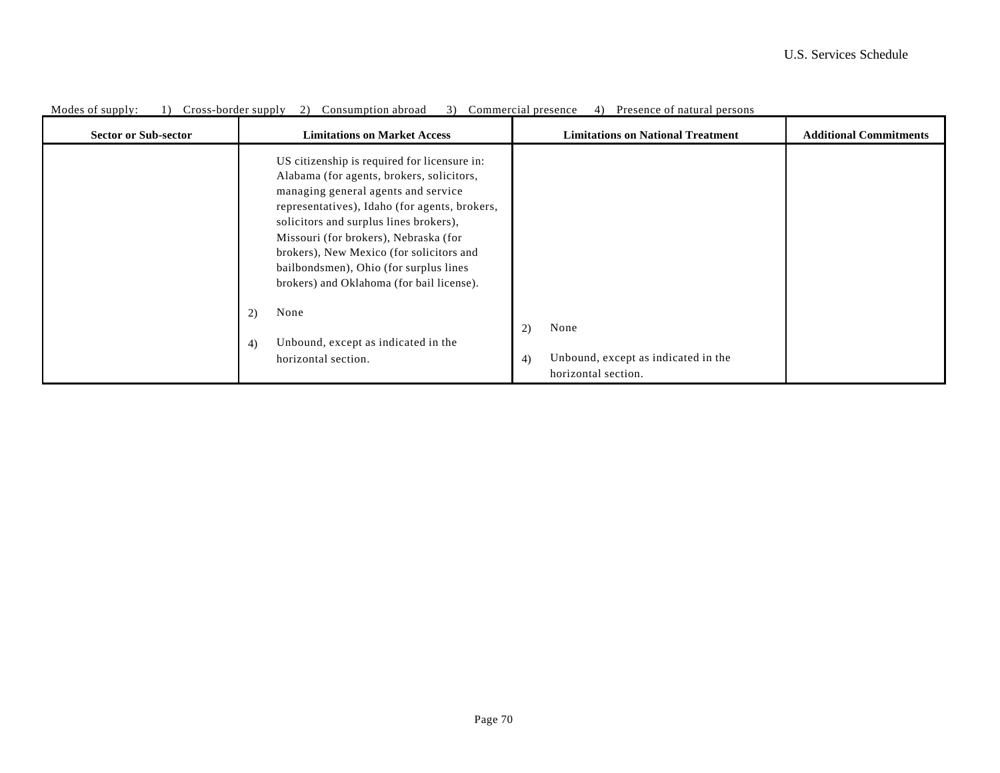| <b>Sector or Sub-sector</b> | <b>Limitations on Market Access</b>                                                                                                                                                                                                                                                                                                                                                                     | <b>Limitations on National Treatment</b>                                       | <b>Additional Commitments</b> |
|-----------------------------|---------------------------------------------------------------------------------------------------------------------------------------------------------------------------------------------------------------------------------------------------------------------------------------------------------------------------------------------------------------------------------------------------------|--------------------------------------------------------------------------------|-------------------------------|
|                             | US citizenship is required for licensure in:<br>Alabama (for agents, brokers, solicitors,<br>managing general agents and service<br>representatives), Idaho (for agents, brokers,<br>solicitors and surplus lines brokers),<br>Missouri (for brokers), Nebraska (for<br>brokers), New Mexico (for solicitors and<br>bailbondsmen), Ohio (for surplus lines<br>brokers) and Oklahoma (for bail license). |                                                                                |                               |
|                             | None<br>2)<br>Unbound, except as indicated in the<br>4)<br>horizontal section.                                                                                                                                                                                                                                                                                                                          | None<br>2)<br>Unbound, except as indicated in the<br>4)<br>horizontal section. |                               |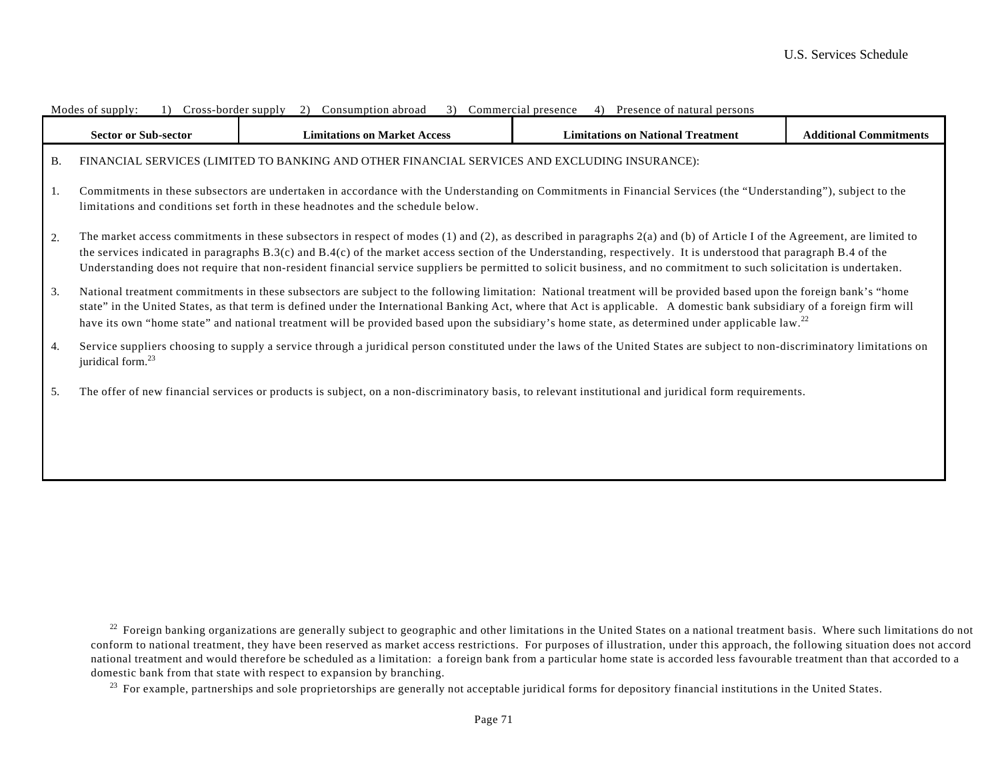|           | Modes of supply:<br>1) Cross-porder supply<br>2) Consumption aproad<br>3) Commercial presence<br>4) Presence of natural persons                                                                                                                                                                                                                                                                                                                                                                                        |                                                                                                                                                                            |                                          |                               |  |  |
|-----------|------------------------------------------------------------------------------------------------------------------------------------------------------------------------------------------------------------------------------------------------------------------------------------------------------------------------------------------------------------------------------------------------------------------------------------------------------------------------------------------------------------------------|----------------------------------------------------------------------------------------------------------------------------------------------------------------------------|------------------------------------------|-------------------------------|--|--|
|           | <b>Sector or Sub-sector</b>                                                                                                                                                                                                                                                                                                                                                                                                                                                                                            | <b>Limitations on Market Access</b>                                                                                                                                        | <b>Limitations on National Treatment</b> | <b>Additional Commitments</b> |  |  |
| <b>B.</b> |                                                                                                                                                                                                                                                                                                                                                                                                                                                                                                                        | FINANCIAL SERVICES (LIMITED TO BANKING AND OTHER FINANCIAL SERVICES AND EXCLUDING INSURANCE):                                                                              |                                          |                               |  |  |
| 1.        | Commitments in these subsectors are undertaken in accordance with the Understanding on Commitments in Financial Services (the "Understanding"), subject to the<br>limitations and conditions set forth in these headnotes and the schedule below.                                                                                                                                                                                                                                                                      |                                                                                                                                                                            |                                          |                               |  |  |
| 2.        | The market access commitments in these subsectors in respect of modes (1) and (2), as described in paragraphs 2(a) and (b) of Article I of the Agreement, are limited to<br>the services indicated in paragraphs B.3(c) and B.4(c) of the market access section of the Understanding, respectively. It is understood that paragraph B.4 of the<br>Understanding does not require that non-resident financial service suppliers be permitted to solicit business, and no commitment to such solicitation is undertaken. |                                                                                                                                                                            |                                          |                               |  |  |
| 3.        | National treatment commitments in these subsectors are subject to the following limitation: National treatment will be provided based upon the foreign bank's "home<br>state" in the United States, as that term is defined under the International Banking Act, where that Act is applicable. A domestic bank subsidiary of a foreign firm will<br>have its own "home state" and national treatment will be provided based upon the subsidiary's home state, as determined under applicable law. <sup>22</sup>        |                                                                                                                                                                            |                                          |                               |  |  |
| 4.        | juridical form. <sup>23</sup>                                                                                                                                                                                                                                                                                                                                                                                                                                                                                          | Service suppliers choosing to supply a service through a juridical person constituted under the laws of the United States are subject to non-discriminatory limitations on |                                          |                               |  |  |
| 5.        |                                                                                                                                                                                                                                                                                                                                                                                                                                                                                                                        | The offer of new financial services or products is subject, on a non-discriminatory basis, to relevant institutional and juridical form requirements.                      |                                          |                               |  |  |
|           |                                                                                                                                                                                                                                                                                                                                                                                                                                                                                                                        |                                                                                                                                                                            |                                          |                               |  |  |

<sup>22</sup> Foreign banking organizations are generally subject to geographic and other limitations in the United States on a national treatment basis. Where such limitations do not conform to national treatment, they have been reserved as market access restrictions. For purposes of illustration, under this approach, the following situation does not accord national treatment and would therefore be scheduled as a limitation: a foreign bank from a particular home state is accorded less favourable treatment than that accorded to a domestic bank from that state with respect to expansion by branching.

<sup>23</sup> For example, partnerships and sole proprietorships are generally not acceptable juridical forms for depository financial institutions in the United States.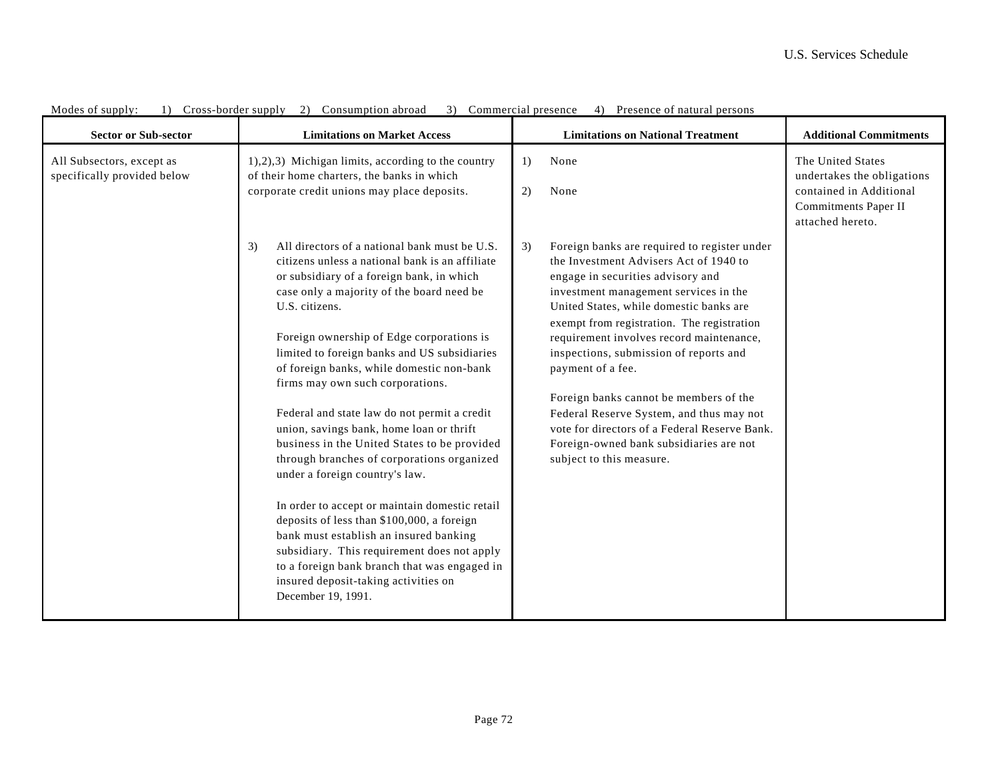| <b>Sector or Sub-sector</b>                              | <b>Limitations on Market Access</b>                                                                                                                                                                                                                                                                                                                                                                                                                                                                                                                                                                                                                                                                                                                                                                                                                                                                                                 | <b>Limitations on National Treatment</b>                                                                                                                                                                                                                                                                                                                                                                                                                                                                                                                                                     | <b>Additional Commitments</b>                                                                                          |
|----------------------------------------------------------|-------------------------------------------------------------------------------------------------------------------------------------------------------------------------------------------------------------------------------------------------------------------------------------------------------------------------------------------------------------------------------------------------------------------------------------------------------------------------------------------------------------------------------------------------------------------------------------------------------------------------------------------------------------------------------------------------------------------------------------------------------------------------------------------------------------------------------------------------------------------------------------------------------------------------------------|----------------------------------------------------------------------------------------------------------------------------------------------------------------------------------------------------------------------------------------------------------------------------------------------------------------------------------------------------------------------------------------------------------------------------------------------------------------------------------------------------------------------------------------------------------------------------------------------|------------------------------------------------------------------------------------------------------------------------|
| All Subsectors, except as<br>specifically provided below | 1),2),3) Michigan limits, according to the country<br>of their home charters, the banks in which<br>corporate credit unions may place deposits.                                                                                                                                                                                                                                                                                                                                                                                                                                                                                                                                                                                                                                                                                                                                                                                     | None<br>$\left( \frac{1}{2} \right)$<br>2)<br>None                                                                                                                                                                                                                                                                                                                                                                                                                                                                                                                                           | The United States<br>undertakes the obligations<br>contained in Additional<br>Commitments Paper II<br>attached hereto. |
|                                                          | All directors of a national bank must be U.S.<br>3)<br>citizens unless a national bank is an affiliate<br>or subsidiary of a foreign bank, in which<br>case only a majority of the board need be<br>U.S. citizens.<br>Foreign ownership of Edge corporations is<br>limited to foreign banks and US subsidiaries<br>of foreign banks, while domestic non-bank<br>firms may own such corporations.<br>Federal and state law do not permit a credit<br>union, savings bank, home loan or thrift<br>business in the United States to be provided<br>through branches of corporations organized<br>under a foreign country's law.<br>In order to accept or maintain domestic retail<br>deposits of less than \$100,000, a foreign<br>bank must establish an insured banking<br>subsidiary. This requirement does not apply<br>to a foreign bank branch that was engaged in<br>insured deposit-taking activities on<br>December 19, 1991. | Foreign banks are required to register under<br>3)<br>the Investment Advisers Act of 1940 to<br>engage in securities advisory and<br>investment management services in the<br>United States, while domestic banks are<br>exempt from registration. The registration<br>requirement involves record maintenance,<br>inspections, submission of reports and<br>payment of a fee.<br>Foreign banks cannot be members of the<br>Federal Reserve System, and thus may not<br>vote for directors of a Federal Reserve Bank.<br>Foreign-owned bank subsidiaries are not<br>subject to this measure. |                                                                                                                        |

Modes of supply: 1) Cross-border supply 2) Consumption abroad 3) Commercial presence 4) Presence of natural persons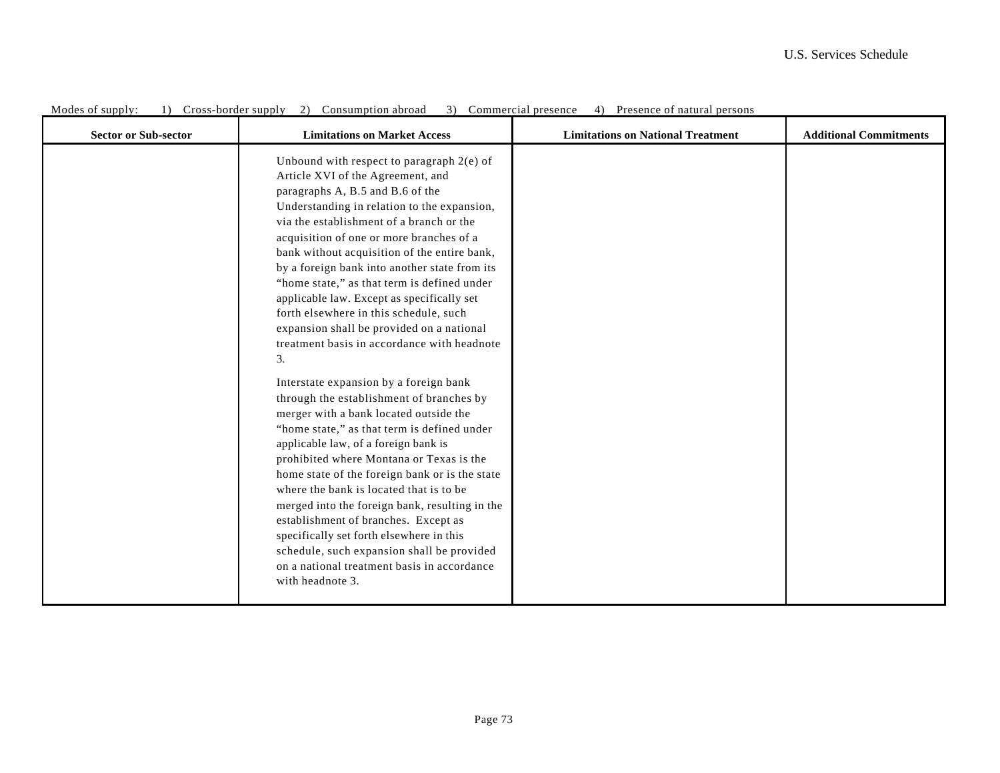| <b>Sector or Sub-sector</b> | <b>Limitations on Market Access</b>                                                                                                                                                                                                                                                                                                                                                                                                                                                                                                                                                                                                                                                                                                                                                                                                                                                                                                                                                                                                                                                                                                                                                                                          | <b>Limitations on National Treatment</b> | <b>Additional Commitments</b> |
|-----------------------------|------------------------------------------------------------------------------------------------------------------------------------------------------------------------------------------------------------------------------------------------------------------------------------------------------------------------------------------------------------------------------------------------------------------------------------------------------------------------------------------------------------------------------------------------------------------------------------------------------------------------------------------------------------------------------------------------------------------------------------------------------------------------------------------------------------------------------------------------------------------------------------------------------------------------------------------------------------------------------------------------------------------------------------------------------------------------------------------------------------------------------------------------------------------------------------------------------------------------------|------------------------------------------|-------------------------------|
|                             | Unbound with respect to paragraph $2(e)$ of<br>Article XVI of the Agreement, and<br>paragraphs A, B.5 and B.6 of the<br>Understanding in relation to the expansion,<br>via the establishment of a branch or the<br>acquisition of one or more branches of a<br>bank without acquisition of the entire bank,<br>by a foreign bank into another state from its<br>"home state," as that term is defined under<br>applicable law. Except as specifically set<br>forth elsewhere in this schedule, such<br>expansion shall be provided on a national<br>treatment basis in accordance with headnote<br>3.<br>Interstate expansion by a foreign bank<br>through the establishment of branches by<br>merger with a bank located outside the<br>"home state," as that term is defined under<br>applicable law, of a foreign bank is<br>prohibited where Montana or Texas is the<br>home state of the foreign bank or is the state<br>where the bank is located that is to be<br>merged into the foreign bank, resulting in the<br>establishment of branches. Except as<br>specifically set forth elsewhere in this<br>schedule, such expansion shall be provided<br>on a national treatment basis in accordance<br>with headnote 3. |                                          |                               |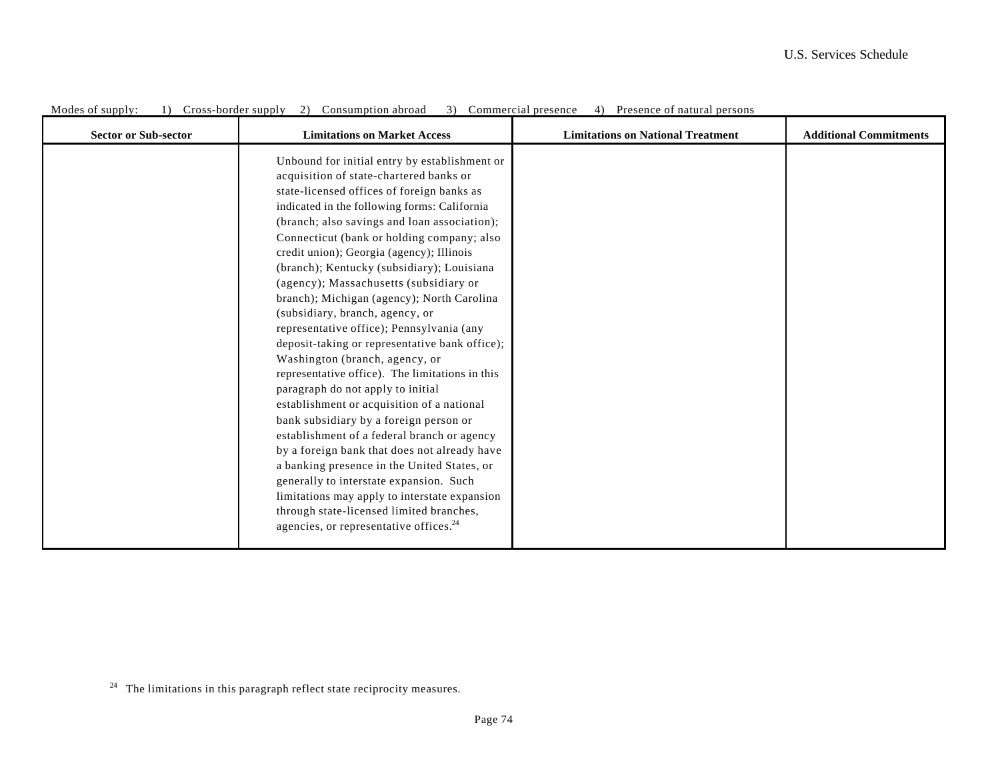| <b>Sector or Sub-sector</b> | <b>Limitations on Market Access</b>                                                                                                                                                                                                                                                                                                                                                                                                                                                                                                                                                                                                                                                                                                                                                                                                                                                                                                                                                                                                                                                                                                                                     | <b>Limitations on National Treatment</b> | <b>Additional Commitments</b> |
|-----------------------------|-------------------------------------------------------------------------------------------------------------------------------------------------------------------------------------------------------------------------------------------------------------------------------------------------------------------------------------------------------------------------------------------------------------------------------------------------------------------------------------------------------------------------------------------------------------------------------------------------------------------------------------------------------------------------------------------------------------------------------------------------------------------------------------------------------------------------------------------------------------------------------------------------------------------------------------------------------------------------------------------------------------------------------------------------------------------------------------------------------------------------------------------------------------------------|------------------------------------------|-------------------------------|
|                             | Unbound for initial entry by establishment or<br>acquisition of state-chartered banks or<br>state-licensed offices of foreign banks as<br>indicated in the following forms: California<br>(branch; also savings and loan association);<br>Connecticut (bank or holding company; also<br>credit union); Georgia (agency); Illinois<br>(branch); Kentucky (subsidiary); Louisiana<br>(agency); Massachusetts (subsidiary or<br>branch); Michigan (agency); North Carolina<br>(subsidiary, branch, agency, or<br>representative office); Pennsylvania (any<br>deposit-taking or representative bank office);<br>Washington (branch, agency, or<br>representative office). The limitations in this<br>paragraph do not apply to initial<br>establishment or acquisition of a national<br>bank subsidiary by a foreign person or<br>establishment of a federal branch or agency<br>by a foreign bank that does not already have<br>a banking presence in the United States, or<br>generally to interstate expansion. Such<br>limitations may apply to interstate expansion<br>through state-licensed limited branches,<br>agencies, or representative offices. <sup>24</sup> |                                          |                               |

<sup>24</sup> The limitations in this paragraph reflect state reciprocity measures.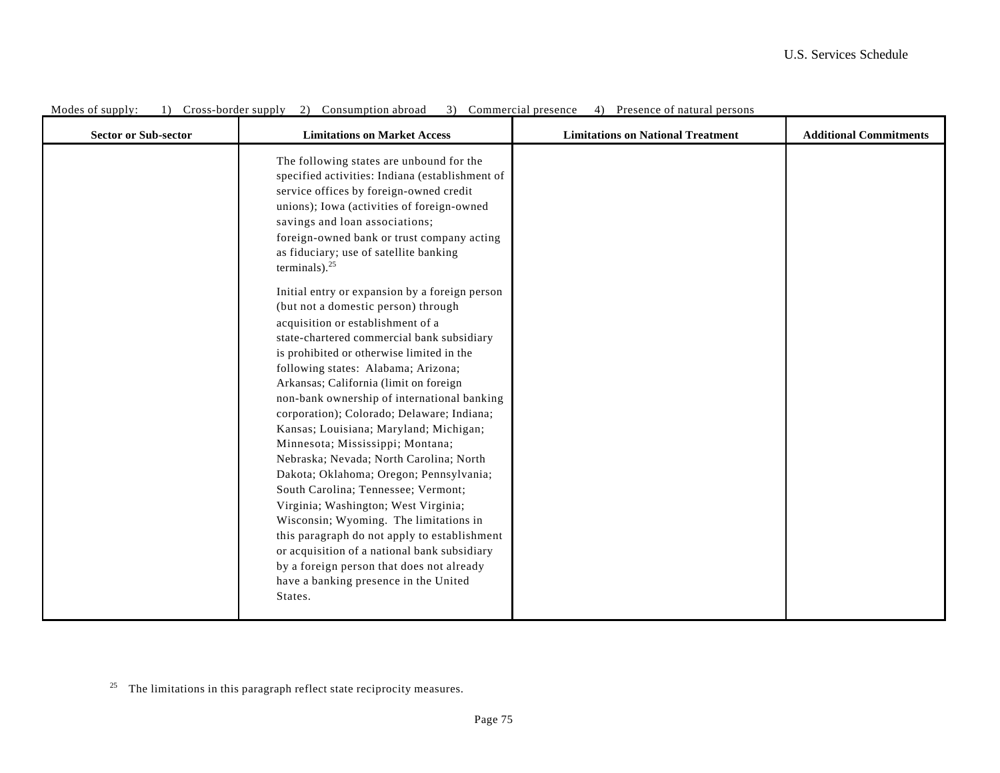| The following states are unbound for the<br>specified activities: Indiana (establishment of<br>service offices by foreign-owned credit<br>unions); Iowa (activities of foreign-owned<br>savings and loan associations;<br>foreign-owned bank or trust company acting<br>as fiduciary; use of satellite banking<br>terminals). $^{25}$<br>Initial entry or expansion by a foreign person<br>(but not a domestic person) through<br>acquisition or establishment of a<br>state-chartered commercial bank subsidiary<br>is prohibited or otherwise limited in the<br>following states: Alabama; Arizona;<br>Arkansas; California (limit on foreign<br>non-bank ownership of international banking<br>corporation); Colorado; Delaware; Indiana;<br>Kansas; Louisiana; Maryland; Michigan;<br>Minnesota; Mississippi; Montana;<br>Nebraska; Nevada; North Carolina; North<br>Dakota; Oklahoma; Oregon; Pennsylvania;<br>South Carolina; Tennessee; Vermont;<br>Virginia; Washington; West Virginia;<br>Wisconsin; Wyoming. The limitations in | <b>Sector or Sub-sector</b> | <b>Limitations on Market Access</b>          | <b>Limitations on National Treatment</b> | <b>Additional Commitments</b> |
|-------------------------------------------------------------------------------------------------------------------------------------------------------------------------------------------------------------------------------------------------------------------------------------------------------------------------------------------------------------------------------------------------------------------------------------------------------------------------------------------------------------------------------------------------------------------------------------------------------------------------------------------------------------------------------------------------------------------------------------------------------------------------------------------------------------------------------------------------------------------------------------------------------------------------------------------------------------------------------------------------------------------------------------------|-----------------------------|----------------------------------------------|------------------------------------------|-------------------------------|
|                                                                                                                                                                                                                                                                                                                                                                                                                                                                                                                                                                                                                                                                                                                                                                                                                                                                                                                                                                                                                                           |                             |                                              |                                          |                               |
| or acquisition of a national bank subsidiary<br>by a foreign person that does not already<br>have a banking presence in the United<br>States.                                                                                                                                                                                                                                                                                                                                                                                                                                                                                                                                                                                                                                                                                                                                                                                                                                                                                             |                             | this paragraph do not apply to establishment |                                          |                               |

 $25$  The limitations in this paragraph reflect state reciprocity measures.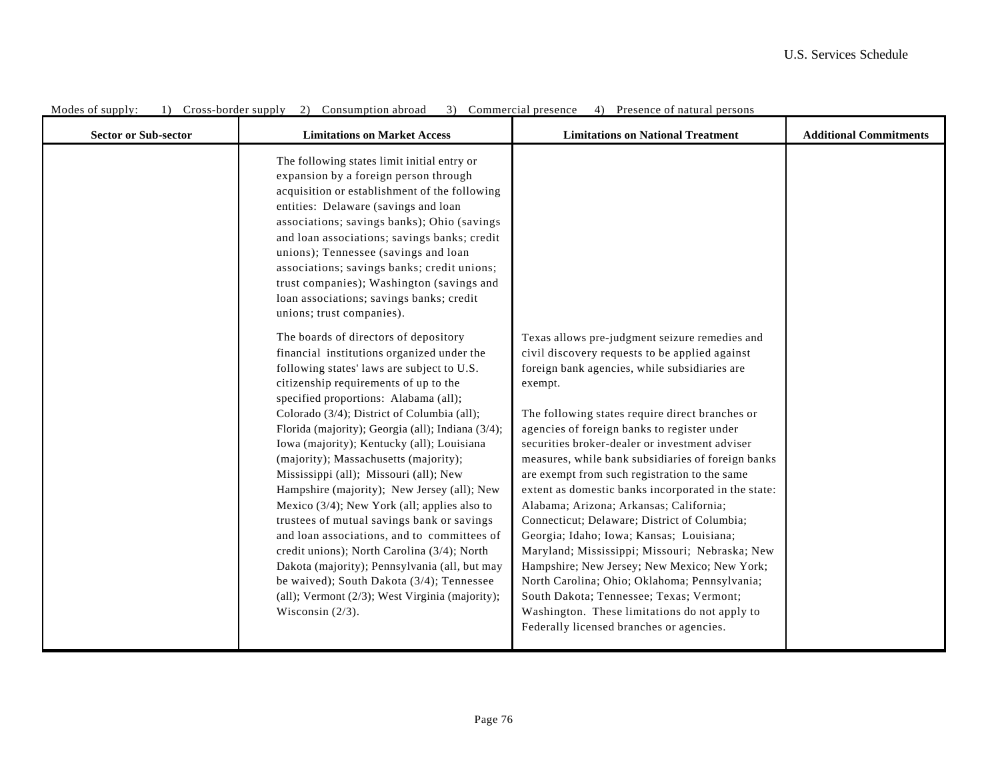| <b>Sector or Sub-sector</b> | <b>Limitations on Market Access</b>                                                                                                                                                                                                                                                                                                                                                                                                                                                                                                                                                                                                                                                                                                                                                                                                                                            | <b>Limitations on National Treatment</b>                                                                                                                                                                                                                                                                                                                                                                                                                                                                                                                                                                                                                                                                                                                                                                                                                                                                          | <b>Additional Commitments</b> |
|-----------------------------|--------------------------------------------------------------------------------------------------------------------------------------------------------------------------------------------------------------------------------------------------------------------------------------------------------------------------------------------------------------------------------------------------------------------------------------------------------------------------------------------------------------------------------------------------------------------------------------------------------------------------------------------------------------------------------------------------------------------------------------------------------------------------------------------------------------------------------------------------------------------------------|-------------------------------------------------------------------------------------------------------------------------------------------------------------------------------------------------------------------------------------------------------------------------------------------------------------------------------------------------------------------------------------------------------------------------------------------------------------------------------------------------------------------------------------------------------------------------------------------------------------------------------------------------------------------------------------------------------------------------------------------------------------------------------------------------------------------------------------------------------------------------------------------------------------------|-------------------------------|
|                             | The following states limit initial entry or<br>expansion by a foreign person through<br>acquisition or establishment of the following<br>entities: Delaware (savings and loan<br>associations; savings banks); Ohio (savings<br>and loan associations; savings banks; credit<br>unions); Tennessee (savings and loan<br>associations; savings banks; credit unions;<br>trust companies); Washington (savings and<br>loan associations; savings banks; credit<br>unions; trust companies).                                                                                                                                                                                                                                                                                                                                                                                      |                                                                                                                                                                                                                                                                                                                                                                                                                                                                                                                                                                                                                                                                                                                                                                                                                                                                                                                   |                               |
|                             | The boards of directors of depository<br>financial institutions organized under the<br>following states' laws are subject to U.S.<br>citizenship requirements of up to the<br>specified proportions: Alabama (all);<br>Colorado (3/4); District of Columbia (all);<br>Florida (majority); Georgia (all); Indiana (3/4);<br>Iowa (majority); Kentucky (all); Louisiana<br>(majority); Massachusetts (majority);<br>Mississippi (all); Missouri (all); New<br>Hampshire (majority); New Jersey (all); New<br>Mexico (3/4); New York (all; applies also to<br>trustees of mutual savings bank or savings<br>and loan associations, and to committees of<br>credit unions); North Carolina (3/4); North<br>Dakota (majority); Pennsylvania (all, but may<br>be waived); South Dakota (3/4); Tennessee<br>(all); Vermont $(2/3)$ ; West Virginia (majority);<br>Wisconsin $(2/3)$ . | Texas allows pre-judgment seizure remedies and<br>civil discovery requests to be applied against<br>foreign bank agencies, while subsidiaries are<br>exempt.<br>The following states require direct branches or<br>agencies of foreign banks to register under<br>securities broker-dealer or investment adviser<br>measures, while bank subsidiaries of foreign banks<br>are exempt from such registration to the same<br>extent as domestic banks incorporated in the state:<br>Alabama; Arizona; Arkansas; California;<br>Connecticut; Delaware; District of Columbia;<br>Georgia; Idaho; Iowa; Kansas; Louisiana;<br>Maryland; Mississippi; Missouri; Nebraska; New<br>Hampshire; New Jersey; New Mexico; New York;<br>North Carolina; Ohio; Oklahoma; Pennsylvania;<br>South Dakota; Tennessee; Texas; Vermont;<br>Washington. These limitations do not apply to<br>Federally licensed branches or agencies. |                               |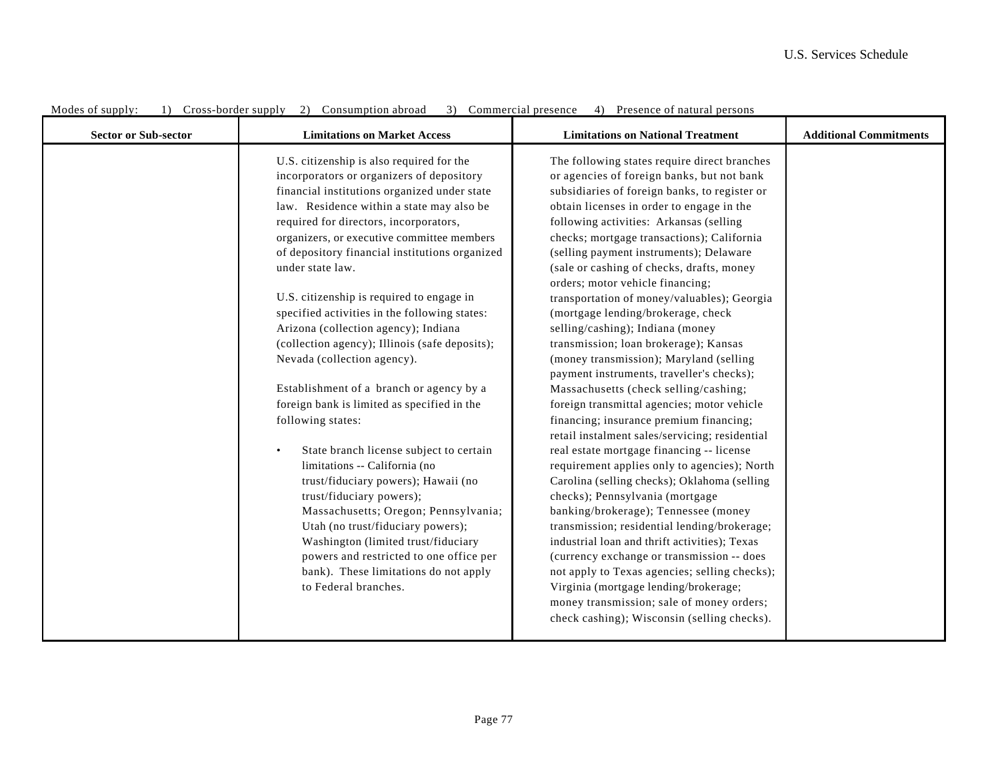| <b>Sector or Sub-sector</b> | <b>Limitations on Market Access</b>                                                                                                                                                                                                                                                                                                                                                                                                                                                                                                                                                                                                                                                                                                                                                                                                                                                                                                                                                                                                                                                  | <b>Limitations on National Treatment</b>                                                                                                                                                                                                                                                                                                                                                                                                                                                                                                                                                                                                                                                                                                                                                                                                                                                                                                                                                                                                                                                                                                                                                                                                                                                                                                                                                                                  | <b>Additional Commitments</b> |
|-----------------------------|--------------------------------------------------------------------------------------------------------------------------------------------------------------------------------------------------------------------------------------------------------------------------------------------------------------------------------------------------------------------------------------------------------------------------------------------------------------------------------------------------------------------------------------------------------------------------------------------------------------------------------------------------------------------------------------------------------------------------------------------------------------------------------------------------------------------------------------------------------------------------------------------------------------------------------------------------------------------------------------------------------------------------------------------------------------------------------------|---------------------------------------------------------------------------------------------------------------------------------------------------------------------------------------------------------------------------------------------------------------------------------------------------------------------------------------------------------------------------------------------------------------------------------------------------------------------------------------------------------------------------------------------------------------------------------------------------------------------------------------------------------------------------------------------------------------------------------------------------------------------------------------------------------------------------------------------------------------------------------------------------------------------------------------------------------------------------------------------------------------------------------------------------------------------------------------------------------------------------------------------------------------------------------------------------------------------------------------------------------------------------------------------------------------------------------------------------------------------------------------------------------------------------|-------------------------------|
|                             | U.S. citizenship is also required for the<br>incorporators or organizers of depository<br>financial institutions organized under state<br>law. Residence within a state may also be<br>required for directors, incorporators,<br>organizers, or executive committee members<br>of depository financial institutions organized<br>under state law.<br>U.S. citizenship is required to engage in<br>specified activities in the following states:<br>Arizona (collection agency); Indiana<br>(collection agency); Illinois (safe deposits);<br>Nevada (collection agency).<br>Establishment of a branch or agency by a<br>foreign bank is limited as specified in the<br>following states:<br>State branch license subject to certain<br>$\bullet$<br>limitations -- California (no<br>trust/fiduciary powers); Hawaii (no<br>trust/fiduciary powers);<br>Massachusetts; Oregon; Pennsylvania;<br>Utah (no trust/fiduciary powers);<br>Washington (limited trust/fiduciary<br>powers and restricted to one office per<br>bank). These limitations do not apply<br>to Federal branches. | The following states require direct branches<br>or agencies of foreign banks, but not bank<br>subsidiaries of foreign banks, to register or<br>obtain licenses in order to engage in the<br>following activities: Arkansas (selling<br>checks; mortgage transactions); California<br>(selling payment instruments); Delaware<br>(sale or cashing of checks, drafts, money<br>orders; motor vehicle financing;<br>transportation of money/valuables); Georgia<br>(mortgage lending/brokerage, check<br>selling/cashing); Indiana (money<br>transmission; loan brokerage); Kansas<br>(money transmission); Maryland (selling<br>payment instruments, traveller's checks);<br>Massachusetts (check selling/cashing;<br>foreign transmittal agencies; motor vehicle<br>financing; insurance premium financing;<br>retail instalment sales/servicing; residential<br>real estate mortgage financing -- license<br>requirement applies only to agencies); North<br>Carolina (selling checks); Oklahoma (selling<br>checks); Pennsylvania (mortgage<br>banking/brokerage); Tennessee (money<br>transmission; residential lending/brokerage;<br>industrial loan and thrift activities); Texas<br>(currency exchange or transmission -- does<br>not apply to Texas agencies; selling checks);<br>Virginia (mortgage lending/brokerage;<br>money transmission; sale of money orders;<br>check cashing); Wisconsin (selling checks). |                               |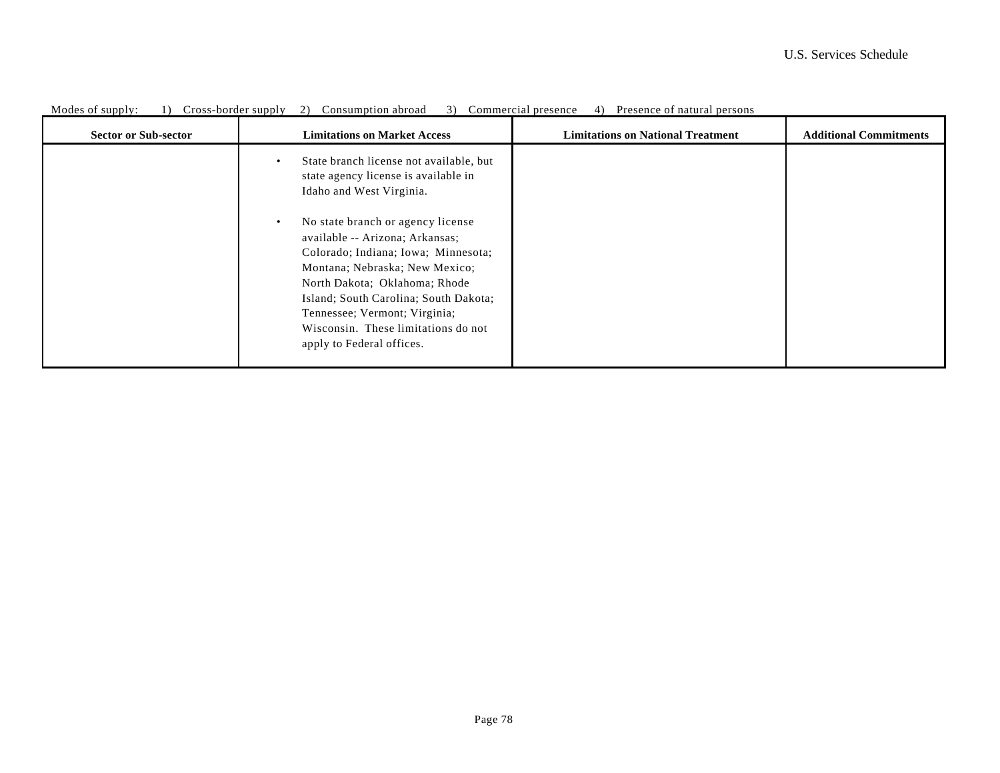| <b>Sector or Sub-sector</b> | <b>Limitations on Market Access</b>                                                                                                                                                                                                                                                                                                       | <b>Limitations on National Treatment</b> | <b>Additional Commitments</b> |
|-----------------------------|-------------------------------------------------------------------------------------------------------------------------------------------------------------------------------------------------------------------------------------------------------------------------------------------------------------------------------------------|------------------------------------------|-------------------------------|
|                             | State branch license not available, but<br>$\bullet$<br>state agency license is available in<br>Idaho and West Virginia.                                                                                                                                                                                                                  |                                          |                               |
|                             | No state branch or agency license<br>$\bullet$<br>available -- Arizona; Arkansas;<br>Colorado; Indiana; Iowa; Minnesota;<br>Montana; Nebraska; New Mexico;<br>North Dakota; Oklahoma; Rhode<br>Island; South Carolina; South Dakota;<br>Tennessee; Vermont; Virginia;<br>Wisconsin. These limitations do not<br>apply to Federal offices. |                                          |                               |

Modes of supply: 1) Cross-border supply 2) Consumption abroad 3) Commercial presence 4) Presence of natural persons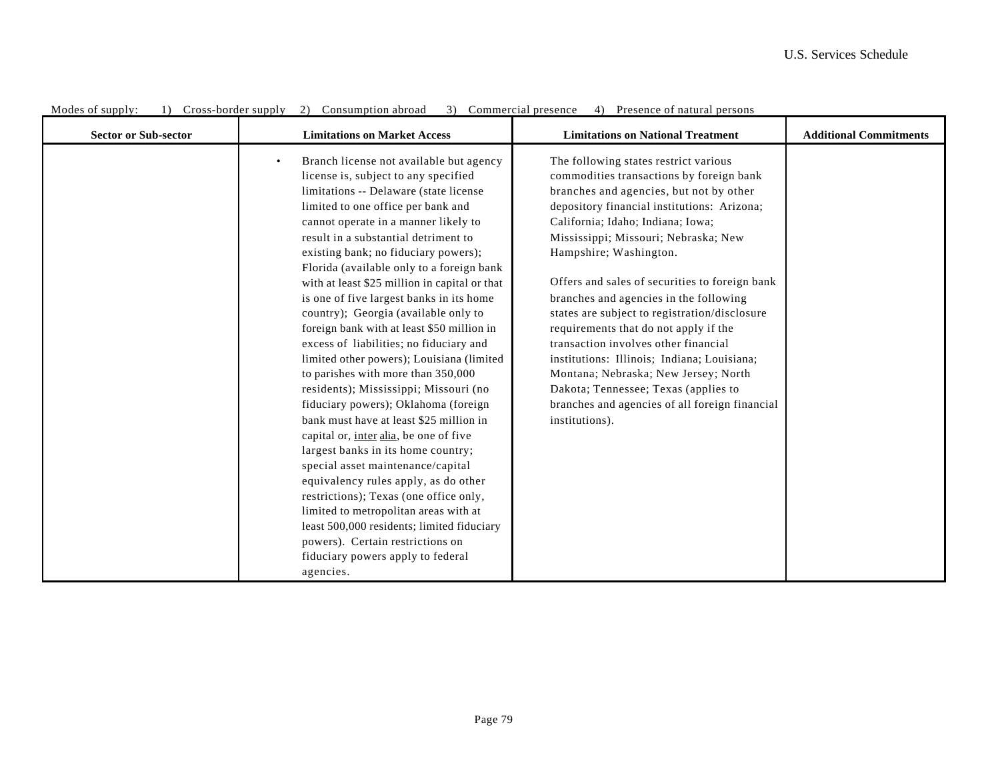| <b>Sector or Sub-sector</b> | <b>Limitations on Market Access</b>                                                                                                                                                                                                                                                                                                                                                                                                                                                                                                                                                                                                                                                                                                                                                                                                                                                                                                                                                                                                                                                                                                                                                | <b>Limitations on National Treatment</b>                                                                                                                                                                                                                                                                                                                                                                                                                                                                                                                                                                                                                                                                            | <b>Additional Commitments</b> |
|-----------------------------|------------------------------------------------------------------------------------------------------------------------------------------------------------------------------------------------------------------------------------------------------------------------------------------------------------------------------------------------------------------------------------------------------------------------------------------------------------------------------------------------------------------------------------------------------------------------------------------------------------------------------------------------------------------------------------------------------------------------------------------------------------------------------------------------------------------------------------------------------------------------------------------------------------------------------------------------------------------------------------------------------------------------------------------------------------------------------------------------------------------------------------------------------------------------------------|---------------------------------------------------------------------------------------------------------------------------------------------------------------------------------------------------------------------------------------------------------------------------------------------------------------------------------------------------------------------------------------------------------------------------------------------------------------------------------------------------------------------------------------------------------------------------------------------------------------------------------------------------------------------------------------------------------------------|-------------------------------|
|                             | Branch license not available but agency<br>$\bullet$<br>license is, subject to any specified<br>limitations -- Delaware (state license<br>limited to one office per bank and<br>cannot operate in a manner likely to<br>result in a substantial detriment to<br>existing bank; no fiduciary powers);<br>Florida (available only to a foreign bank<br>with at least \$25 million in capital or that<br>is one of five largest banks in its home<br>country); Georgia (available only to<br>foreign bank with at least \$50 million in<br>excess of liabilities; no fiduciary and<br>limited other powers); Louisiana (limited<br>to parishes with more than 350,000<br>residents); Mississippi; Missouri (no<br>fiduciary powers); Oklahoma (foreign<br>bank must have at least \$25 million in<br>capital or, inter alia, be one of five<br>largest banks in its home country;<br>special asset maintenance/capital<br>equivalency rules apply, as do other<br>restrictions); Texas (one office only,<br>limited to metropolitan areas with at<br>least 500,000 residents; limited fiduciary<br>powers). Certain restrictions on<br>fiduciary powers apply to federal<br>agencies. | The following states restrict various<br>commodities transactions by foreign bank<br>branches and agencies, but not by other<br>depository financial institutions: Arizona;<br>California; Idaho; Indiana; Iowa;<br>Mississippi; Missouri; Nebraska; New<br>Hampshire; Washington.<br>Offers and sales of securities to foreign bank<br>branches and agencies in the following<br>states are subject to registration/disclosure<br>requirements that do not apply if the<br>transaction involves other financial<br>institutions: Illinois; Indiana; Louisiana;<br>Montana; Nebraska; New Jersey; North<br>Dakota; Tennessee; Texas (applies to<br>branches and agencies of all foreign financial<br>institutions). |                               |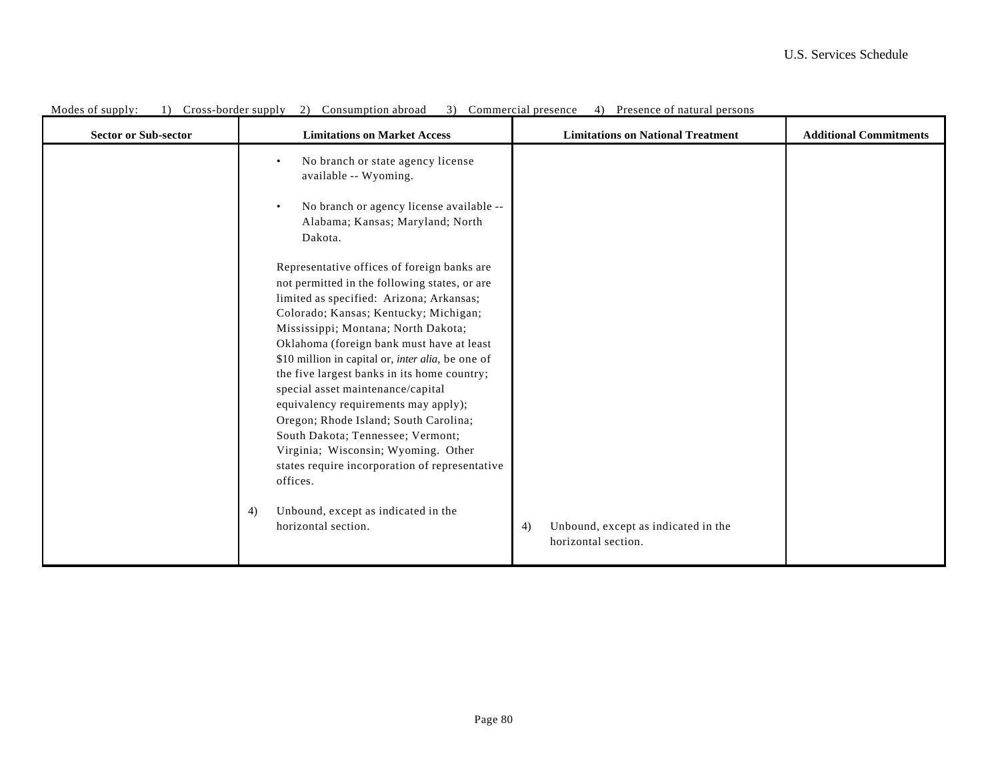| <b>Sector or Sub-sector</b> | <b>Limitations on Market Access</b>                                                                                                                                                                                                                                                                                                                                                                                    | <b>Limitations on National Treatment</b>                         | <b>Additional Commitments</b> |
|-----------------------------|------------------------------------------------------------------------------------------------------------------------------------------------------------------------------------------------------------------------------------------------------------------------------------------------------------------------------------------------------------------------------------------------------------------------|------------------------------------------------------------------|-------------------------------|
|                             | No branch or state agency license<br>$\bullet$<br>available -- Wyoming.                                                                                                                                                                                                                                                                                                                                                |                                                                  |                               |
|                             | No branch or agency license available --<br>$\bullet$<br>Alabama; Kansas; Maryland; North<br>Dakota.                                                                                                                                                                                                                                                                                                                   |                                                                  |                               |
|                             | Representative offices of foreign banks are<br>not permitted in the following states, or are<br>limited as specified: Arizona; Arkansas;<br>Colorado; Kansas; Kentucky; Michigan;<br>Mississippi; Montana; North Dakota;<br>Oklahoma (foreign bank must have at least<br>\$10 million in capital or, <i>inter alia</i> , be one of<br>the five largest banks in its home country;<br>special asset maintenance/capital |                                                                  |                               |
|                             | equivalency requirements may apply);<br>Oregon; Rhode Island; South Carolina;<br>South Dakota; Tennessee; Vermont;<br>Virginia; Wisconsin; Wyoming. Other<br>states require incorporation of representative<br>offices.                                                                                                                                                                                                |                                                                  |                               |
|                             | Unbound, except as indicated in the<br>4)<br>horizontal section.                                                                                                                                                                                                                                                                                                                                                       | Unbound, except as indicated in the<br>4)<br>horizontal section. |                               |

Modes of supply: 1) Cross-border supply 2) Consumption abroad 3) Commercial presence 4) Presence of natural persons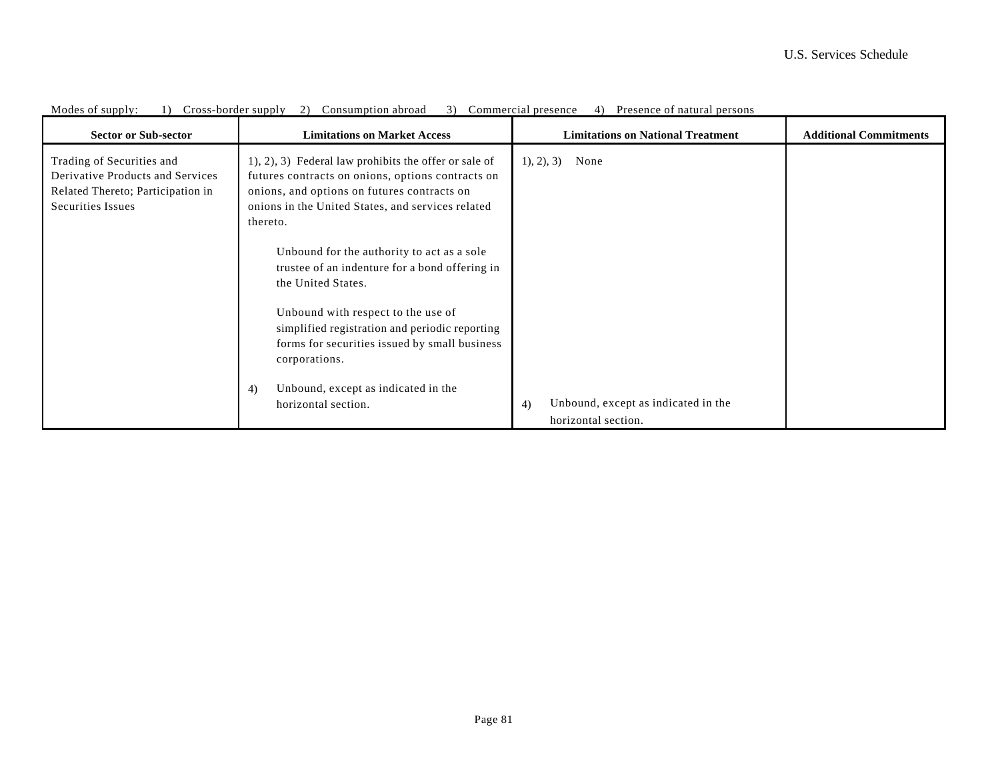| <b>Sector or Sub-sector</b>                                                                                             | <b>Limitations on Market Access</b>                                                                                                                                                                                        | <b>Limitations on National Treatment</b><br><b>Additional Commitments</b> |
|-------------------------------------------------------------------------------------------------------------------------|----------------------------------------------------------------------------------------------------------------------------------------------------------------------------------------------------------------------------|---------------------------------------------------------------------------|
| Trading of Securities and<br>Derivative Products and Services<br>Related Thereto; Participation in<br>Securities Issues | 1), 2), 3) Federal law prohibits the offer or sale of<br>futures contracts on onions, options contracts on<br>onions, and options on futures contracts on<br>onions in the United States, and services related<br>thereto. | None<br>1, 2, 3)                                                          |
|                                                                                                                         | Unbound for the authority to act as a sole<br>trustee of an indenture for a bond offering in<br>the United States.                                                                                                         |                                                                           |
|                                                                                                                         | Unbound with respect to the use of<br>simplified registration and periodic reporting<br>forms for securities issued by small business<br>corporations.                                                                     |                                                                           |
|                                                                                                                         | Unbound, except as indicated in the<br>4)<br>horizontal section.                                                                                                                                                           | Unbound, except as indicated in the<br>4)<br>horizontal section.          |

Modes of supply: 1) Cross-border supply 2) Consumption abroad 3) Commercial presence 4) Presence of natural persons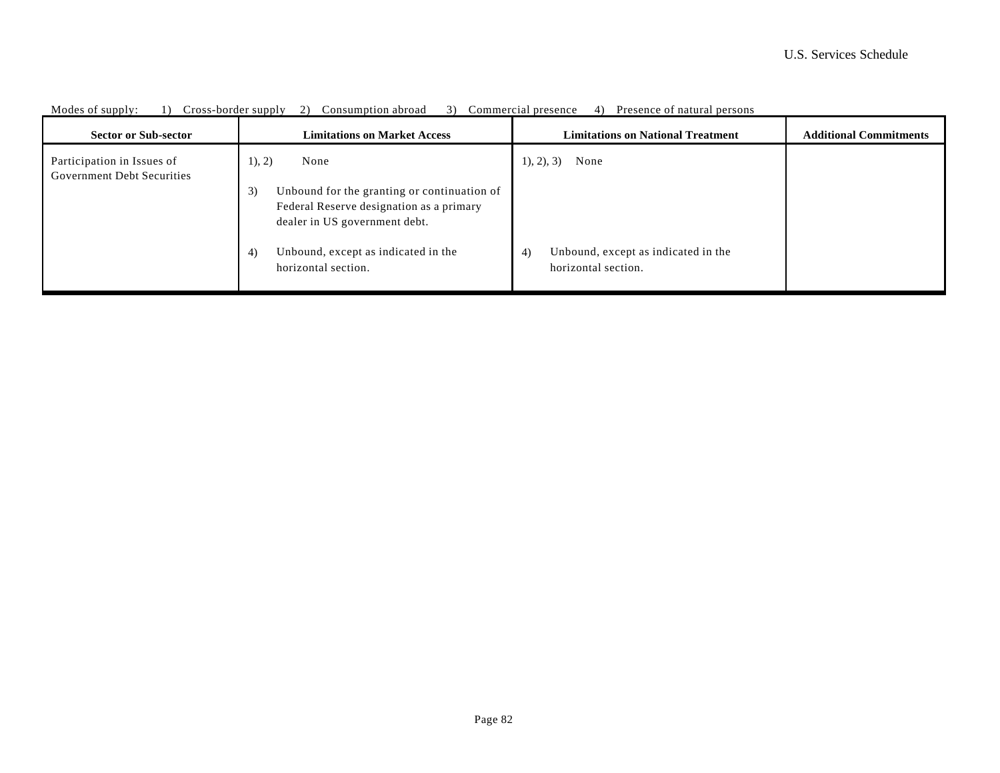| <b>Sector or Sub-sector</b>                                     | <b>Limitations on Market Access</b>                                                                                            | <b>Limitations on National Treatment</b>                         | <b>Additional Commitments</b> |
|-----------------------------------------------------------------|--------------------------------------------------------------------------------------------------------------------------------|------------------------------------------------------------------|-------------------------------|
| Participation in Issues of<br><b>Government Debt Securities</b> | 1), 2)<br>None                                                                                                                 | $1, 2, 3$ None                                                   |                               |
|                                                                 | Unbound for the granting or continuation of<br>3)<br>Federal Reserve designation as a primary<br>dealer in US government debt. |                                                                  |                               |
|                                                                 | Unbound, except as indicated in the<br>4)<br>horizontal section.                                                               | Unbound, except as indicated in the<br>4)<br>horizontal section. |                               |

Modes of supply: 1) Cross-border supply 2) Consumption abroad 3) Commercial presence 4) Presence of natural persons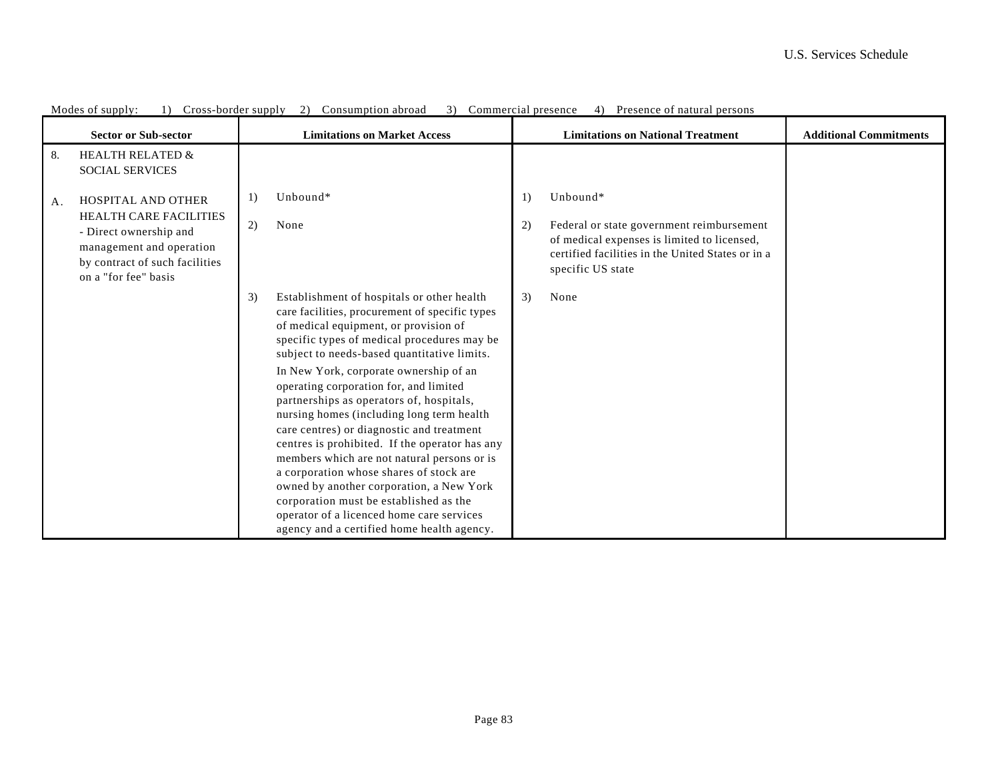|    | <b>Sector or Sub-sector</b>                                                                                                                                         |          | <b>Limitations on Market Access</b>                                                                                                                                                                                                                                                                                                                                                                                                                                                                                                                                                                                                                                                                                                                                                        |          | <b>Limitations on National Treatment</b>                                                                                                                                       | <b>Additional Commitments</b> |
|----|---------------------------------------------------------------------------------------------------------------------------------------------------------------------|----------|--------------------------------------------------------------------------------------------------------------------------------------------------------------------------------------------------------------------------------------------------------------------------------------------------------------------------------------------------------------------------------------------------------------------------------------------------------------------------------------------------------------------------------------------------------------------------------------------------------------------------------------------------------------------------------------------------------------------------------------------------------------------------------------------|----------|--------------------------------------------------------------------------------------------------------------------------------------------------------------------------------|-------------------------------|
| 8. | <b>HEALTH RELATED &amp;</b><br><b>SOCIAL SERVICES</b>                                                                                                               |          |                                                                                                                                                                                                                                                                                                                                                                                                                                                                                                                                                                                                                                                                                                                                                                                            |          |                                                                                                                                                                                |                               |
| A. | <b>HOSPITAL AND OTHER</b><br>HEALTH CARE FACILITIES<br>- Direct ownership and<br>management and operation<br>by contract of such facilities<br>on a "for fee" basis | 1)<br>2) | Unbound*<br>None                                                                                                                                                                                                                                                                                                                                                                                                                                                                                                                                                                                                                                                                                                                                                                           | 1)<br>2) | Unbound*<br>Federal or state government reimbursement<br>of medical expenses is limited to licensed,<br>certified facilities in the United States or in a<br>specific US state |                               |
|    |                                                                                                                                                                     | 3)       | Establishment of hospitals or other health<br>care facilities, procurement of specific types<br>of medical equipment, or provision of<br>specific types of medical procedures may be<br>subject to needs-based quantitative limits.<br>In New York, corporate ownership of an<br>operating corporation for, and limited<br>partnerships as operators of, hospitals,<br>nursing homes (including long term health<br>care centres) or diagnostic and treatment<br>centres is prohibited. If the operator has any<br>members which are not natural persons or is<br>a corporation whose shares of stock are<br>owned by another corporation, a New York<br>corporation must be established as the<br>operator of a licenced home care services<br>agency and a certified home health agency. | 3)       | None                                                                                                                                                                           |                               |

Modes of supply: 1) Cross-border supply 2) Consumption abroad 3) Commercial presence 4) Presence of natural persons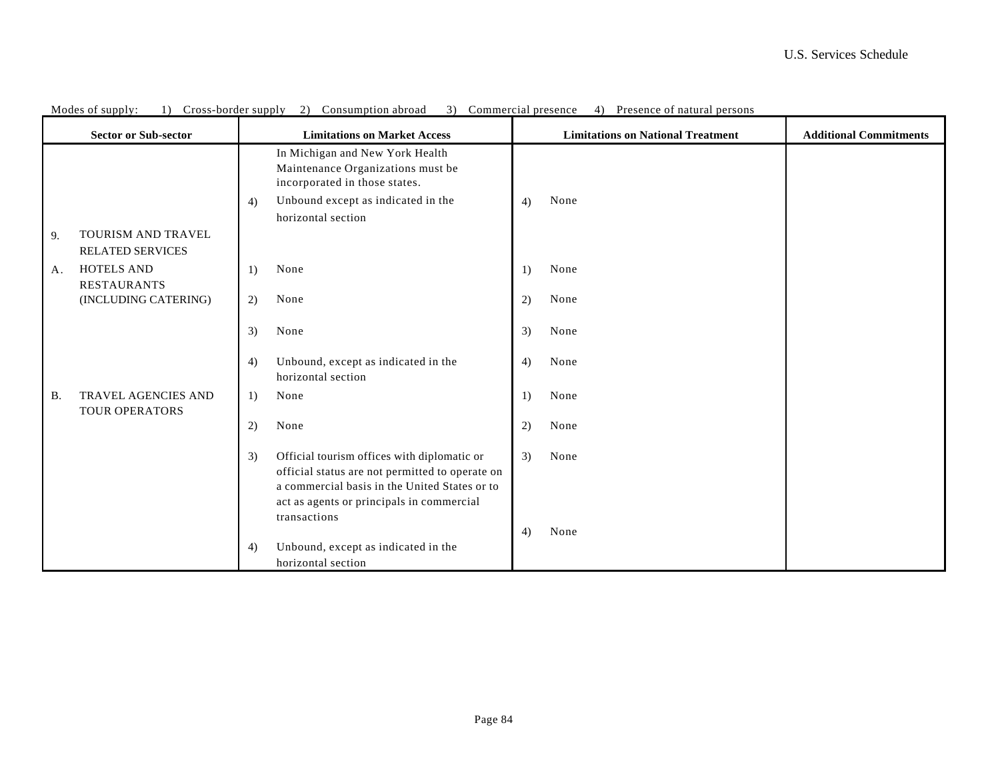|           | <b>Sector or Sub-sector</b>                          |    | <b>Limitations on Market Access</b>                                                                                                                                                                          |    | <b>Limitations on National Treatment</b> | <b>Additional Commitments</b> |
|-----------|------------------------------------------------------|----|--------------------------------------------------------------------------------------------------------------------------------------------------------------------------------------------------------------|----|------------------------------------------|-------------------------------|
|           |                                                      | 4) | In Michigan and New York Health<br>Maintenance Organizations must be<br>incorporated in those states.<br>Unbound except as indicated in the<br>horizontal section                                            | 4) | None                                     |                               |
| 9.        | <b>TOURISM AND TRAVEL</b><br><b>RELATED SERVICES</b> |    |                                                                                                                                                                                                              |    |                                          |                               |
| A.        | <b>HOTELS AND</b><br><b>RESTAURANTS</b>              | 1) | None                                                                                                                                                                                                         | 1) | None                                     |                               |
|           | (INCLUDING CATERING)                                 | 2) | None                                                                                                                                                                                                         | 2) | None                                     |                               |
|           |                                                      | 3) | None                                                                                                                                                                                                         | 3) | None                                     |                               |
|           |                                                      | 4) | Unbound, except as indicated in the<br>horizontal section                                                                                                                                                    | 4) | None                                     |                               |
| <b>B.</b> | TRAVEL AGENCIES AND<br><b>TOUR OPERATORS</b>         | 1) | None                                                                                                                                                                                                         | 1) | None                                     |                               |
|           |                                                      | 2) | None                                                                                                                                                                                                         | 2) | None                                     |                               |
|           |                                                      | 3) | Official tourism offices with diplomatic or<br>official status are not permitted to operate on<br>a commercial basis in the United States or to<br>act as agents or principals in commercial<br>transactions | 3) | None                                     |                               |
|           |                                                      | 4) | Unbound, except as indicated in the<br>horizontal section                                                                                                                                                    | 4) | None                                     |                               |

Modes of supply: 1) Cross-border supply 2) Consumption abroad 3) Commercial presence 4) Presence of natural persons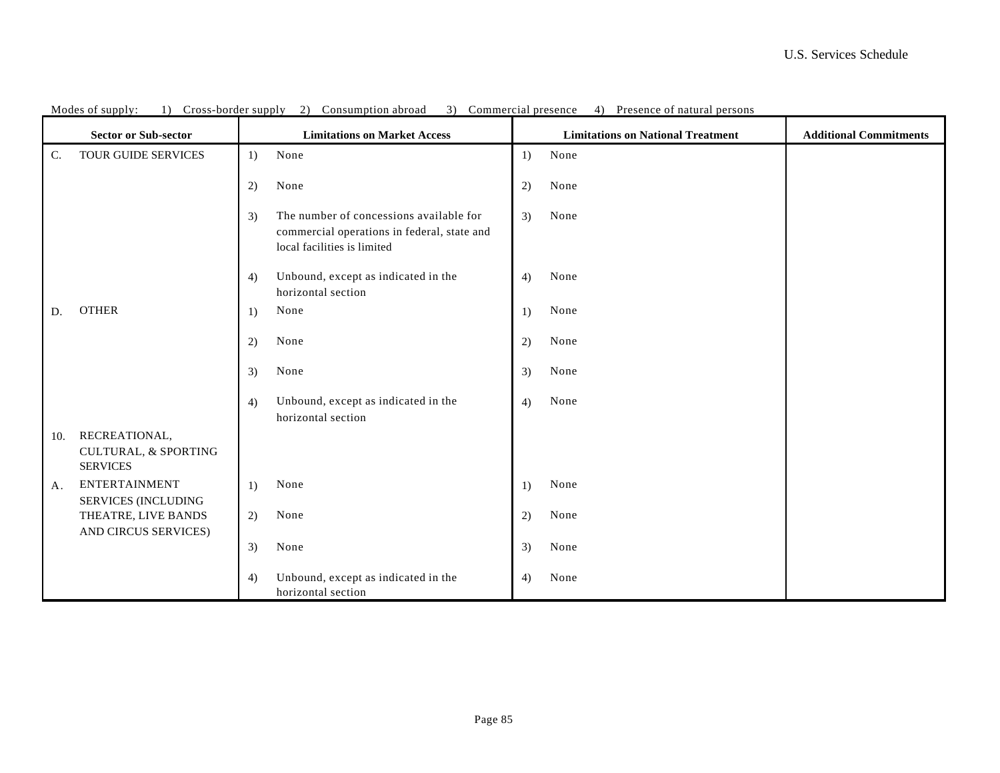| <b>Sector or Sub-sector</b><br><b>Limitations on Market Access</b> |                                                                     |    |                                                                                                                       |    | <b>Limitations on National Treatment</b> | <b>Additional Commitments</b> |
|--------------------------------------------------------------------|---------------------------------------------------------------------|----|-----------------------------------------------------------------------------------------------------------------------|----|------------------------------------------|-------------------------------|
| C.                                                                 | TOUR GUIDE SERVICES                                                 | 1) | None                                                                                                                  | 1) | None                                     |                               |
|                                                                    |                                                                     | 2) | None                                                                                                                  | 2) | None                                     |                               |
|                                                                    |                                                                     | 3) | The number of concessions available for<br>commercial operations in federal, state and<br>local facilities is limited | 3) | None                                     |                               |
|                                                                    |                                                                     | 4) | Unbound, except as indicated in the<br>horizontal section                                                             | 4) | None                                     |                               |
| D.                                                                 | <b>OTHER</b>                                                        | 1) | None                                                                                                                  | 1) | None                                     |                               |
|                                                                    |                                                                     | 2) | None                                                                                                                  | 2) | None                                     |                               |
|                                                                    |                                                                     | 3) | None                                                                                                                  | 3) | None                                     |                               |
|                                                                    |                                                                     | 4) | Unbound, except as indicated in the<br>horizontal section                                                             | 4) | None                                     |                               |
| 10.                                                                | RECREATIONAL,<br><b>CULTURAL, &amp; SPORTING</b><br><b>SERVICES</b> |    |                                                                                                                       |    |                                          |                               |
| A.                                                                 | <b>ENTERTAINMENT</b><br><b>SERVICES (INCLUDING</b>                  | 1) | None                                                                                                                  | 1) | None                                     |                               |
|                                                                    | THEATRE, LIVE BANDS<br>AND CIRCUS SERVICES)                         | 2) | None                                                                                                                  | 2) | None                                     |                               |
|                                                                    |                                                                     | 3) | None                                                                                                                  | 3) | None                                     |                               |
|                                                                    |                                                                     | 4) | Unbound, except as indicated in the<br>horizontal section                                                             | 4) | None                                     |                               |

Modes of supply: 1) Cross-border supply 2) Consumption abroad 3) Commercial presence 4) Presence of natural persons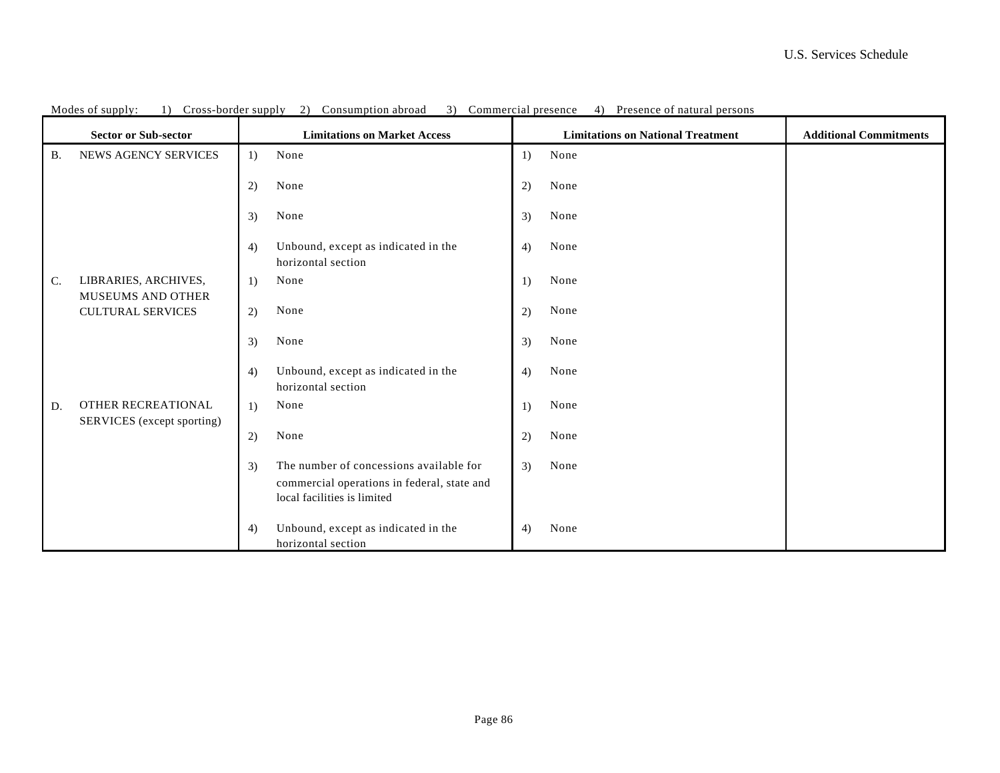| <b>Sector or Sub-sector</b> |                                                  |    | <b>Limitations on Market Access</b>                                                                                   |                  | <b>Limitations on National Treatment</b> | <b>Additional Commitments</b> |
|-----------------------------|--------------------------------------------------|----|-----------------------------------------------------------------------------------------------------------------------|------------------|------------------------------------------|-------------------------------|
| <b>B.</b>                   | NEWS AGENCY SERVICES                             | 1) | None                                                                                                                  | 1)               | None                                     |                               |
|                             |                                                  | 2) | None                                                                                                                  | 2)               | None                                     |                               |
|                             |                                                  | 3) | None                                                                                                                  | 3)               | None                                     |                               |
|                             |                                                  | 4) | Unbound, except as indicated in the<br>horizontal section                                                             | 4)               | None                                     |                               |
| $\mathsf{C}$ .              | LIBRARIES, ARCHIVES,<br><b>MUSEUMS AND OTHER</b> | 1) | None                                                                                                                  | 1)               | None                                     |                               |
|                             | <b>CULTURAL SERVICES</b>                         | 2) | None                                                                                                                  | 2)               | None                                     |                               |
|                             |                                                  | 3) | None                                                                                                                  | 3)               | None                                     |                               |
|                             |                                                  | 4) | Unbound, except as indicated in the<br>horizontal section                                                             | 4)               | None                                     |                               |
| D.                          | OTHER RECREATIONAL                               | 1) | None                                                                                                                  | $\left( \right)$ | None                                     |                               |
|                             | SERVICES (except sporting)                       | 2) | None                                                                                                                  | 2)               | None                                     |                               |
|                             |                                                  | 3) | The number of concessions available for<br>commercial operations in federal, state and<br>local facilities is limited | 3)               | None                                     |                               |
|                             |                                                  | 4) | Unbound, except as indicated in the<br>horizontal section                                                             | 4)               | None                                     |                               |

Modes of supply: 1) Cross-border supply 2) Consumption abroad 3) Commercial presence 4) Presence of natural persons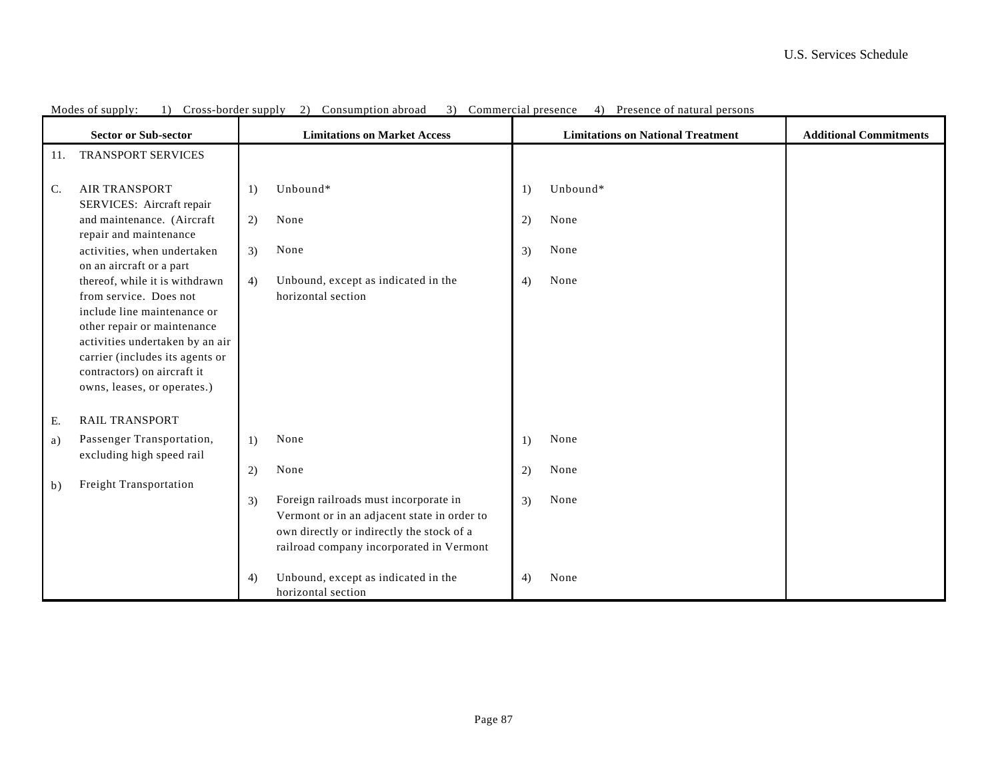|                | <b>Sector or Sub-sector</b>                                                                                                                                                                                                                                | <b>Limitations on Market Access</b> |                                                                                                                                                                               |                  | <b>Limitations on National Treatment</b> | <b>Additional Commitments</b> |
|----------------|------------------------------------------------------------------------------------------------------------------------------------------------------------------------------------------------------------------------------------------------------------|-------------------------------------|-------------------------------------------------------------------------------------------------------------------------------------------------------------------------------|------------------|------------------------------------------|-------------------------------|
| 11.            | <b>TRANSPORT SERVICES</b>                                                                                                                                                                                                                                  |                                     |                                                                                                                                                                               |                  |                                          |                               |
| $\mathsf{C}$ . | <b>AIR TRANSPORT</b><br>SERVICES: Aircraft repair                                                                                                                                                                                                          | 1)                                  | Unbound*                                                                                                                                                                      | 1)               | Unbound*                                 |                               |
|                | and maintenance. (Aircraft<br>repair and maintenance                                                                                                                                                                                                       | 2)                                  | None                                                                                                                                                                          | 2)               | None                                     |                               |
|                | activities, when undertaken<br>on an aircraft or a part                                                                                                                                                                                                    | 3)                                  | None                                                                                                                                                                          | 3)               | None                                     |                               |
|                | thereof, while it is withdrawn<br>from service. Does not<br>include line maintenance or<br>other repair or maintenance<br>activities undertaken by an air<br>carrier (includes its agents or<br>contractors) on aircraft it<br>owns, leases, or operates.) | 4)                                  | Unbound, except as indicated in the<br>horizontal section                                                                                                                     | 4)               | None                                     |                               |
| Ε.             | <b>RAIL TRANSPORT</b>                                                                                                                                                                                                                                      |                                     |                                                                                                                                                                               |                  |                                          |                               |
| a)             | Passenger Transportation,<br>excluding high speed rail                                                                                                                                                                                                     | 1)                                  | None                                                                                                                                                                          | $\left( \right)$ | None                                     |                               |
| b)             | Freight Transportation                                                                                                                                                                                                                                     | 2)                                  | None                                                                                                                                                                          | 2)               | None                                     |                               |
|                |                                                                                                                                                                                                                                                            | 3)                                  | Foreign railroads must incorporate in<br>Vermont or in an adjacent state in order to<br>own directly or indirectly the stock of a<br>railroad company incorporated in Vermont | 3)               | None                                     |                               |
|                |                                                                                                                                                                                                                                                            | 4)                                  | Unbound, except as indicated in the<br>horizontal section                                                                                                                     | 4)               | None                                     |                               |

Modes of supply: 1) Cross-border supply 2) Consumption abroad 3) Commercial presence 4) Presence of natural persons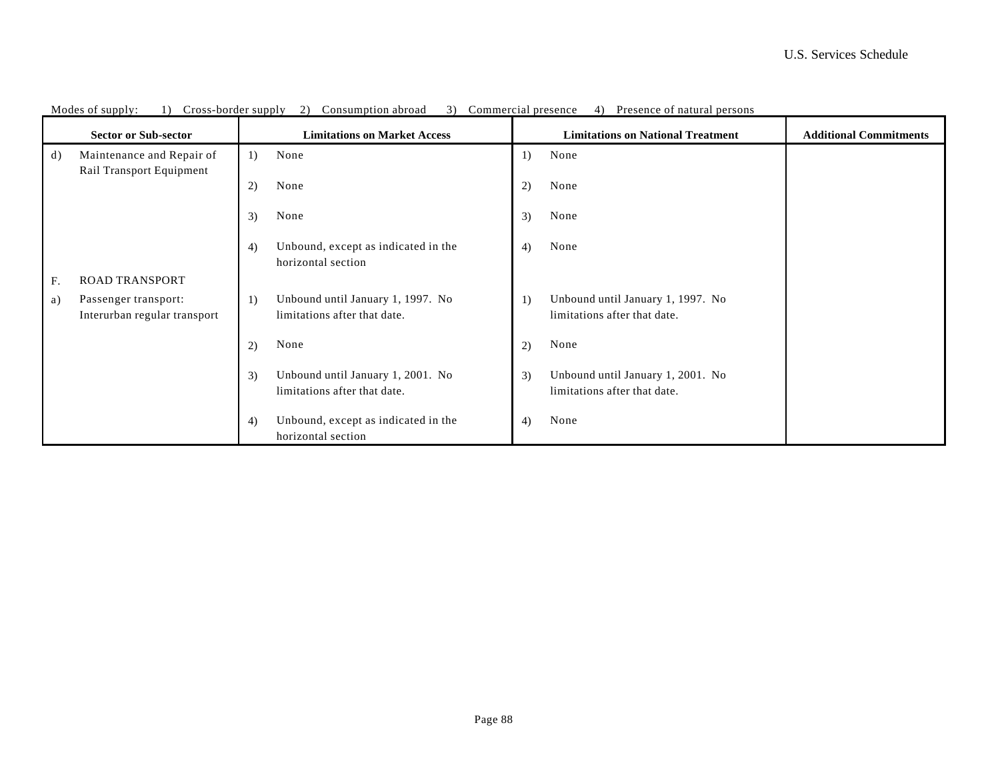| <b>Sector or Sub-sector</b> |                                                       |    | <b>Limitations on Market Access</b>                               |    | <b>Limitations on National Treatment</b>                          | <b>Additional Commitments</b> |
|-----------------------------|-------------------------------------------------------|----|-------------------------------------------------------------------|----|-------------------------------------------------------------------|-------------------------------|
| d)                          | Maintenance and Repair of<br>Rail Transport Equipment | 1) | None                                                              | 1) | None                                                              |                               |
|                             |                                                       | 2) | None                                                              | 2) | None                                                              |                               |
|                             |                                                       | 3) | None                                                              | 3) | None                                                              |                               |
|                             |                                                       | 4) | Unbound, except as indicated in the<br>horizontal section         | 4) | None                                                              |                               |
| F.                          | <b>ROAD TRANSPORT</b>                                 |    |                                                                   |    |                                                                   |                               |
| a)                          | Passenger transport:<br>Interurban regular transport  | 1) | Unbound until January 1, 1997. No<br>limitations after that date. | 1) | Unbound until January 1, 1997. No<br>limitations after that date. |                               |
|                             |                                                       | 2) | None                                                              | 2) | None                                                              |                               |
|                             |                                                       | 3) | Unbound until January 1, 2001. No<br>limitations after that date. | 3) | Unbound until January 1, 2001. No<br>limitations after that date. |                               |
|                             |                                                       | 4) | Unbound, except as indicated in the<br>horizontal section         | 4) | None                                                              |                               |

Modes of supply: 1) Cross-border supply 2) Consumption abroad 3) Commercial presence 4) Presence of natural persons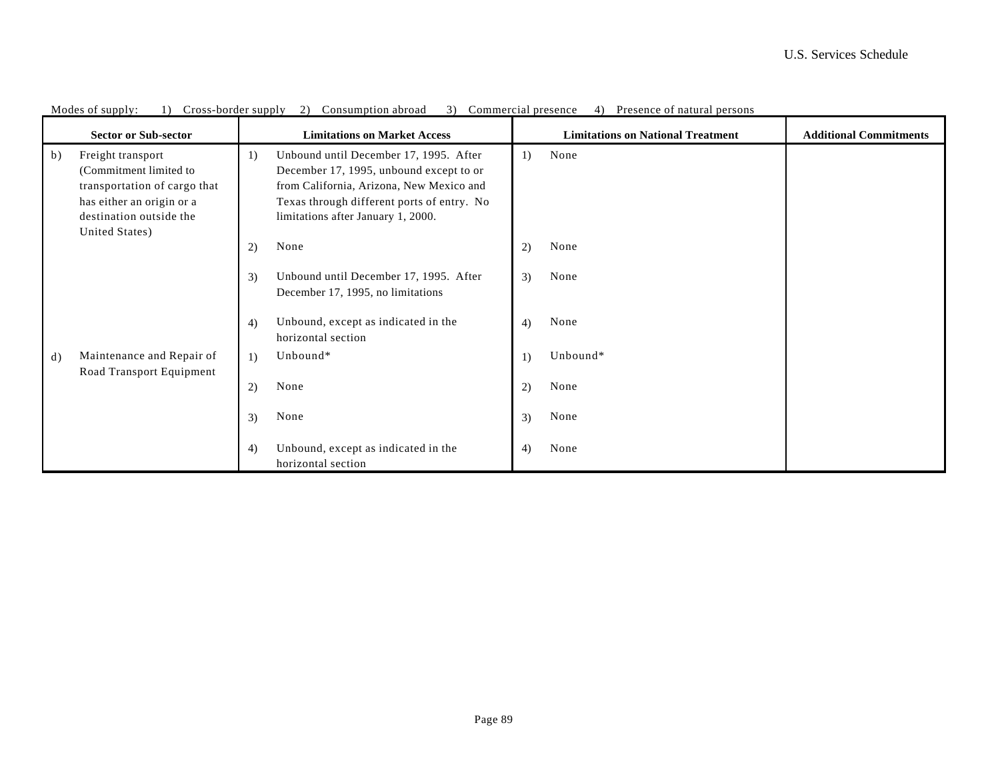|    | <b>Sector or Sub-sector</b>                                                                                                                           |    | <b>Limitations on Market Access</b>                                                                                                                                                                               |    | <b>Limitations on National Treatment</b> | <b>Additional Commitments</b> |
|----|-------------------------------------------------------------------------------------------------------------------------------------------------------|----|-------------------------------------------------------------------------------------------------------------------------------------------------------------------------------------------------------------------|----|------------------------------------------|-------------------------------|
| b) | Freight transport<br>(Commitment limited to<br>transportation of cargo that<br>has either an origin or a<br>destination outside the<br>United States) | 1) | Unbound until December 17, 1995. After<br>December 17, 1995, unbound except to or<br>from California, Arizona, New Mexico and<br>Texas through different ports of entry. No<br>limitations after January 1, 2000. | 1) | None                                     |                               |
|    |                                                                                                                                                       | 2) | None                                                                                                                                                                                                              | 2) | None                                     |                               |
|    |                                                                                                                                                       | 3) | Unbound until December 17, 1995. After<br>December 17, 1995, no limitations                                                                                                                                       | 3) | None                                     |                               |
|    |                                                                                                                                                       | 4) | Unbound, except as indicated in the<br>horizontal section                                                                                                                                                         | 4) | None                                     |                               |
| d) | Maintenance and Repair of                                                                                                                             | 1) | Unbound*                                                                                                                                                                                                          | 1) | Unbound*                                 |                               |
|    | Road Transport Equipment                                                                                                                              | 2) | None                                                                                                                                                                                                              | 2) | None                                     |                               |
|    |                                                                                                                                                       | 3) | None                                                                                                                                                                                                              | 3) | None                                     |                               |
|    |                                                                                                                                                       | 4) | Unbound, except as indicated in the<br>horizontal section                                                                                                                                                         | 4) | None                                     |                               |

Modes of supply: 1) Cross-border supply 2) Consumption abroad 3) Commercial presence 4) Presence of natural persons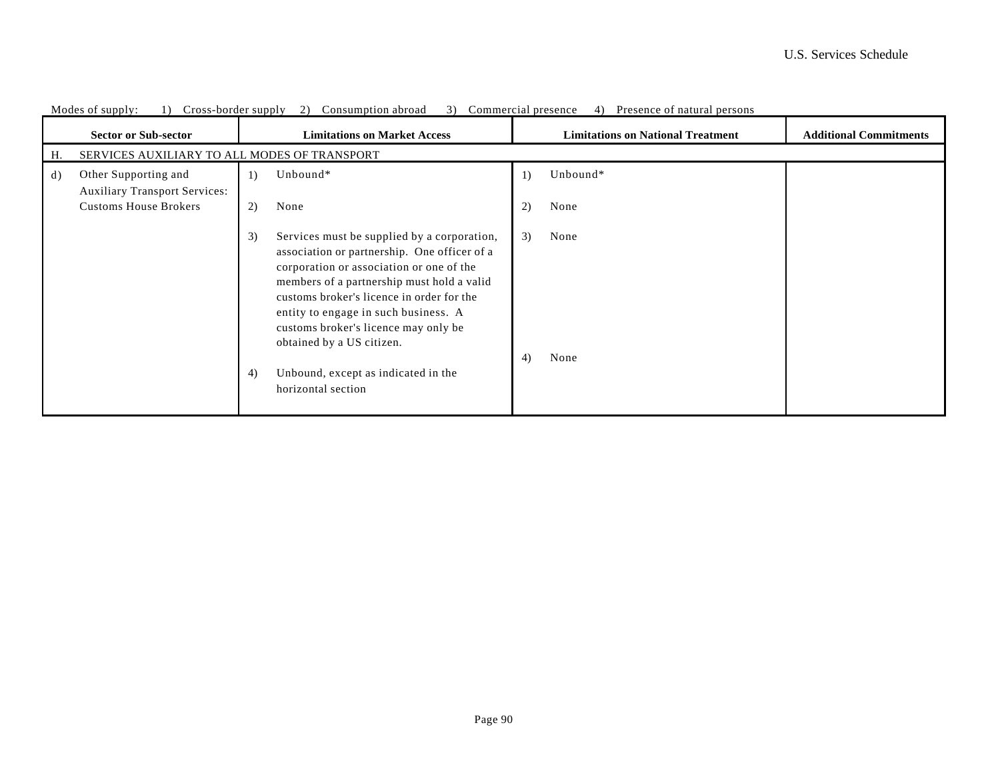|    | <b>Sector or Sub-sector</b>                                  | <b>Limitations on Market Access</b>                                                                                                                                                                                                                                                                                                                                         | <b>Limitations on National Treatment</b><br><b>Additional Commitments</b> |  |  |  |  |  |  |  |  |
|----|--------------------------------------------------------------|-----------------------------------------------------------------------------------------------------------------------------------------------------------------------------------------------------------------------------------------------------------------------------------------------------------------------------------------------------------------------------|---------------------------------------------------------------------------|--|--|--|--|--|--|--|--|
| Н. |                                                              | SERVICES AUXILIARY TO ALL MODES OF TRANSPORT                                                                                                                                                                                                                                                                                                                                |                                                                           |  |  |  |  |  |  |  |  |
| d) | Other Supporting and<br><b>Auxiliary Transport Services:</b> | Unbound*<br>1)<br>$\left  \right $                                                                                                                                                                                                                                                                                                                                          | Unbound*                                                                  |  |  |  |  |  |  |  |  |
|    | <b>Customs House Brokers</b>                                 | 2)<br>None<br>2)<br>None                                                                                                                                                                                                                                                                                                                                                    |                                                                           |  |  |  |  |  |  |  |  |
|    |                                                              | Services must be supplied by a corporation,<br>3)<br>None<br>3)<br>association or partnership. One officer of a<br>corporation or association or one of the<br>members of a partnership must hold a valid<br>customs broker's licence in order for the<br>entity to engage in such business. A<br>customs broker's licence may only be<br>obtained by a US citizen.<br>None |                                                                           |  |  |  |  |  |  |  |  |
|    |                                                              | 4)<br>Unbound, except as indicated in the<br>4)<br>horizontal section                                                                                                                                                                                                                                                                                                       |                                                                           |  |  |  |  |  |  |  |  |

|  |  |  |  | Modes of supply: (1) Cross-border supply 2) Consumption abroad 3) Commercial presence 4) Presence of natural persons |  |  |  |  |  |  |
|--|--|--|--|----------------------------------------------------------------------------------------------------------------------|--|--|--|--|--|--|
|--|--|--|--|----------------------------------------------------------------------------------------------------------------------|--|--|--|--|--|--|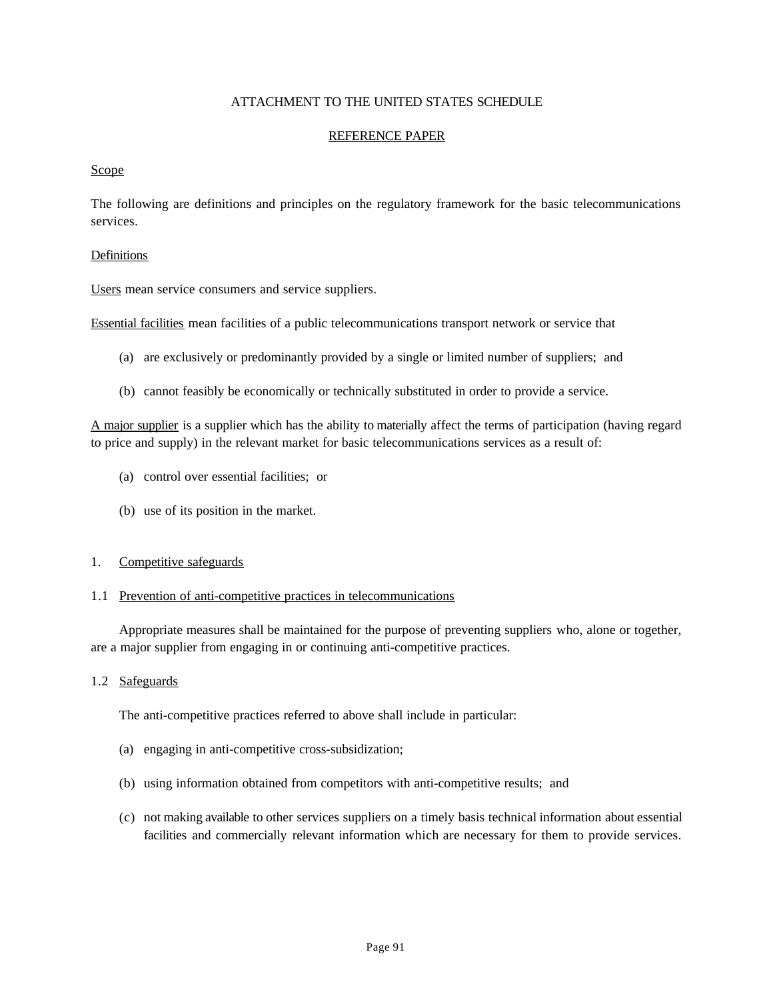## ATTACHMENT TO THE UNITED STATES SCHEDULE

#### REFERENCE PAPER

#### Scope

The following are definitions and principles on the regulatory framework for the basic telecommunications services.

#### Definitions

Users mean service consumers and service suppliers.

Essential facilities mean facilities of a public telecommunications transport network or service that

- (a) are exclusively or predominantly provided by a single or limited number of suppliers; and
- (b) cannot feasibly be economically or technically substituted in order to provide a service.

A major supplier is a supplier which has the ability to materially affect the terms of participation (having regard to price and supply) in the relevant market for basic telecommunications services as a result of:

- (a) control over essential facilities; or
- (b) use of its position in the market.
- 1. Competitive safeguards

#### 1.1 Prevention of anti-competitive practices in telecommunications

Appropriate measures shall be maintained for the purpose of preventing suppliers who, alone or together, are a major supplier from engaging in or continuing anti-competitive practices.

## 1.2 Safeguards

The anti-competitive practices referred to above shall include in particular:

- (a) engaging in anti-competitive cross-subsidization;
- (b) using information obtained from competitors with anti-competitive results; and
- (c) not making available to other services suppliers on a timely basis technical information about essential facilities and commercially relevant information which are necessary for them to provide services.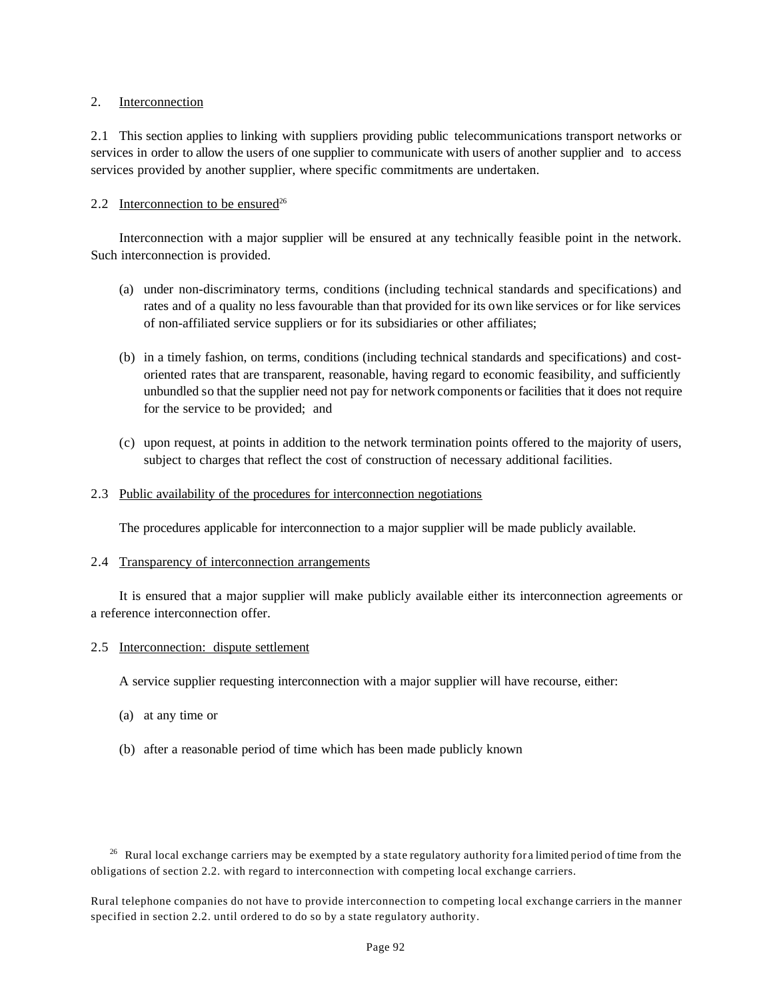### 2. Interconnection

2.1 This section applies to linking with suppliers providing public telecommunications transport networks or services in order to allow the users of one supplier to communicate with users of another supplier and to access services provided by another supplier, where specific commitments are undertaken.

## 2.2 Interconnection to be ensured<sup>26</sup>

Interconnection with a major supplier will be ensured at any technically feasible point in the network. Such interconnection is provided.

- (a) under non-discriminatory terms, conditions (including technical standards and specifications) and rates and of a quality no less favourable than that provided for its own like services or for like services of non-affiliated service suppliers or for its subsidiaries or other affiliates;
- (b) in a timely fashion, on terms, conditions (including technical standards and specifications) and costoriented rates that are transparent, reasonable, having regard to economic feasibility, and sufficiently unbundled so that the supplier need not pay for network components or facilities that it does not require for the service to be provided; and
- (c) upon request, at points in addition to the network termination points offered to the majority of users, subject to charges that reflect the cost of construction of necessary additional facilities.

#### 2.3 Public availability of the procedures for interconnection negotiations

The procedures applicable for interconnection to a major supplier will be made publicly available.

#### 2.4 Transparency of interconnection arrangements

It is ensured that a major supplier will make publicly available either its interconnection agreements or a reference interconnection offer.

#### 2.5 Interconnection: dispute settlement

A service supplier requesting interconnection with a major supplier will have recourse, either:

- (a) at any time or
- (b) after a reasonable period of time which has been made publicly known

 $26$  Rural local exchange carriers may be exempted by a state regulatory authority for a limited period of time from the obligations of section 2.2. with regard to interconnection with competing local exchange carriers.

Rural telephone companies do not have to provide interconnection to competing local exchange carriers in the manner specified in section 2.2. until ordered to do so by a state regulatory authority.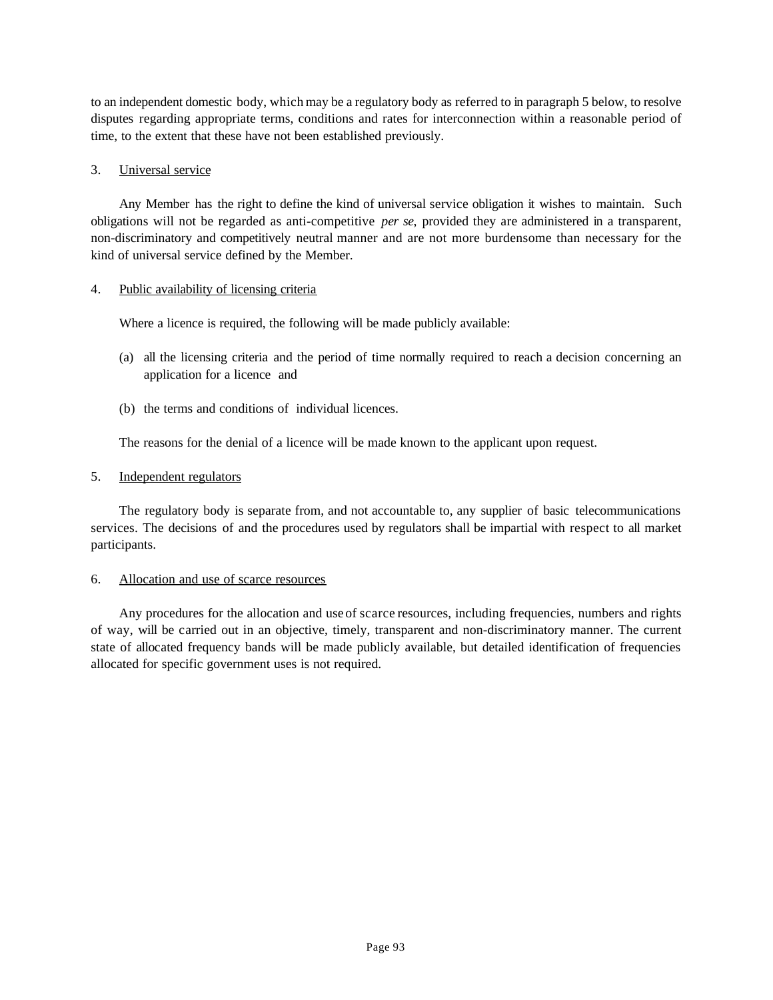to an independent domestic body, which may be a regulatory body as referred to in paragraph 5 below, to resolve disputes regarding appropriate terms, conditions and rates for interconnection within a reasonable period of time, to the extent that these have not been established previously.

#### 3. Universal service

Any Member has the right to define the kind of universal service obligation it wishes to maintain. Such obligations will not be regarded as anti-competitive *per se*, provided they are administered in a transparent, non-discriminatory and competitively neutral manner and are not more burdensome than necessary for the kind of universal service defined by the Member.

## 4. Public availability of licensing criteria

Where a licence is required, the following will be made publicly available:

- (a) all the licensing criteria and the period of time normally required to reach a decision concerning an application for a licence and
- (b) the terms and conditions of individual licences.

The reasons for the denial of a licence will be made known to the applicant upon request.

## 5. Independent regulators

The regulatory body is separate from, and not accountable to, any supplier of basic telecommunications services. The decisions of and the procedures used by regulators shall be impartial with respect to all market participants.

#### 6. Allocation and use of scarce resources

Any procedures for the allocation and use of scarce resources, including frequencies, numbers and rights of way, will be carried out in an objective, timely, transparent and non-discriminatory manner. The current state of allocated frequency bands will be made publicly available, but detailed identification of frequencies allocated for specific government uses is not required.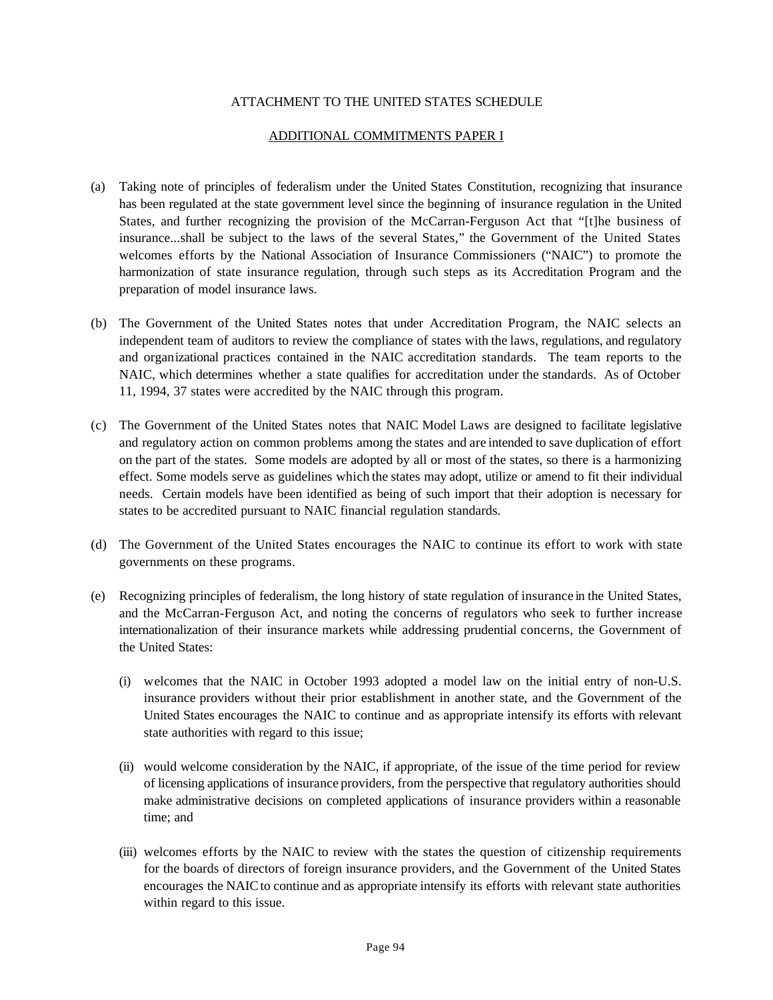## ATTACHMENT TO THE UNITED STATES SCHEDULE

#### ADDITIONAL COMMITMENTS PAPER I

- (a) Taking note of principles of federalism under the United States Constitution, recognizing that insurance has been regulated at the state government level since the beginning of insurance regulation in the United States, and further recognizing the provision of the McCarran-Ferguson Act that "[t]he business of insurance...shall be subject to the laws of the several States," the Government of the United States welcomes efforts by the National Association of Insurance Commissioners ("NAIC") to promote the harmonization of state insurance regulation, through such steps as its Accreditation Program and the preparation of model insurance laws.
- (b) The Government of the United States notes that under Accreditation Program, the NAIC selects an independent team of auditors to review the compliance of states with the laws, regulations, and regulatory and organizational practices contained in the NAIC accreditation standards. The team reports to the NAIC, which determines whether a state qualifies for accreditation under the standards. As of October 11, 1994, 37 states were accredited by the NAIC through this program.
- (c) The Government of the United States notes that NAIC Model Laws are designed to facilitate legislative and regulatory action on common problems among the states and are intended to save duplication of effort on the part of the states. Some models are adopted by all or most of the states, so there is a harmonizing effect. Some models serve as guidelines which the states may adopt, utilize or amend to fit their individual needs. Certain models have been identified as being of such import that their adoption is necessary for states to be accredited pursuant to NAIC financial regulation standards.
- (d) The Government of the United States encourages the NAIC to continue its effort to work with state governments on these programs.
- (e) Recognizing principles of federalism, the long history of state regulation of insurance in the United States, and the McCarran-Ferguson Act, and noting the concerns of regulators who seek to further increase internationalization of their insurance markets while addressing prudential concerns, the Government of the United States:
	- (i) welcomes that the NAIC in October 1993 adopted a model law on the initial entry of non-U.S. insurance providers without their prior establishment in another state, and the Government of the United States encourages the NAIC to continue and as appropriate intensify its efforts with relevant state authorities with regard to this issue;
	- (ii) would welcome consideration by the NAIC, if appropriate, of the issue of the time period for review of licensing applications of insurance providers, from the perspective that regulatory authorities should make administrative decisions on completed applications of insurance providers within a reasonable time; and
	- (iii) welcomes efforts by the NAIC to review with the states the question of citizenship requirements for the boards of directors of foreign insurance providers, and the Government of the United States encourages the NAIC to continue and as appropriate intensify its efforts with relevant state authorities within regard to this issue.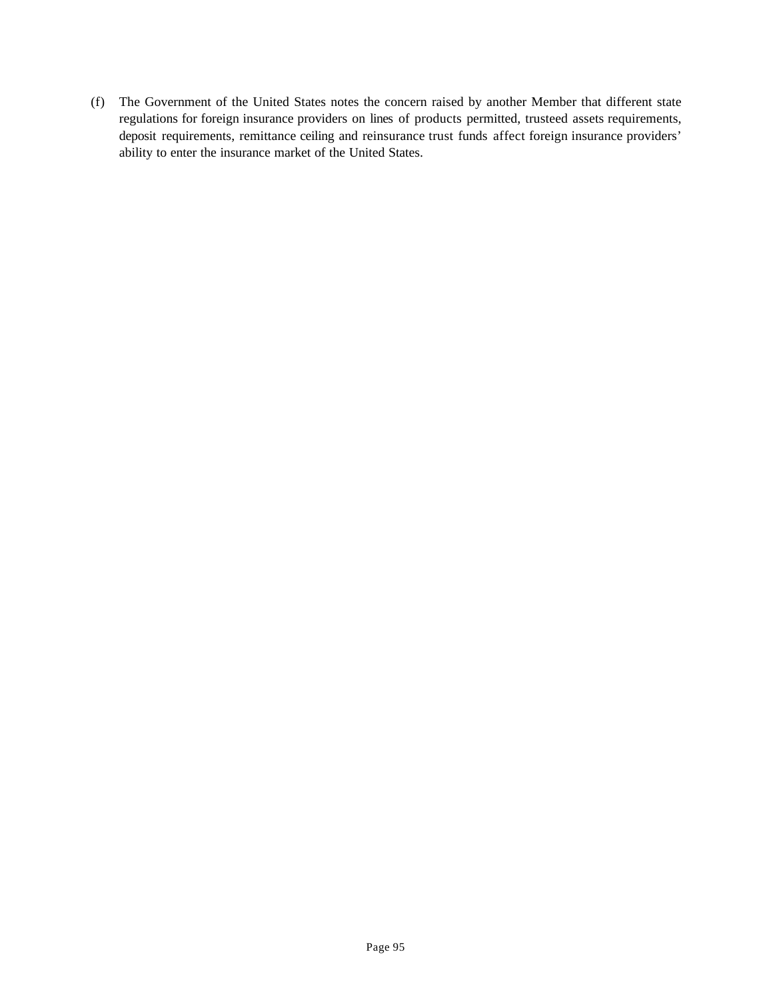(f) The Government of the United States notes the concern raised by another Member that different state regulations for foreign insurance providers on lines of products permitted, trusteed assets requirements, deposit requirements, remittance ceiling and reinsurance trust funds affect foreign insurance providers' ability to enter the insurance market of the United States.